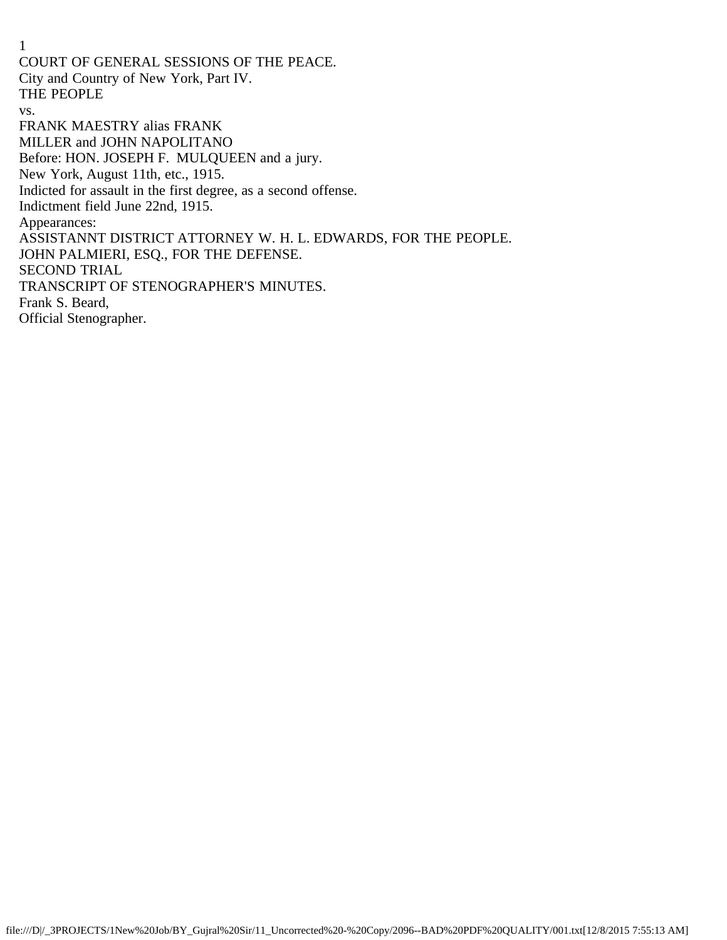1 COURT OF GENERAL SESSIONS OF THE PEACE. City and Country of New York, Part IV. THE PEOPLE vs. FRANK MAESTRY alias FRANK MILLER and JOHN NAPOLITANO Before: HON. JOSEPH F. MULQUEEN and a jury. New York, August 11th, etc., 1915. Indicted for assault in the first degree, as a second offense. Indictment field June 22nd, 1915. Appearances: ASSISTANNT DISTRICT ATTORNEY W. H. L. EDWARDS, FOR THE PEOPLE. JOHN PALMIERI, ESQ., FOR THE DEFENSE. SECOND TRIAL TRANSCRIPT OF STENOGRAPHER'S MINUTES. Frank S. Beard, Official Stenographer.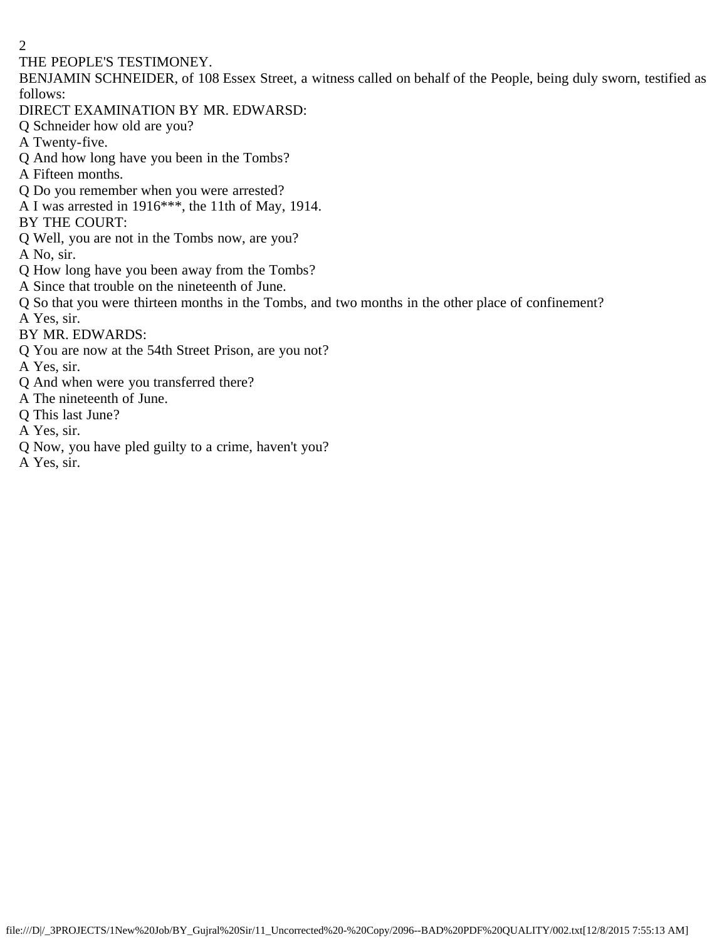#### THE PEOPLE'S TESTIMONEY.

BENJAMIN SCHNEIDER, of 108 Essex Street, a witness called on behalf of the People, being duly sworn, testified as follows:

- DIRECT EXAMINATION BY MR. EDWARSD:
- Q Schneider how old are you?
- A Twenty-five.
- Q And how long have you been in the Tombs?
- A Fifteen months.
- Q Do you remember when you were arrested?
- A I was arrested in 1916\*\*\*, the 11th of May, 1914.
- BY THE COURT:
- Q Well, you are not in the Tombs now, are you?
- A No, sir.
- Q How long have you been away from the Tombs?
- A Since that trouble on the nineteenth of June.
- Q So that you were thirteen months in the Tombs, and two months in the other place of confinement? A Yes, sir.
- 
- BY MR. EDWARDS:
- Q You are now at the 54th Street Prison, are you not?
- A Yes, sir.
- Q And when were you transferred there?
- A The nineteenth of June.
- Q This last June?
- A Yes, sir.
- Q Now, you have pled guilty to a crime, haven't you?
- A Yes, sir.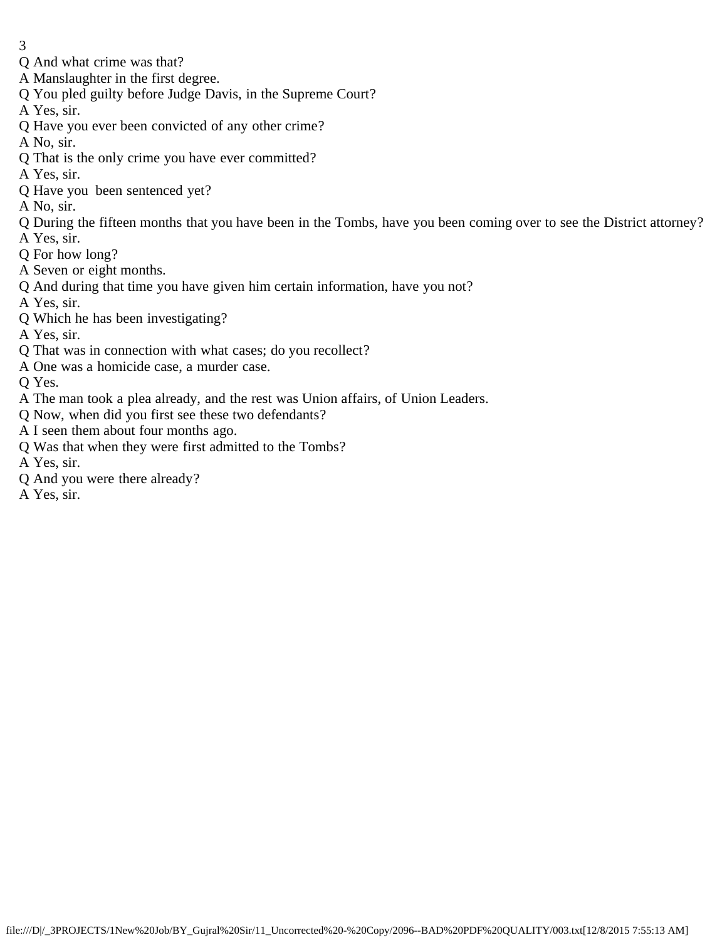- 3
- Q And what crime was that?
- A Manslaughter in the first degree.
- Q You pled guilty before Judge Davis, in the Supreme Court?
- A Yes, sir.
- Q Have you ever been convicted of any other crime?
- A No, sir.
- Q That is the only crime you have ever committed?
- A Yes, sir.
- Q Have you been sentenced yet?
- A No, sir.
- Q During the fifteen months that you have been in the Tombs, have you been coming over to see the District attorney?
- A Yes, sir.
- Q For how long?
- A Seven or eight months.
- Q And during that time you have given him certain information, have you not?
- A Yes, sir.
- Q Which he has been investigating?
- A Yes, sir.
- Q That was in connection with what cases; do you recollect?
- A One was a homicide case, a murder case.
- Q Yes.
- A The man took a plea already, and the rest was Union affairs, of Union Leaders.
- Q Now, when did you first see these two defendants?
- A I seen them about four months ago.
- Q Was that when they were first admitted to the Tombs?
- A Yes, sir.
- Q And you were there already?
- A Yes, sir.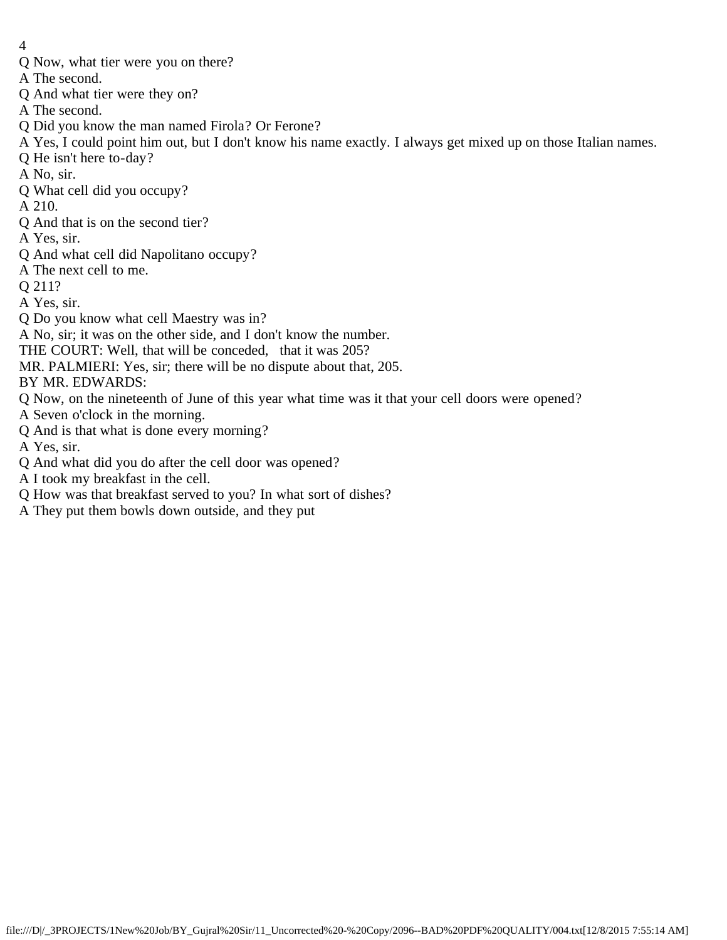- 4
- Q Now, what tier were you on there?
- A The second.
- Q And what tier were they on?
- A The second.
- Q Did you know the man named Firola? Or Ferone?
- A Yes, I could point him out, but I don't know his name exactly. I always get mixed up on those Italian names.
- Q He isn't here to-day?
- A No, sir.
- Q What cell did you occupy?
- A 210.
- Q And that is on the second tier?
- A Yes, sir.
- Q And what cell did Napolitano occupy?
- A The next cell to me.
- Q 211?
- A Yes, sir.
- Q Do you know what cell Maestry was in?
- A No, sir; it was on the other side, and I don't know the number.
- THE COURT: Well, that will be conceded, that it was 205?
- MR. PALMIERI: Yes, sir; there will be no dispute about that, 205.
- BY MR. EDWARDS:
- Q Now, on the nineteenth of June of this year what time was it that your cell doors were opened?
- A Seven o'clock in the morning.
- Q And is that what is done every morning?
- A Yes, sir.
- Q And what did you do after the cell door was opened?
- A I took my breakfast in the cell.
- Q How was that breakfast served to you? In what sort of dishes?
- A They put them bowls down outside, and they put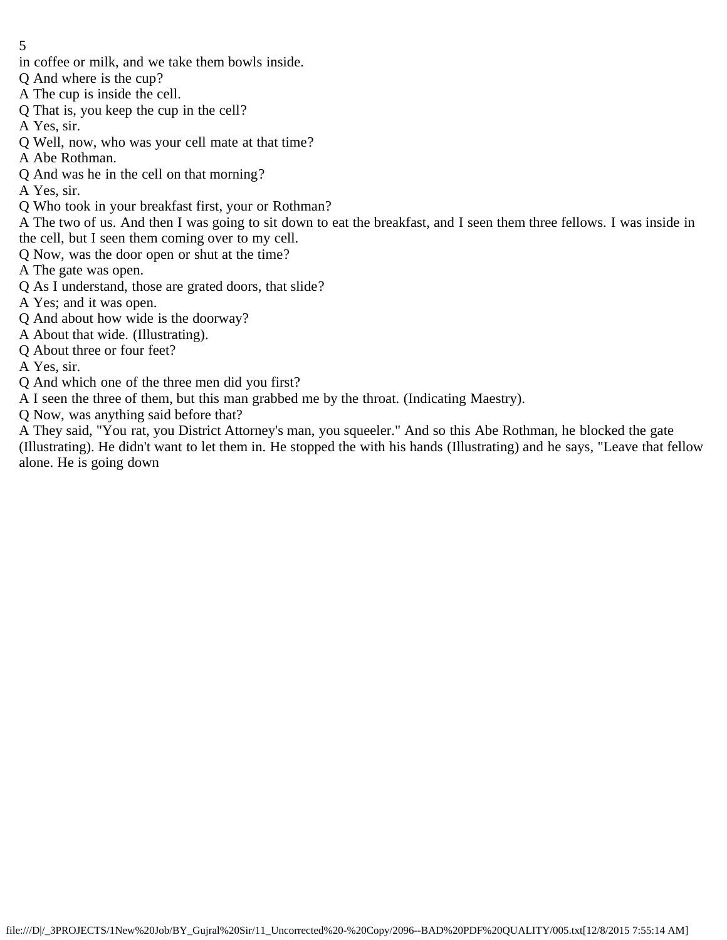- in coffee or milk, and we take them bowls inside.
- Q And where is the cup?
- A The cup is inside the cell.
- Q That is, you keep the cup in the cell?
- A Yes, sir.
- Q Well, now, who was your cell mate at that time?
- A Abe Rothman.
- Q And was he in the cell on that morning?
- A Yes, sir.
- Q Who took in your breakfast first, your or Rothman?

A The two of us. And then I was going to sit down to eat the breakfast, and I seen them three fellows. I was inside in the cell, but I seen them coming over to my cell.

- Q Now, was the door open or shut at the time?
- A The gate was open.
- Q As I understand, those are grated doors, that slide?
- A Yes; and it was open.
- Q And about how wide is the doorway?
- A About that wide. (Illustrating).
- Q About three or four feet?
- A Yes, sir.
- Q And which one of the three men did you first?
- A I seen the three of them, but this man grabbed me by the throat. (Indicating Maestry).
- Q Now, was anything said before that?

A They said, "You rat, you District Attorney's man, you squeeler." And so this Abe Rothman, he blocked the gate (Illustrating). He didn't want to let them in. He stopped the with his hands (Illustrating) and he says, "Leave that fellow alone. He is going down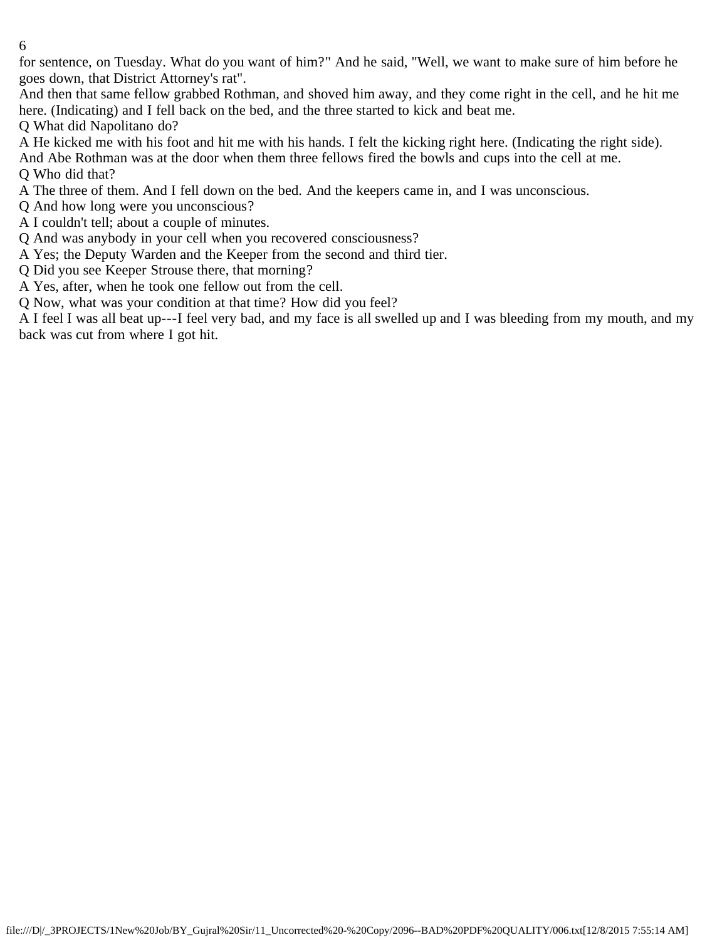for sentence, on Tuesday. What do you want of him?" And he said, "Well, we want to make sure of him before he goes down, that District Attorney's rat".

And then that same fellow grabbed Rothman, and shoved him away, and they come right in the cell, and he hit me here. (Indicating) and I fell back on the bed, and the three started to kick and beat me.

Q What did Napolitano do?

A He kicked me with his foot and hit me with his hands. I felt the kicking right here. (Indicating the right side).

And Abe Rothman was at the door when them three fellows fired the bowls and cups into the cell at me. Q Who did that?

A The three of them. And I fell down on the bed. And the keepers came in, and I was unconscious.

Q And how long were you unconscious?

A I couldn't tell; about a couple of minutes.

Q And was anybody in your cell when you recovered consciousness?

A Yes; the Deputy Warden and the Keeper from the second and third tier.

Q Did you see Keeper Strouse there, that morning?

A Yes, after, when he took one fellow out from the cell.

Q Now, what was your condition at that time? How did you feel?

A I feel I was all beat up---I feel very bad, and my face is all swelled up and I was bleeding from my mouth, and my back was cut from where I got hit.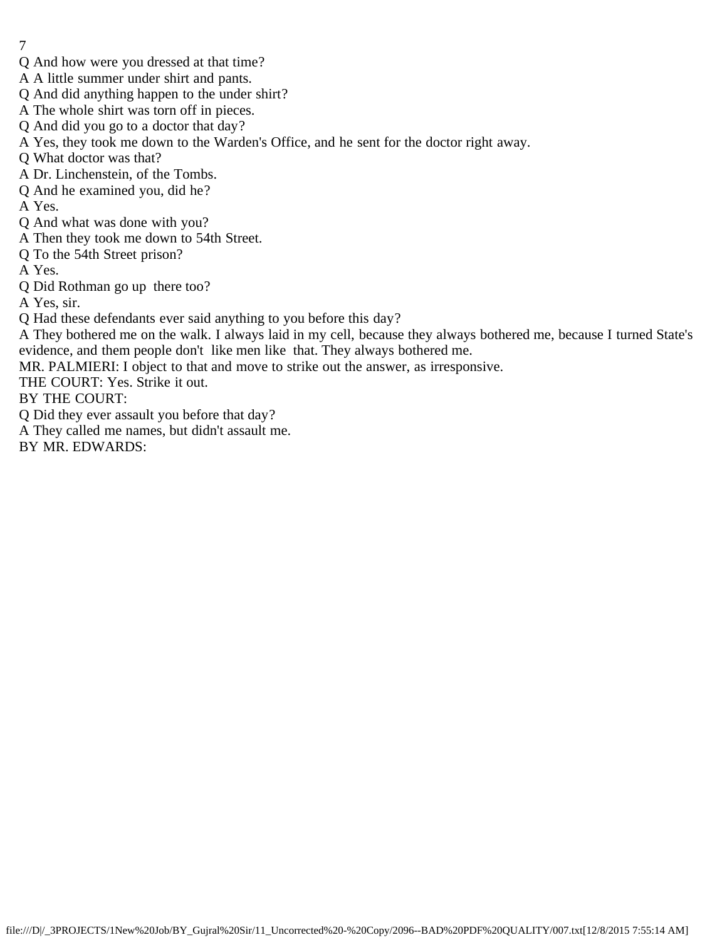- 7
- Q And how were you dressed at that time?
- A A little summer under shirt and pants.
- Q And did anything happen to the under shirt?
- A The whole shirt was torn off in pieces.
- Q And did you go to a doctor that day?
- A Yes, they took me down to the Warden's Office, and he sent for the doctor right away.
- Q What doctor was that?
- A Dr. Linchenstein, of the Tombs.
- Q And he examined you, did he?
- A Yes.
- Q And what was done with you?
- A Then they took me down to 54th Street.
- Q To the 54th Street prison?
- A Yes.
- Q Did Rothman go up there too?
- A Yes, sir.
- Q Had these defendants ever said anything to you before this day?
- A They bothered me on the walk. I always laid in my cell, because they always bothered me, because I turned State's evidence, and them people don't like men like that. They always bothered me.
- MR. PALMIERI: I object to that and move to strike out the answer, as irresponsive.
- THE COURT: Yes. Strike it out.
- BY THE COURT:
- Q Did they ever assault you before that day?
- A They called me names, but didn't assault me.
- BY MR. EDWARDS: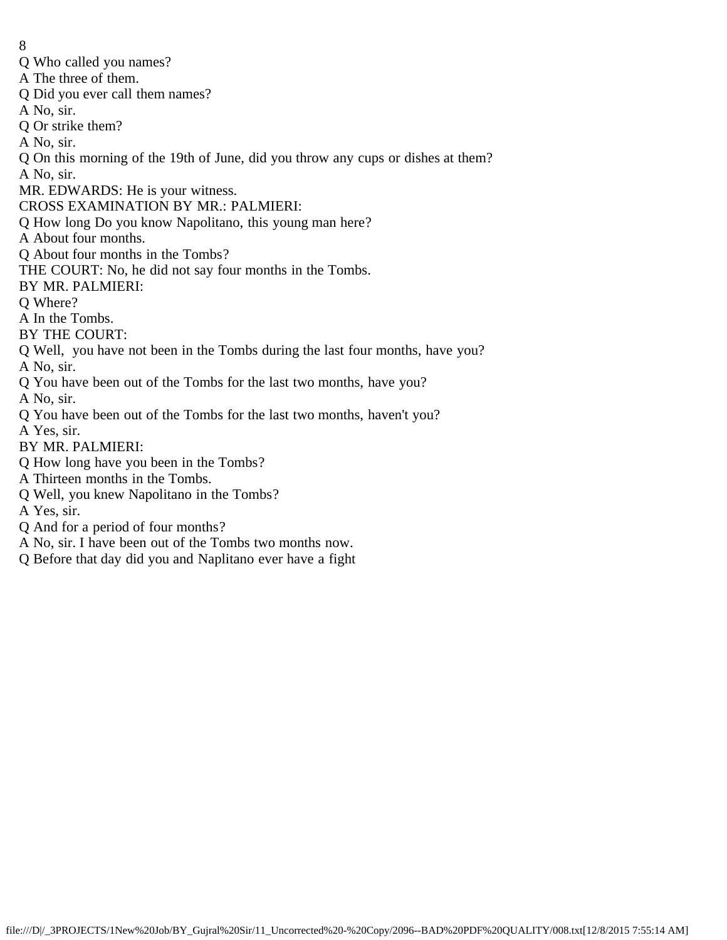- 8
- Q Who called you names?
- A The three of them.
- Q Did you ever call them names?
- A No, sir.
- Q Or strike them?
- A No, sir.
- Q On this morning of the 19th of June, did you throw any cups or dishes at them?
- A No, sir.
- MR. EDWARDS: He is your witness.
- CROSS EXAMINATION BY MR.: PALMIERI:
- Q How long Do you know Napolitano, this young man here?
- A About four months.
- Q About four months in the Tombs?
- THE COURT: No, he did not say four months in the Tombs.
- BY MR. PALMIERI:
- Q Where?
- A In the Tombs.
- BY THE COURT:
- Q Well, you have not been in the Tombs during the last four months, have you?
- A No, sir.
- Q You have been out of the Tombs for the last two months, have you?
- A No, sir.
- Q You have been out of the Tombs for the last two months, haven't you?
- A Yes, sir.
- BY MR. PALMIERI:
- Q How long have you been in the Tombs?
- A Thirteen months in the Tombs.
- Q Well, you knew Napolitano in the Tombs?
- A Yes, sir.
- Q And for a period of four months?
- A No, sir. I have been out of the Tombs two months now.
- Q Before that day did you and Naplitano ever have a fight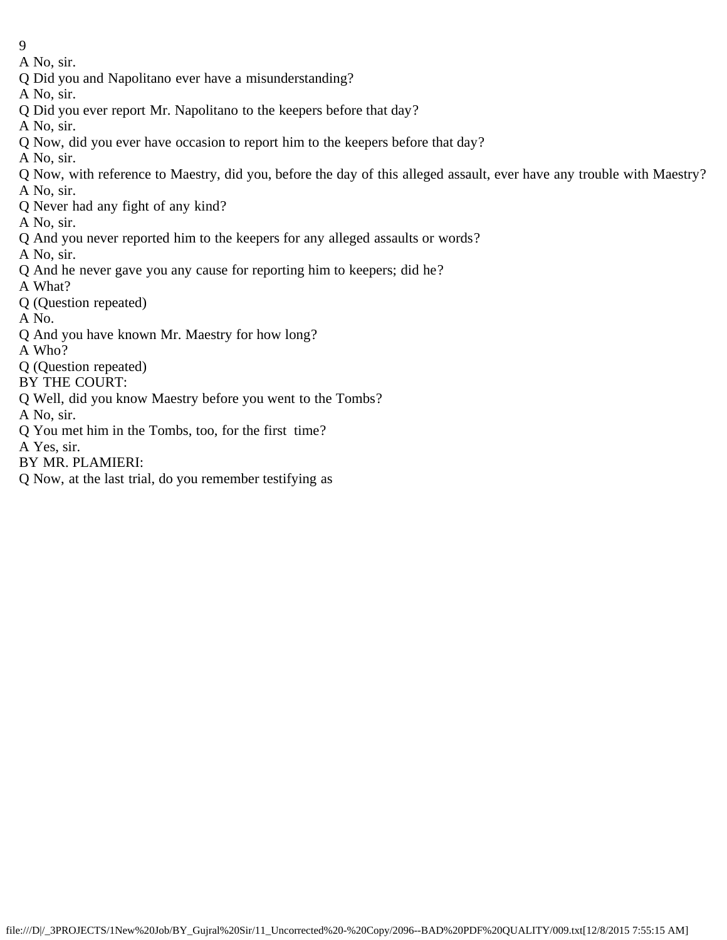- 9
- A No, sir.
- Q Did you and Napolitano ever have a misunderstanding?
- A No, sir.
- Q Did you ever report Mr. Napolitano to the keepers before that day?
- A No, sir.
- Q Now, did you ever have occasion to report him to the keepers before that day?
- A No, sir.
- Q Now, with reference to Maestry, did you, before the day of this alleged assault, ever have any trouble with Maestry? A No, sir.
- Q Never had any fight of any kind?
- A No, sir.
- Q And you never reported him to the keepers for any alleged assaults or words?
- A No, sir.
- Q And he never gave you any cause for reporting him to keepers; did he?
- A What?
- Q (Question repeated)
- A No.
- Q And you have known Mr. Maestry for how long?
- A Who?
- Q (Question repeated)
- BY THE COURT:
- Q Well, did you know Maestry before you went to the Tombs?
- A No, sir.
- Q You met him in the Tombs, too, for the first time?
- A Yes, sir.
- BY MR. PLAMIERI:
- Q Now, at the last trial, do you remember testifying as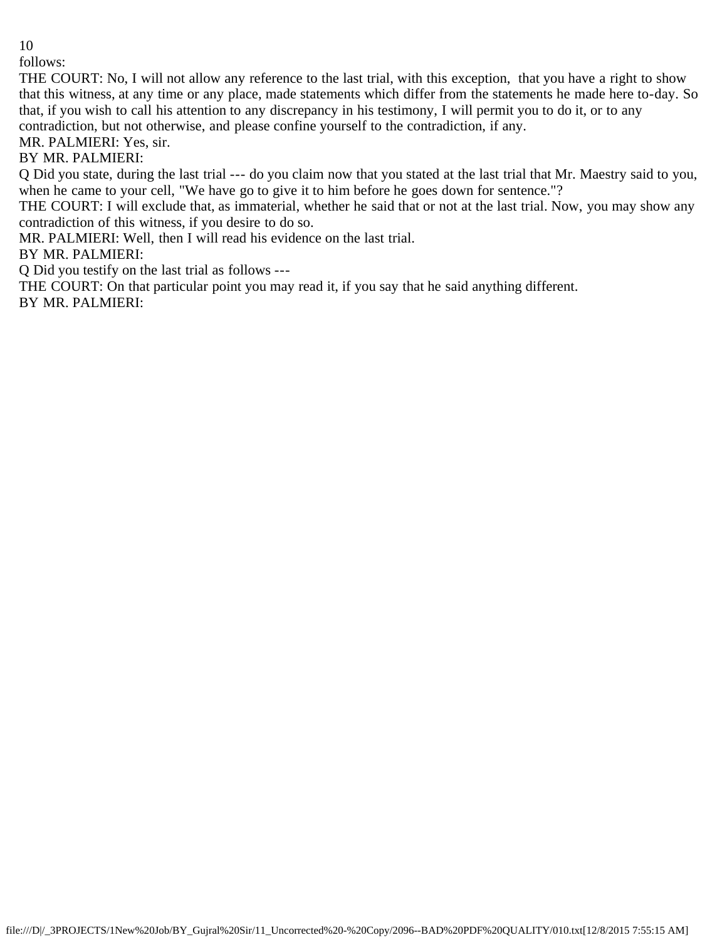follows:

THE COURT: No, I will not allow any reference to the last trial, with this exception, that you have a right to show that this witness, at any time or any place, made statements which differ from the statements he made here to-day. So that, if you wish to call his attention to any discrepancy in his testimony, I will permit you to do it, or to any contradiction, but not otherwise, and please confine yourself to the contradiction, if any.

MR. PALMIERI: Yes, sir.

BY MR. PALMIERI:

Q Did you state, during the last trial --- do you claim now that you stated at the last trial that Mr. Maestry said to you, when he came to your cell, "We have go to give it to him before he goes down for sentence."?

THE COURT: I will exclude that, as immaterial, whether he said that or not at the last trial. Now, you may show any contradiction of this witness, if you desire to do so.

MR. PALMIERI: Well, then I will read his evidence on the last trial.

BY MR. PALMIERI:

Q Did you testify on the last trial as follows ---

THE COURT: On that particular point you may read it, if you say that he said anything different. BY MR. PALMIERI: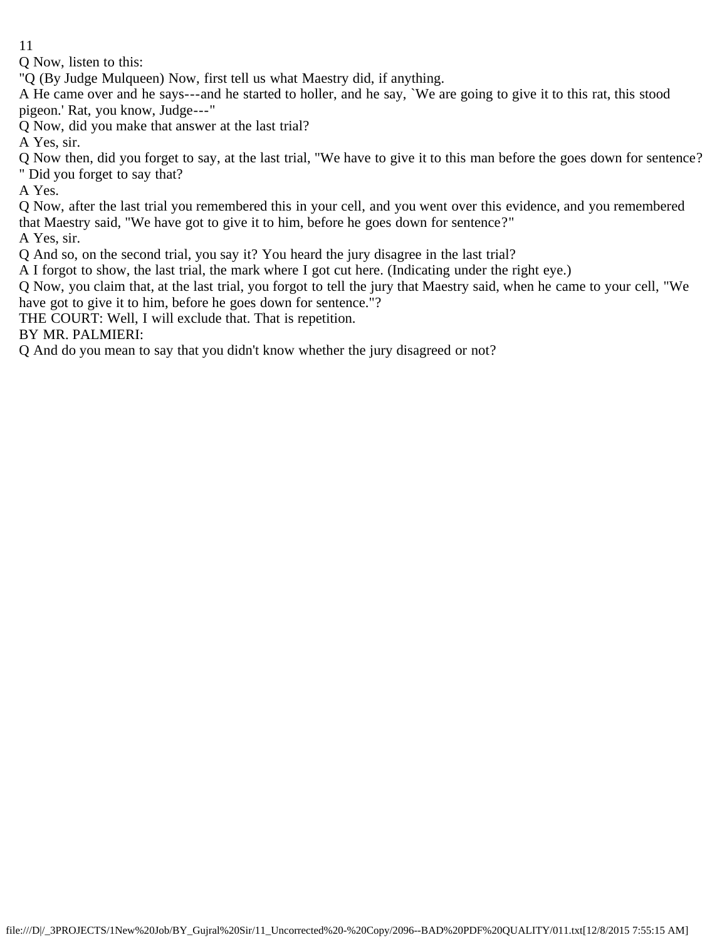Q Now, listen to this:

"Q (By Judge Mulqueen) Now, first tell us what Maestry did, if anything.

A He came over and he says---and he started to holler, and he say, `We are going to give it to this rat, this stood pigeon.' Rat, you know, Judge---"

Q Now, did you make that answer at the last trial?

A Yes, sir.

Q Now then, did you forget to say, at the last trial, "We have to give it to this man before the goes down for sentence? " Did you forget to say that?

A Yes.

Q Now, after the last trial you remembered this in your cell, and you went over this evidence, and you remembered that Maestry said, "We have got to give it to him, before he goes down for sentence?"

A Yes, sir.

Q And so, on the second trial, you say it? You heard the jury disagree in the last trial?

A I forgot to show, the last trial, the mark where I got cut here. (Indicating under the right eye.)

Q Now, you claim that, at the last trial, you forgot to tell the jury that Maestry said, when he came to your cell, "We have got to give it to him, before he goes down for sentence."?

THE COURT: Well, I will exclude that. That is repetition.

BY MR. PALMIERI:

Q And do you mean to say that you didn't know whether the jury disagreed or not?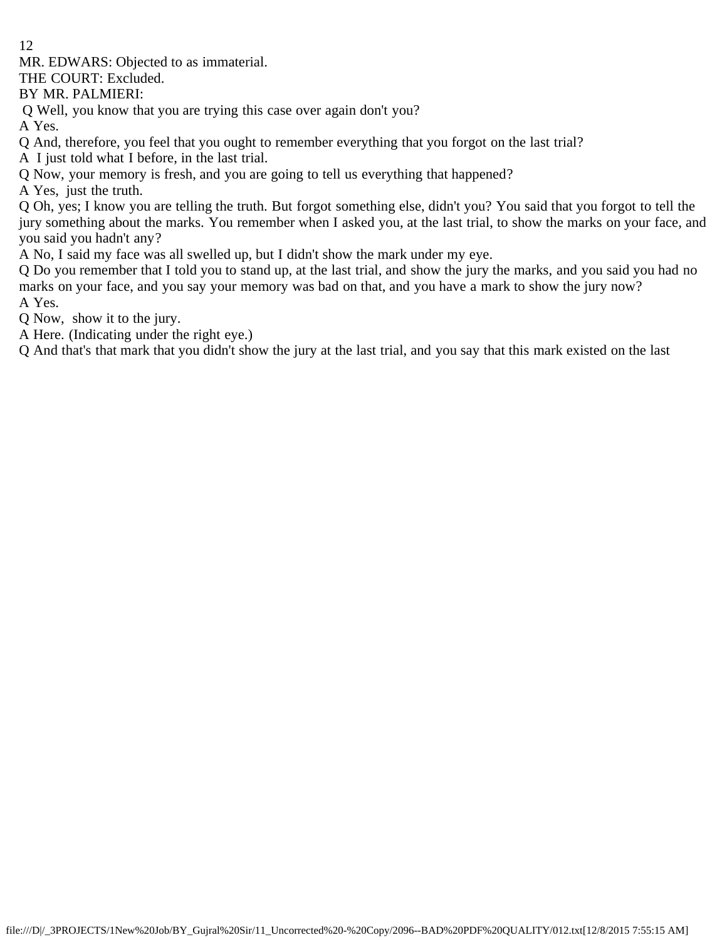MR. EDWARS: Objected to as immaterial.

THE COURT: Excluded.

BY MR. PALMIERI:

Q Well, you know that you are trying this case over again don't you?

A Yes.

Q And, therefore, you feel that you ought to remember everything that you forgot on the last trial?

A I just told what I before, in the last trial.

Q Now, your memory is fresh, and you are going to tell us everything that happened?

A Yes, just the truth.

Q Oh, yes; I know you are telling the truth. But forgot something else, didn't you? You said that you forgot to tell the jury something about the marks. You remember when I asked you, at the last trial, to show the marks on your face, and you said you hadn't any?

A No, I said my face was all swelled up, but I didn't show the mark under my eye.

Q Do you remember that I told you to stand up, at the last trial, and show the jury the marks, and you said you had no marks on your face, and you say your memory was bad on that, and you have a mark to show the jury now? A Yes.

Q Now, show it to the jury.

A Here. (Indicating under the right eye.)

Q And that's that mark that you didn't show the jury at the last trial, and you say that this mark existed on the last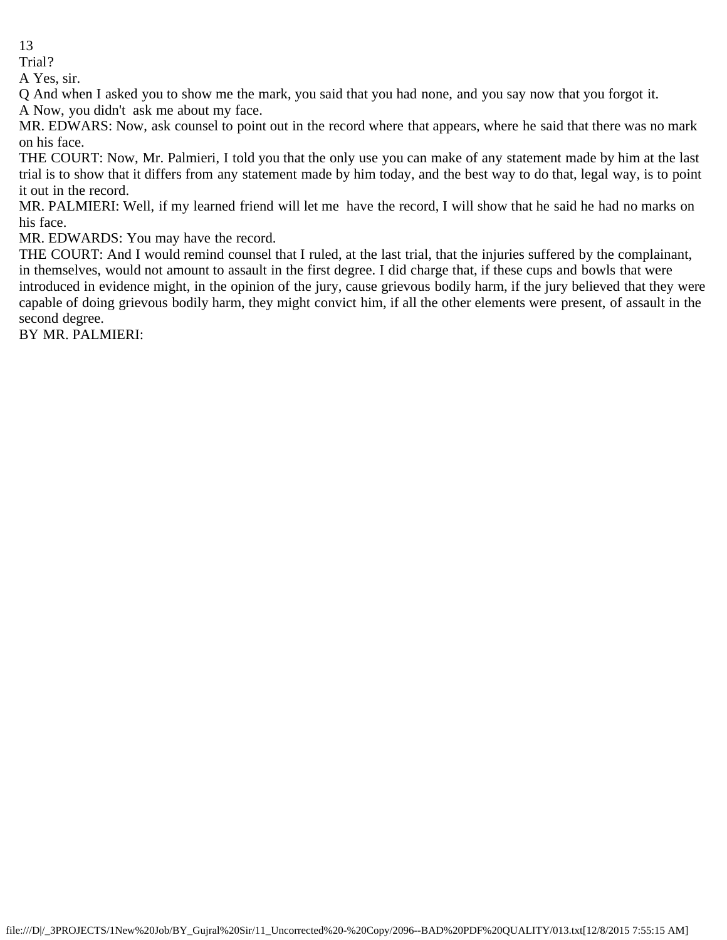Trial?

A Yes, sir.

Q And when I asked you to show me the mark, you said that you had none, and you say now that you forgot it.

A Now, you didn't ask me about my face.

MR. EDWARS: Now, ask counsel to point out in the record where that appears, where he said that there was no mark on his face.

THE COURT: Now, Mr. Palmieri, I told you that the only use you can make of any statement made by him at the last trial is to show that it differs from any statement made by him today, and the best way to do that, legal way, is to point it out in the record.

MR. PALMIERI: Well, if my learned friend will let me have the record, I will show that he said he had no marks on his face.

MR. EDWARDS: You may have the record.

THE COURT: And I would remind counsel that I ruled, at the last trial, that the injuries suffered by the complainant, in themselves, would not amount to assault in the first degree. I did charge that, if these cups and bowls that were introduced in evidence might, in the opinion of the jury, cause grievous bodily harm, if the jury believed that they were capable of doing grievous bodily harm, they might convict him, if all the other elements were present, of assault in the second degree.

BY MR. PALMIERI: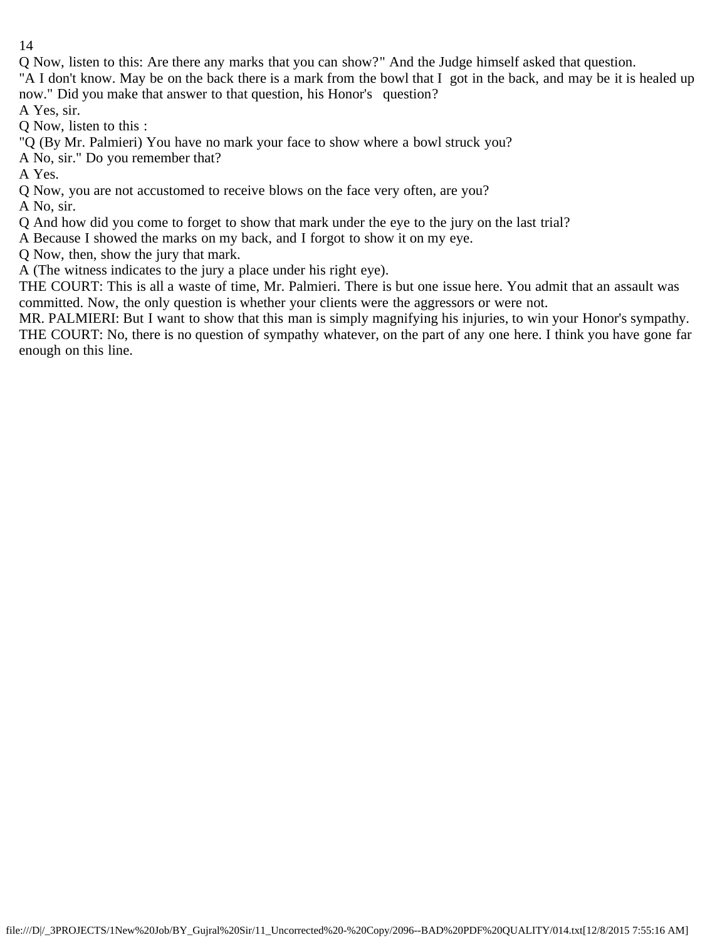Q Now, listen to this: Are there any marks that you can show?" And the Judge himself asked that question.

"A I don't know. May be on the back there is a mark from the bowl that I got in the back, and may be it is healed up now." Did you make that answer to that question, his Honor's question?

A Yes, sir.

Q Now, listen to this :

"Q (By Mr. Palmieri) You have no mark your face to show where a bowl struck you?

A No, sir." Do you remember that?

A Yes.

Q Now, you are not accustomed to receive blows on the face very often, are you?

A No, sir.

Q And how did you come to forget to show that mark under the eye to the jury on the last trial?

A Because I showed the marks on my back, and I forgot to show it on my eye.

Q Now, then, show the jury that mark.

A (The witness indicates to the jury a place under his right eye).

THE COURT: This is all a waste of time, Mr. Palmieri. There is but one issue here. You admit that an assault was committed. Now, the only question is whether your clients were the aggressors or were not.

MR. PALMIERI: But I want to show that this man is simply magnifying his injuries, to win your Honor's sympathy. THE COURT: No, there is no question of sympathy whatever, on the part of any one here. I think you have gone far enough on this line.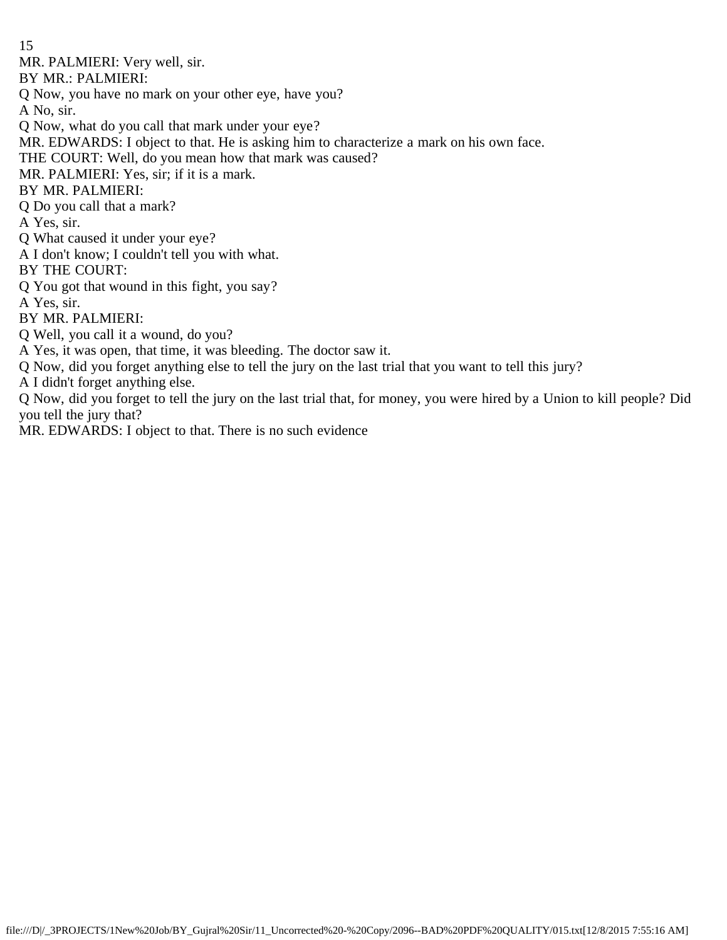MR. PALMIERI: Very well, sir.

BY MR.: PALMIERI:

Q Now, you have no mark on your other eye, have you?

A No, sir.

Q Now, what do you call that mark under your eye?

MR. EDWARDS: I object to that. He is asking him to characterize a mark on his own face.

THE COURT: Well, do you mean how that mark was caused?

MR. PALMIERI: Yes, sir; if it is a mark.

BY MR. PALMIERI:

Q Do you call that a mark?

A Yes, sir.

Q What caused it under your eye?

A I don't know; I couldn't tell you with what.

BY THE COURT:

Q You got that wound in this fight, you say?

A Yes, sir.

BY MR. PALMIERI:

Q Well, you call it a wound, do you?

A Yes, it was open, that time, it was bleeding. The doctor saw it.

Q Now, did you forget anything else to tell the jury on the last trial that you want to tell this jury?

A I didn't forget anything else.

Q Now, did you forget to tell the jury on the last trial that, for money, you were hired by a Union to kill people? Did you tell the jury that?

MR. EDWARDS: I object to that. There is no such evidence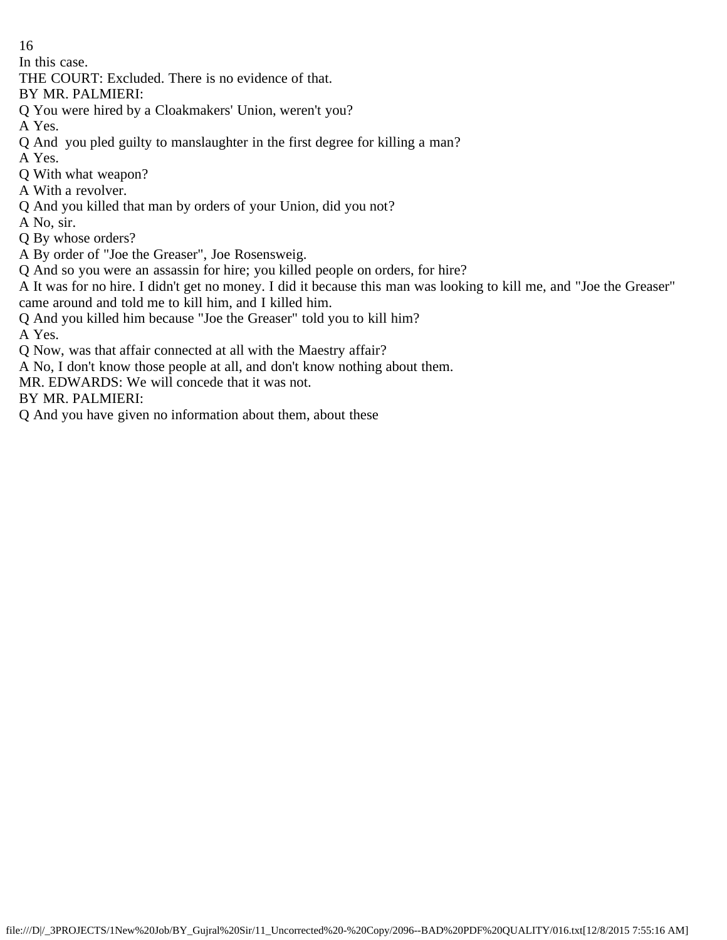In this case.

THE COURT: Excluded. There is no evidence of that.

BY MR. PALMIERI:

Q You were hired by a Cloakmakers' Union, weren't you?

A Yes.

Q And you pled guilty to manslaughter in the first degree for killing a man?

A Yes.

Q With what weapon?

A With a revolver.

Q And you killed that man by orders of your Union, did you not?

A No, sir.

Q By whose orders?

A By order of "Joe the Greaser", Joe Rosensweig.

Q And so you were an assassin for hire; you killed people on orders, for hire?

A It was for no hire. I didn't get no money. I did it because this man was looking to kill me, and "Joe the Greaser" came around and told me to kill him, and I killed him.

Q And you killed him because "Joe the Greaser" told you to kill him?

A Yes.

Q Now, was that affair connected at all with the Maestry affair?

A No, I don't know those people at all, and don't know nothing about them.

MR. EDWARDS: We will concede that it was not.

BY MR. PALMIERI:

Q And you have given no information about them, about these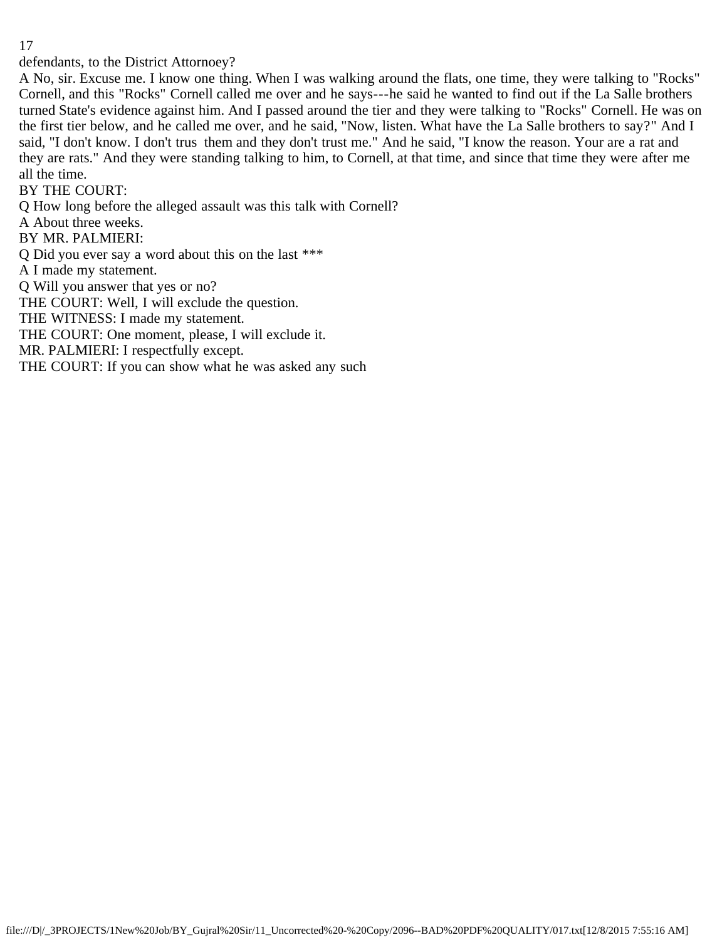defendants, to the District Attornoey?

A No, sir. Excuse me. I know one thing. When I was walking around the flats, one time, they were talking to "Rocks" Cornell, and this "Rocks" Cornell called me over and he says---he said he wanted to find out if the La Salle brothers turned State's evidence against him. And I passed around the tier and they were talking to "Rocks" Cornell. He was on the first tier below, and he called me over, and he said, "Now, listen. What have the La Salle brothers to say?" And I said, "I don't know. I don't trus them and they don't trust me." And he said, "I know the reason. Your are a rat and they are rats." And they were standing talking to him, to Cornell, at that time, and since that time they were after me all the time.

BY THE COURT:

Q How long before the alleged assault was this talk with Cornell?

A About three weeks.

BY MR. PALMIERI:

Q Did you ever say a word about this on the last \*\*\*

A I made my statement.

Q Will you answer that yes or no?

THE COURT: Well, I will exclude the question.

THE WITNESS: I made my statement.

THE COURT: One moment, please, I will exclude it.

MR. PALMIERI: I respectfully except.

THE COURT: If you can show what he was asked any such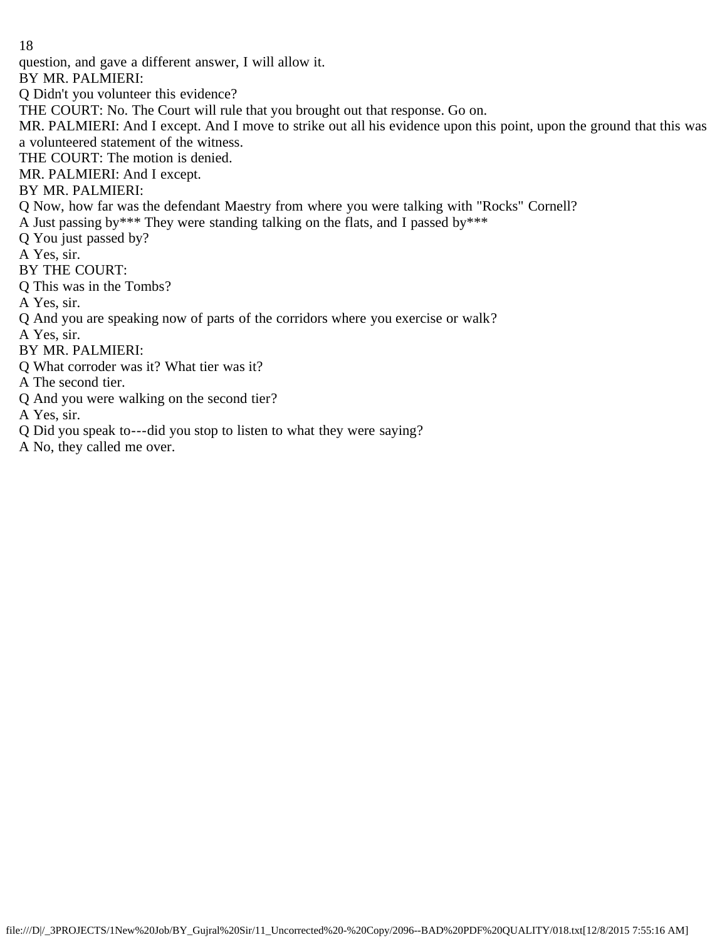question, and gave a different answer, I will allow it.

BY MR. PALMIERI:

Q Didn't you volunteer this evidence?

THE COURT: No. The Court will rule that you brought out that response. Go on.

MR. PALMIERI: And I except. And I move to strike out all his evidence upon this point, upon the ground that this was a volunteered statement of the witness.

THE COURT: The motion is denied.

MR. PALMIERI: And I except.

## BY MR. PALMIERI:

Q Now, how far was the defendant Maestry from where you were talking with "Rocks" Cornell?

A Just passing by\*\*\* They were standing talking on the flats, and I passed by\*\*\*

Q You just passed by?

A Yes, sir.

### BY THE COURT:

Q This was in the Tombs?

A Yes, sir.

Q And you are speaking now of parts of the corridors where you exercise or walk?

A Yes, sir.

BY MR. PALMIERI:

Q What corroder was it? What tier was it?

A The second tier.

Q And you were walking on the second tier?

A Yes, sir.

Q Did you speak to---did you stop to listen to what they were saying?

A No, they called me over.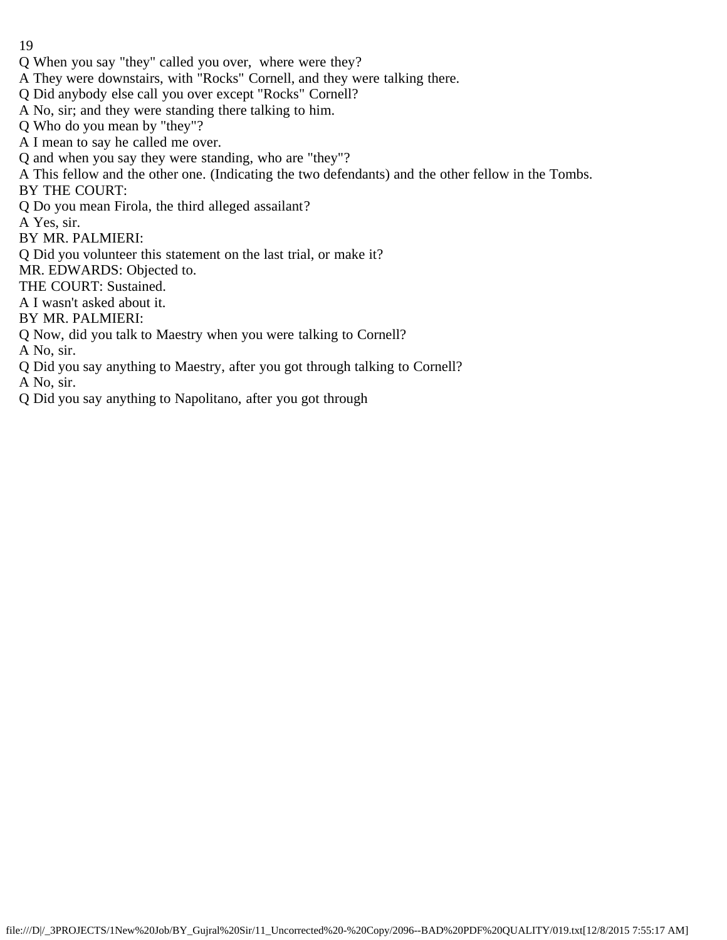- Q When you say "they" called you over, where were they?
- A They were downstairs, with "Rocks" Cornell, and they were talking there.
- Q Did anybody else call you over except "Rocks" Cornell?
- A No, sir; and they were standing there talking to him.
- Q Who do you mean by "they"?
- A I mean to say he called me over.
- Q and when you say they were standing, who are "they"?
- A This fellow and the other one. (Indicating the two defendants) and the other fellow in the Tombs. BY THE COURT:
- Q Do you mean Firola, the third alleged assailant?
- A Yes, sir.
- BY MR. PALMIERI:
- Q Did you volunteer this statement on the last trial, or make it?
- MR. EDWARDS: Objected to.
- THE COURT: Sustained.
- A I wasn't asked about it.
- BY MR. PALMIERI:
- Q Now, did you talk to Maestry when you were talking to Cornell?
- A No, sir.
- Q Did you say anything to Maestry, after you got through talking to Cornell?
- A No, sir.
- Q Did you say anything to Napolitano, after you got through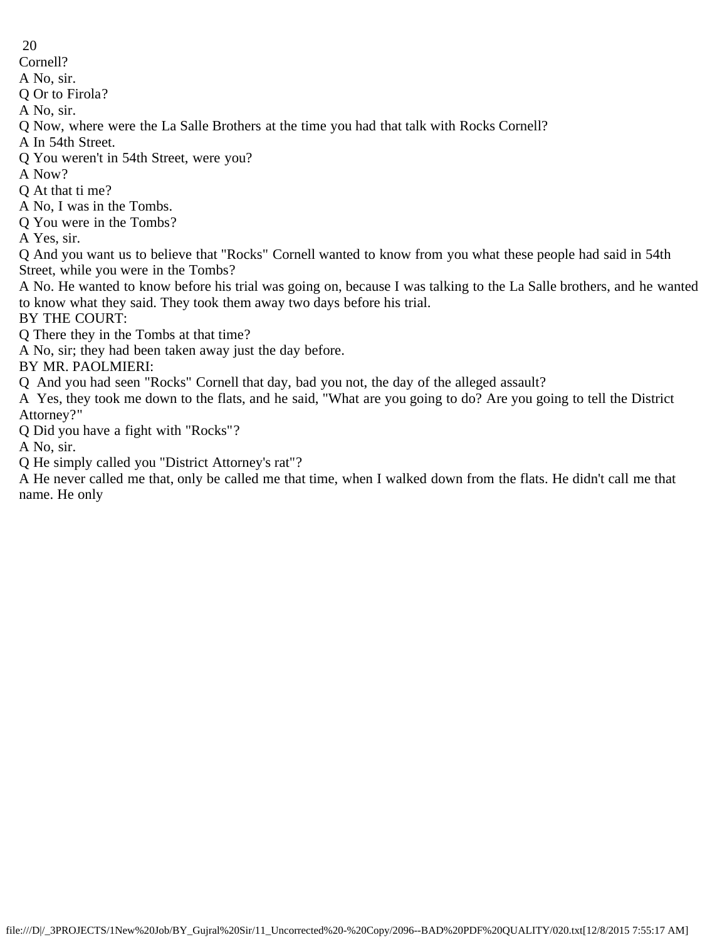- 20
- Cornell?
- A No, sir.
- Q Or to Firola?
- A No, sir.
- Q Now, where were the La Salle Brothers at the time you had that talk with Rocks Cornell?
- A In 54th Street.
- Q You weren't in 54th Street, were you?
- A Now?
- Q At that ti me?
- A No, I was in the Tombs.
- Q You were in the Tombs?
- A Yes, sir.

Q And you want us to believe that "Rocks" Cornell wanted to know from you what these people had said in 54th Street, while you were in the Tombs?

A No. He wanted to know before his trial was going on, because I was talking to the La Salle brothers, and he wanted to know what they said. They took them away two days before his trial.

- BY THE COURT:
- Q There they in the Tombs at that time?
- A No, sir; they had been taken away just the day before.
- BY MR. PAOLMIERI:
- Q And you had seen "Rocks" Cornell that day, bad you not, the day of the alleged assault?

A Yes, they took me down to the flats, and he said, "What are you going to do? Are you going to tell the District Attorney?"

- Q Did you have a fight with "Rocks"?
- A No, sir.
- Q He simply called you "District Attorney's rat"?

A He never called me that, only be called me that time, when I walked down from the flats. He didn't call me that name. He only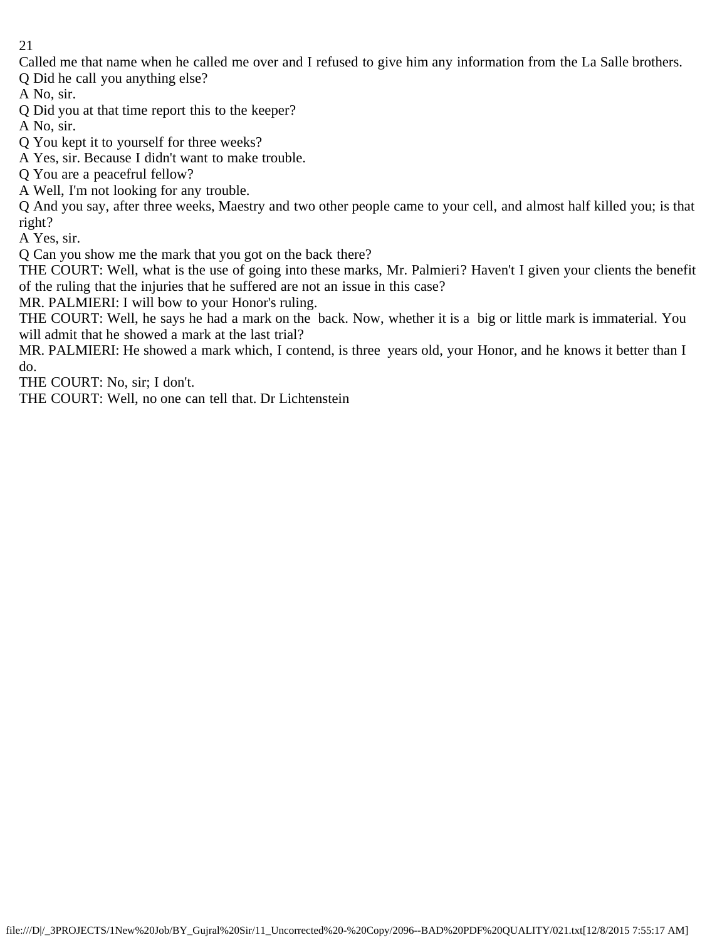Called me that name when he called me over and I refused to give him any information from the La Salle brothers.

Q Did he call you anything else?

A No, sir.

Q Did you at that time report this to the keeper?

A No, sir.

Q You kept it to yourself for three weeks?

A Yes, sir. Because I didn't want to make trouble.

Q You are a peacefrul fellow?

A Well, I'm not looking for any trouble.

Q And you say, after three weeks, Maestry and two other people came to your cell, and almost half killed you; is that right?

A Yes, sir.

Q Can you show me the mark that you got on the back there?

THE COURT: Well, what is the use of going into these marks, Mr. Palmieri? Haven't I given your clients the benefit of the ruling that the injuries that he suffered are not an issue in this case?

MR. PALMIERI: I will bow to your Honor's ruling.

THE COURT: Well, he says he had a mark on the back. Now, whether it is a big or little mark is immaterial. You will admit that he showed a mark at the last trial?

MR. PALMIERI: He showed a mark which, I contend, is three years old, your Honor, and he knows it better than I do.

THE COURT: No, sir; I don't.

THE COURT: Well, no one can tell that. Dr Lichtenstein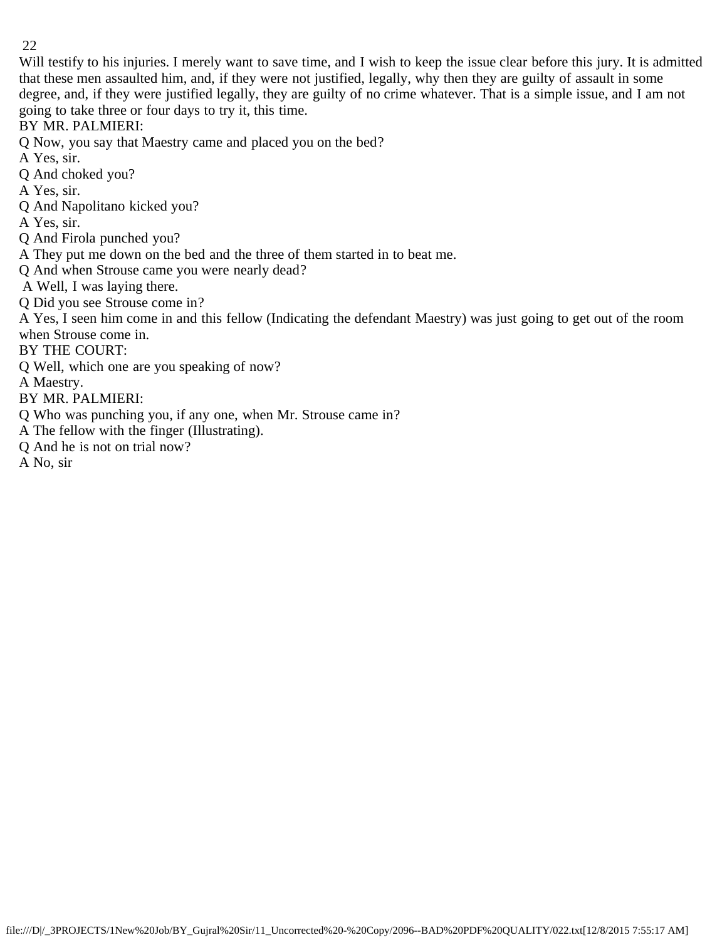Will testify to his injuries. I merely want to save time, and I wish to keep the issue clear before this jury. It is admitted that these men assaulted him, and, if they were not justified, legally, why then they are guilty of assault in some degree, and, if they were justified legally, they are guilty of no crime whatever. That is a simple issue, and I am not going to take three or four days to try it, this time.

BY MR. PALMIERI:

Q Now, you say that Maestry came and placed you on the bed?

A Yes, sir.

Q And choked you?

A Yes, sir.

Q And Napolitano kicked you?

A Yes, sir.

Q And Firola punched you?

A They put me down on the bed and the three of them started in to beat me.

Q And when Strouse came you were nearly dead?

A Well, I was laying there.

Q Did you see Strouse come in?

A Yes, I seen him come in and this fellow (Indicating the defendant Maestry) was just going to get out of the room when Strouse come in.

BY THE COURT:

Q Well, which one are you speaking of now?

A Maestry.

BY MR. PALMIERI:

Q Who was punching you, if any one, when Mr. Strouse came in?

A The fellow with the finger (Illustrating).

Q And he is not on trial now?

A No, sir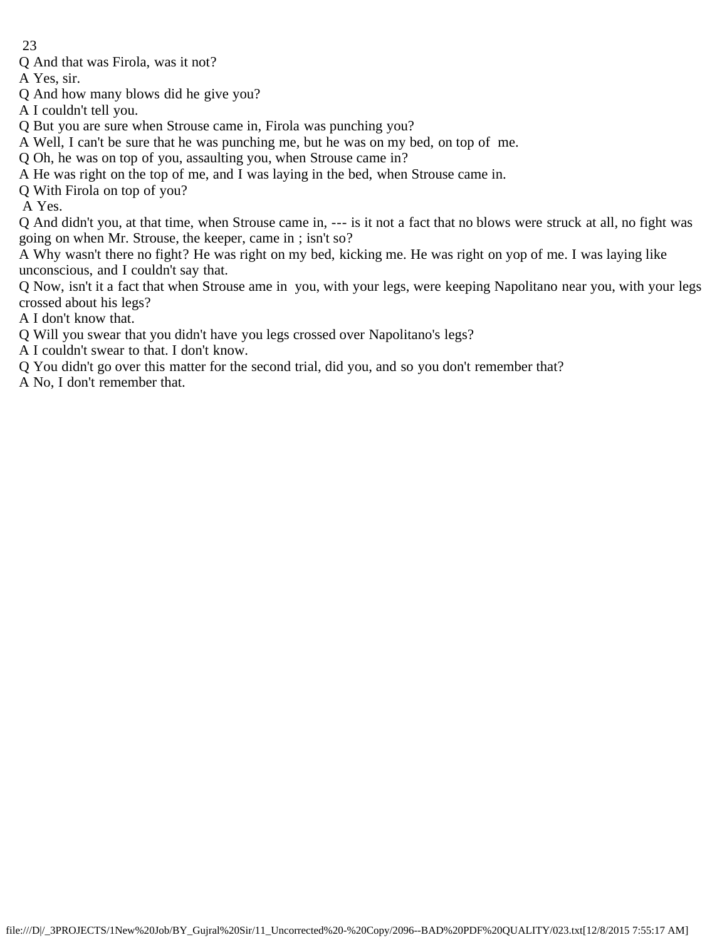Q And that was Firola, was it not?

A Yes, sir.

- Q And how many blows did he give you?
- A I couldn't tell you.
- Q But you are sure when Strouse came in, Firola was punching you?
- A Well, I can't be sure that he was punching me, but he was on my bed, on top of me.
- Q Oh, he was on top of you, assaulting you, when Strouse came in?
- A He was right on the top of me, and I was laying in the bed, when Strouse came in.
- Q With Firola on top of you?

A Yes.

Q And didn't you, at that time, when Strouse came in, --- is it not a fact that no blows were struck at all, no fight was going on when Mr. Strouse, the keeper, came in ; isn't so?

A Why wasn't there no fight? He was right on my bed, kicking me. He was right on yop of me. I was laying like unconscious, and I couldn't say that.

Q Now, isn't it a fact that when Strouse ame in you, with your legs, were keeping Napolitano near you, with your legs crossed about his legs?

- A I don't know that.
- Q Will you swear that you didn't have you legs crossed over Napolitano's legs?
- A I couldn't swear to that. I don't know.
- Q You didn't go over this matter for the second trial, did you, and so you don't remember that?
- A No, I don't remember that.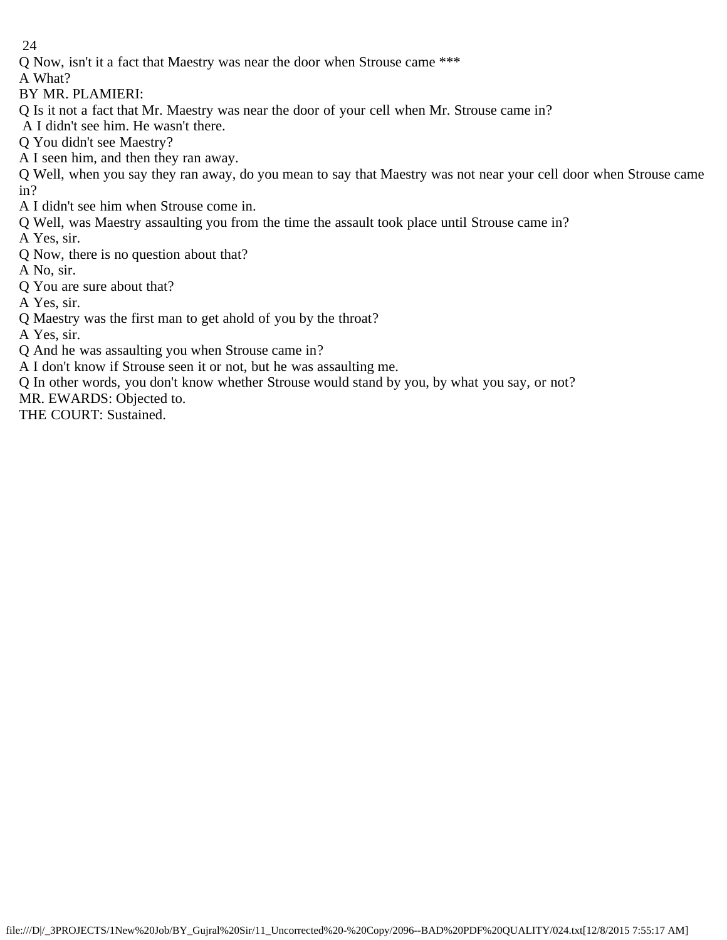Q Now, isn't it a fact that Maestry was near the door when Strouse came \*\*\*

A What?

BY MR. PLAMIERI:

Q Is it not a fact that Mr. Maestry was near the door of your cell when Mr. Strouse came in?

A I didn't see him. He wasn't there.

Q You didn't see Maestry?

A I seen him, and then they ran away.

Q Well, when you say they ran away, do you mean to say that Maestry was not near your cell door when Strouse came in?

- A I didn't see him when Strouse come in.
- Q Well, was Maestry assaulting you from the time the assault took place until Strouse came in?

A Yes, sir.

Q Now, there is no question about that?

A No, sir.

Q You are sure about that?

A Yes, sir.

Q Maestry was the first man to get ahold of you by the throat?

A Yes, sir.

Q And he was assaulting you when Strouse came in?

A I don't know if Strouse seen it or not, but he was assaulting me.

Q In other words, you don't know whether Strouse would stand by you, by what you say, or not?

MR. EWARDS: Objected to.

THE COURT: Sustained.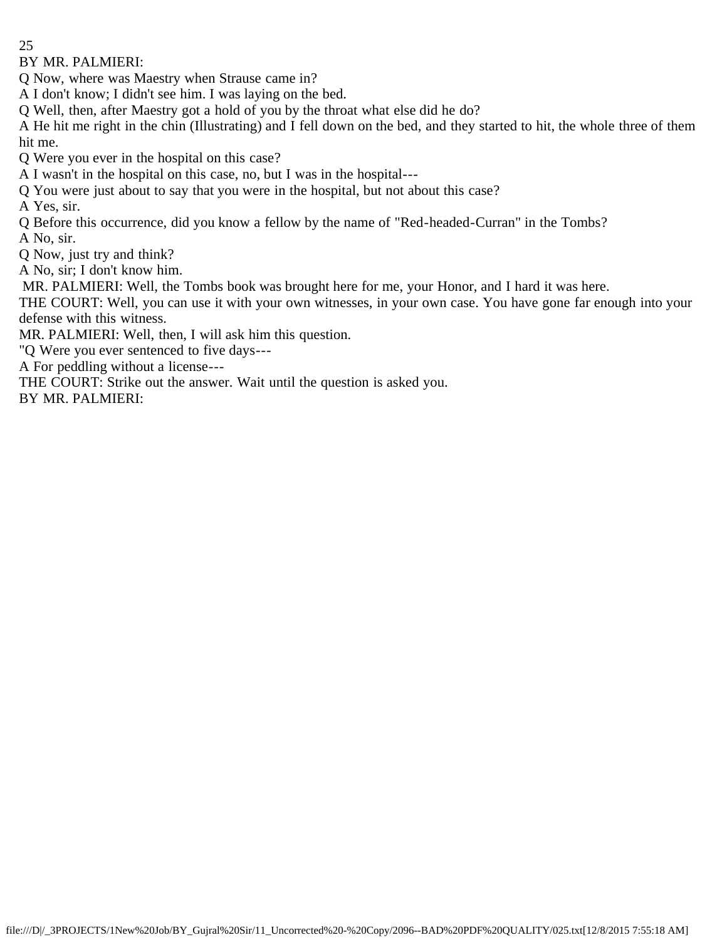BY MR. PALMIERI:

Q Now, where was Maestry when Strause came in?

A I don't know; I didn't see him. I was laying on the bed.

Q Well, then, after Maestry got a hold of you by the throat what else did he do?

A He hit me right in the chin (Illustrating) and I fell down on the bed, and they started to hit, the whole three of them hit me.

Q Were you ever in the hospital on this case?

A I wasn't in the hospital on this case, no, but I was in the hospital---

Q You were just about to say that you were in the hospital, but not about this case?

A Yes, sir.

Q Before this occurrence, did you know a fellow by the name of "Red-headed-Curran" in the Tombs?

A No, sir.

Q Now, just try and think?

A No, sir; I don't know him.

MR. PALMIERI: Well, the Tombs book was brought here for me, your Honor, and I hard it was here.

THE COURT: Well, you can use it with your own witnesses, in your own case. You have gone far enough into your defense with this witness.

MR. PALMIERI: Well, then, I will ask him this question.

"Q Were you ever sentenced to five days---

A For peddling without a license---

THE COURT: Strike out the answer. Wait until the question is asked you.

BY MR. PALMIERI: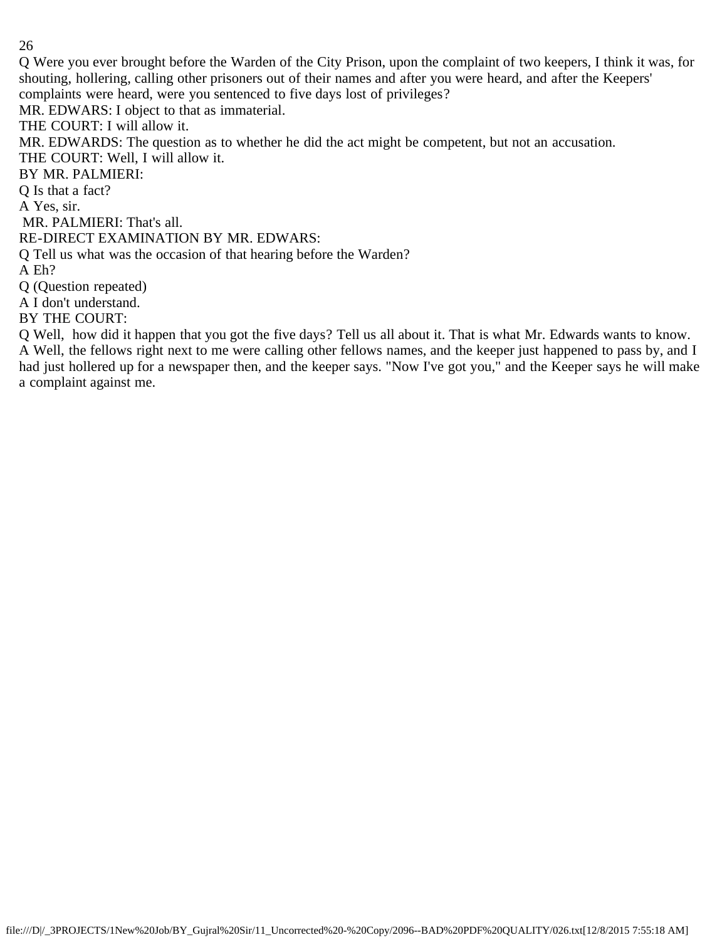Q Were you ever brought before the Warden of the City Prison, upon the complaint of two keepers, I think it was, for shouting, hollering, calling other prisoners out of their names and after you were heard, and after the Keepers' complaints were heard, were you sentenced to five days lost of privileges?

MR. EDWARS: I object to that as immaterial.

THE COURT: I will allow it.

MR. EDWARDS: The question as to whether he did the act might be competent, but not an accusation.

THE COURT: Well, I will allow it.

BY MR. PALMIERI:

Q Is that a fact?

A Yes, sir.

MR. PALMIERI: That's all.

RE-DIRECT EXAMINATION BY MR. EDWARS:

Q Tell us what was the occasion of that hearing before the Warden?

A Eh?

Q (Question repeated)

A I don't understand.

BY THE COURT:

Q Well, how did it happen that you got the five days? Tell us all about it. That is what Mr. Edwards wants to know. A Well, the fellows right next to me were calling other fellows names, and the keeper just happened to pass by, and I had just hollered up for a newspaper then, and the keeper says. "Now I've got you," and the Keeper says he will make a complaint against me.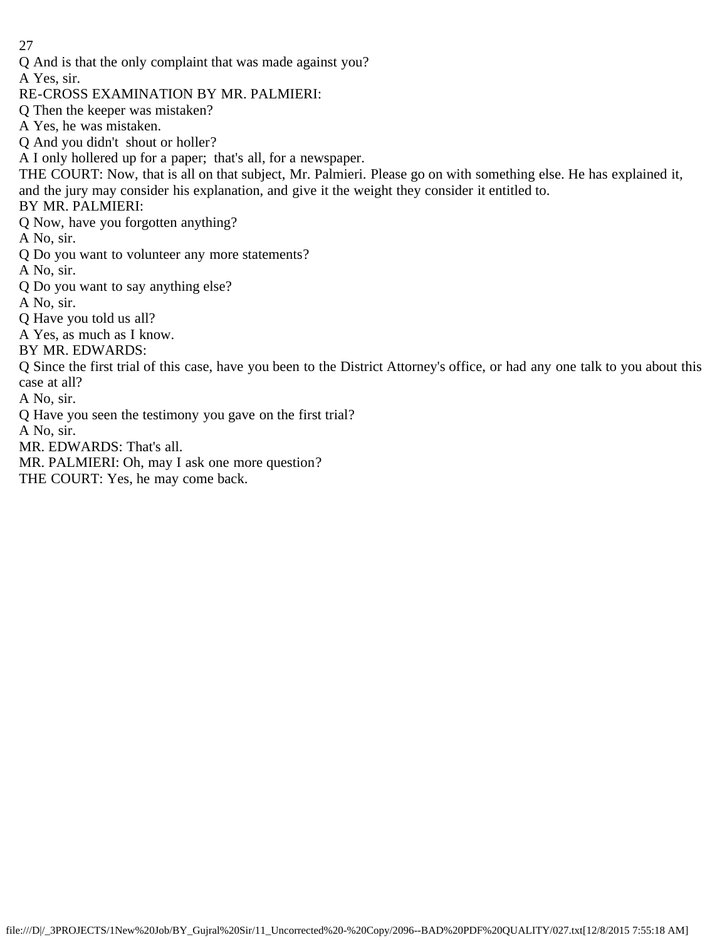Q And is that the only complaint that was made against you?

A Yes, sir.

RE-CROSS EXAMINATION BY MR. PALMIERI:

Q Then the keeper was mistaken?

A Yes, he was mistaken.

Q And you didn't shout or holler?

A I only hollered up for a paper; that's all, for a newspaper.

THE COURT: Now, that is all on that subject, Mr. Palmieri. Please go on with something else. He has explained it, and the jury may consider his explanation, and give it the weight they consider it entitled to.

# BY MR. PALMIERI:

Q Now, have you forgotten anything?

A No, sir.

Q Do you want to volunteer any more statements?

A No, sir.

- Q Do you want to say anything else?
- A No, sir.

Q Have you told us all?

A Yes, as much as I know.

BY MR. EDWARDS:

Q Since the first trial of this case, have you been to the District Attorney's office, or had any one talk to you about this case at all?

A No, sir.

Q Have you seen the testimony you gave on the first trial?

A No, sir.

MR. EDWARDS: That's all.

MR. PALMIERI: Oh, may I ask one more question?

THE COURT: Yes, he may come back.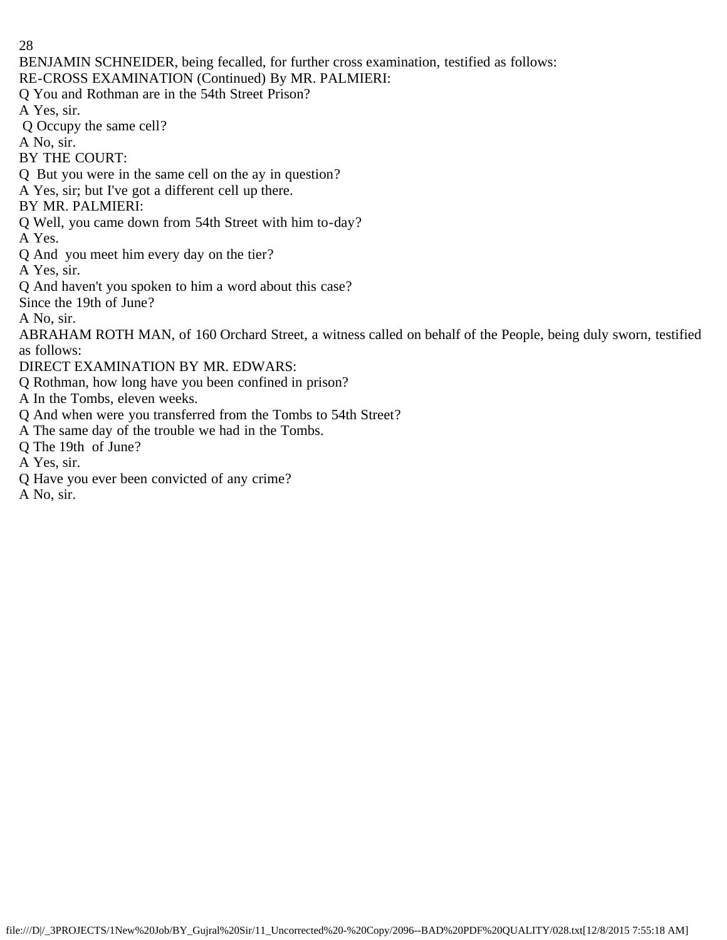BENJAMIN SCHNEIDER, being fecalled, for further cross examination, testified as follows:

RE-CROSS EXAMINATION (Continued) By MR. PALMIERI:

Q You and Rothman are in the 54th Street Prison?

A Yes, sir.

Q Occupy the same cell?

A No, sir.

BY THE COURT:

Q But you were in the same cell on the ay in question?

A Yes, sir; but I've got a different cell up there.

BY MR. PALMIERI:

Q Well, you came down from 54th Street with him to-day?

A Yes.

Q And you meet him every day on the tier?

A Yes, sir.

Q And haven't you spoken to him a word about this case?

Since the 19th of June?

A No, sir.

ABRAHAM ROTH MAN, of 160 Orchard Street, a witness called on behalf of the People, being duly sworn, testified as follows:

DIRECT EXAMINATION BY MR. EDWARS:

Q Rothman, how long have you been confined in prison?

A In the Tombs, eleven weeks.

- Q And when were you transferred from the Tombs to 54th Street?
- A The same day of the trouble we had in the Tombs.
- Q The 19th of June?

A Yes, sir.

Q Have you ever been convicted of any crime?

A No, sir.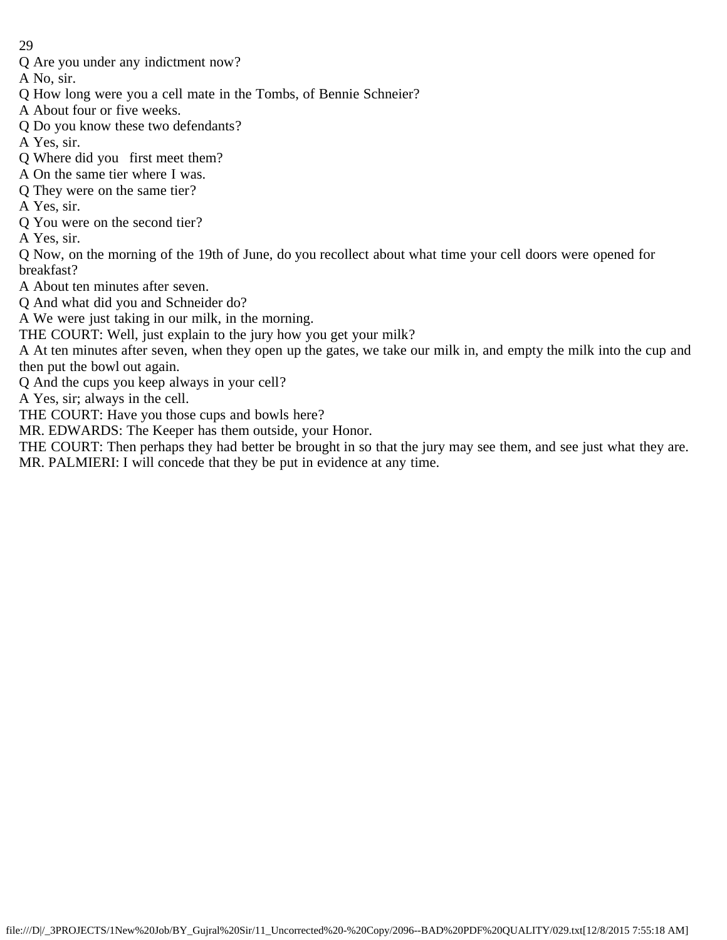Q Are you under any indictment now?

A No, sir.

Q How long were you a cell mate in the Tombs, of Bennie Schneier?

A About four or five weeks.

Q Do you know these two defendants?

A Yes, sir.

- Q Where did you first meet them?
- A On the same tier where I was.
- Q They were on the same tier?
- A Yes, sir.
- Q You were on the second tier?

A Yes, sir.

Q Now, on the morning of the 19th of June, do you recollect about what time your cell doors were opened for breakfast?

A About ten minutes after seven.

Q And what did you and Schneider do?

A We were just taking in our milk, in the morning.

THE COURT: Well, just explain to the jury how you get your milk?

A At ten minutes after seven, when they open up the gates, we take our milk in, and empty the milk into the cup and then put the bowl out again.

Q And the cups you keep always in your cell?

A Yes, sir; always in the cell.

THE COURT: Have you those cups and bowls here?

MR. EDWARDS: The Keeper has them outside, your Honor.

THE COURT: Then perhaps they had better be brought in so that the jury may see them, and see just what they are. MR. PALMIERI: I will concede that they be put in evidence at any time.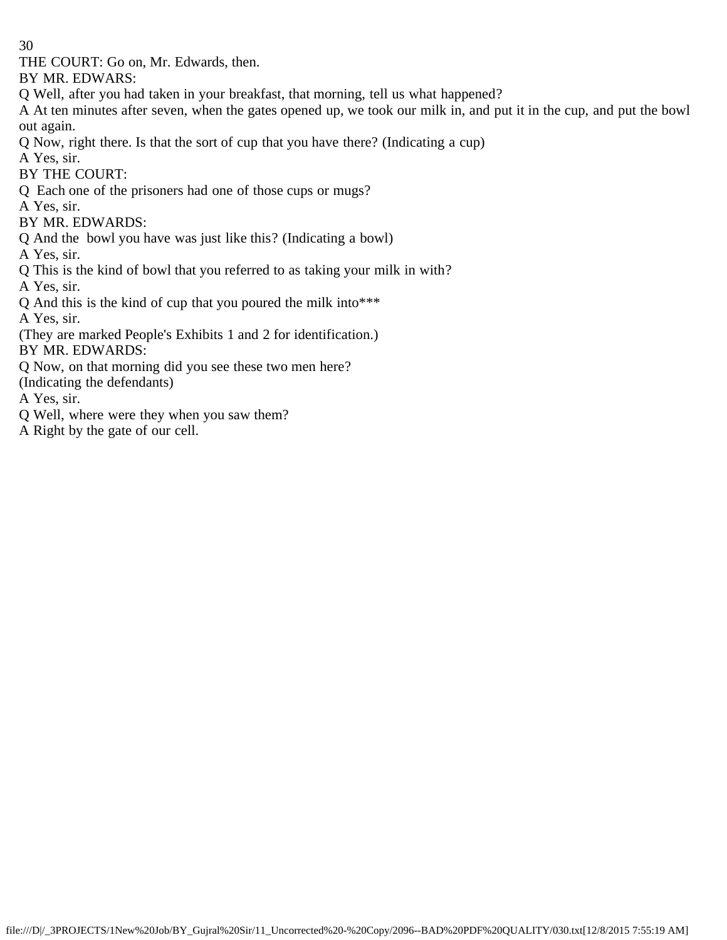THE COURT: Go on, Mr. Edwards, then.

BY MR. EDWARS:

Q Well, after you had taken in your breakfast, that morning, tell us what happened?

A At ten minutes after seven, when the gates opened up, we took our milk in, and put it in the cup, and put the bowl out again.

Q Now, right there. Is that the sort of cup that you have there? (Indicating a cup)

A Yes, sir.

BY THE COURT:

Q Each one of the prisoners had one of those cups or mugs?

A Yes, sir.

BY MR. EDWARDS:

Q And the bowl you have was just like this? (Indicating a bowl)

A Yes, sir.

Q This is the kind of bowl that you referred to as taking your milk in with?

A Yes, sir.

Q And this is the kind of cup that you poured the milk into\*\*\*

A Yes, sir.

(They are marked People's Exhibits 1 and 2 for identification.) BY MR. EDWARDS:

Q Now, on that morning did you see these two men here?

(Indicating the defendants)

A Yes, sir.

Q Well, where were they when you saw them?

A Right by the gate of our cell.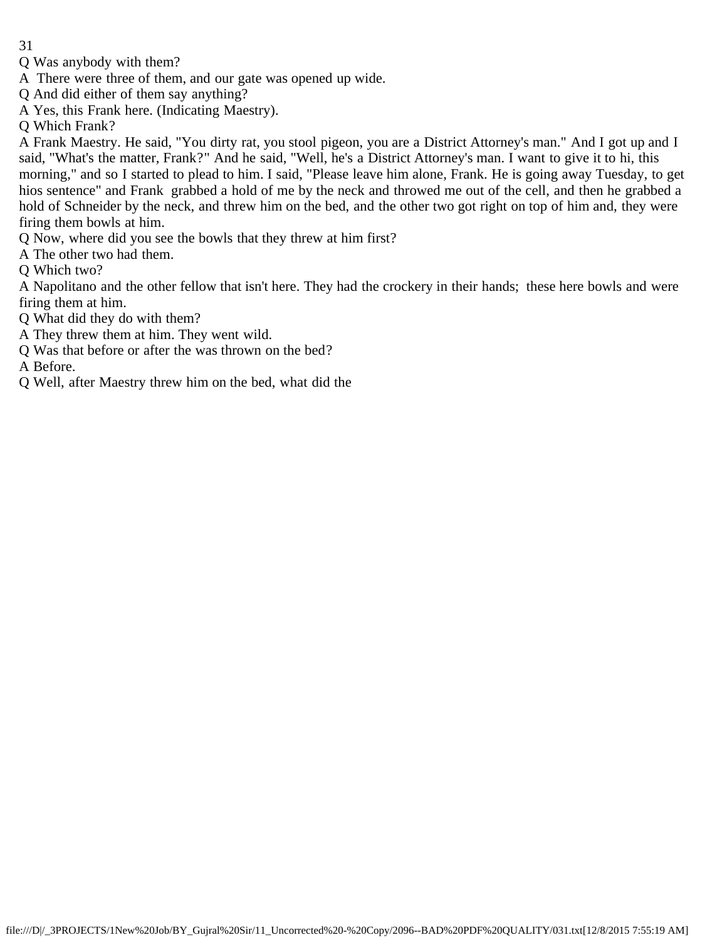- Q Was anybody with them?
- A There were three of them, and our gate was opened up wide.
- Q And did either of them say anything?
- A Yes, this Frank here. (Indicating Maestry).
- Q Which Frank?

A Frank Maestry. He said, "You dirty rat, you stool pigeon, you are a District Attorney's man." And I got up and I said, "What's the matter, Frank?" And he said, "Well, he's a District Attorney's man. I want to give it to hi, this morning," and so I started to plead to him. I said, "Please leave him alone, Frank. He is going away Tuesday, to get hios sentence" and Frank grabbed a hold of me by the neck and throwed me out of the cell, and then he grabbed a hold of Schneider by the neck, and threw him on the bed, and the other two got right on top of him and, they were firing them bowls at him.

Q Now, where did you see the bowls that they threw at him first?

A The other two had them.

Q Which two?

A Napolitano and the other fellow that isn't here. They had the crockery in their hands; these here bowls and were firing them at him.

Q What did they do with them?

- A They threw them at him. They went wild.
- Q Was that before or after the was thrown on the bed?

A Before.

Q Well, after Maestry threw him on the bed, what did the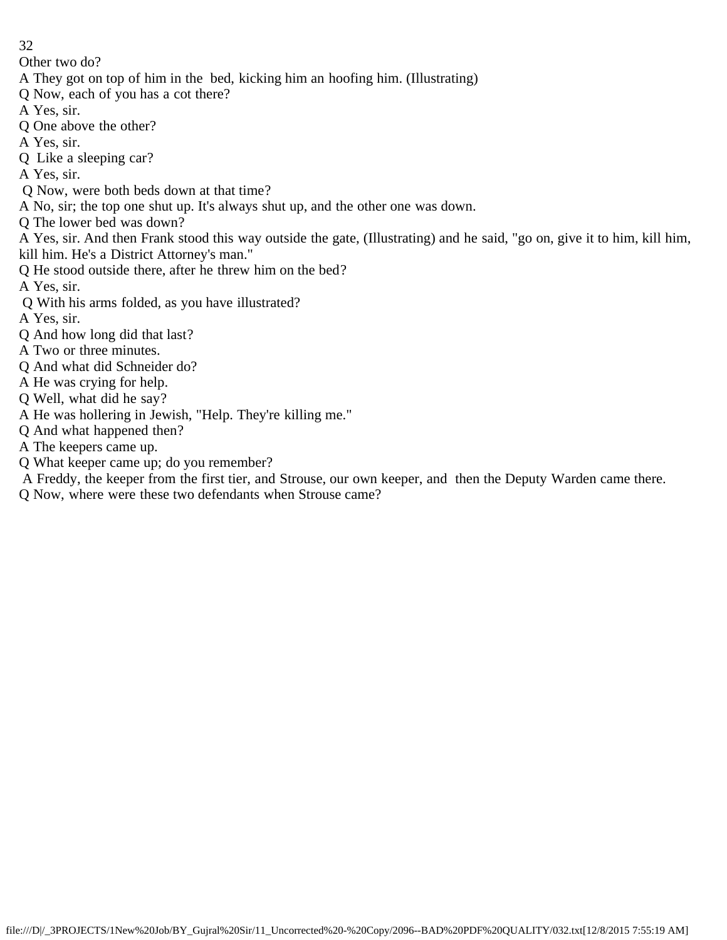Other two do?

- A They got on top of him in the bed, kicking him an hoofing him. (Illustrating)
- Q Now, each of you has a cot there?
- A Yes, sir.
- Q One above the other?
- A Yes, sir.
- Q Like a sleeping car?

A Yes, sir.

- Q Now, were both beds down at that time?
- A No, sir; the top one shut up. It's always shut up, and the other one was down.
- Q The lower bed was down?
- A Yes, sir. And then Frank stood this way outside the gate, (Illustrating) and he said, "go on, give it to him, kill him, kill him. He's a District Attorney's man."
- Q He stood outside there, after he threw him on the bed?
- A Yes, sir.
- Q With his arms folded, as you have illustrated?
- A Yes, sir.
- Q And how long did that last?
- A Two or three minutes.
- Q And what did Schneider do?
- A He was crying for help.
- Q Well, what did he say?
- A He was hollering in Jewish, "Help. They're killing me."
- Q And what happened then?
- A The keepers came up.
- Q What keeper came up; do you remember?
- A Freddy, the keeper from the first tier, and Strouse, our own keeper, and then the Deputy Warden came there.
- Q Now, where were these two defendants when Strouse came?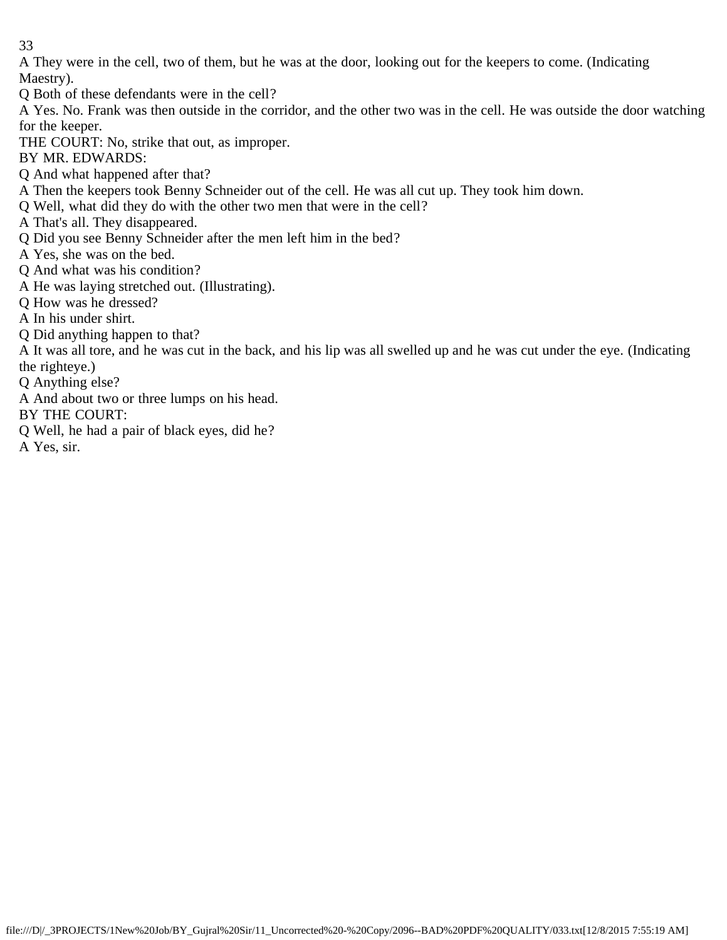A They were in the cell, two of them, but he was at the door, looking out for the keepers to come. (Indicating Maestry).

Q Both of these defendants were in the cell?

A Yes. No. Frank was then outside in the corridor, and the other two was in the cell. He was outside the door watching for the keeper.

THE COURT: No, strike that out, as improper.

BY MR. EDWARDS:

Q And what happened after that?

A Then the keepers took Benny Schneider out of the cell. He was all cut up. They took him down.

Q Well, what did they do with the other two men that were in the cell?

A That's all. They disappeared.

Q Did you see Benny Schneider after the men left him in the bed?

A Yes, she was on the bed.

Q And what was his condition?

A He was laying stretched out. (Illustrating).

Q How was he dressed?

A In his under shirt.

Q Did anything happen to that?

A It was all tore, and he was cut in the back, and his lip was all swelled up and he was cut under the eye. (Indicating the righteye.)

Q Anything else?

A And about two or three lumps on his head.

BY THE COURT:

Q Well, he had a pair of black eyes, did he?

A Yes, sir.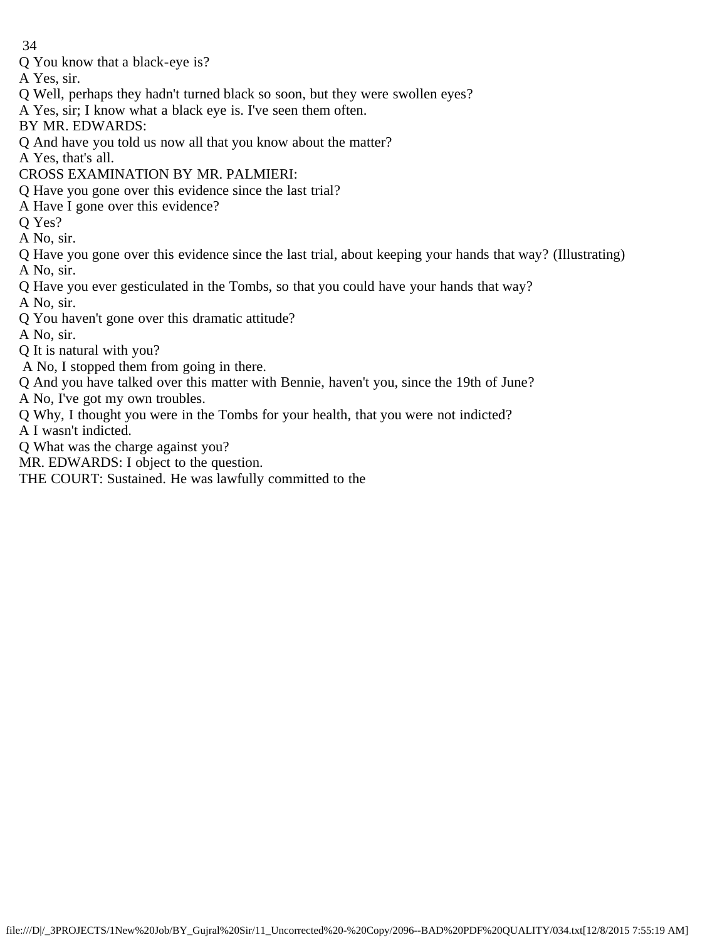- Q You know that a black-eye is?
- A Yes, sir.
- Q Well, perhaps they hadn't turned black so soon, but they were swollen eyes?
- A Yes, sir; I know what a black eye is. I've seen them often.
- BY MR. EDWARDS:
- Q And have you told us now all that you know about the matter?
- A Yes, that's all.
- CROSS EXAMINATION BY MR. PALMIERI:
- Q Have you gone over this evidence since the last trial?
- A Have I gone over this evidence?
- Q Yes?
- A No, sir.
- Q Have you gone over this evidence since the last trial, about keeping your hands that way? (Illustrating) A No, sir.
- Q Have you ever gesticulated in the Tombs, so that you could have your hands that way?
- 
- A No, sir.
- Q You haven't gone over this dramatic attitude?
- A No, sir.
- Q It is natural with you?
- A No, I stopped them from going in there.
- Q And you have talked over this matter with Bennie, haven't you, since the 19th of June?
- A No, I've got my own troubles.
- Q Why, I thought you were in the Tombs for your health, that you were not indicted?
- A I wasn't indicted.
- Q What was the charge against you?
- MR. EDWARDS: I object to the question.
- THE COURT: Sustained. He was lawfully committed to the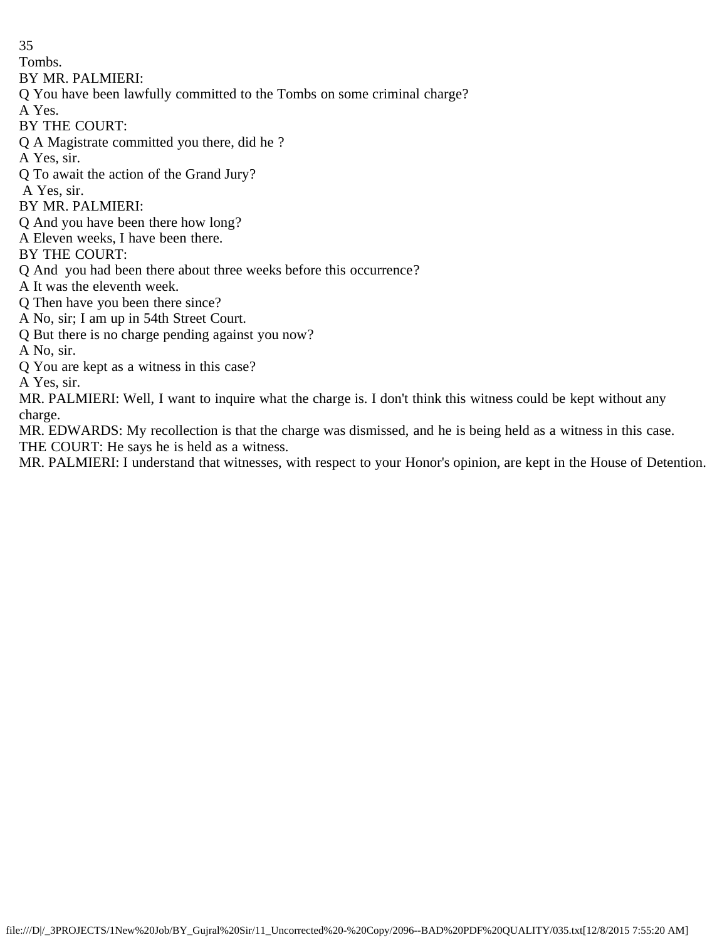Tombs.

BY MR. PALMIERI:

Q You have been lawfully committed to the Tombs on some criminal charge?

A Yes.

BY THE COURT:

Q A Magistrate committed you there, did he ?

A Yes, sir.

Q To await the action of the Grand Jury?

A Yes, sir.

BY MR. PALMIERI:

Q And you have been there how long?

A Eleven weeks, I have been there.

BY THE COURT:

Q And you had been there about three weeks before this occurrence?

A It was the eleventh week.

Q Then have you been there since?

A No, sir; I am up in 54th Street Court.

Q But there is no charge pending against you now?

A No, sir.

Q You are kept as a witness in this case?

A Yes, sir.

MR. PALMIERI: Well, I want to inquire what the charge is. I don't think this witness could be kept without any charge.

MR. EDWARDS: My recollection is that the charge was dismissed, and he is being held as a witness in this case. THE COURT: He says he is held as a witness.

MR. PALMIERI: I understand that witnesses, with respect to your Honor's opinion, are kept in the House of Detention.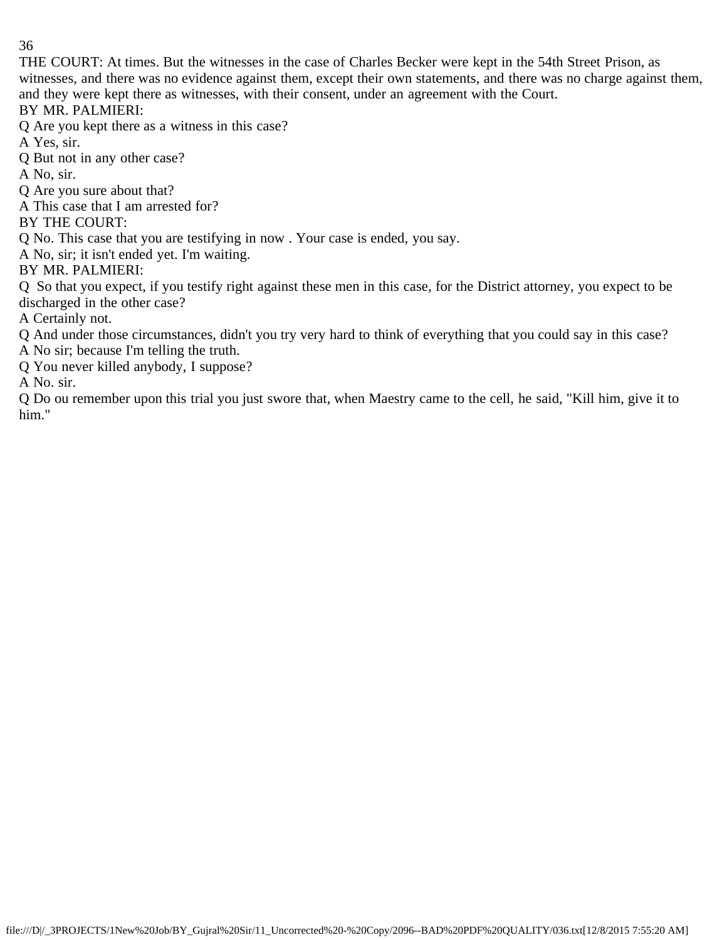THE COURT: At times. But the witnesses in the case of Charles Becker were kept in the 54th Street Prison, as witnesses, and there was no evidence against them, except their own statements, and there was no charge against them, and they were kept there as witnesses, with their consent, under an agreement with the Court.

BY MR. PALMIERI:

Q Are you kept there as a witness in this case?

A Yes, sir.

Q But not in any other case?

A No, sir.

Q Are you sure about that?

A This case that I am arrested for?

BY THE COURT:

Q No. This case that you are testifying in now . Your case is ended, you say.

A No, sir; it isn't ended yet. I'm waiting.

BY MR. PALMIERI:

Q So that you expect, if you testify right against these men in this case, for the District attorney, you expect to be discharged in the other case?

A Certainly not.

Q And under those circumstances, didn't you try very hard to think of everything that you could say in this case?

A No sir; because I'm telling the truth.

Q You never killed anybody, I suppose?

A No. sir.

Q Do ou remember upon this trial you just swore that, when Maestry came to the cell, he said, "Kill him, give it to him."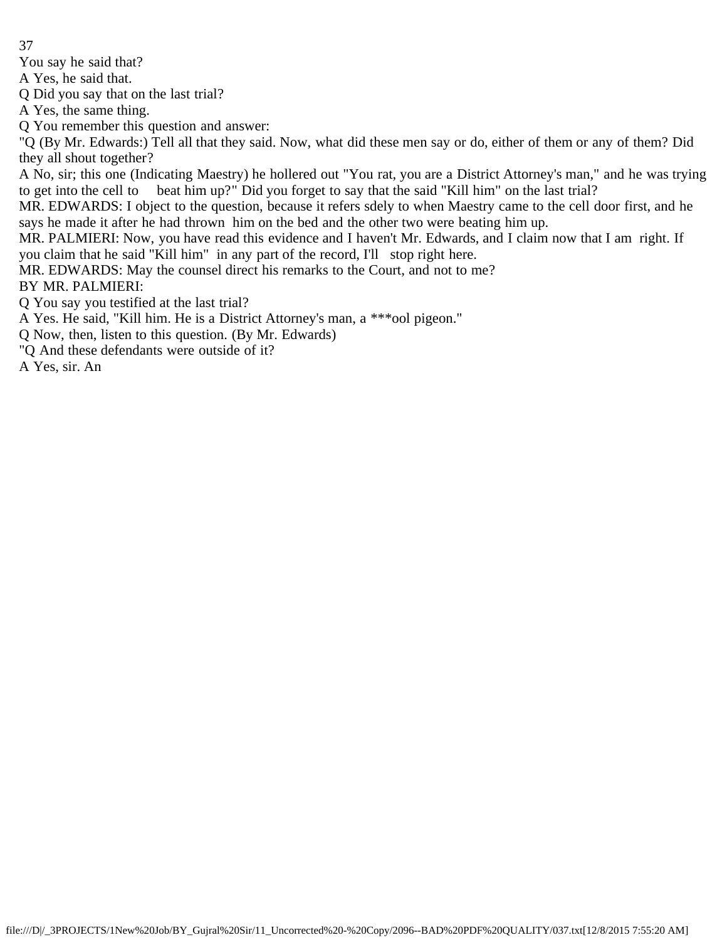You say he said that?

A Yes, he said that.

Q Did you say that on the last trial?

A Yes, the same thing.

Q You remember this question and answer:

"Q (By Mr. Edwards:) Tell all that they said. Now, what did these men say or do, either of them or any of them? Did they all shout together?

A No, sir; this one (Indicating Maestry) he hollered out "You rat, you are a District Attorney's man," and he was trying to get into the cell to beat him up?" Did you forget to say that the said "Kill him" on the last trial?

MR. EDWARDS: I object to the question, because it refers sdely to when Maestry came to the cell door first, and he says he made it after he had thrown him on the bed and the other two were beating him up.

MR. PALMIERI: Now, you have read this evidence and I haven't Mr. Edwards, and I claim now that I am right. If you claim that he said "Kill him" in any part of the record, I'll stop right here.

MR. EDWARDS: May the counsel direct his remarks to the Court, and not to me?

BY MR. PALMIERI:

Q You say you testified at the last trial?

A Yes. He said, "Kill him. He is a District Attorney's man, a \*\*\*ool pigeon."

Q Now, then, listen to this question. (By Mr. Edwards)

"Q And these defendants were outside of it?

A Yes, sir. An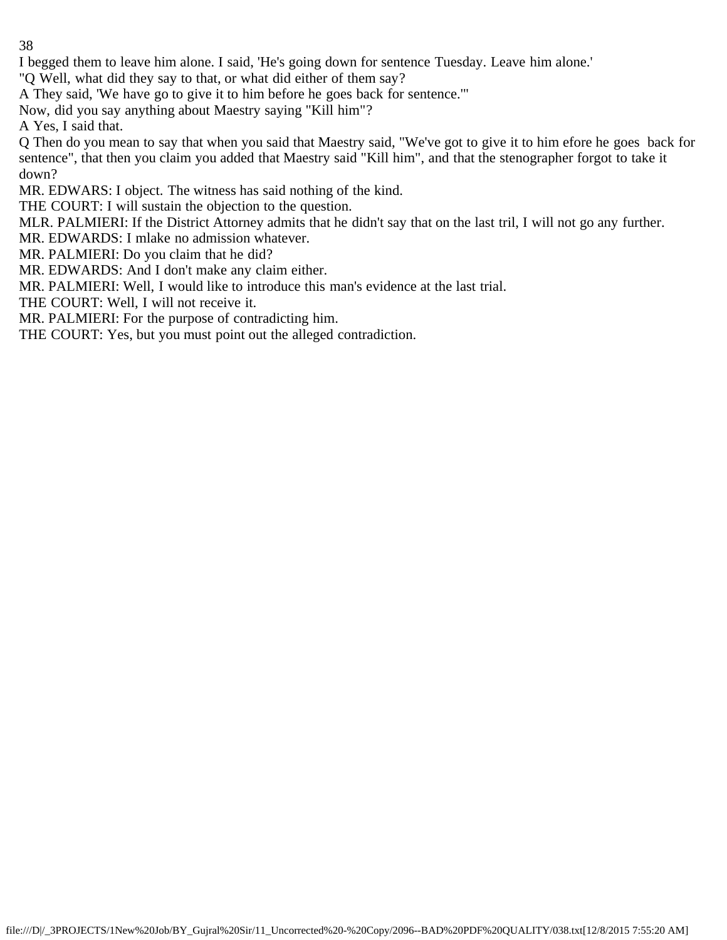I begged them to leave him alone. I said, 'He's going down for sentence Tuesday. Leave him alone.'

"Q Well, what did they say to that, or what did either of them say?

A They said, 'We have go to give it to him before he goes back for sentence.'"

Now, did you say anything about Maestry saying "Kill him"?

A Yes, I said that.

Q Then do you mean to say that when you said that Maestry said, "We've got to give it to him efore he goes back for sentence", that then you claim you added that Maestry said "Kill him", and that the stenographer forgot to take it down?

MR. EDWARS: I object. The witness has said nothing of the kind.

THE COURT: I will sustain the objection to the question.

MLR. PALMIERI: If the District Attorney admits that he didn't say that on the last tril, I will not go any further.

MR. EDWARDS: I mlake no admission whatever.

MR. PALMIERI: Do you claim that he did?

MR. EDWARDS: And I don't make any claim either.

MR. PALMIERI: Well, I would like to introduce this man's evidence at the last trial.

THE COURT: Well, I will not receive it.

MR. PALMIERI: For the purpose of contradicting him.

THE COURT: Yes, but you must point out the alleged contradiction.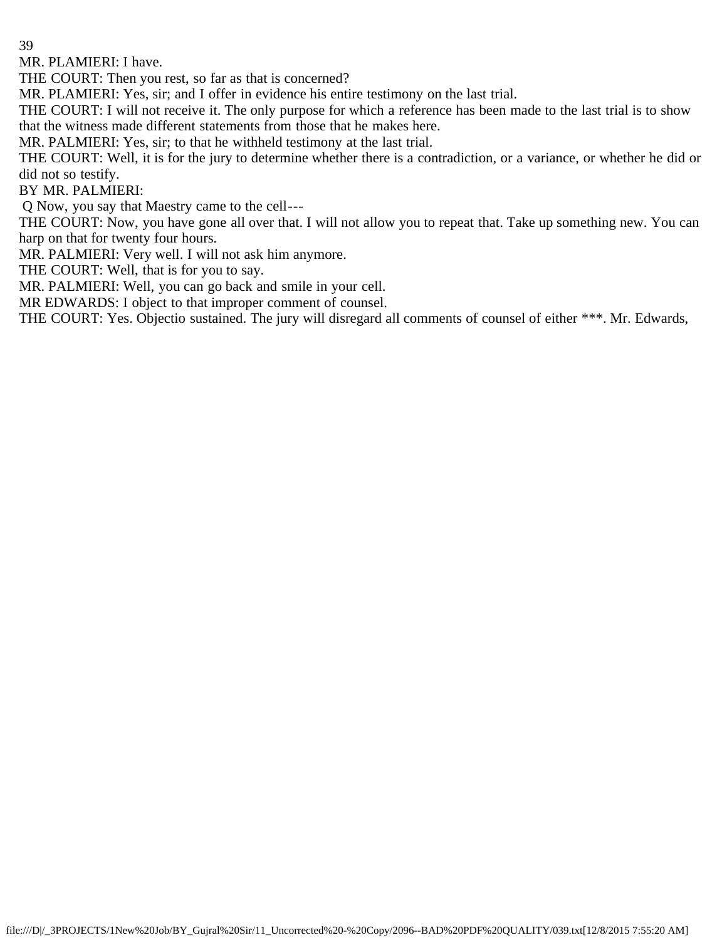MR. PLAMIERI: I have.

THE COURT: Then you rest, so far as that is concerned?

MR. PLAMIERI: Yes, sir; and I offer in evidence his entire testimony on the last trial.

THE COURT: I will not receive it. The only purpose for which a reference has been made to the last trial is to show that the witness made different statements from those that he makes here.

MR. PALMIERI: Yes, sir; to that he withheld testimony at the last trial.

THE COURT: Well, it is for the jury to determine whether there is a contradiction, or a variance, or whether he did or did not so testify.

BY MR. PALMIERI:

Q Now, you say that Maestry came to the cell---

THE COURT: Now, you have gone all over that. I will not allow you to repeat that. Take up something new. You can harp on that for twenty four hours.

MR. PALMIERI: Very well. I will not ask him anymore.

THE COURT: Well, that is for you to say.

MR. PALMIERI: Well, you can go back and smile in your cell.

MR EDWARDS: I object to that improper comment of counsel.

THE COURT: Yes. Objectio sustained. The jury will disregard all comments of counsel of either \*\*\*. Mr. Edwards,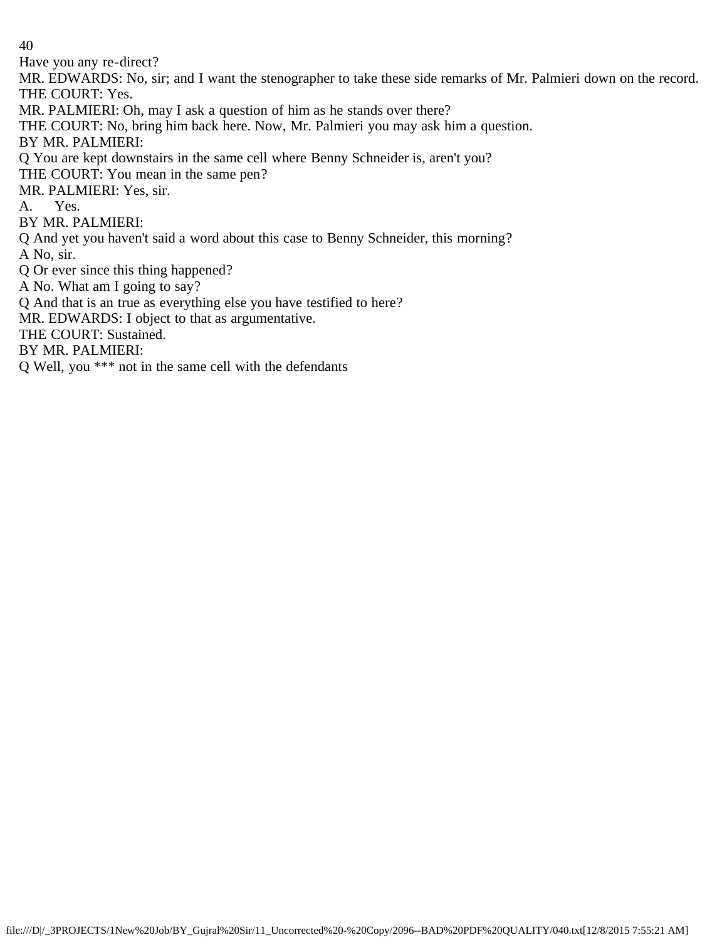Have you any re-direct?

MR. EDWARDS: No, sir; and I want the stenographer to take these side remarks of Mr. Palmieri down on the record. THE COURT: Yes.

MR. PALMIERI: Oh, may I ask a question of him as he stands over there?

THE COURT: No, bring him back here. Now, Mr. Palmieri you may ask him a question.

BY MR. PALMIERI:

Q You are kept downstairs in the same cell where Benny Schneider is, aren't you?

THE COURT: You mean in the same pen?

MR. PALMIERI: Yes, sir.

A. Yes.

BY MR. PALMIERI:

Q And yet you haven't said a word about this case to Benny Schneider, this morning?

A No, sir.

Q Or ever since this thing happened?

A No. What am I going to say?

Q And that is an true as everything else you have testified to here?

MR. EDWARDS: I object to that as argumentative.

THE COURT: Sustained.

BY MR. PALMIERI:

Q Well, you \*\*\* not in the same cell with the defendants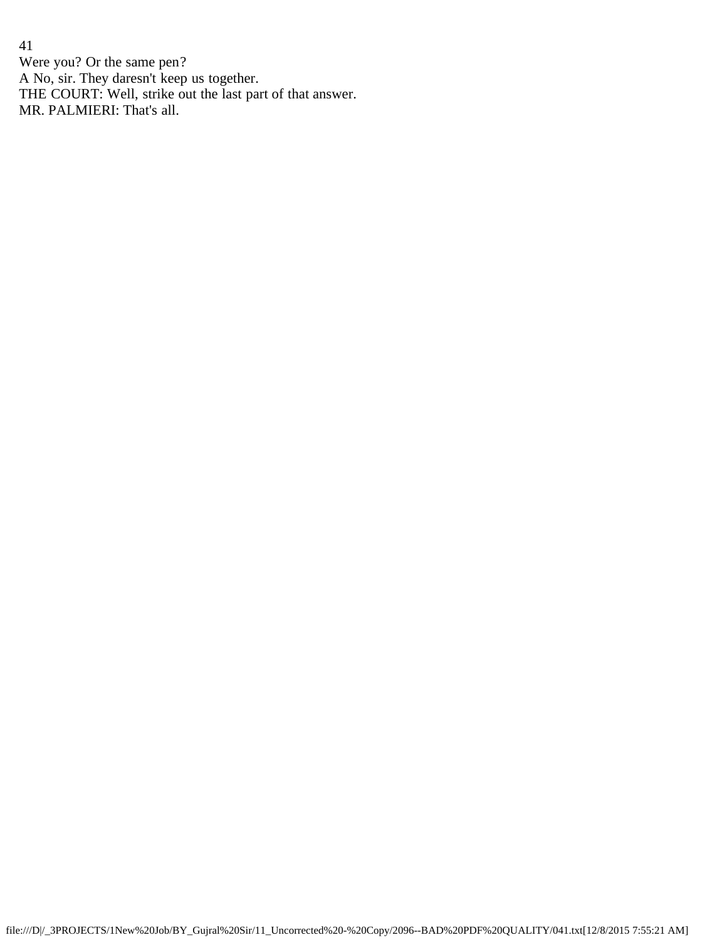41 Were you? Or the same pen? A No, sir. They daresn't keep us together. THE COURT: Well, strike out the last part of that answer. MR. PALMIERI: That's all.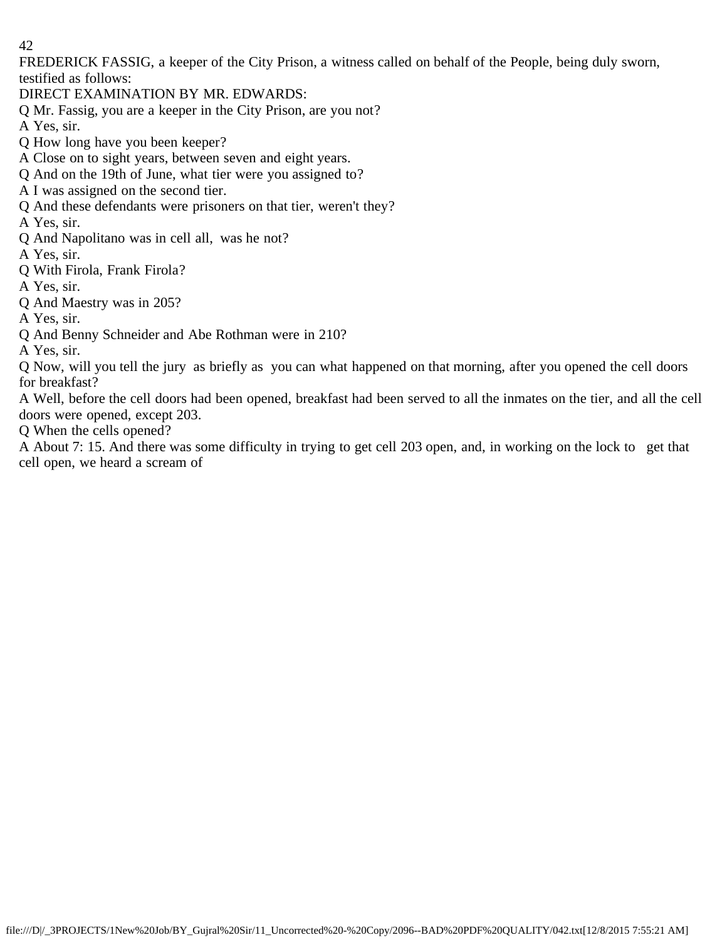FREDERICK FASSIG, a keeper of the City Prison, a witness called on behalf of the People, being duly sworn, testified as follows:

DIRECT EXAMINATION BY MR. EDWARDS:

Q Mr. Fassig, you are a keeper in the City Prison, are you not?

A Yes, sir.

Q How long have you been keeper?

A Close on to sight years, between seven and eight years.

Q And on the 19th of June, what tier were you assigned to?

A I was assigned on the second tier.

Q And these defendants were prisoners on that tier, weren't they?

A Yes, sir.

Q And Napolitano was in cell all, was he not?

A Yes, sir.

Q With Firola, Frank Firola?

A Yes, sir.

Q And Maestry was in 205?

A Yes, sir.

Q And Benny Schneider and Abe Rothman were in 210?

A Yes, sir.

Q Now, will you tell the jury as briefly as you can what happened on that morning, after you opened the cell doors for breakfast?

A Well, before the cell doors had been opened, breakfast had been served to all the inmates on the tier, and all the cell doors were opened, except 203.

Q When the cells opened?

A About 7: 15. And there was some difficulty in trying to get cell 203 open, and, in working on the lock to get that cell open, we heard a scream of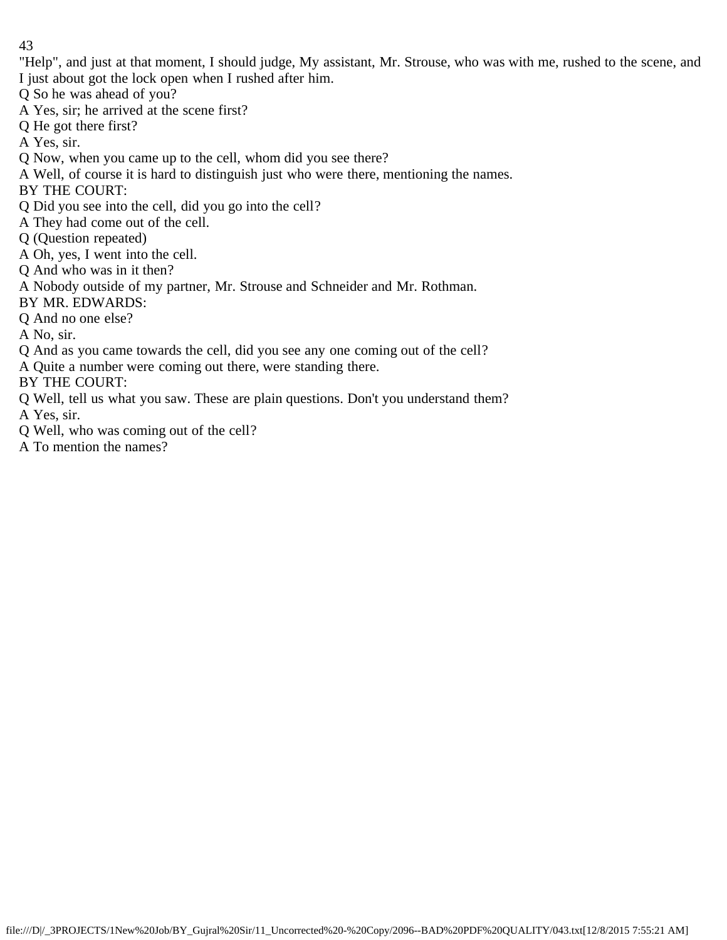"Help", and just at that moment, I should judge, My assistant, Mr. Strouse, who was with me, rushed to the scene, and I just about got the lock open when I rushed after him.

- Q So he was ahead of you?
- A Yes, sir; he arrived at the scene first?
- Q He got there first?
- A Yes, sir.
- Q Now, when you came up to the cell, whom did you see there?
- A Well, of course it is hard to distinguish just who were there, mentioning the names.
- BY THE COURT:
- Q Did you see into the cell, did you go into the cell?
- A They had come out of the cell.
- Q (Question repeated)
- A Oh, yes, I went into the cell.
- Q And who was in it then?
- A Nobody outside of my partner, Mr. Strouse and Schneider and Mr. Rothman.
- BY MR. EDWARDS:
- Q And no one else?
- A No, sir.
- Q And as you came towards the cell, did you see any one coming out of the cell?
- A Quite a number were coming out there, were standing there.
- BY THE COURT:
- Q Well, tell us what you saw. These are plain questions. Don't you understand them?
- A Yes, sir.
- Q Well, who was coming out of the cell?
- A To mention the names?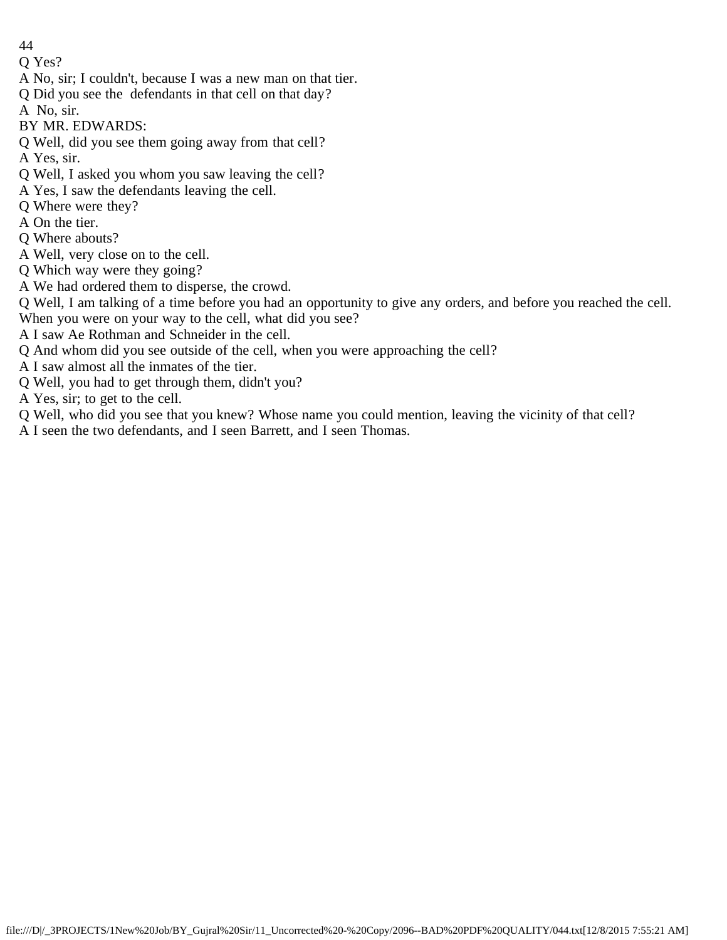Q Yes?

- A No, sir; I couldn't, because I was a new man on that tier.
- Q Did you see the defendants in that cell on that day?
- A No, sir.
- BY MR. EDWARDS:
- Q Well, did you see them going away from that cell? A Yes, sir.
- Q Well, I asked you whom you saw leaving the cell?
- A Yes, I saw the defendants leaving the cell.
- Q Where were they?
- A On the tier.
- Q Where abouts?
- A Well, very close on to the cell.
- Q Which way were they going?
- A We had ordered them to disperse, the crowd.
- Q Well, I am talking of a time before you had an opportunity to give any orders, and before you reached the cell.
- When you were on your way to the cell, what did you see?
- A I saw Ae Rothman and Schneider in the cell.
- Q And whom did you see outside of the cell, when you were approaching the cell?
- A I saw almost all the inmates of the tier.
- Q Well, you had to get through them, didn't you?
- A Yes, sir; to get to the cell.
- Q Well, who did you see that you knew? Whose name you could mention, leaving the vicinity of that cell?
- A I seen the two defendants, and I seen Barrett, and I seen Thomas.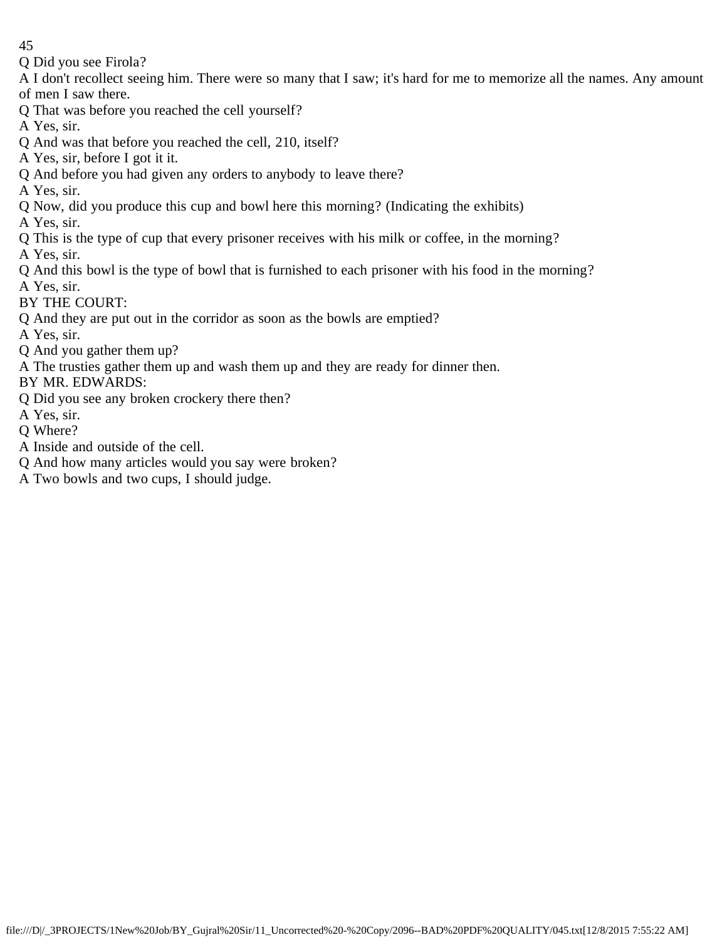Q Did you see Firola?

A I don't recollect seeing him. There were so many that I saw; it's hard for me to memorize all the names. Any amount of men I saw there.

- Q That was before you reached the cell yourself?
- A Yes, sir.
- Q And was that before you reached the cell, 210, itself?
- A Yes, sir, before I got it it.
- Q And before you had given any orders to anybody to leave there?
- A Yes, sir.
- Q Now, did you produce this cup and bowl here this morning? (Indicating the exhibits)
- A Yes, sir.
- Q This is the type of cup that every prisoner receives with his milk or coffee, in the morning?
- A Yes, sir.
- Q And this bowl is the type of bowl that is furnished to each prisoner with his food in the morning?
- A Yes, sir.
- BY THE COURT:
- Q And they are put out in the corridor as soon as the bowls are emptied?
- A Yes, sir.
- Q And you gather them up?
- A The trusties gather them up and wash them up and they are ready for dinner then.

BY MR. EDWARDS:

- Q Did you see any broken crockery there then?
- A Yes, sir.
- Q Where?
- A Inside and outside of the cell.
- Q And how many articles would you say were broken?
- A Two bowls and two cups, I should judge.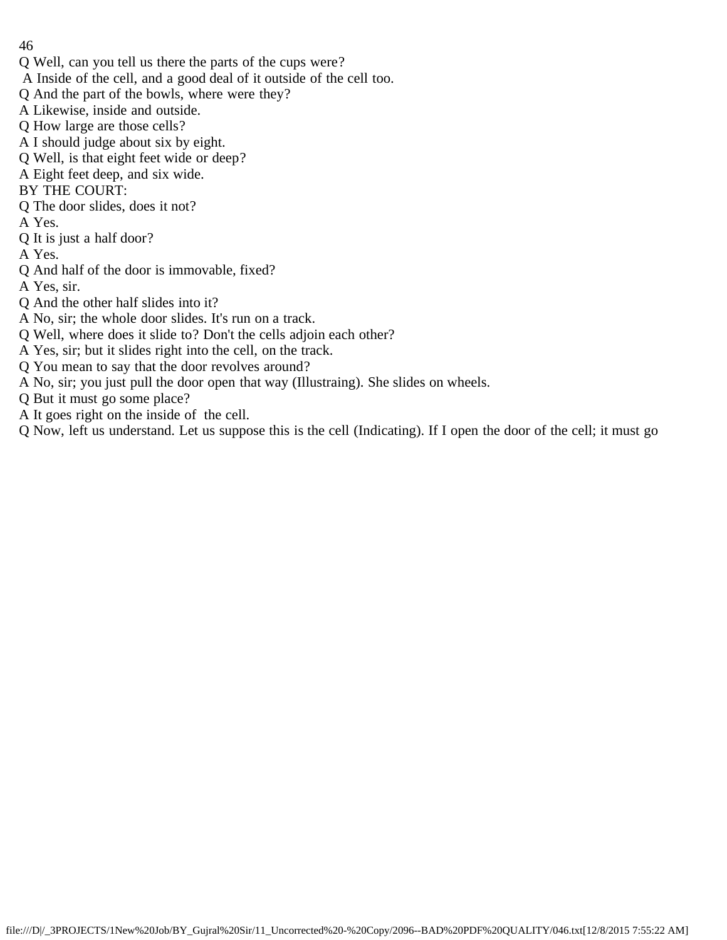- 46
- Q Well, can you tell us there the parts of the cups were?
- A Inside of the cell, and a good deal of it outside of the cell too.
- Q And the part of the bowls, where were they?
- A Likewise, inside and outside.
- Q How large are those cells?
- A I should judge about six by eight.
- Q Well, is that eight feet wide or deep?
- A Eight feet deep, and six wide.
- BY THE COURT:
- Q The door slides, does it not?
- A Yes.
- Q It is just a half door?
- A Yes.
- Q And half of the door is immovable, fixed?
- A Yes, sir.
- Q And the other half slides into it?
- A No, sir; the whole door slides. It's run on a track.
- Q Well, where does it slide to? Don't the cells adjoin each other?
- A Yes, sir; but it slides right into the cell, on the track.
- Q You mean to say that the door revolves around?
- A No, sir; you just pull the door open that way (Illustraing). She slides on wheels.
- Q But it must go some place?
- A It goes right on the inside of the cell.
- Q Now, left us understand. Let us suppose this is the cell (Indicating). If I open the door of the cell; it must go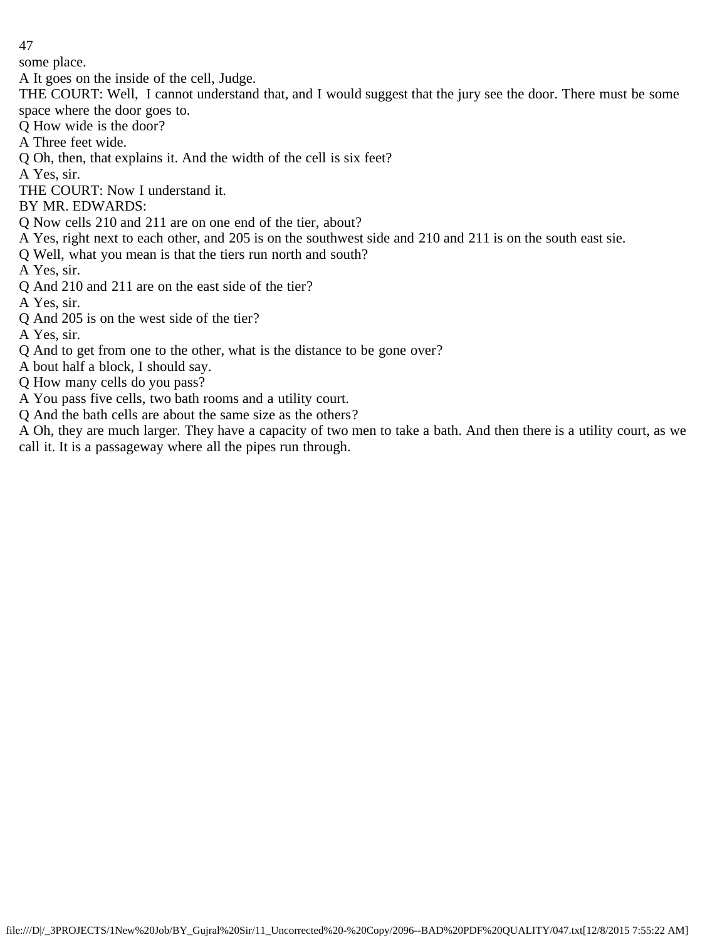some place.

A It goes on the inside of the cell, Judge.

THE COURT: Well, I cannot understand that, and I would suggest that the jury see the door. There must be some space where the door goes to.

- Q How wide is the door?
- A Three feet wide.
- Q Oh, then, that explains it. And the width of the cell is six feet?

A Yes, sir.

THE COURT: Now I understand it.

BY MR. EDWARDS:

- Q Now cells 210 and 211 are on one end of the tier, about?
- A Yes, right next to each other, and 205 is on the southwest side and 210 and 211 is on the south east sie.
- Q Well, what you mean is that the tiers run north and south?

A Yes, sir.

Q And 210 and 211 are on the east side of the tier?

A Yes, sir.

Q And 205 is on the west side of the tier?

A Yes, sir.

Q And to get from one to the other, what is the distance to be gone over?

A bout half a block, I should say.

- Q How many cells do you pass?
- A You pass five cells, two bath rooms and a utility court.

Q And the bath cells are about the same size as the others?

A Oh, they are much larger. They have a capacity of two men to take a bath. And then there is a utility court, as we call it. It is a passageway where all the pipes run through.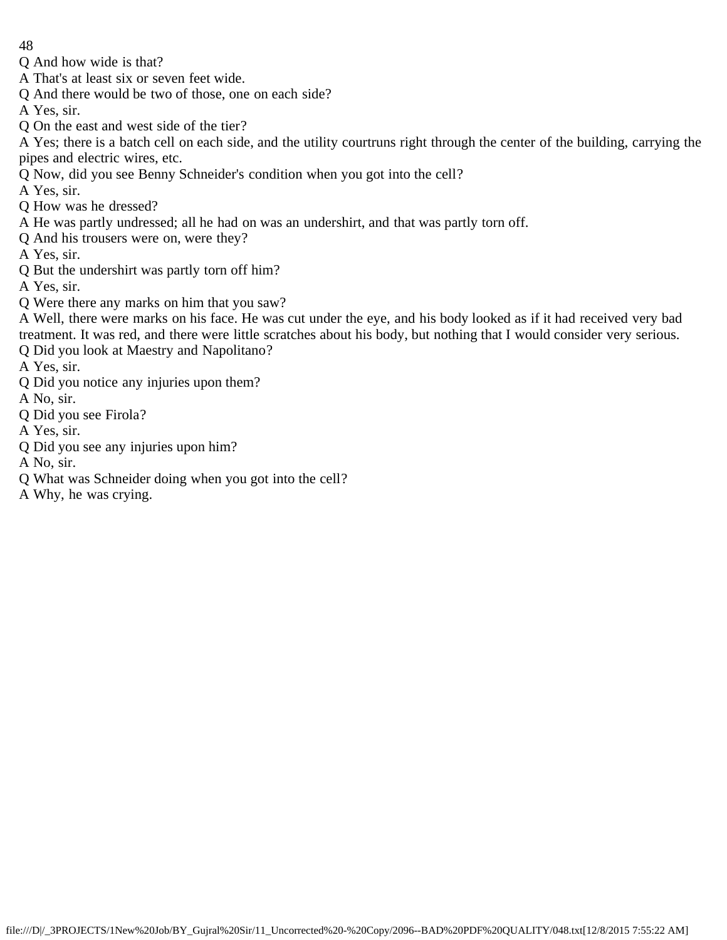- 48
- Q And how wide is that?
- A That's at least six or seven feet wide.
- Q And there would be two of those, one on each side?
- A Yes, sir.
- Q On the east and west side of the tier?

A Yes; there is a batch cell on each side, and the utility courtruns right through the center of the building, carrying the pipes and electric wires, etc.

- Q Now, did you see Benny Schneider's condition when you got into the cell?
- A Yes, sir.
- Q How was he dressed?
- A He was partly undressed; all he had on was an undershirt, and that was partly torn off.
- Q And his trousers were on, were they?
- A Yes, sir.
- Q But the undershirt was partly torn off him?
- A Yes, sir.
- Q Were there any marks on him that you saw?
- A Well, there were marks on his face. He was cut under the eye, and his body looked as if it had received very bad treatment. It was red, and there were little scratches about his body, but nothing that I would consider very serious. Q Did you look at Maestry and Napolitano?
- A Yes, sir.
- Q Did you notice any injuries upon them?
- A No, sir.
- Q Did you see Firola?
- A Yes, sir.
- Q Did you see any injuries upon him?
- A No, sir.
- Q What was Schneider doing when you got into the cell?
- A Why, he was crying.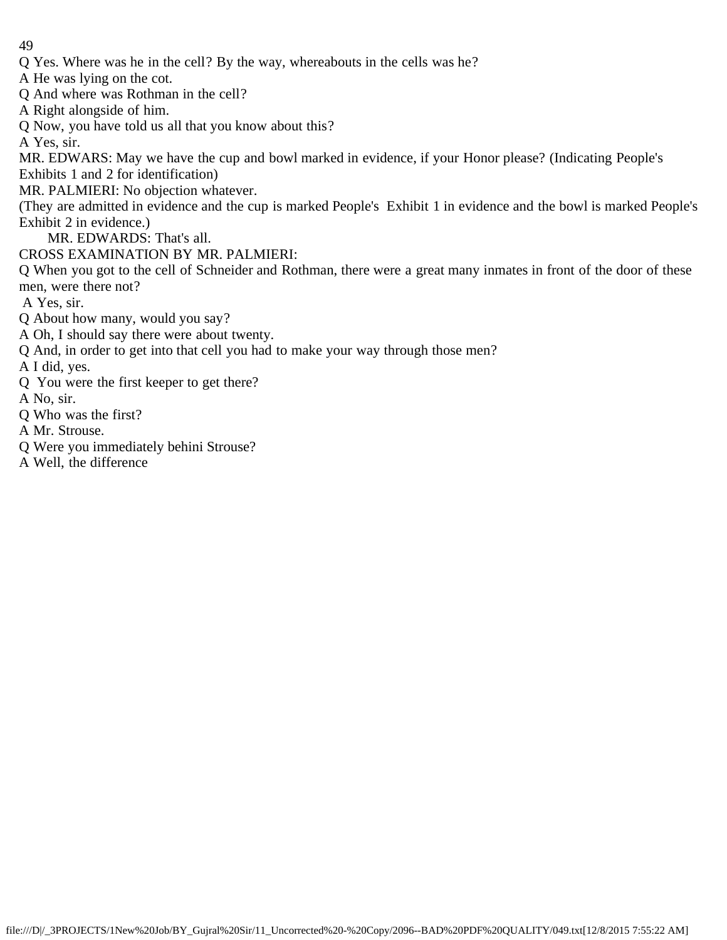- Q Yes. Where was he in the cell? By the way, whereabouts in the cells was he?
- A He was lying on the cot.
- Q And where was Rothman in the cell?
- A Right alongside of him.
- Q Now, you have told us all that you know about this?
- A Yes, sir.
- MR. EDWARS: May we have the cup and bowl marked in evidence, if your Honor please? (Indicating People's
- Exhibits 1 and 2 for identification)
- MR. PALMIERI: No objection whatever.
- (They are admitted in evidence and the cup is marked People's Exhibit 1 in evidence and the bowl is marked People's Exhibit 2 in evidence.)
	- MR. EDWARDS: That's all.
- CROSS EXAMINATION BY MR. PALMIERI:
- Q When you got to the cell of Schneider and Rothman, there were a great many inmates in front of the door of these men, were there not?
- A Yes, sir.
- Q About how many, would you say?
- A Oh, I should say there were about twenty.
- Q And, in order to get into that cell you had to make your way through those men?
- A I did, yes.
- Q You were the first keeper to get there?
- A No, sir.
- Q Who was the first?
- A Mr. Strouse.
- Q Were you immediately behini Strouse?
- A Well, the difference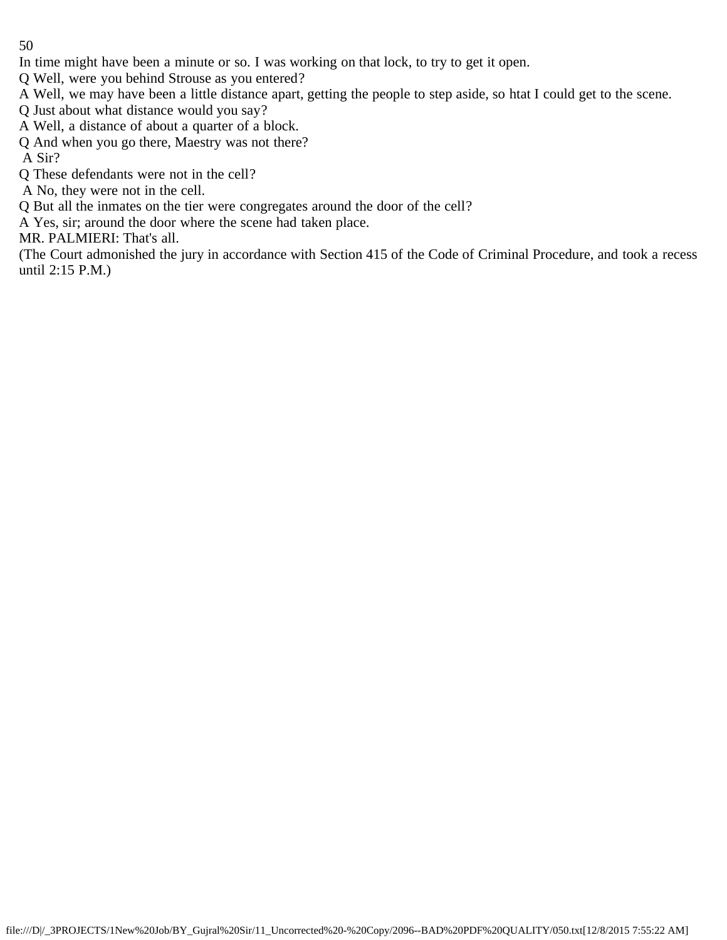- In time might have been a minute or so. I was working on that lock, to try to get it open.
- Q Well, were you behind Strouse as you entered?
- A Well, we may have been a little distance apart, getting the people to step aside, so htat I could get to the scene.
- Q Just about what distance would you say?
- A Well, a distance of about a quarter of a block.
- Q And when you go there, Maestry was not there?
- A Sir?
- Q These defendants were not in the cell?
- A No, they were not in the cell.
- Q But all the inmates on the tier were congregates around the door of the cell?
- A Yes, sir; around the door where the scene had taken place.
- MR. PALMIERI: That's all.

(The Court admonished the jury in accordance with Section 415 of the Code of Criminal Procedure, and took a recess until 2:15 P.M.)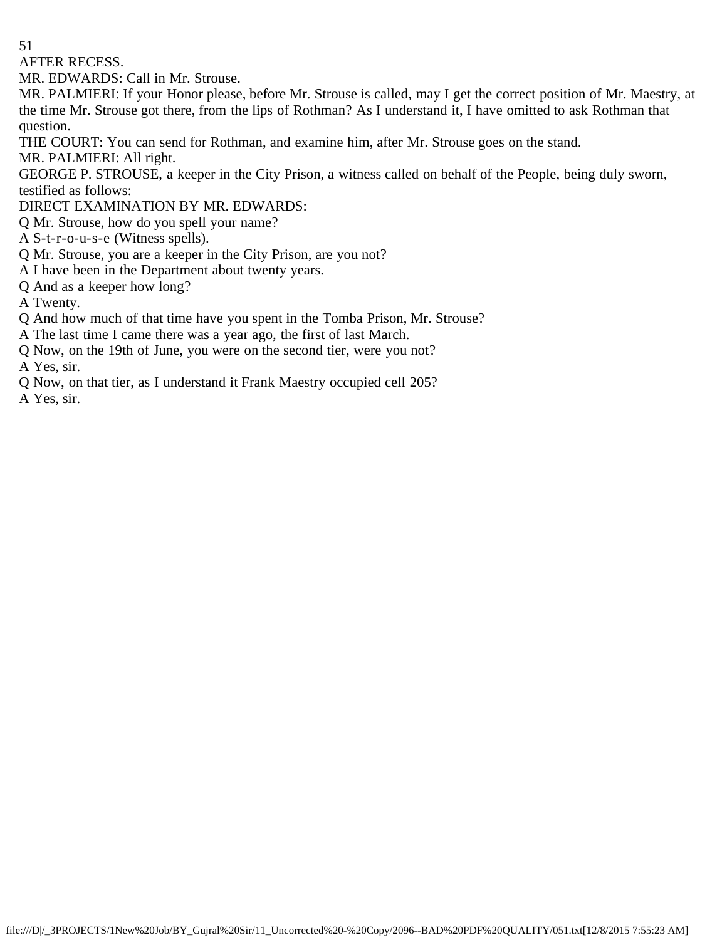AFTER RECESS.

MR. EDWARDS: Call in Mr. Strouse.

MR. PALMIERI: If your Honor please, before Mr. Strouse is called, may I get the correct position of Mr. Maestry, at the time Mr. Strouse got there, from the lips of Rothman? As I understand it, I have omitted to ask Rothman that question.

THE COURT: You can send for Rothman, and examine him, after Mr. Strouse goes on the stand.

MR. PALMIERI: All right.

GEORGE P. STROUSE, a keeper in the City Prison, a witness called on behalf of the People, being duly sworn, testified as follows:

DIRECT EXAMINATION BY MR. EDWARDS:

Q Mr. Strouse, how do you spell your name?

A S-t-r-o-u-s-e (Witness spells).

Q Mr. Strouse, you are a keeper in the City Prison, are you not?

A I have been in the Department about twenty years.

Q And as a keeper how long?

A Twenty.

Q And how much of that time have you spent in the Tomba Prison, Mr. Strouse?

A The last time I came there was a year ago, the first of last March.

- Q Now, on the 19th of June, you were on the second tier, were you not? A Yes, sir.
- Q Now, on that tier, as I understand it Frank Maestry occupied cell 205?

A Yes, sir.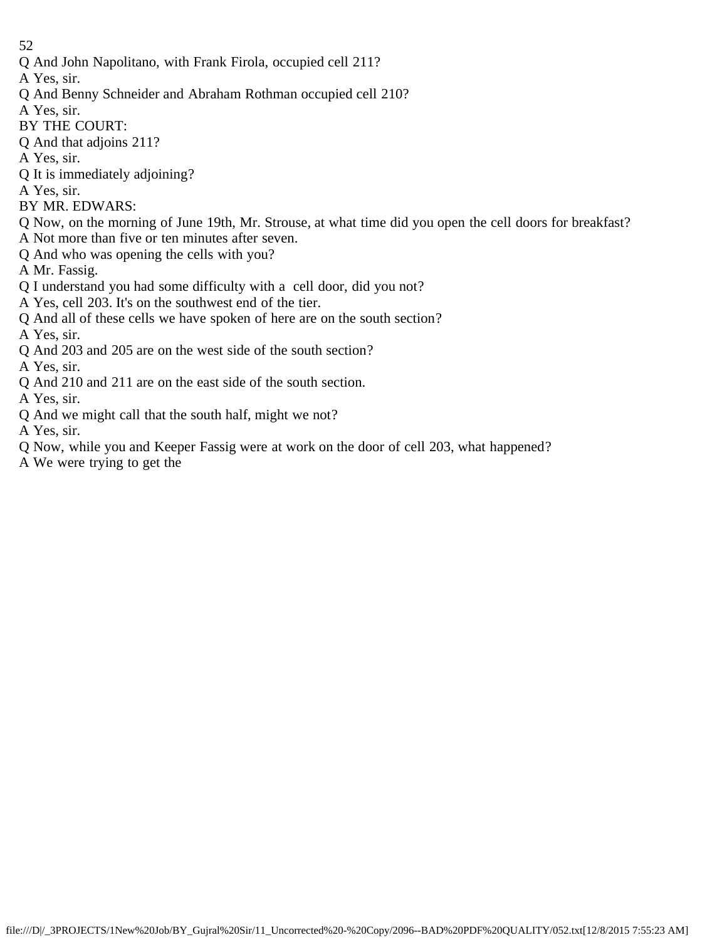- 52
- Q And John Napolitano, with Frank Firola, occupied cell 211?
- A Yes, sir.
- Q And Benny Schneider and Abraham Rothman occupied cell 210?
- A Yes, sir.
- BY THE COURT:
- Q And that adjoins 211?
- A Yes, sir.
- Q It is immediately adjoining?
- A Yes, sir.
- BY MR. EDWARS:
- Q Now, on the morning of June 19th, Mr. Strouse, at what time did you open the cell doors for breakfast?
- A Not more than five or ten minutes after seven. Q And who was opening the cells with you?
- A Mr. Fassig.
- Q I understand you had some difficulty with a cell door, did you not?
- A Yes, cell 203. It's on the southwest end of the tier.
- Q And all of these cells we have spoken of here are on the south section?
- A Yes, sir.
- Q And 203 and 205 are on the west side of the south section?

A Yes, sir.

- Q And 210 and 211 are on the east side of the south section.
- A Yes, sir.
- Q And we might call that the south half, might we not?
- A Yes, sir.
- Q Now, while you and Keeper Fassig were at work on the door of cell 203, what happened?
- A We were trying to get the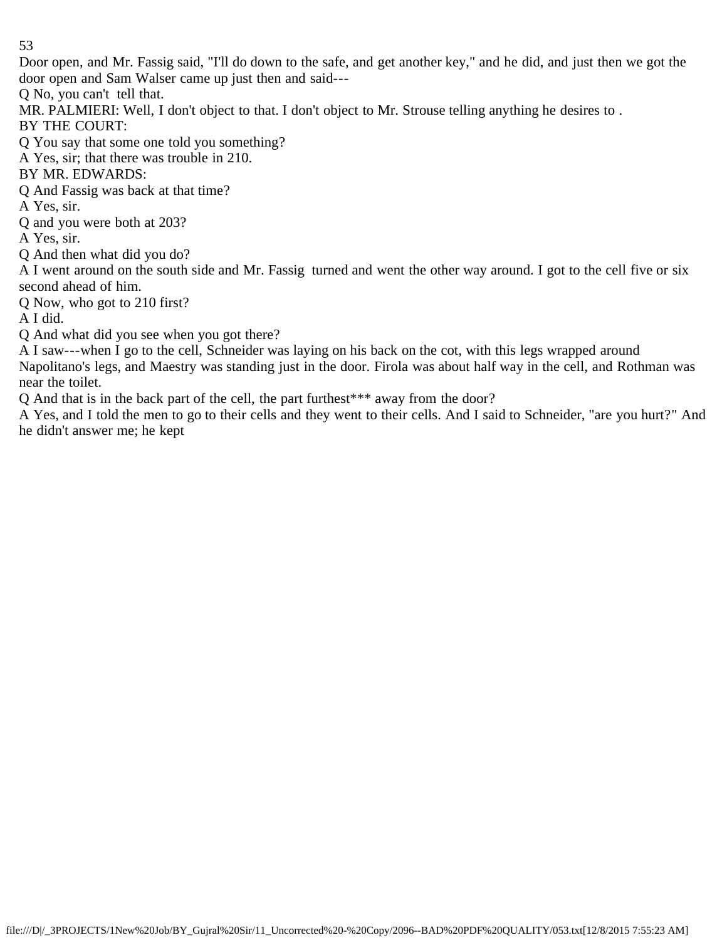Door open, and Mr. Fassig said, "I'll do down to the safe, and get another key," and he did, and just then we got the door open and Sam Walser came up just then and said---

Q No, you can't tell that.

MR. PALMIERI: Well, I don't object to that. I don't object to Mr. Strouse telling anything he desires to.

BY THE COURT:

Q You say that some one told you something?

A Yes, sir; that there was trouble in 210.

BY MR. EDWARDS:

Q And Fassig was back at that time?

A Yes, sir.

Q and you were both at 203?

A Yes, sir.

Q And then what did you do?

A I went around on the south side and Mr. Fassig turned and went the other way around. I got to the cell five or six second ahead of him.

Q Now, who got to 210 first?

A I did.

Q And what did you see when you got there?

A I saw---when I go to the cell, Schneider was laying on his back on the cot, with this legs wrapped around Napolitano's legs, and Maestry was standing just in the door. Firola was about half way in the cell, and Rothman was near the toilet.

Q And that is in the back part of the cell, the part furthest\*\*\* away from the door?

A Yes, and I told the men to go to their cells and they went to their cells. And I said to Schneider, "are you hurt?" And he didn't answer me; he kept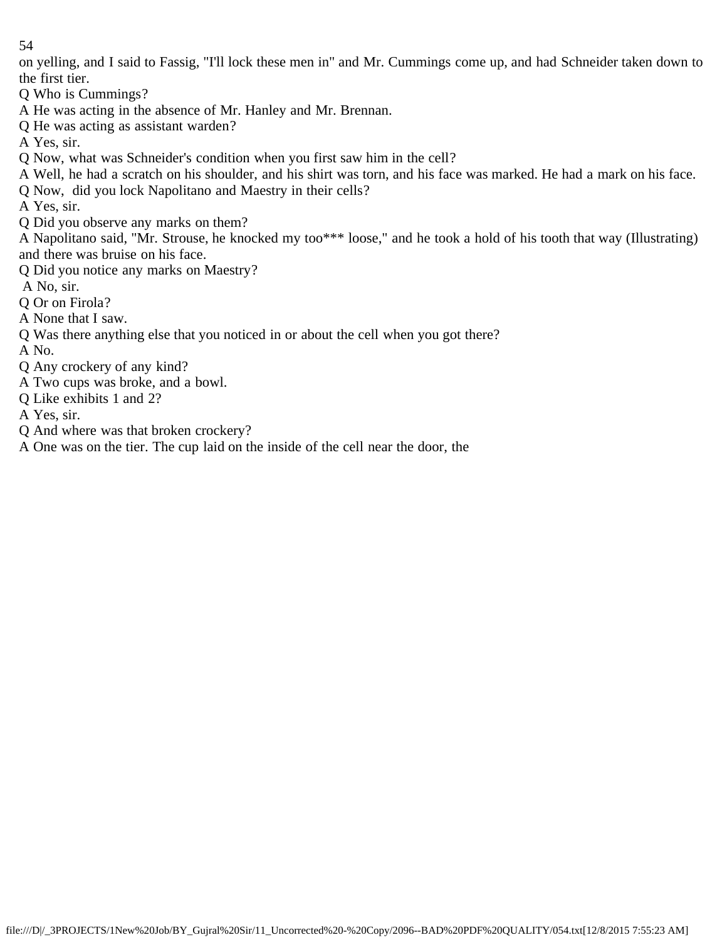on yelling, and I said to Fassig, "I'll lock these men in" and Mr. Cummings come up, and had Schneider taken down to the first tier.

- Q Who is Cummings?
- A He was acting in the absence of Mr. Hanley and Mr. Brennan.
- Q He was acting as assistant warden?
- A Yes, sir.
- Q Now, what was Schneider's condition when you first saw him in the cell?
- A Well, he had a scratch on his shoulder, and his shirt was torn, and his face was marked. He had a mark on his face.
- Q Now, did you lock Napolitano and Maestry in their cells?
- A Yes, sir.
- Q Did you observe any marks on them?

A Napolitano said, "Mr. Strouse, he knocked my too\*\*\* loose," and he took a hold of his tooth that way (Illustrating) and there was bruise on his face.

- Q Did you notice any marks on Maestry?
- A No, sir.
- Q Or on Firola?
- A None that I saw.
- Q Was there anything else that you noticed in or about the cell when you got there?
- A No.
- Q Any crockery of any kind?
- A Two cups was broke, and a bowl.
- Q Like exhibits 1 and 2?
- A Yes, sir.
- Q And where was that broken crockery?
- A One was on the tier. The cup laid on the inside of the cell near the door, the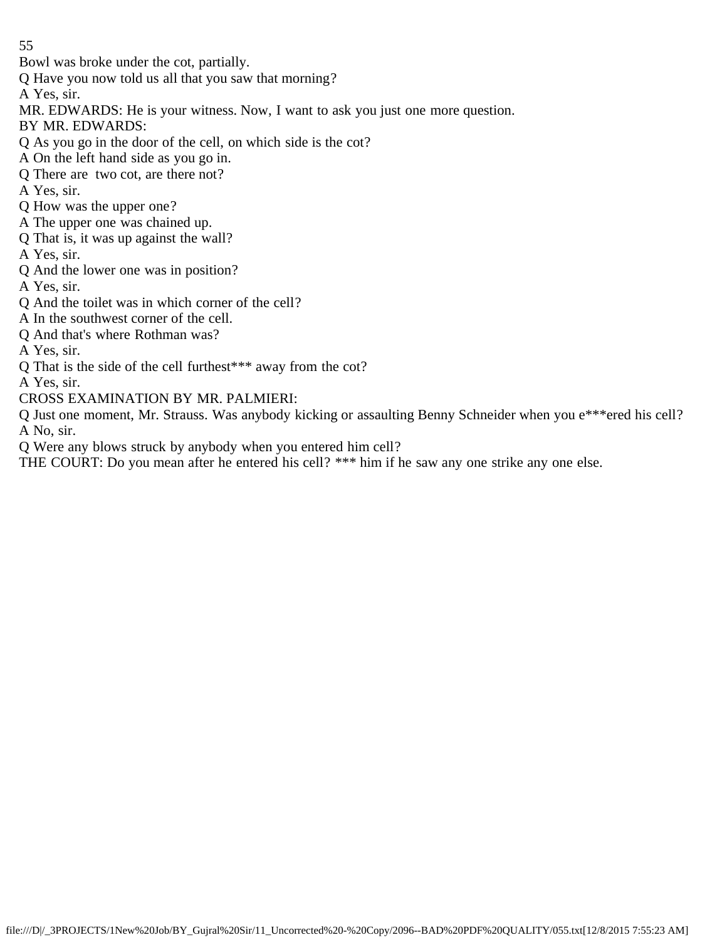Bowl was broke under the cot, partially.

Q Have you now told us all that you saw that morning?

A Yes, sir.

MR. EDWARDS: He is your witness. Now, I want to ask you just one more question.

BY MR. EDWARDS:

- Q As you go in the door of the cell, on which side is the cot?
- A On the left hand side as you go in.
- Q There are two cot, are there not?
- A Yes, sir.
- Q How was the upper one?
- A The upper one was chained up.
- Q That is, it was up against the wall?

A Yes, sir.

Q And the lower one was in position?

A Yes, sir.

- Q And the toilet was in which corner of the cell?
- A In the southwest corner of the cell.
- Q And that's where Rothman was?

A Yes, sir.

Q That is the side of the cell furthest\*\*\* away from the cot?

A Yes, sir.

CROSS EXAMINATION BY MR. PALMIERI:

Q Just one moment, Mr. Strauss. Was anybody kicking or assaulting Benny Schneider when you e\*\*\*ered his cell? A No, sir.

Q Were any blows struck by anybody when you entered him cell?

THE COURT: Do you mean after he entered his cell? \*\*\* him if he saw any one strike any one else.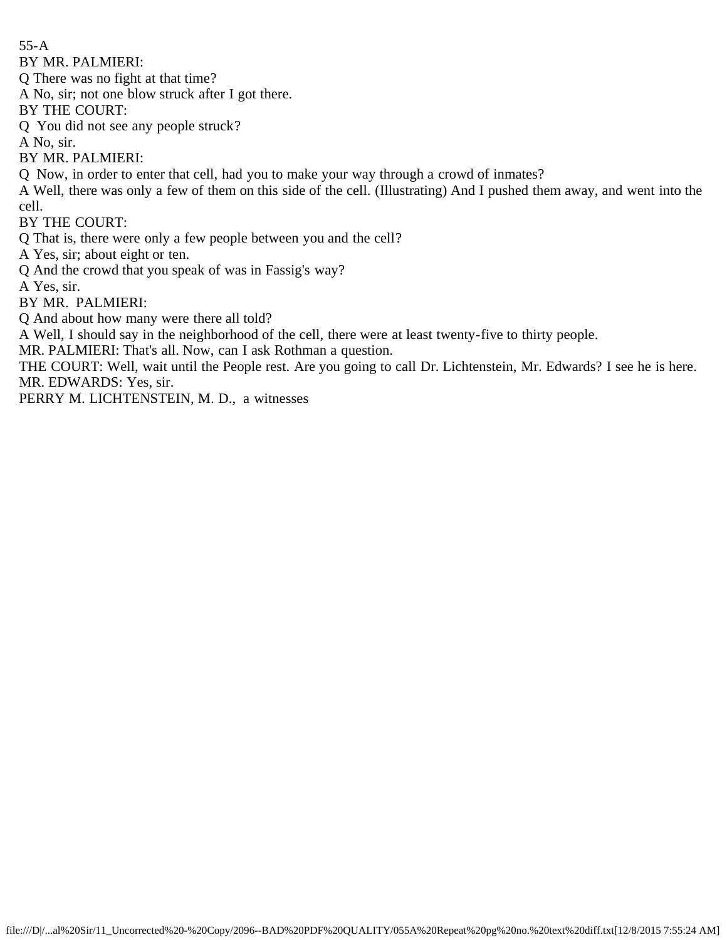55-A

BY MR. PALMIERI:

Q There was no fight at that time?

A No, sir; not one blow struck after I got there.

BY THE COURT:

Q You did not see any people struck?

A No, sir.

BY MR. PALMIERI:

Q Now, in order to enter that cell, had you to make your way through a crowd of inmates?

A Well, there was only a few of them on this side of the cell. (Illustrating) And I pushed them away, and went into the cell.

BY THE COURT:

Q That is, there were only a few people between you and the cell?

A Yes, sir; about eight or ten.

Q And the crowd that you speak of was in Fassig's way?

A Yes, sir.

BY MR. PALMIERI:

Q And about how many were there all told?

A Well, I should say in the neighborhood of the cell, there were at least twenty-five to thirty people.

MR. PALMIERI: That's all. Now, can I ask Rothman a question.

THE COURT: Well, wait until the People rest. Are you going to call Dr. Lichtenstein, Mr. Edwards? I see he is here. MR. EDWARDS: Yes, sir.

PERRY M. LICHTENSTEIN, M. D., a witnesses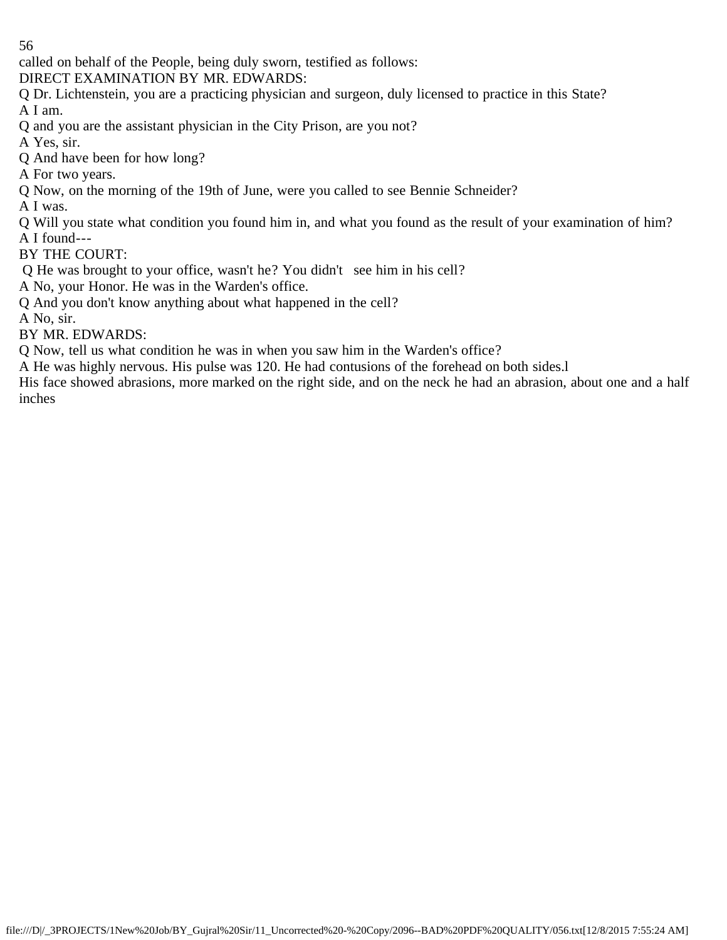called on behalf of the People, being duly sworn, testified as follows:

DIRECT EXAMINATION BY MR. EDWARDS:

Q Dr. Lichtenstein, you are a practicing physician and surgeon, duly licensed to practice in this State? A I am.

Q and you are the assistant physician in the City Prison, are you not?

A Yes, sir.

Q And have been for how long?

A For two years.

Q Now, on the morning of the 19th of June, were you called to see Bennie Schneider?

A I was.

Q Will you state what condition you found him in, and what you found as the result of your examination of him? A I found---

BY THE COURT:

Q He was brought to your office, wasn't he? You didn't see him in his cell?

A No, your Honor. He was in the Warden's office.

Q And you don't know anything about what happened in the cell?

A No, sir.

BY MR. EDWARDS:

Q Now, tell us what condition he was in when you saw him in the Warden's office?

A He was highly nervous. His pulse was 120. He had contusions of the forehead on both sides.l

His face showed abrasions, more marked on the right side, and on the neck he had an abrasion, about one and a half inches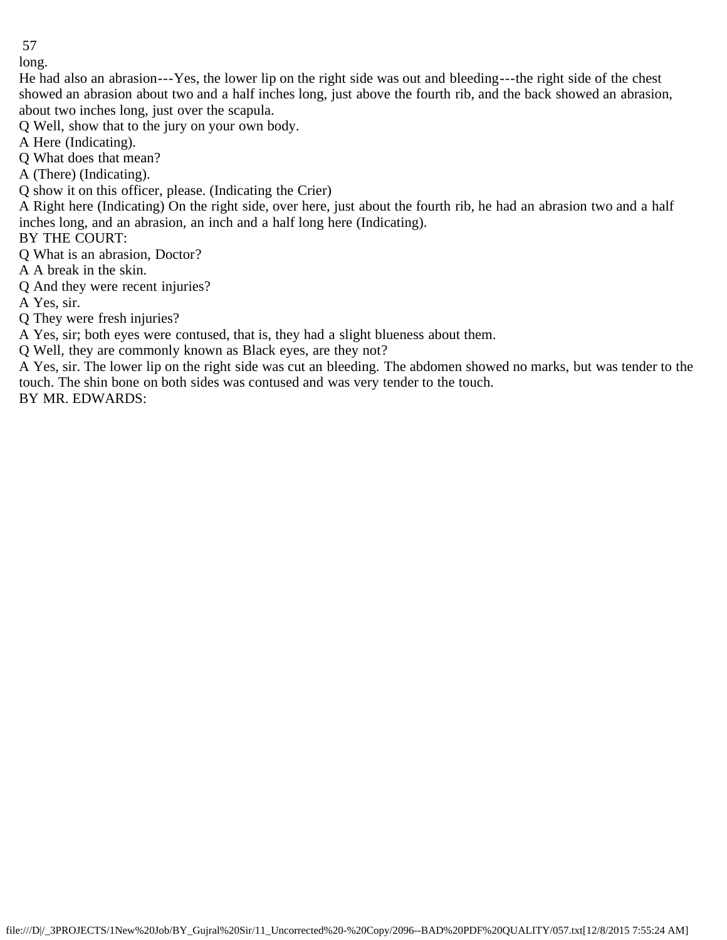long.

He had also an abrasion---Yes, the lower lip on the right side was out and bleeding---the right side of the chest showed an abrasion about two and a half inches long, just above the fourth rib, and the back showed an abrasion, about two inches long, just over the scapula.

Q Well, show that to the jury on your own body.

A Here (Indicating).

Q What does that mean?

A (There) (Indicating).

Q show it on this officer, please. (Indicating the Crier)

A Right here (Indicating) On the right side, over here, just about the fourth rib, he had an abrasion two and a half inches long, and an abrasion, an inch and a half long here (Indicating).

BY THE COURT:

Q What is an abrasion, Doctor?

A A break in the skin.

Q And they were recent injuries?

A Yes, sir.

Q They were fresh injuries?

A Yes, sir; both eyes were contused, that is, they had a slight blueness about them.

Q Well, they are commonly known as Black eyes, are they not?

A Yes, sir. The lower lip on the right side was cut an bleeding. The abdomen showed no marks, but was tender to the touch. The shin bone on both sides was contused and was very tender to the touch.

BY MR. EDWARDS: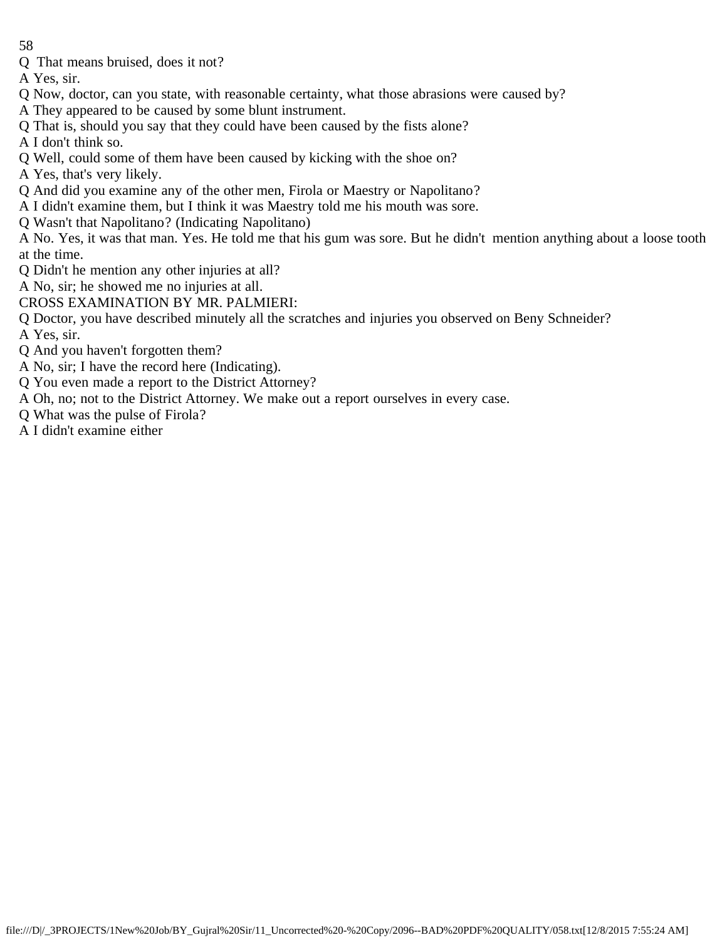Q That means bruised, does it not?

A Yes, sir.

- Q Now, doctor, can you state, with reasonable certainty, what those abrasions were caused by?
- A They appeared to be caused by some blunt instrument.
- Q That is, should you say that they could have been caused by the fists alone?
- A I don't think so.
- Q Well, could some of them have been caused by kicking with the shoe on?
- A Yes, that's very likely.
- Q And did you examine any of the other men, Firola or Maestry or Napolitano?
- A I didn't examine them, but I think it was Maestry told me his mouth was sore.
- Q Wasn't that Napolitano? (Indicating Napolitano)

A No. Yes, it was that man. Yes. He told me that his gum was sore. But he didn't mention anything about a loose tooth at the time.

- Q Didn't he mention any other injuries at all?
- A No, sir; he showed me no injuries at all.
- CROSS EXAMINATION BY MR. PALMIERI:
- Q Doctor, you have described minutely all the scratches and injuries you observed on Beny Schneider?
- A Yes, sir.
- Q And you haven't forgotten them?
- A No, sir; I have the record here (Indicating).
- Q You even made a report to the District Attorney?
- A Oh, no; not to the District Attorney. We make out a report ourselves in every case.
- Q What was the pulse of Firola?
- A I didn't examine either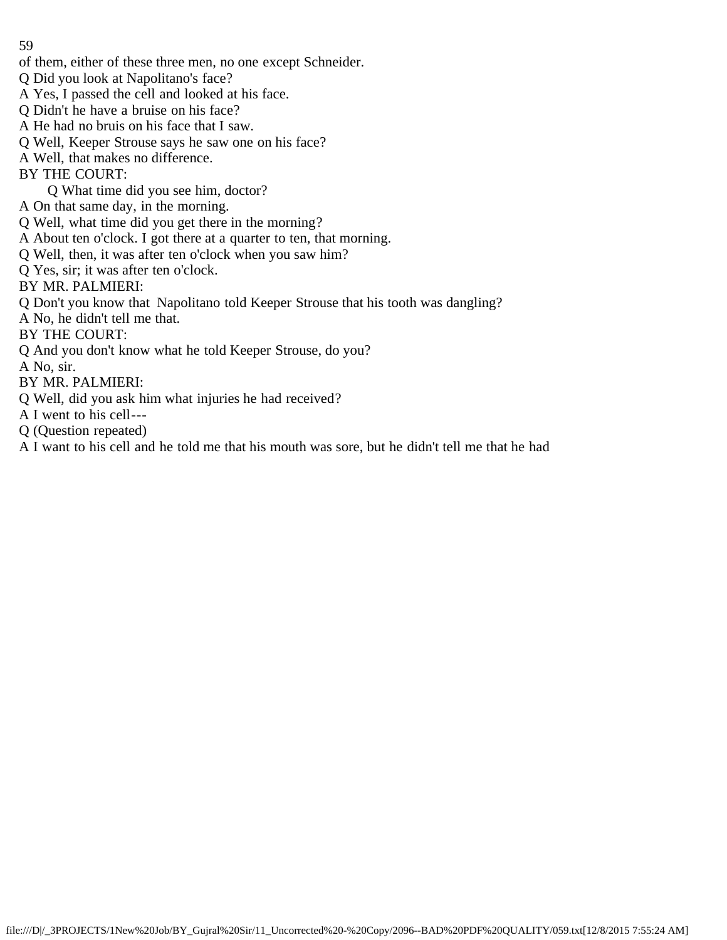- of them, either of these three men, no one except Schneider.
- Q Did you look at Napolitano's face?
- A Yes, I passed the cell and looked at his face.
- Q Didn't he have a bruise on his face?
- A He had no bruis on his face that I saw.
- Q Well, Keeper Strouse says he saw one on his face?
- A Well, that makes no difference.
- BY THE COURT:
	- Q What time did you see him, doctor?
- A On that same day, in the morning.
- Q Well, what time did you get there in the morning?
- A About ten o'clock. I got there at a quarter to ten, that morning.
- Q Well, then, it was after ten o'clock when you saw him?
- Q Yes, sir; it was after ten o'clock.
- BY MR. PALMIERI:
- Q Don't you know that Napolitano told Keeper Strouse that his tooth was dangling?
- A No, he didn't tell me that.
- BY THE COURT:
- Q And you don't know what he told Keeper Strouse, do you?
- A No, sir.
- BY MR. PALMIERI:
- Q Well, did you ask him what injuries he had received?
- A I went to his cell---
- Q (Question repeated)
- A I want to his cell and he told me that his mouth was sore, but he didn't tell me that he had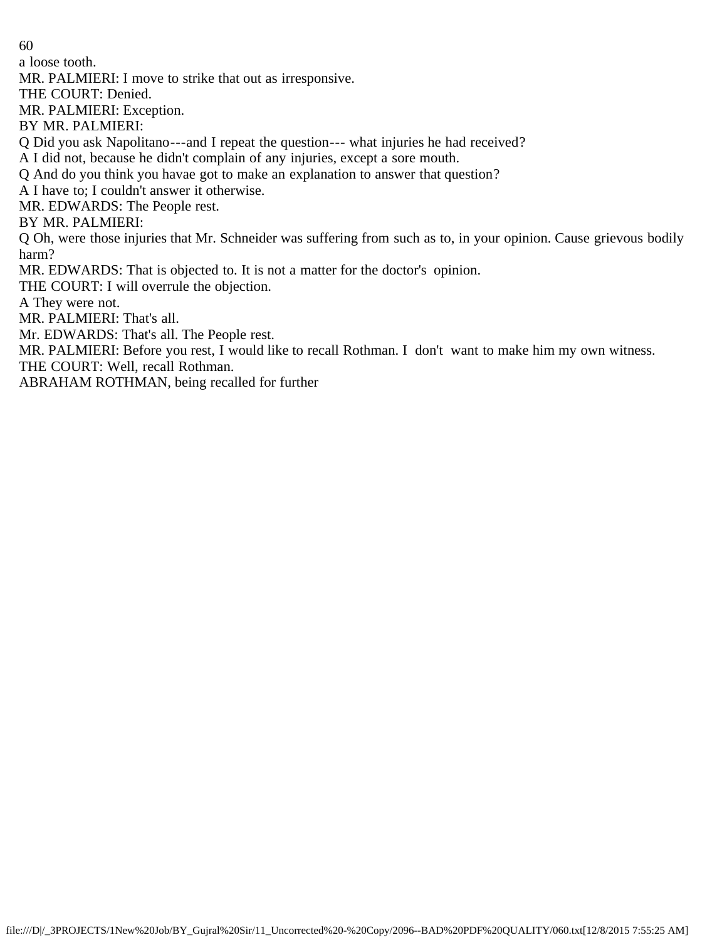a loose tooth.

MR. PALMIERI: I move to strike that out as irresponsive.

THE COURT: Denied.

MR. PALMIERI: Exception.

BY MR. PALMIERI:

Q Did you ask Napolitano---and I repeat the question--- what injuries he had received?

A I did not, because he didn't complain of any injuries, except a sore mouth.

Q And do you think you havae got to make an explanation to answer that question?

A I have to; I couldn't answer it otherwise.

MR. EDWARDS: The People rest.

BY MR. PALMIERI:

Q Oh, were those injuries that Mr. Schneider was suffering from such as to, in your opinion. Cause grievous bodily harm?

MR. EDWARDS: That is objected to. It is not a matter for the doctor's opinion.

THE COURT: I will overrule the objection.

A They were not.

MR. PALMIERI: That's all.

Mr. EDWARDS: That's all. The People rest.

MR. PALMIERI: Before you rest, I would like to recall Rothman. I don't want to make him my own witness.

THE COURT: Well, recall Rothman.

ABRAHAM ROTHMAN, being recalled for further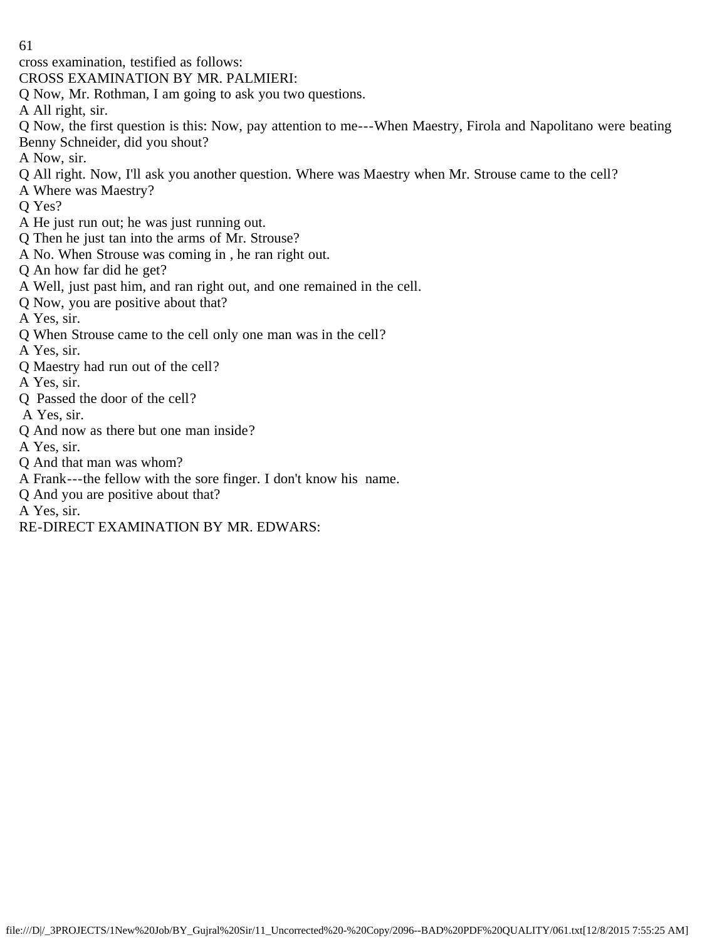cross examination, testified as follows:

CROSS EXAMINATION BY MR. PALMIERI:

Q Now, Mr. Rothman, I am going to ask you two questions.

A All right, sir.

Q Now, the first question is this: Now, pay attention to me---When Maestry, Firola and Napolitano were beating Benny Schneider, did you shout?

A Now, sir.

- Q All right. Now, I'll ask you another question. Where was Maestry when Mr. Strouse came to the cell?
- A Where was Maestry?
- Q Yes?
- A He just run out; he was just running out.
- Q Then he just tan into the arms of Mr. Strouse?
- A No. When Strouse was coming in , he ran right out.
- Q An how far did he get?
- A Well, just past him, and ran right out, and one remained in the cell.
- Q Now, you are positive about that?
- A Yes, sir.
- Q When Strouse came to the cell only one man was in the cell?
- A Yes, sir.
- Q Maestry had run out of the cell?
- A Yes, sir.
- Q Passed the door of the cell?
- A Yes, sir.
- Q And now as there but one man inside?
- A Yes, sir.
- Q And that man was whom?
- A Frank---the fellow with the sore finger. I don't know his name.
- Q And you are positive about that?
- A Yes, sir.
- RE-DIRECT EXAMINATION BY MR. EDWARS: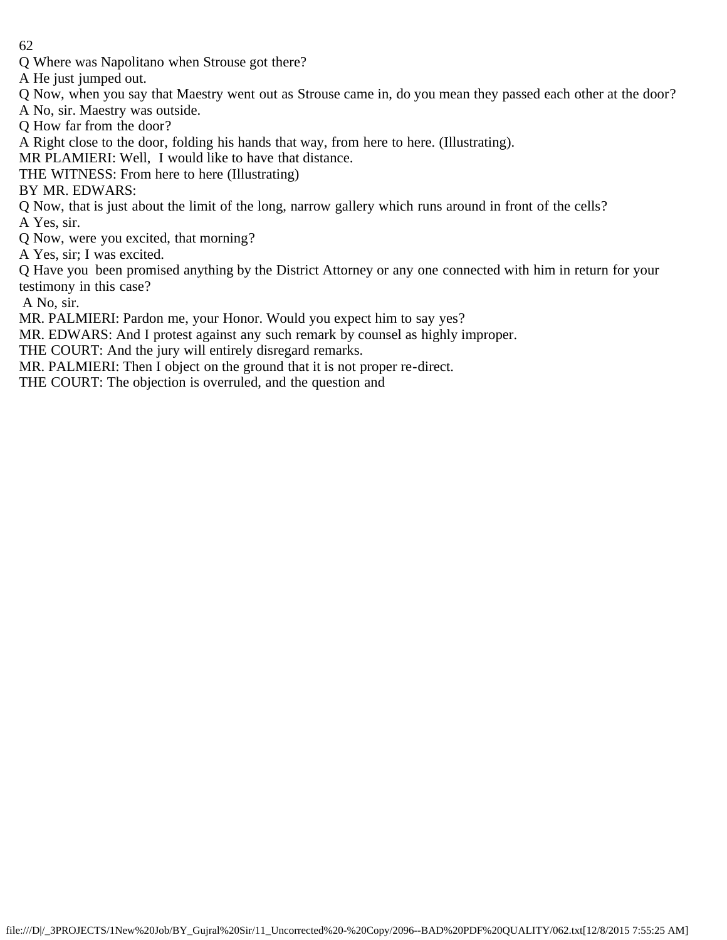Q Where was Napolitano when Strouse got there?

A He just jumped out.

Q Now, when you say that Maestry went out as Strouse came in, do you mean they passed each other at the door?

A No, sir. Maestry was outside.

Q How far from the door?

A Right close to the door, folding his hands that way, from here to here. (Illustrating).

MR PLAMIERI: Well, I would like to have that distance.

THE WITNESS: From here to here (Illustrating)

BY MR. EDWARS:

Q Now, that is just about the limit of the long, narrow gallery which runs around in front of the cells?

A Yes, sir.

Q Now, were you excited, that morning?

A Yes, sir; I was excited.

Q Have you been promised anything by the District Attorney or any one connected with him in return for your testimony in this case?

A No, sir.

MR. PALMIERI: Pardon me, your Honor. Would you expect him to say yes?

MR. EDWARS: And I protest against any such remark by counsel as highly improper.

THE COURT: And the jury will entirely disregard remarks.

MR. PALMIERI: Then I object on the ground that it is not proper re-direct.

THE COURT: The objection is overruled, and the question and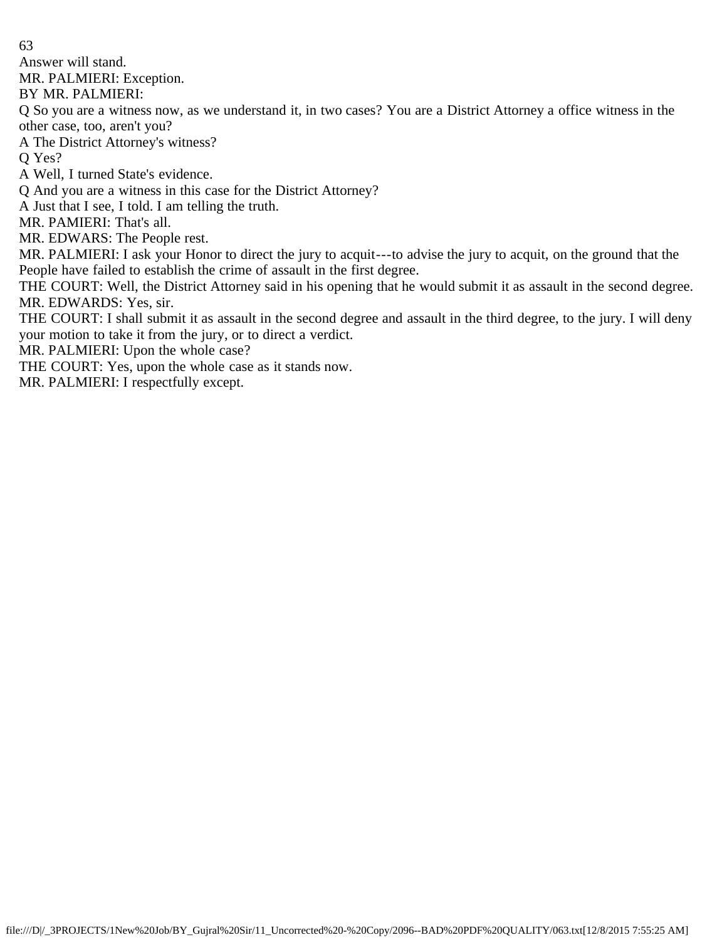Answer will stand.

MR. PALMIERI: Exception.

BY MR. PALMIERI:

Q So you are a witness now, as we understand it, in two cases? You are a District Attorney a office witness in the other case, too, aren't you?

A The District Attorney's witness?

Q Yes?

A Well, I turned State's evidence.

Q And you are a witness in this case for the District Attorney?

A Just that I see, I told. I am telling the truth.

MR. PAMIERI: That's all.

MR. EDWARS: The People rest.

MR. PALMIERI: I ask your Honor to direct the jury to acquit---to advise the jury to acquit, on the ground that the People have failed to establish the crime of assault in the first degree.

THE COURT: Well, the District Attorney said in his opening that he would submit it as assault in the second degree. MR. EDWARDS: Yes, sir.

THE COURT: I shall submit it as assault in the second degree and assault in the third degree, to the jury. I will deny your motion to take it from the jury, or to direct a verdict.

MR. PALMIERI: Upon the whole case?

THE COURT: Yes, upon the whole case as it stands now.

MR. PALMIERI: I respectfully except.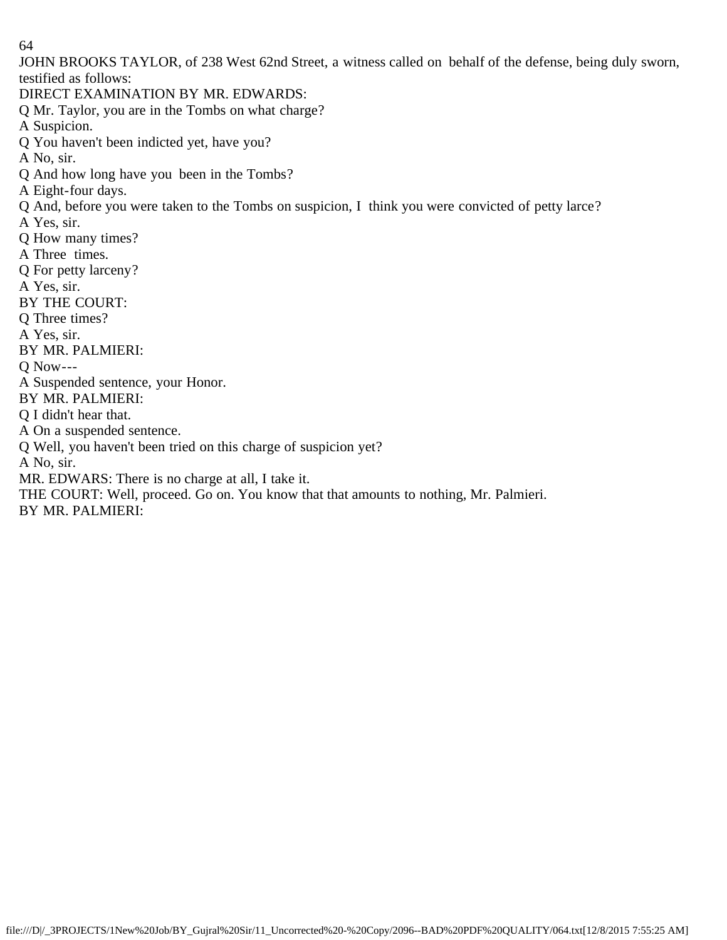JOHN BROOKS TAYLOR, of 238 West 62nd Street, a witness called on behalf of the defense, being duly sworn, testified as follows:

DIRECT EXAMINATION BY MR. EDWARDS:

Q Mr. Taylor, you are in the Tombs on what charge?

A Suspicion.

Q You haven't been indicted yet, have you?

A No, sir.

Q And how long have you been in the Tombs?

A Eight-four days.

Q And, before you were taken to the Tombs on suspicion, I think you were convicted of petty larce?

A Yes, sir.

Q How many times?

A Three times.

Q For petty larceny?

A Yes, sir.

BY THE COURT:

Q Three times?

A Yes, sir.

BY MR. PALMIERI:

Q Now---

A Suspended sentence, your Honor.

BY MR. PALMIERI:

Q I didn't hear that.

A On a suspended sentence.

Q Well, you haven't been tried on this charge of suspicion yet?

A No, sir.

MR. EDWARS: There is no charge at all, I take it.

THE COURT: Well, proceed. Go on. You know that that amounts to nothing, Mr. Palmieri.

BY MR. PALMIERI: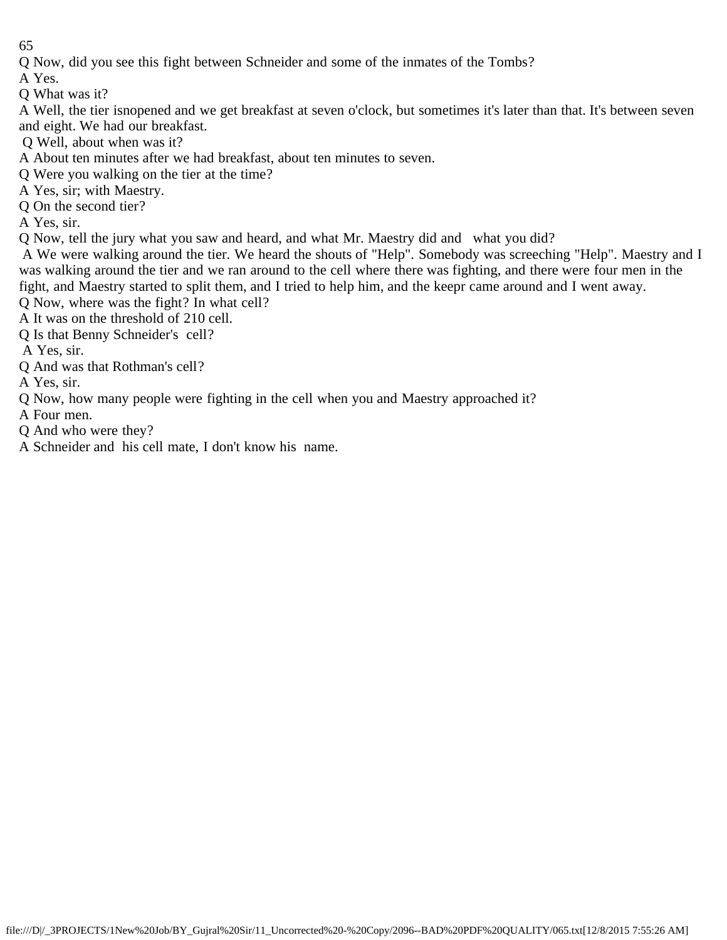Q Now, did you see this fight between Schneider and some of the inmates of the Tombs?

A Yes.

Q What was it?

A Well, the tier isnopened and we get breakfast at seven o'clock, but sometimes it's later than that. It's between seven and eight. We had our breakfast.

- Q Well, about when was it?
- A About ten minutes after we had breakfast, about ten minutes to seven.
- Q Were you walking on the tier at the time?
- A Yes, sir; with Maestry.
- Q On the second tier?
- A Yes, sir.
- Q Now, tell the jury what you saw and heard, and what Mr. Maestry did and what you did?

 A We were walking around the tier. We heard the shouts of "Help". Somebody was screeching "Help". Maestry and I was walking around the tier and we ran around to the cell where there was fighting, and there were four men in the fight, and Maestry started to split them, and I tried to help him, and the keepr came around and I went away.

- Q Now, where was the fight? In what cell?
- A It was on the threshold of 210 cell.
- Q Is that Benny Schneider's cell?
- A Yes, sir.
- Q And was that Rothman's cell?
- A Yes, sir.
- Q Now, how many people were fighting in the cell when you and Maestry approached it?
- A Four men.
- Q And who were they?
- A Schneider and his cell mate, I don't know his name.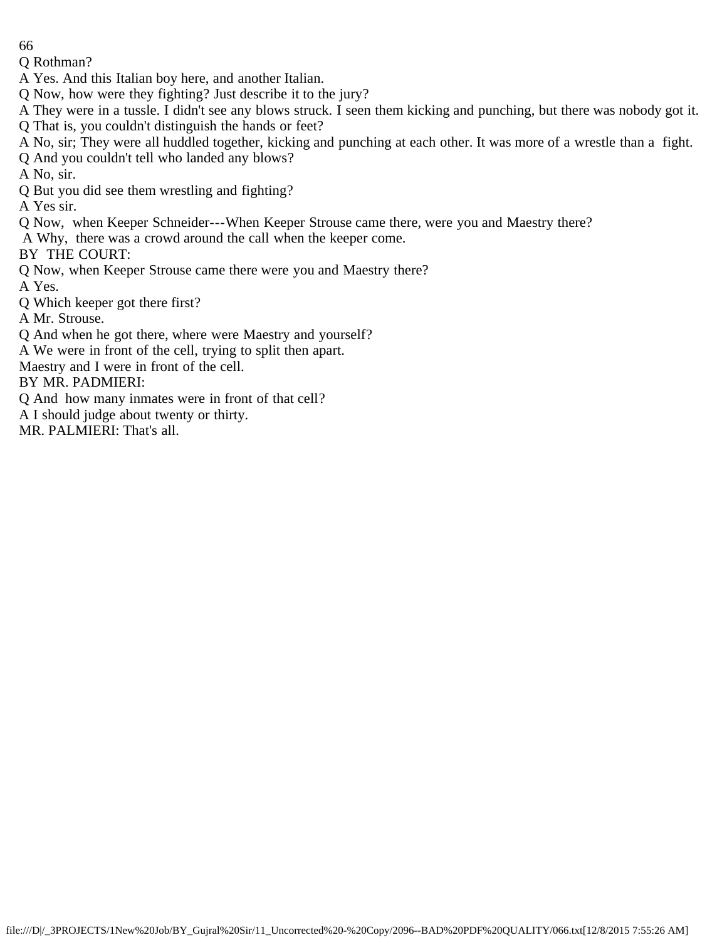Q Rothman?

A Yes. And this Italian boy here, and another Italian.

Q Now, how were they fighting? Just describe it to the jury?

A They were in a tussle. I didn't see any blows struck. I seen them kicking and punching, but there was nobody got it. Q That is, you couldn't distinguish the hands or feet?

A No, sir; They were all huddled together, kicking and punching at each other. It was more of a wrestle than a fight.

Q And you couldn't tell who landed any blows?

A No, sir.

Q But you did see them wrestling and fighting?

A Yes sir.

Q Now, when Keeper Schneider---When Keeper Strouse came there, were you and Maestry there?

A Why, there was a crowd around the call when the keeper come.

BY THE COURT:

Q Now, when Keeper Strouse came there were you and Maestry there?

A Yes.

Q Which keeper got there first?

A Mr. Strouse.

Q And when he got there, where were Maestry and yourself?

A We were in front of the cell, trying to split then apart.

Maestry and I were in front of the cell.

BY MR. PADMIERI:

Q And how many inmates were in front of that cell?

A I should judge about twenty or thirty.

MR. PALMIERI: That's all.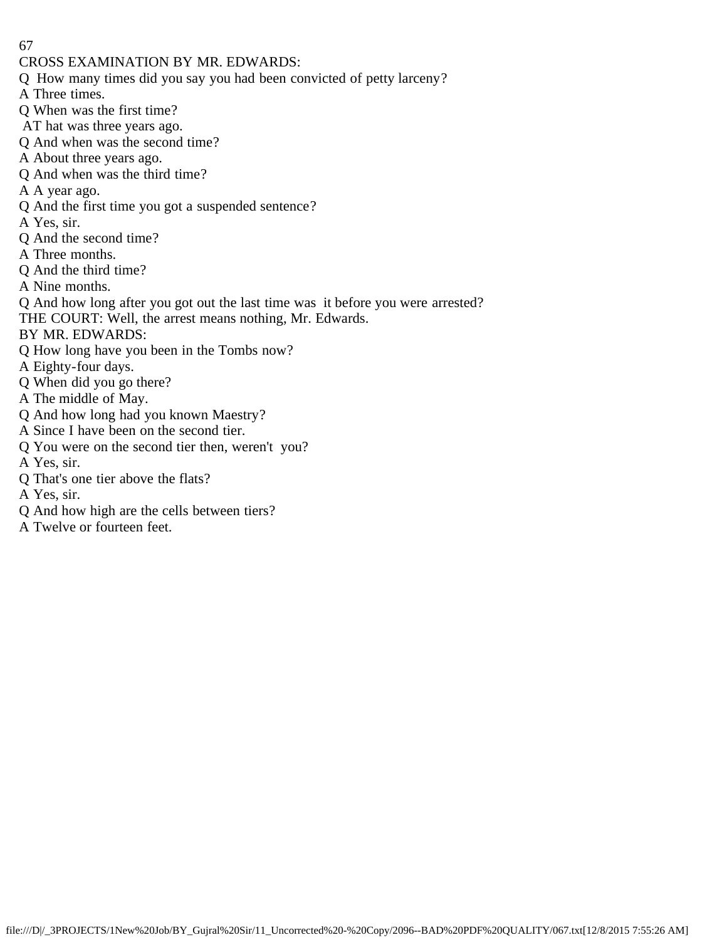- CROSS EXAMINATION BY MR. EDWARDS:
- Q How many times did you say you had been convicted of petty larceny?
- A Three times.
- Q When was the first time?
- AT hat was three years ago.
- Q And when was the second time?
- A About three years ago.
- Q And when was the third time?
- A A year ago.
- Q And the first time you got a suspended sentence?
- A Yes, sir.
- Q And the second time?
- A Three months.
- Q And the third time?
- A Nine months.
- Q And how long after you got out the last time was it before you were arrested?
- THE COURT: Well, the arrest means nothing, Mr. Edwards.
- BY MR. EDWARDS:
- Q How long have you been in the Tombs now?
- A Eighty-four days.
- Q When did you go there?
- A The middle of May.
- Q And how long had you known Maestry?
- A Since I have been on the second tier.
- Q You were on the second tier then, weren't you?
- A Yes, sir.
- Q That's one tier above the flats?
- A Yes, sir.
- Q And how high are the cells between tiers?
- A Twelve or fourteen feet.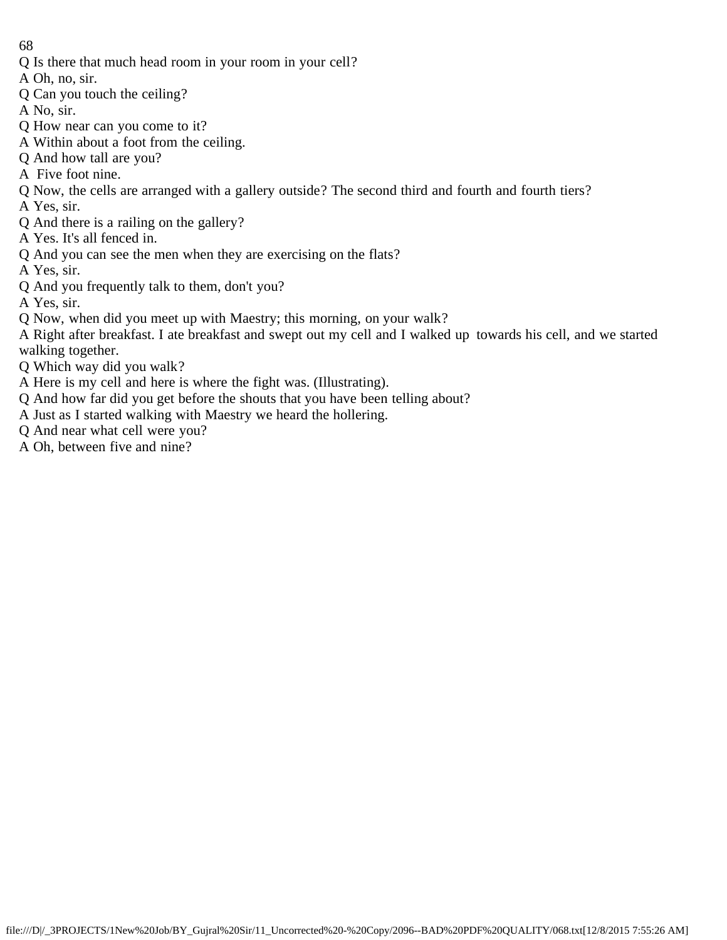Q Is there that much head room in your room in your cell?

A Oh, no, sir.

- Q Can you touch the ceiling?
- A No, sir.
- Q How near can you come to it?
- A Within about a foot from the ceiling.
- Q And how tall are you?
- A Five foot nine.
- Q Now, the cells are arranged with a gallery outside? The second third and fourth and fourth tiers?
- A Yes, sir.
- Q And there is a railing on the gallery?
- A Yes. It's all fenced in.
- Q And you can see the men when they are exercising on the flats?
- A Yes, sir.
- Q And you frequently talk to them, don't you?
- A Yes, sir.
- Q Now, when did you meet up with Maestry; this morning, on your walk?
- A Right after breakfast. I ate breakfast and swept out my cell and I walked up towards his cell, and we started walking together.
- Q Which way did you walk?
- A Here is my cell and here is where the fight was. (Illustrating).
- Q And how far did you get before the shouts that you have been telling about?
- A Just as I started walking with Maestry we heard the hollering.
- Q And near what cell were you?
- A Oh, between five and nine?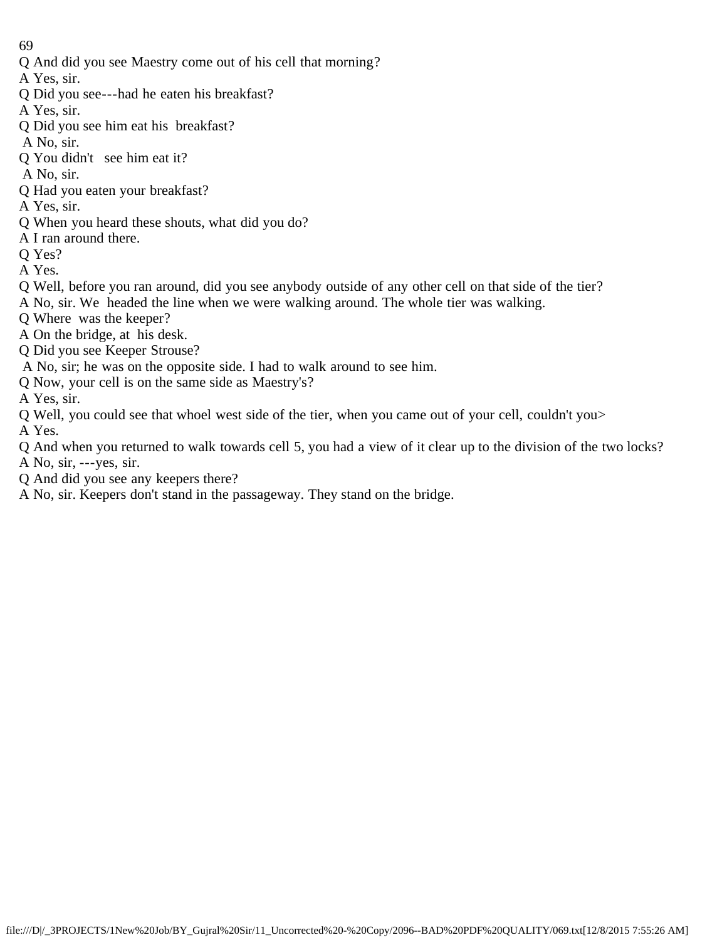Q And did you see Maestry come out of his cell that morning?

A Yes, sir.

Q Did you see---had he eaten his breakfast?

A Yes, sir.

Q Did you see him eat his breakfast?

A No, sir.

Q You didn't see him eat it?

A No, sir.

- Q Had you eaten your breakfast?
- A Yes, sir.
- Q When you heard these shouts, what did you do?
- A I ran around there.
- Q Yes?

A Yes.

- Q Well, before you ran around, did you see anybody outside of any other cell on that side of the tier?
- A No, sir. We headed the line when we were walking around. The whole tier was walking.
- Q Where was the keeper?
- A On the bridge, at his desk.
- Q Did you see Keeper Strouse?
- A No, sir; he was on the opposite side. I had to walk around to see him.
- Q Now, your cell is on the same side as Maestry's?
- A Yes, sir.
- Q Well, you could see that whoel west side of the tier, when you came out of your cell, couldn't you>
- A Yes.
- Q And when you returned to walk towards cell 5, you had a view of it clear up to the division of the two locks? A No, sir, ---yes, sir.
- Q And did you see any keepers there?
- A No, sir. Keepers don't stand in the passageway. They stand on the bridge.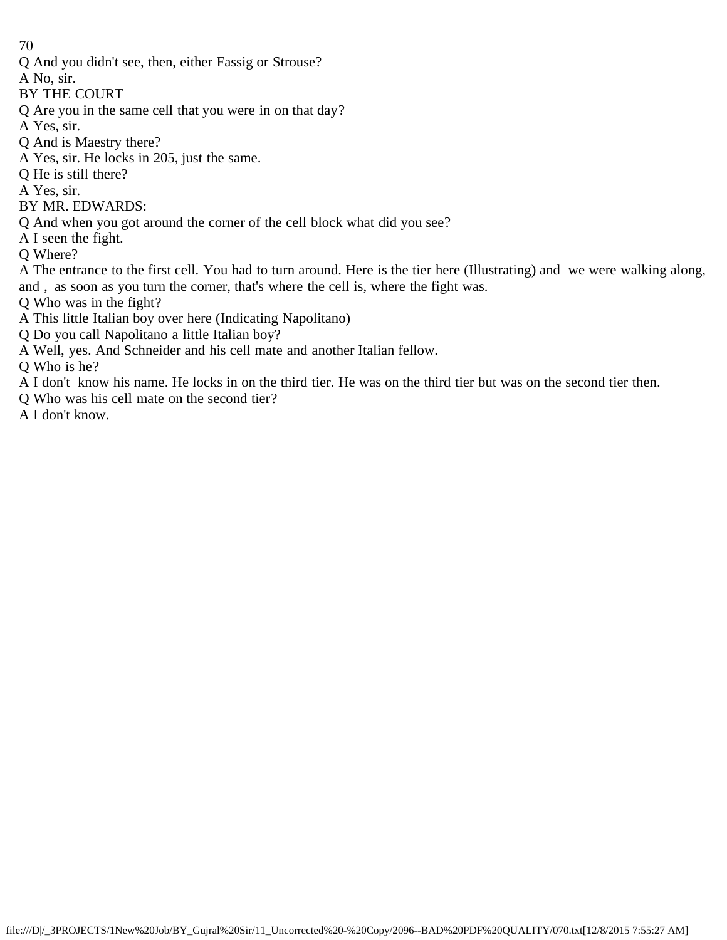- Q And you didn't see, then, either Fassig or Strouse?
- A No, sir.
- BY THE COURT
- Q Are you in the same cell that you were in on that day?
- A Yes, sir.
- Q And is Maestry there?
- A Yes, sir. He locks in 205, just the same.
- Q He is still there?
- A Yes, sir.
- BY MR. EDWARDS:
- Q And when you got around the corner of the cell block what did you see?
- A I seen the fight.
- Q Where?
- A The entrance to the first cell. You had to turn around. Here is the tier here (Illustrating) and we were walking along, and , as soon as you turn the corner, that's where the cell is, where the fight was.
- Q Who was in the fight?
- A This little Italian boy over here (Indicating Napolitano)
- Q Do you call Napolitano a little Italian boy?
- A Well, yes. And Schneider and his cell mate and another Italian fellow.

Q Who is he?

- A I don't know his name. He locks in on the third tier. He was on the third tier but was on the second tier then.
- Q Who was his cell mate on the second tier?
- A I don't know.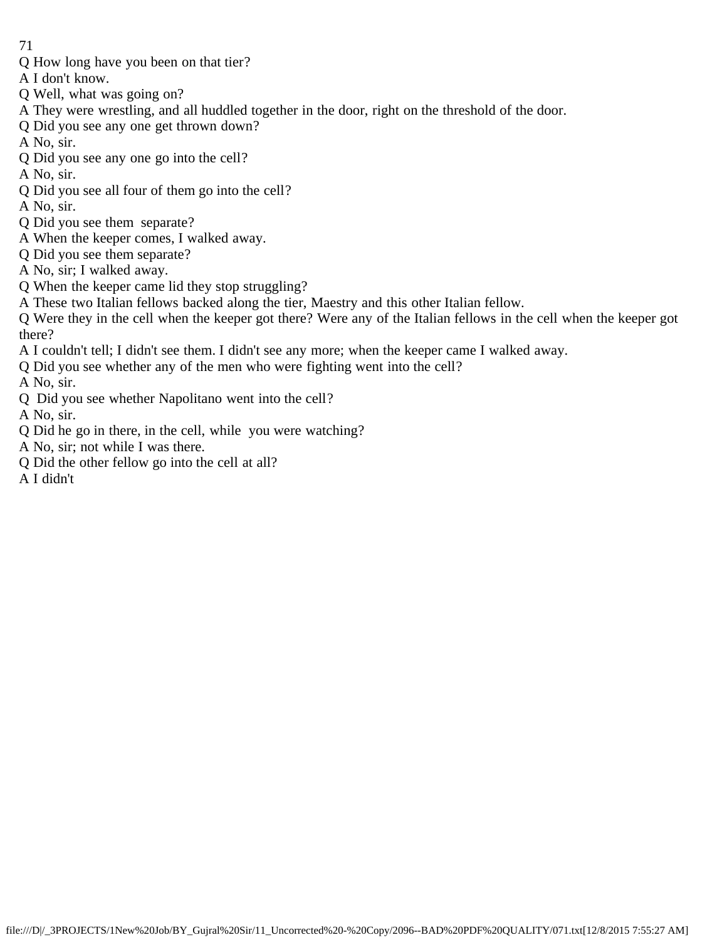- Q How long have you been on that tier?
- A I don't know.
- Q Well, what was going on?
- A They were wrestling, and all huddled together in the door, right on the threshold of the door.
- Q Did you see any one get thrown down?
- A No, sir.
- Q Did you see any one go into the cell?
- A No, sir.
- Q Did you see all four of them go into the cell?
- A No, sir.
- Q Did you see them separate?
- A When the keeper comes, I walked away.
- Q Did you see them separate?
- A No, sir; I walked away.
- Q When the keeper came lid they stop struggling?
- A These two Italian fellows backed along the tier, Maestry and this other Italian fellow.
- Q Were they in the cell when the keeper got there? Were any of the Italian fellows in the cell when the keeper got there?
- A I couldn't tell; I didn't see them. I didn't see any more; when the keeper came I walked away.
- Q Did you see whether any of the men who were fighting went into the cell?
- A No, sir.
- Q Did you see whether Napolitano went into the cell?
- A No, sir.
- Q Did he go in there, in the cell, while you were watching?
- A No, sir; not while I was there.
- Q Did the other fellow go into the cell at all?
- A I didn't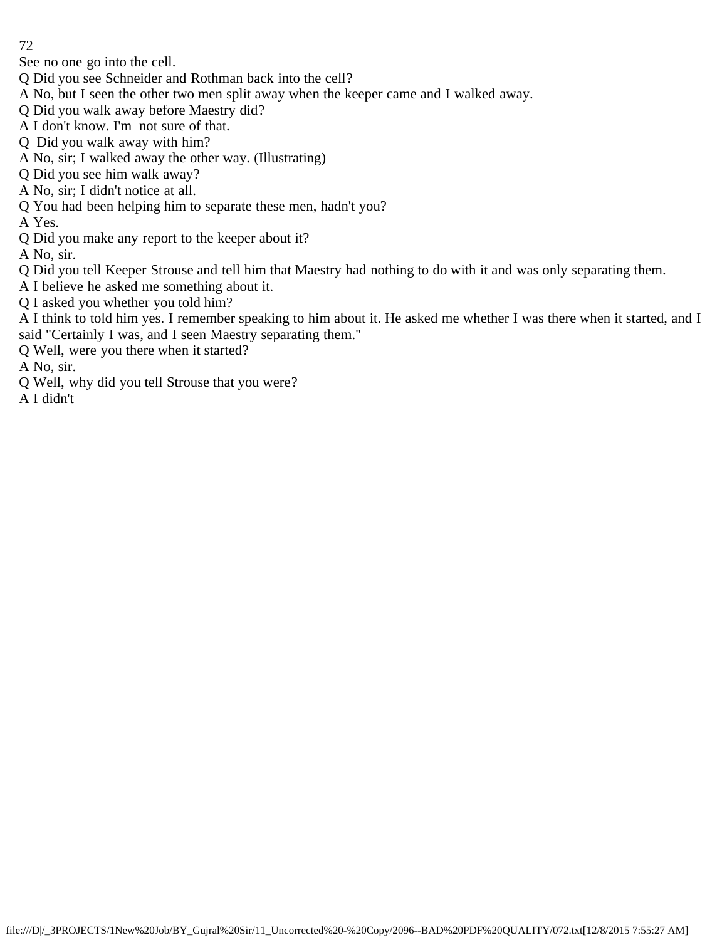See no one go into the cell.

- Q Did you see Schneider and Rothman back into the cell?
- A No, but I seen the other two men split away when the keeper came and I walked away.
- Q Did you walk away before Maestry did?
- A I don't know. I'm not sure of that.
- Q Did you walk away with him?
- A No, sir; I walked away the other way. (Illustrating)
- Q Did you see him walk away?
- A No, sir; I didn't notice at all.
- Q You had been helping him to separate these men, hadn't you?
- A Yes.
- Q Did you make any report to the keeper about it?
- A No, sir.

Q Did you tell Keeper Strouse and tell him that Maestry had nothing to do with it and was only separating them.

- A I believe he asked me something about it.
- Q I asked you whether you told him?
- A I think to told him yes. I remember speaking to him about it. He asked me whether I was there when it started, and I said "Certainly I was, and I seen Maestry separating them."
- Q Well, were you there when it started?
- A No, sir.
- Q Well, why did you tell Strouse that you were?
- A I didn't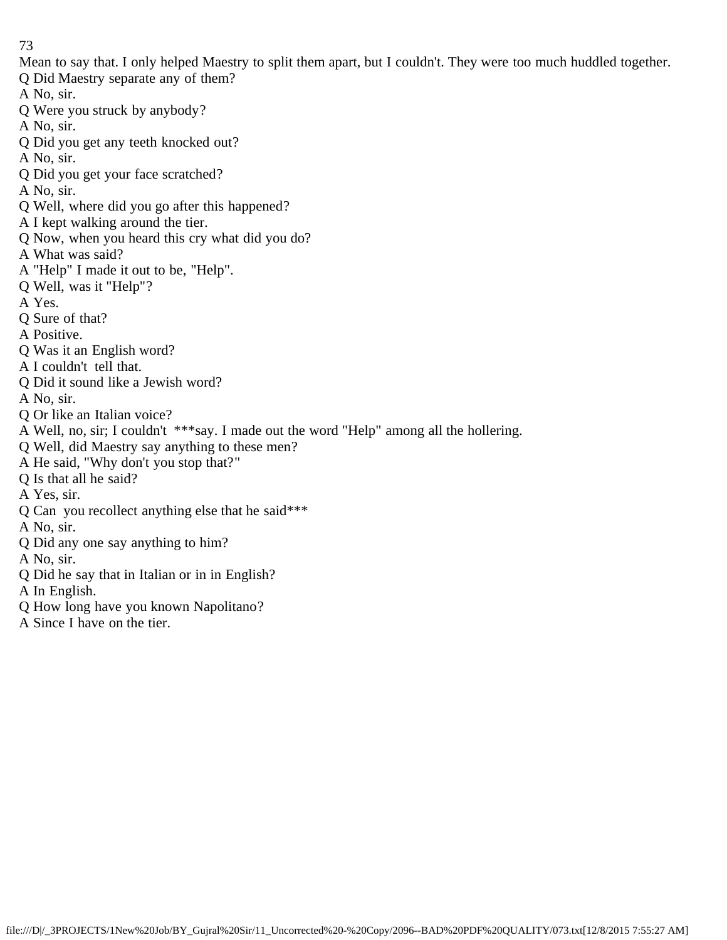Mean to say that. I only helped Maestry to split them apart, but I couldn't. They were too much huddled together.

- Q Did Maestry separate any of them?
- A No, sir.
- Q Were you struck by anybody?
- A No, sir.
- Q Did you get any teeth knocked out?
- A No, sir.
- Q Did you get your face scratched?
- A No, sir.
- Q Well, where did you go after this happened?
- A I kept walking around the tier.
- Q Now, when you heard this cry what did you do?
- A What was said?
- A "Help" I made it out to be, "Help".
- Q Well, was it "Help"?
- A Yes.
- Q Sure of that?
- A Positive.
- Q Was it an English word?
- A I couldn't tell that.
- Q Did it sound like a Jewish word?
- A No, sir.
- Q Or like an Italian voice?
- A Well, no, sir; I couldn't \*\*\*say. I made out the word "Help" among all the hollering.
- Q Well, did Maestry say anything to these men?
- A He said, "Why don't you stop that?"
- Q Is that all he said?
- A Yes, sir.
- Q Can you recollect anything else that he said\*\*\*
- A No, sir.
- Q Did any one say anything to him?
- A No, sir.
- Q Did he say that in Italian or in in English?
- A In English.
- Q How long have you known Napolitano?
- A Since I have on the tier.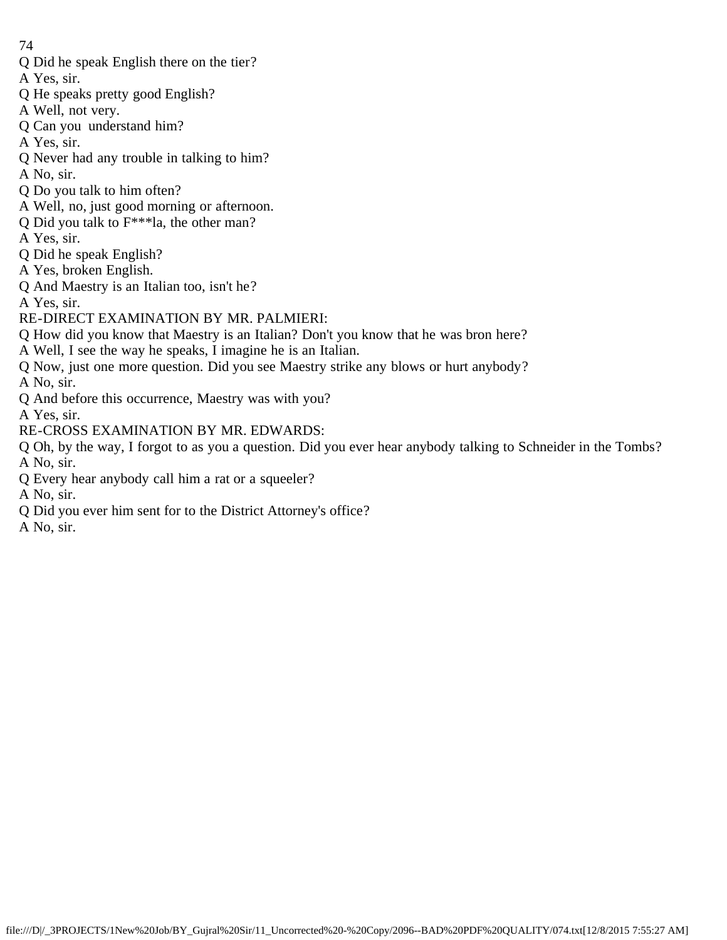Q Did he speak English there on the tier?

A Yes, sir.

- Q He speaks pretty good English?
- A Well, not very.
- Q Can you understand him?
- A Yes, sir.
- Q Never had any trouble in talking to him?
- A No, sir.
- Q Do you talk to him often?
- A Well, no, just good morning or afternoon.
- Q Did you talk to F\*\*\*la, the other man?
- A Yes, sir.
- Q Did he speak English?
- A Yes, broken English.
- Q And Maestry is an Italian too, isn't he?
- A Yes, sir.
- RE-DIRECT EXAMINATION BY MR. PALMIERI:
- Q How did you know that Maestry is an Italian? Don't you know that he was bron here?
- A Well, I see the way he speaks, I imagine he is an Italian.
- Q Now, just one more question. Did you see Maestry strike any blows or hurt anybody?
- A No, sir.
- Q And before this occurrence, Maestry was with you?
- A Yes, sir.
- RE-CROSS EXAMINATION BY MR. EDWARDS:
- Q Oh, by the way, I forgot to as you a question. Did you ever hear anybody talking to Schneider in the Tombs? A No, sir.
- Q Every hear anybody call him a rat or a squeeler?
- A No, sir.
- Q Did you ever him sent for to the District Attorney's office?
- A No, sir.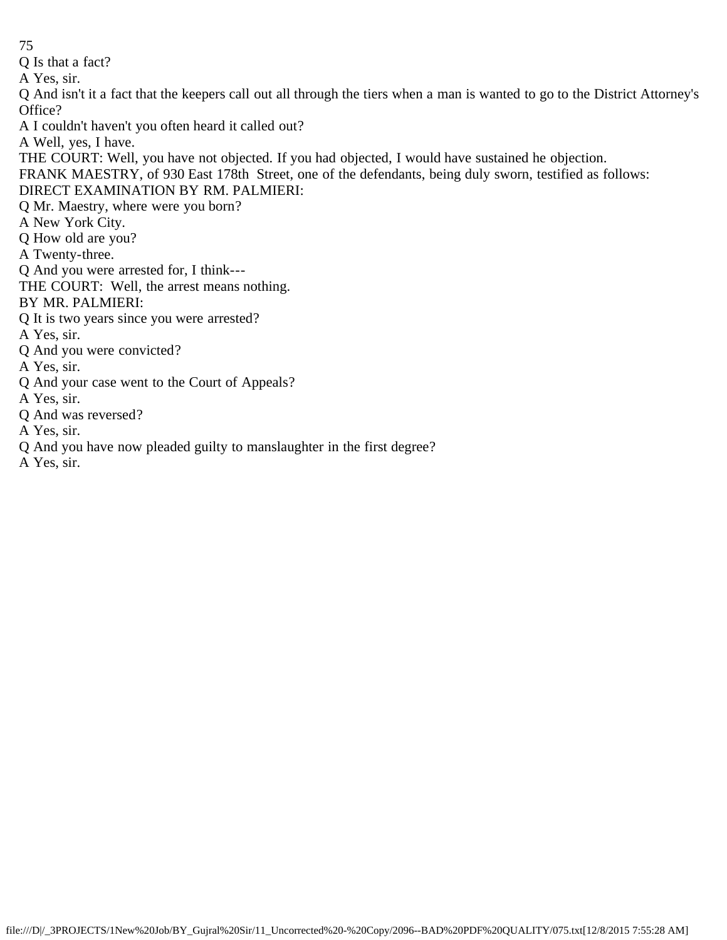Q Is that a fact?

A Yes, sir.

Q And isn't it a fact that the keepers call out all through the tiers when a man is wanted to go to the District Attorney's Office?

A I couldn't haven't you often heard it called out?

A Well, yes, I have.

THE COURT: Well, you have not objected. If you had objected, I would have sustained he objection.

FRANK MAESTRY, of 930 East 178th Street, one of the defendants, being duly sworn, testified as follows:

# DIRECT EXAMINATION BY RM. PALMIERI:

Q Mr. Maestry, where were you born?

A New York City.

Q How old are you?

A Twenty-three.

Q And you were arrested for, I think---

THE COURT: Well, the arrest means nothing.

BY MR. PALMIERI:

Q It is two years since you were arrested?

- A Yes, sir.
- Q And you were convicted?

A Yes, sir.

- Q And your case went to the Court of Appeals?
- A Yes, sir.
- Q And was reversed?
- A Yes, sir.
- Q And you have now pleaded guilty to manslaughter in the first degree?

A Yes, sir.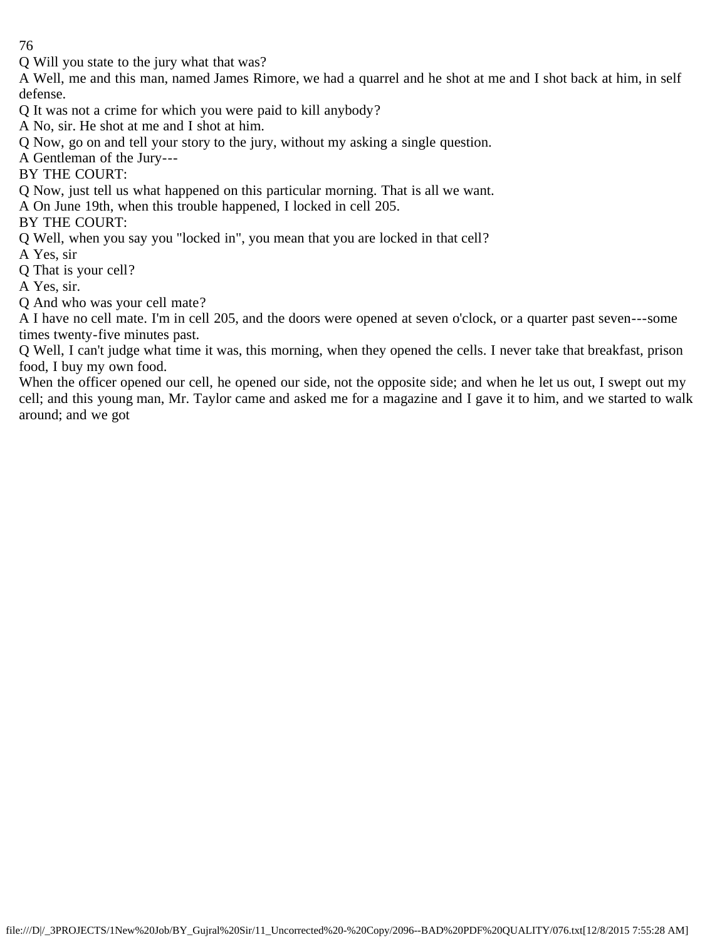Q Will you state to the jury what that was?

A Well, me and this man, named James Rimore, we had a quarrel and he shot at me and I shot back at him, in self defense.

Q It was not a crime for which you were paid to kill anybody?

A No, sir. He shot at me and I shot at him.

Q Now, go on and tell your story to the jury, without my asking a single question.

A Gentleman of the Jury---

BY THE COURT:

Q Now, just tell us what happened on this particular morning. That is all we want.

A On June 19th, when this trouble happened, I locked in cell 205.

BY THE COURT:

Q Well, when you say you "locked in", you mean that you are locked in that cell?

A Yes, sir

Q That is your cell?

A Yes, sir.

Q And who was your cell mate?

A I have no cell mate. I'm in cell 205, and the doors were opened at seven o'clock, or a quarter past seven---some times twenty-five minutes past.

Q Well, I can't judge what time it was, this morning, when they opened the cells. I never take that breakfast, prison food, I buy my own food.

When the officer opened our cell, he opened our side, not the opposite side; and when he let us out, I swept out my cell; and this young man, Mr. Taylor came and asked me for a magazine and I gave it to him, and we started to walk around; and we got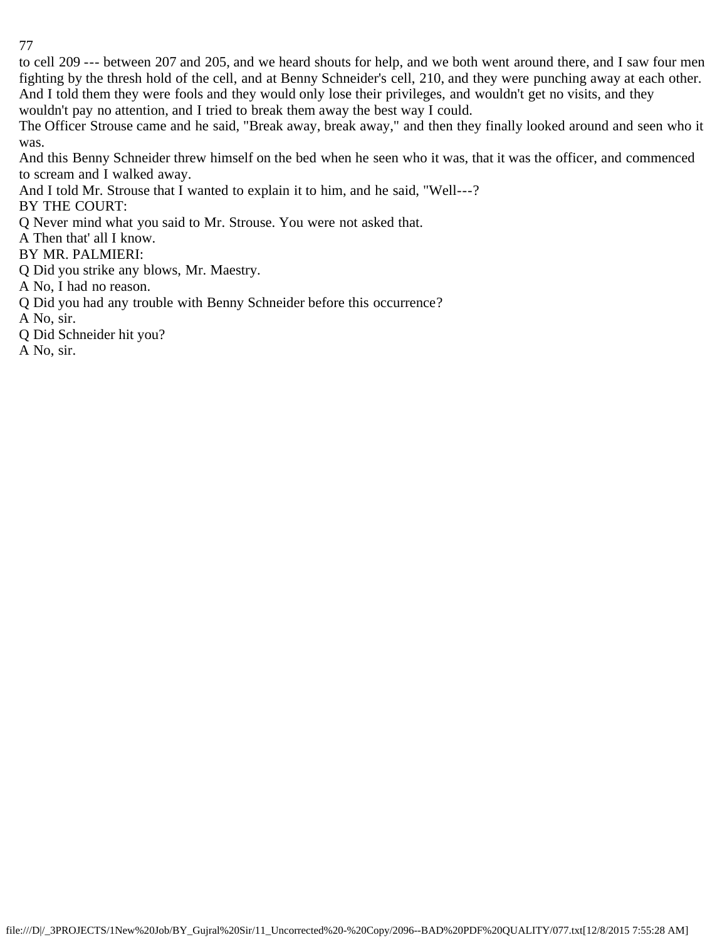to cell 209 --- between 207 and 205, and we heard shouts for help, and we both went around there, and I saw four men fighting by the thresh hold of the cell, and at Benny Schneider's cell, 210, and they were punching away at each other. And I told them they were fools and they would only lose their privileges, and wouldn't get no visits, and they wouldn't pay no attention, and I tried to break them away the best way I could.

The Officer Strouse came and he said, "Break away, break away," and then they finally looked around and seen who it was.

And this Benny Schneider threw himself on the bed when he seen who it was, that it was the officer, and commenced to scream and I walked away.

And I told Mr. Strouse that I wanted to explain it to him, and he said, "Well---?

BY THE COURT:

Q Never mind what you said to Mr. Strouse. You were not asked that.

A Then that' all I know.

BY MR. PALMIERI:

Q Did you strike any blows, Mr. Maestry.

A No, I had no reason.

Q Did you had any trouble with Benny Schneider before this occurrence?

A No, sir.

Q Did Schneider hit you?

A No, sir.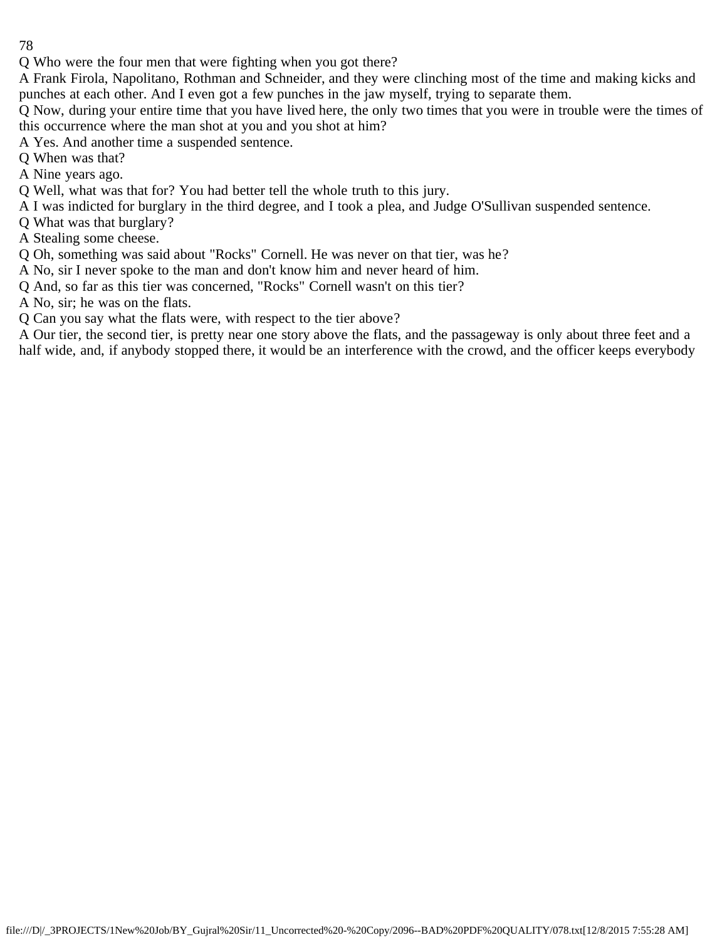Q Who were the four men that were fighting when you got there?

A Frank Firola, Napolitano, Rothman and Schneider, and they were clinching most of the time and making kicks and punches at each other. And I even got a few punches in the jaw myself, trying to separate them.

Q Now, during your entire time that you have lived here, the only two times that you were in trouble were the times of this occurrence where the man shot at you and you shot at him?

A Yes. And another time a suspended sentence.

Q When was that?

A Nine years ago.

Q Well, what was that for? You had better tell the whole truth to this jury.

A I was indicted for burglary in the third degree, and I took a plea, and Judge O'Sullivan suspended sentence.

Q What was that burglary?

A Stealing some cheese.

Q Oh, something was said about "Rocks" Cornell. He was never on that tier, was he?

A No, sir I never spoke to the man and don't know him and never heard of him.

Q And, so far as this tier was concerned, "Rocks" Cornell wasn't on this tier?

A No, sir; he was on the flats.

Q Can you say what the flats were, with respect to the tier above?

A Our tier, the second tier, is pretty near one story above the flats, and the passageway is only about three feet and a half wide, and, if anybody stopped there, it would be an interference with the crowd, and the officer keeps everybody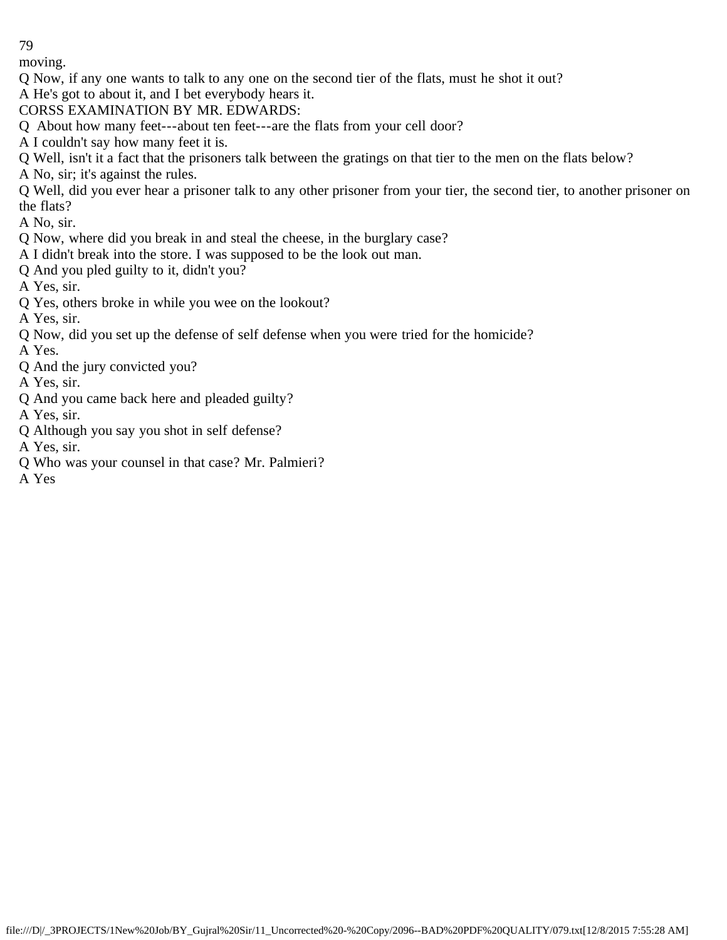moving.

- Q Now, if any one wants to talk to any one on the second tier of the flats, must he shot it out?
- A He's got to about it, and I bet everybody hears it.
- CORSS EXAMINATION BY MR. EDWARDS:
- Q About how many feet---about ten feet---are the flats from your cell door?
- A I couldn't say how many feet it is.
- Q Well, isn't it a fact that the prisoners talk between the gratings on that tier to the men on the flats below?
- A No, sir; it's against the rules.
- Q Well, did you ever hear a prisoner talk to any other prisoner from your tier, the second tier, to another prisoner on the flats?
- A No, sir.
- Q Now, where did you break in and steal the cheese, in the burglary case?
- A I didn't break into the store. I was supposed to be the look out man.
- Q And you pled guilty to it, didn't you?
- A Yes, sir.
- Q Yes, others broke in while you wee on the lookout?
- A Yes, sir.
- Q Now, did you set up the defense of self defense when you were tried for the homicide?
- A Yes.
- Q And the jury convicted you?
- A Yes, sir.
- Q And you came back here and pleaded guilty?
- A Yes, sir.
- Q Although you say you shot in self defense?
- A Yes, sir.
- Q Who was your counsel in that case? Mr. Palmieri?
- A Yes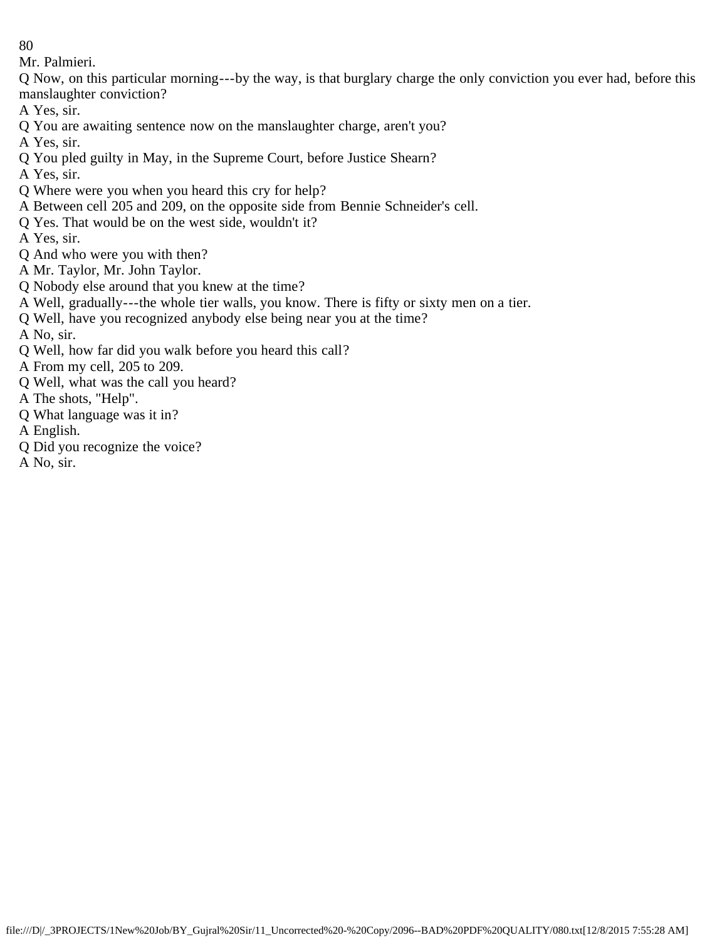Mr. Palmieri.

Q Now, on this particular morning---by the way, is that burglary charge the only conviction you ever had, before this manslaughter conviction?

A Yes, sir.

Q You are awaiting sentence now on the manslaughter charge, aren't you?

A Yes, sir.

Q You pled guilty in May, in the Supreme Court, before Justice Shearn?

A Yes, sir.

- Q Where were you when you heard this cry for help?
- A Between cell 205 and 209, on the opposite side from Bennie Schneider's cell.
- Q Yes. That would be on the west side, wouldn't it?

A Yes, sir.

- Q And who were you with then?
- A Mr. Taylor, Mr. John Taylor.
- Q Nobody else around that you knew at the time?
- A Well, gradually---the whole tier walls, you know. There is fifty or sixty men on a tier.
- Q Well, have you recognized anybody else being near you at the time?

A No, sir.

Q Well, how far did you walk before you heard this call?

A From my cell, 205 to 209.

- Q Well, what was the call you heard?
- A The shots, "Help".
- Q What language was it in?

A English.

Q Did you recognize the voice?

A No, sir.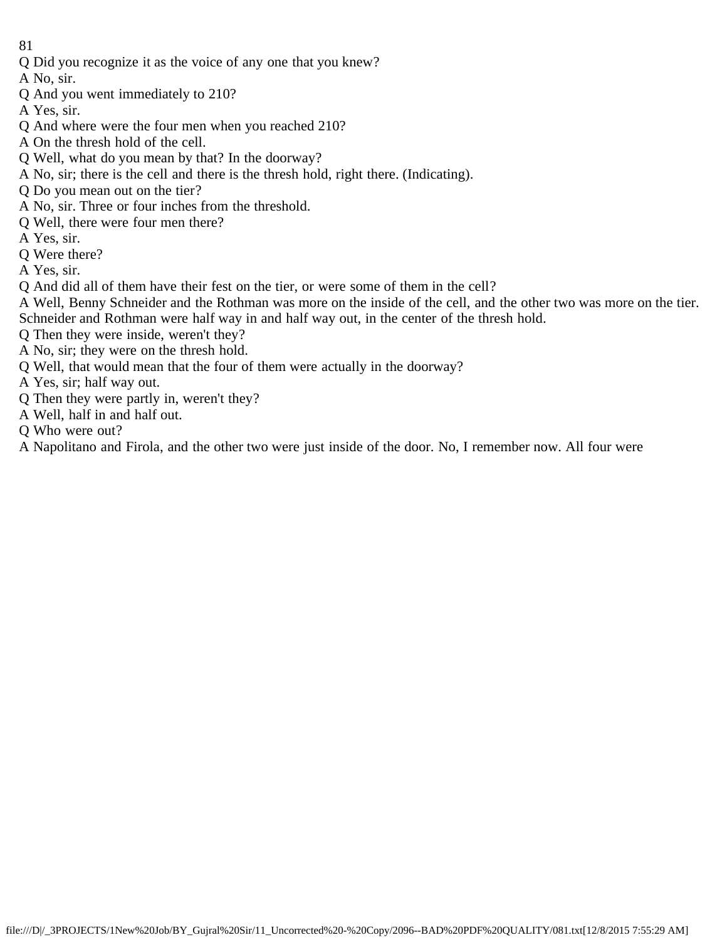- 81
- Q Did you recognize it as the voice of any one that you knew?
- A No, sir.
- Q And you went immediately to 210?
- A Yes, sir.
- Q And where were the four men when you reached 210?
- A On the thresh hold of the cell.
- Q Well, what do you mean by that? In the doorway?
- A No, sir; there is the cell and there is the thresh hold, right there. (Indicating).
- Q Do you mean out on the tier?
- A No, sir. Three or four inches from the threshold.
- Q Well, there were four men there?
- A Yes, sir.
- Q Were there?
- A Yes, sir.
- Q And did all of them have their fest on the tier, or were some of them in the cell?
- A Well, Benny Schneider and the Rothman was more on the inside of the cell, and the other two was more on the tier. Schneider and Rothman were half way in and half way out, in the center of the thresh hold.
- Q Then they were inside, weren't they?
- A No, sir; they were on the thresh hold.
- Q Well, that would mean that the four of them were actually in the doorway?
- A Yes, sir; half way out.
- Q Then they were partly in, weren't they?
- A Well, half in and half out.
- Q Who were out?
- A Napolitano and Firola, and the other two were just inside of the door. No, I remember now. All four were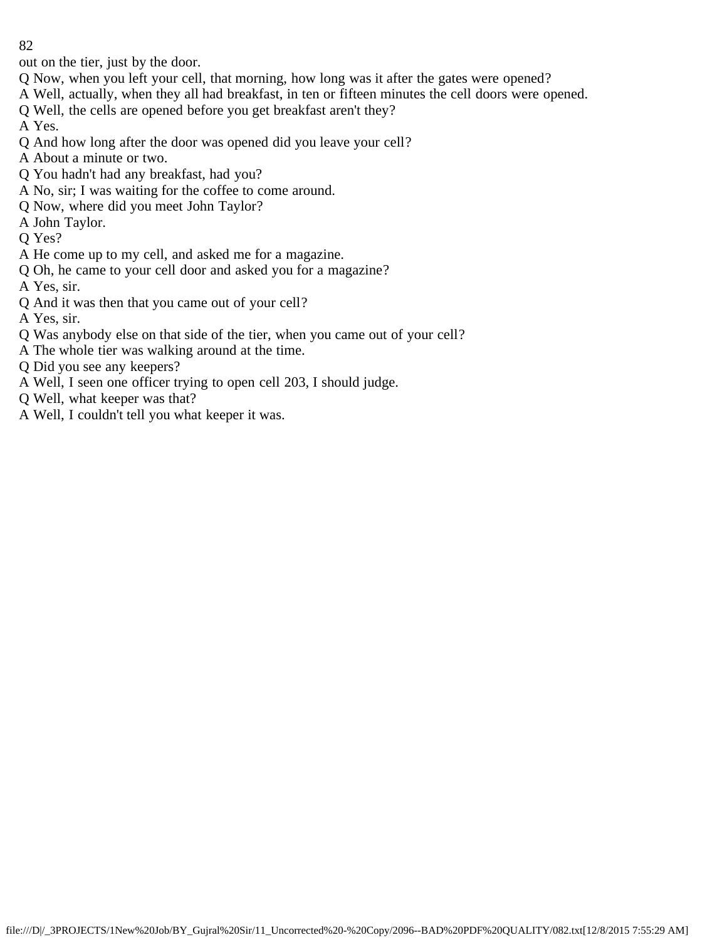out on the tier, just by the door.

- Q Now, when you left your cell, that morning, how long was it after the gates were opened?
- A Well, actually, when they all had breakfast, in ten or fifteen minutes the cell doors were opened.
- Q Well, the cells are opened before you get breakfast aren't they?

A Yes.

- Q And how long after the door was opened did you leave your cell?
- A About a minute or two.
- Q You hadn't had any breakfast, had you?
- A No, sir; I was waiting for the coffee to come around.
- Q Now, where did you meet John Taylor?
- A John Taylor.
- Q Yes?
- A He come up to my cell, and asked me for a magazine.
- Q Oh, he came to your cell door and asked you for a magazine?
- A Yes, sir.
- Q And it was then that you came out of your cell?
- A Yes, sir.
- Q Was anybody else on that side of the tier, when you came out of your cell?
- A The whole tier was walking around at the time.
- Q Did you see any keepers?
- A Well, I seen one officer trying to open cell 203, I should judge.
- Q Well, what keeper was that?
- A Well, I couldn't tell you what keeper it was.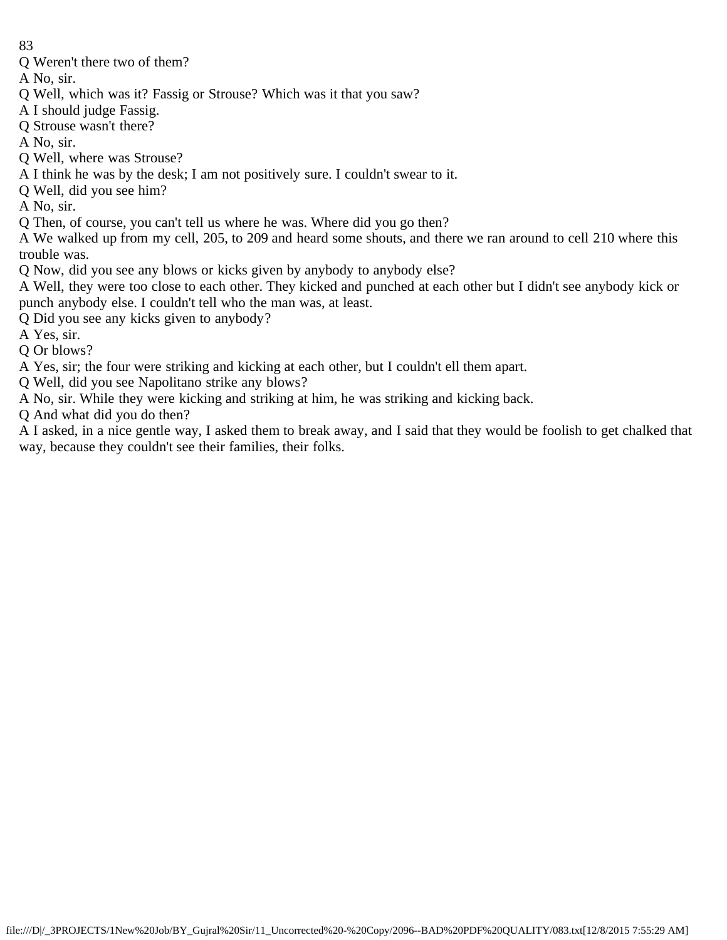Q Weren't there two of them?

A No, sir.

- Q Well, which was it? Fassig or Strouse? Which was it that you saw?
- A I should judge Fassig.
- Q Strouse wasn't there?
- A No, sir.
- Q Well, where was Strouse?
- A I think he was by the desk; I am not positively sure. I couldn't swear to it.
- Q Well, did you see him?

A No, sir.

Q Then, of course, you can't tell us where he was. Where did you go then?

A We walked up from my cell, 205, to 209 and heard some shouts, and there we ran around to cell 210 where this trouble was.

- Q Now, did you see any blows or kicks given by anybody to anybody else?
- A Well, they were too close to each other. They kicked and punched at each other but I didn't see anybody kick or punch anybody else. I couldn't tell who the man was, at least.
- Q Did you see any kicks given to anybody?
- A Yes, sir.
- Q Or blows?
- A Yes, sir; the four were striking and kicking at each other, but I couldn't ell them apart.
- Q Well, did you see Napolitano strike any blows?
- A No, sir. While they were kicking and striking at him, he was striking and kicking back.
- Q And what did you do then?

A I asked, in a nice gentle way, I asked them to break away, and I said that they would be foolish to get chalked that way, because they couldn't see their families, their folks.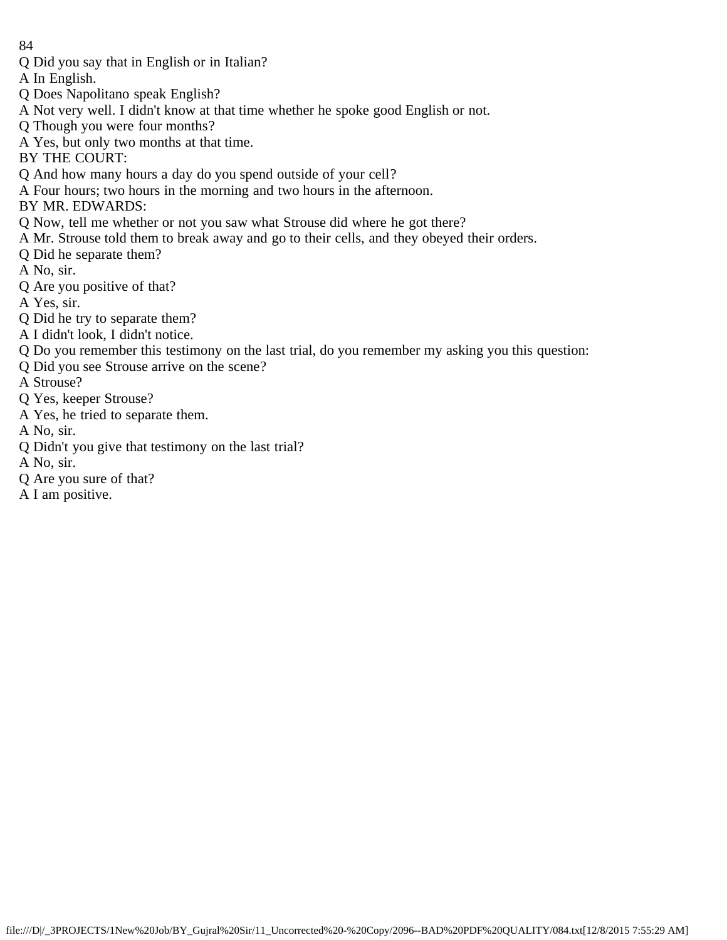Q Did you say that in English or in Italian?

A In English.

- Q Does Napolitano speak English?
- A Not very well. I didn't know at that time whether he spoke good English or not.
- Q Though you were four months?
- A Yes, but only two months at that time.

BY THE COURT:

- Q And how many hours a day do you spend outside of your cell?
- A Four hours; two hours in the morning and two hours in the afternoon.
- BY MR. EDWARDS:
- Q Now, tell me whether or not you saw what Strouse did where he got there?
- A Mr. Strouse told them to break away and go to their cells, and they obeyed their orders.
- Q Did he separate them?
- A No, sir.
- Q Are you positive of that?
- A Yes, sir.
- Q Did he try to separate them?
- A I didn't look, I didn't notice.
- Q Do you remember this testimony on the last trial, do you remember my asking you this question:
- Q Did you see Strouse arrive on the scene?
- A Strouse?
- Q Yes, keeper Strouse?
- A Yes, he tried to separate them.
- A No, sir.
- Q Didn't you give that testimony on the last trial?
- A No, sir.
- Q Are you sure of that?
- A I am positive.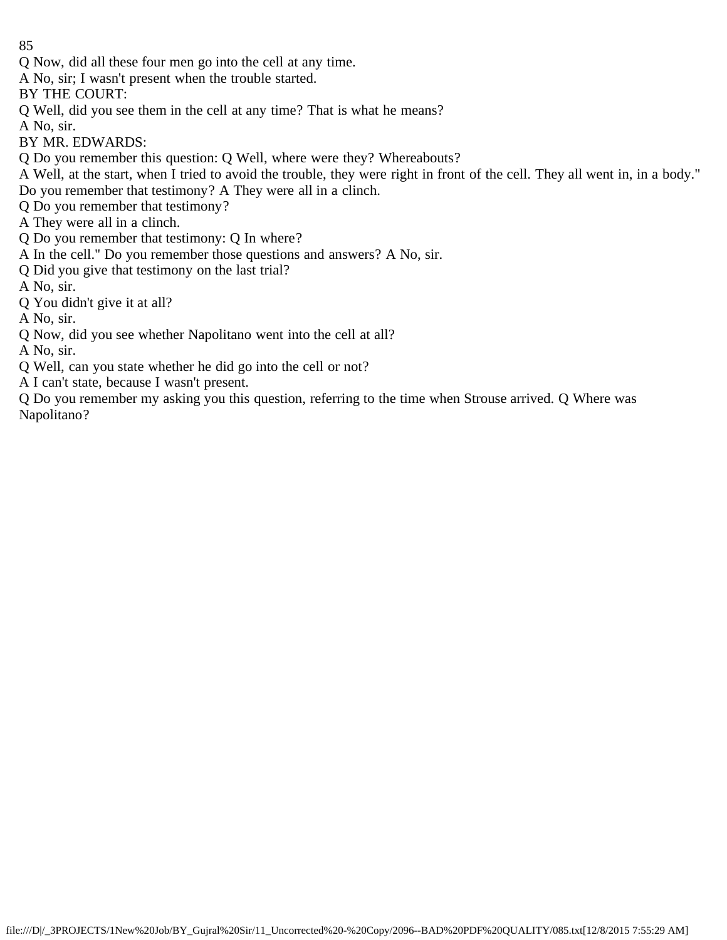Q Now, did all these four men go into the cell at any time.

A No, sir; I wasn't present when the trouble started.

BY THE COURT:

Q Well, did you see them in the cell at any time? That is what he means?

A No, sir.

BY MR. EDWARDS:

Q Do you remember this question: Q Well, where were they? Whereabouts?

A Well, at the start, when I tried to avoid the trouble, they were right in front of the cell. They all went in, in a body." Do you remember that testimony? A They were all in a clinch.

Q Do you remember that testimony?

A They were all in a clinch.

Q Do you remember that testimony: Q In where?

A In the cell." Do you remember those questions and answers? A No, sir.

Q Did you give that testimony on the last trial?

A No, sir.

Q You didn't give it at all?

A No, sir.

Q Now, did you see whether Napolitano went into the cell at all?

A No, sir.

Q Well, can you state whether he did go into the cell or not?

A I can't state, because I wasn't present.

Q Do you remember my asking you this question, referring to the time when Strouse arrived. Q Where was Napolitano?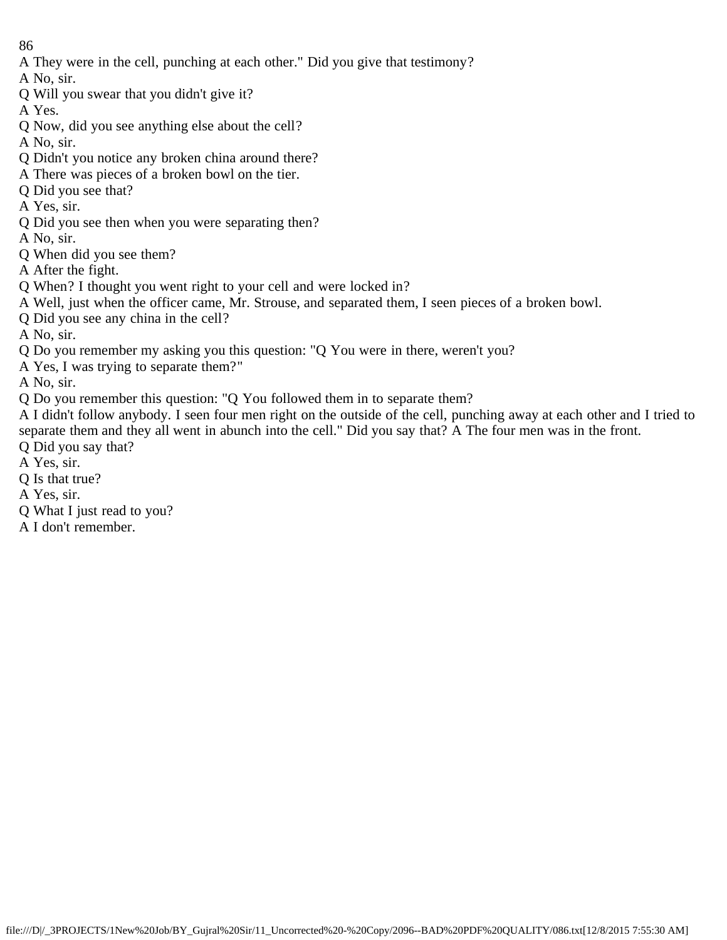A They were in the cell, punching at each other." Did you give that testimony?

A No, sir.

Q Will you swear that you didn't give it?

A Yes.

Q Now, did you see anything else about the cell?

A No, sir.

- Q Didn't you notice any broken china around there?
- A There was pieces of a broken bowl on the tier.
- Q Did you see that?
- A Yes, sir.
- Q Did you see then when you were separating then?

A No, sir.

- Q When did you see them?
- A After the fight.
- Q When? I thought you went right to your cell and were locked in?
- A Well, just when the officer came, Mr. Strouse, and separated them, I seen pieces of a broken bowl.
- Q Did you see any china in the cell?

A No, sir.

- Q Do you remember my asking you this question: "Q You were in there, weren't you?
- A Yes, I was trying to separate them?"

A No, sir.

Q Do you remember this question: "Q You followed them in to separate them?

A I didn't follow anybody. I seen four men right on the outside of the cell, punching away at each other and I tried to separate them and they all went in abunch into the cell." Did you say that? A The four men was in the front.

- Q Did you say that?
- A Yes, sir.
- Q Is that true?
- A Yes, sir.
- Q What I just read to you?
- A I don't remember.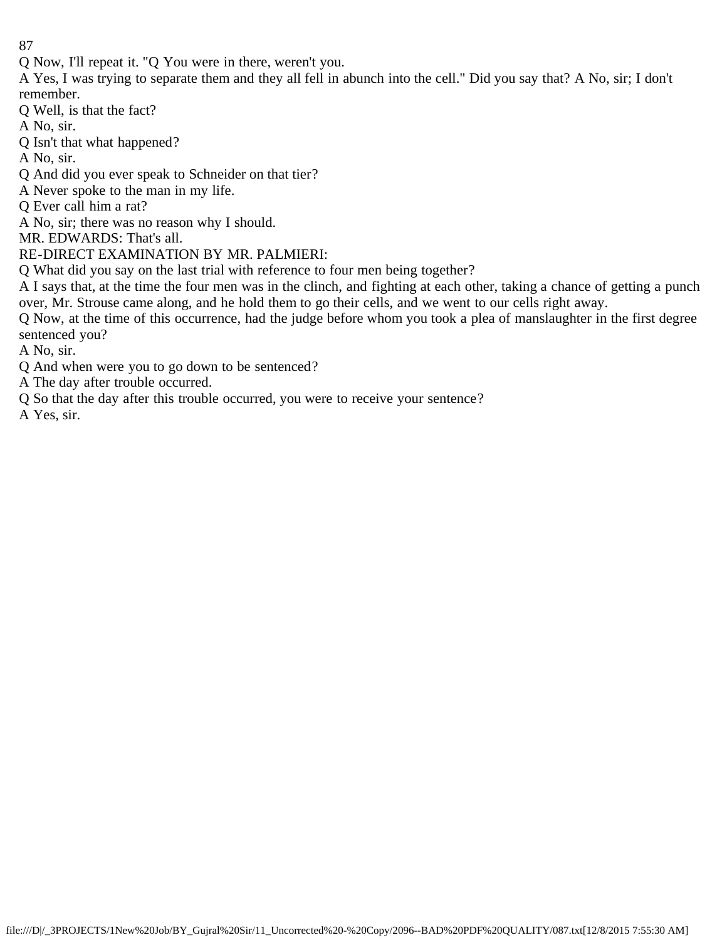Q Now, I'll repeat it. "Q You were in there, weren't you.

A Yes, I was trying to separate them and they all fell in abunch into the cell." Did you say that? A No, sir; I don't remember.

Q Well, is that the fact?

A No, sir.

Q Isn't that what happened?

A No, sir.

Q And did you ever speak to Schneider on that tier?

A Never spoke to the man in my life.

Q Ever call him a rat?

A No, sir; there was no reason why I should.

MR. EDWARDS: That's all.

RE-DIRECT EXAMINATION BY MR. PALMIERI:

Q What did you say on the last trial with reference to four men being together?

A I says that, at the time the four men was in the clinch, and fighting at each other, taking a chance of getting a punch over, Mr. Strouse came along, and he hold them to go their cells, and we went to our cells right away.

Q Now, at the time of this occurrence, had the judge before whom you took a plea of manslaughter in the first degree sentenced you?

A No, sir.

Q And when were you to go down to be sentenced?

A The day after trouble occurred.

Q So that the day after this trouble occurred, you were to receive your sentence?

A Yes, sir.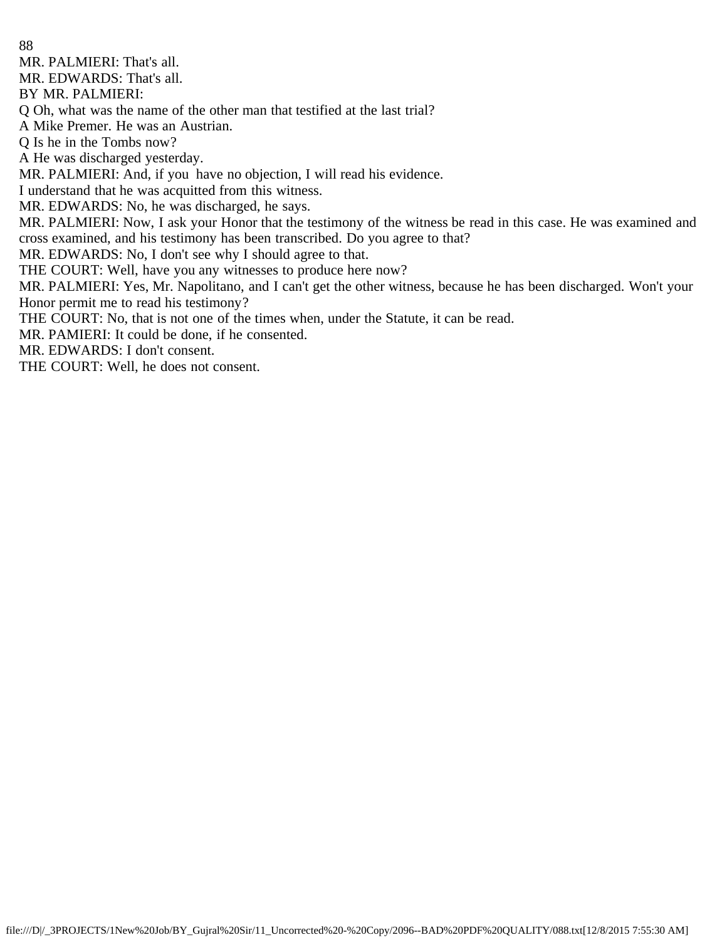MR. PALMIERI: That's all.

MR. EDWARDS: That's all.

BY MR. PALMIERI:

Q Oh, what was the name of the other man that testified at the last trial?

A Mike Premer. He was an Austrian.

Q Is he in the Tombs now?

A He was discharged yesterday.

MR. PALMIERI: And, if you have no objection, I will read his evidence.

I understand that he was acquitted from this witness.

MR. EDWARDS: No, he was discharged, he says.

MR. PALMIERI: Now, I ask your Honor that the testimony of the witness be read in this case. He was examined and cross examined, and his testimony has been transcribed. Do you agree to that?

MR. EDWARDS: No, I don't see why I should agree to that.

THE COURT: Well, have you any witnesses to produce here now?

MR. PALMIERI: Yes, Mr. Napolitano, and I can't get the other witness, because he has been discharged. Won't your Honor permit me to read his testimony?

THE COURT: No, that is not one of the times when, under the Statute, it can be read.

MR. PAMIERI: It could be done, if he consented.

MR. EDWARDS: I don't consent.

THE COURT: Well, he does not consent.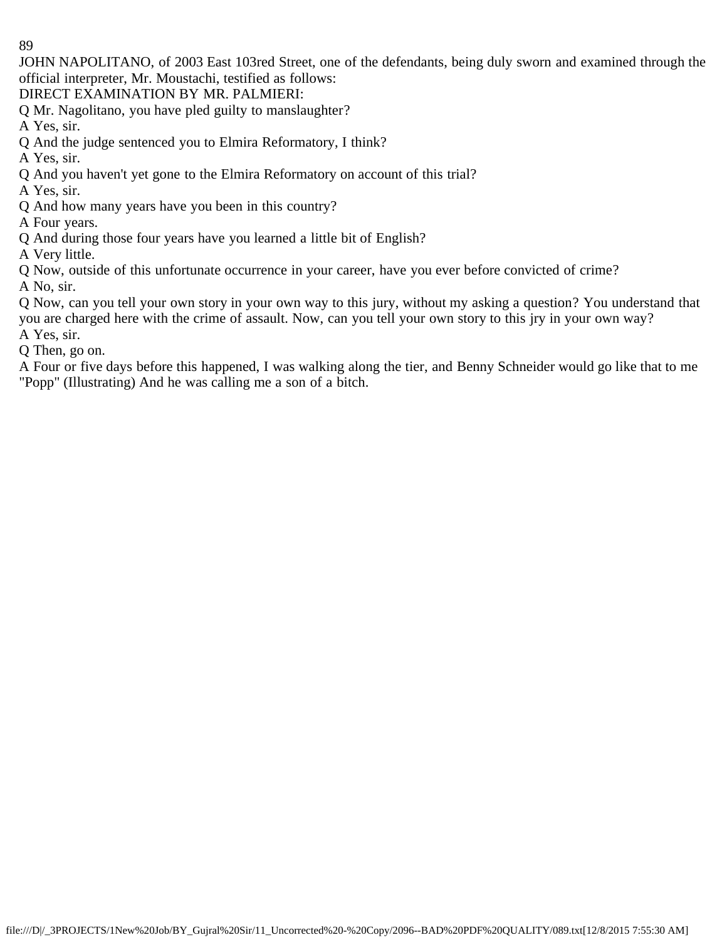JOHN NAPOLITANO, of 2003 East 103red Street, one of the defendants, being duly sworn and examined through the official interpreter, Mr. Moustachi, testified as follows:

DIRECT EXAMINATION BY MR. PALMIERI:

Q Mr. Nagolitano, you have pled guilty to manslaughter?

A Yes, sir.

Q And the judge sentenced you to Elmira Reformatory, I think?

A Yes, sir.

Q And you haven't yet gone to the Elmira Reformatory on account of this trial?

A Yes, sir.

Q And how many years have you been in this country?

A Four years.

Q And during those four years have you learned a little bit of English?

A Very little.

Q Now, outside of this unfortunate occurrence in your career, have you ever before convicted of crime? A No, sir.

Q Now, can you tell your own story in your own way to this jury, without my asking a question? You understand that you are charged here with the crime of assault. Now, can you tell your own story to this jry in your own way?

A Yes, sir.

Q Then, go on.

A Four or five days before this happened, I was walking along the tier, and Benny Schneider would go like that to me "Popp" (Illustrating) And he was calling me a son of a bitch.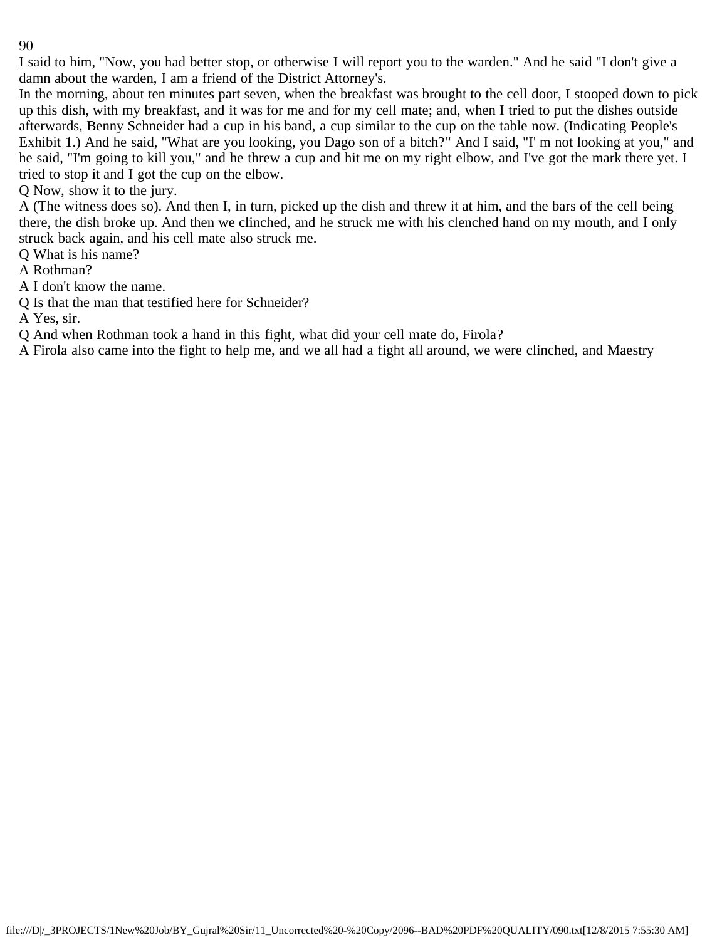I said to him, "Now, you had better stop, or otherwise I will report you to the warden." And he said "I don't give a damn about the warden, I am a friend of the District Attorney's.

In the morning, about ten minutes part seven, when the breakfast was brought to the cell door, I stooped down to pick up this dish, with my breakfast, and it was for me and for my cell mate; and, when I tried to put the dishes outside afterwards, Benny Schneider had a cup in his band, a cup similar to the cup on the table now. (Indicating People's Exhibit 1.) And he said, "What are you looking, you Dago son of a bitch?" And I said, "I' m not looking at you," and he said, "I'm going to kill you," and he threw a cup and hit me on my right elbow, and I've got the mark there yet. I tried to stop it and I got the cup on the elbow.

Q Now, show it to the jury.

A (The witness does so). And then I, in turn, picked up the dish and threw it at him, and the bars of the cell being there, the dish broke up. And then we clinched, and he struck me with his clenched hand on my mouth, and I only struck back again, and his cell mate also struck me.

Q What is his name?

A Rothman?

A I don't know the name.

Q Is that the man that testified here for Schneider?

A Yes, sir.

Q And when Rothman took a hand in this fight, what did your cell mate do, Firola?

A Firola also came into the fight to help me, and we all had a fight all around, we were clinched, and Maestry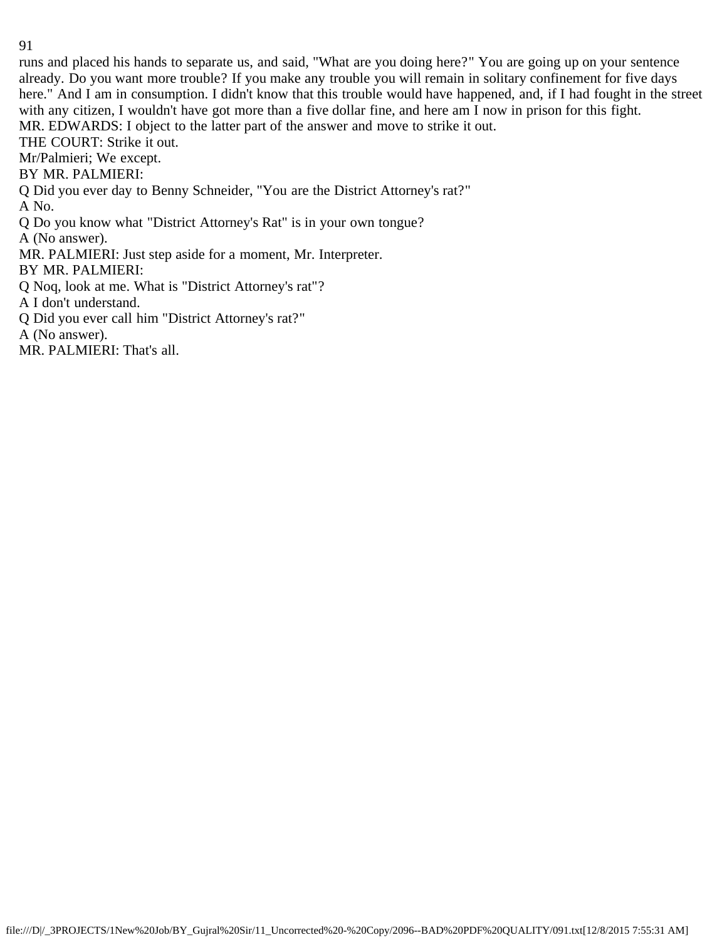runs and placed his hands to separate us, and said, "What are you doing here?" You are going up on your sentence already. Do you want more trouble? If you make any trouble you will remain in solitary confinement for five days here." And I am in consumption. I didn't know that this trouble would have happened, and, if I had fought in the street with any citizen, I wouldn't have got more than a five dollar fine, and here am I now in prison for this fight. MR. EDWARDS: I object to the latter part of the answer and move to strike it out.

THE COURT: Strike it out.

Mr/Palmieri; We except.

BY MR. PALMIERI:

Q Did you ever day to Benny Schneider, "You are the District Attorney's rat?"

A No.

Q Do you know what "District Attorney's Rat" is in your own tongue?

A (No answer).

MR. PALMIERI: Just step aside for a moment, Mr. Interpreter.

BY MR. PALMIERI:

Q Noq, look at me. What is "District Attorney's rat"?

A I don't understand.

Q Did you ever call him "District Attorney's rat?"

A (No answer).

MR. PALMIERI: That's all.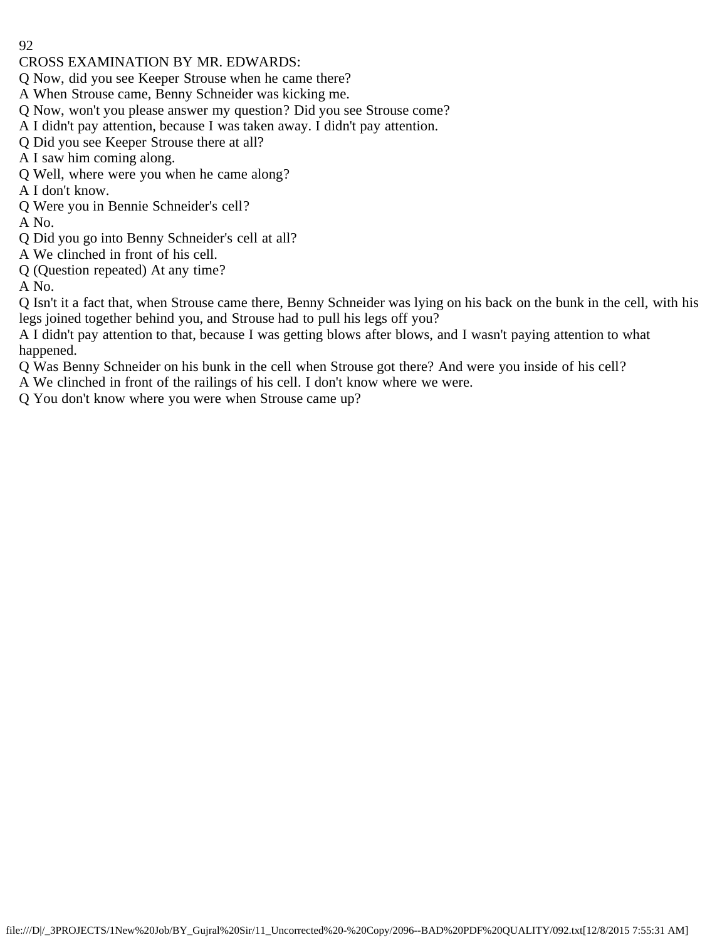## CROSS EXAMINATION BY MR. EDWARDS:

- Q Now, did you see Keeper Strouse when he came there?
- A When Strouse came, Benny Schneider was kicking me.
- Q Now, won't you please answer my question? Did you see Strouse come?
- A I didn't pay attention, because I was taken away. I didn't pay attention.
- Q Did you see Keeper Strouse there at all?
- A I saw him coming along.
- Q Well, where were you when he came along?
- A I don't know.
- Q Were you in Bennie Schneider's cell?
- A No.
- Q Did you go into Benny Schneider's cell at all?
- A We clinched in front of his cell.
- Q (Question repeated) At any time?

A No.

Q Isn't it a fact that, when Strouse came there, Benny Schneider was lying on his back on the bunk in the cell, with his legs joined together behind you, and Strouse had to pull his legs off you?

A I didn't pay attention to that, because I was getting blows after blows, and I wasn't paying attention to what happened.

Q Was Benny Schneider on his bunk in the cell when Strouse got there? And were you inside of his cell?

A We clinched in front of the railings of his cell. I don't know where we were.

Q You don't know where you were when Strouse came up?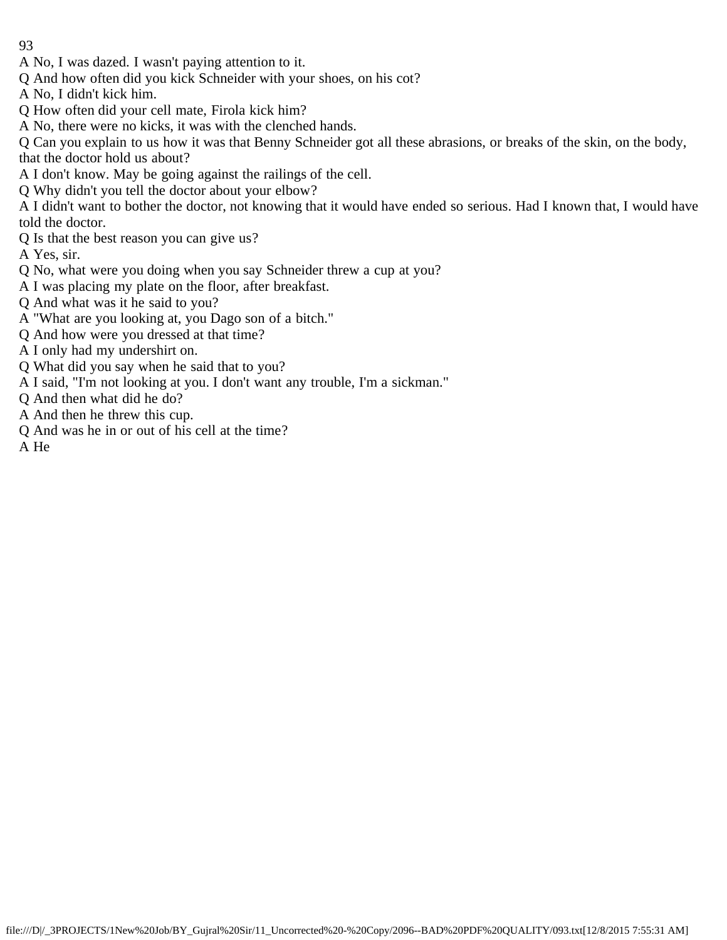- A No, I was dazed. I wasn't paying attention to it.
- Q And how often did you kick Schneider with your shoes, on his cot?
- A No, I didn't kick him.
- Q How often did your cell mate, Firola kick him?
- A No, there were no kicks, it was with the clenched hands.

Q Can you explain to us how it was that Benny Schneider got all these abrasions, or breaks of the skin, on the body, that the doctor hold us about?

- A I don't know. May be going against the railings of the cell.
- Q Why didn't you tell the doctor about your elbow?

A I didn't want to bother the doctor, not knowing that it would have ended so serious. Had I known that, I would have told the doctor.

Q Is that the best reason you can give us?

A Yes, sir.

- Q No, what were you doing when you say Schneider threw a cup at you?
- A I was placing my plate on the floor, after breakfast.
- Q And what was it he said to you?
- A "What are you looking at, you Dago son of a bitch."
- Q And how were you dressed at that time?
- A I only had my undershirt on.
- Q What did you say when he said that to you?
- A I said, "I'm not looking at you. I don't want any trouble, I'm a sickman."
- Q And then what did he do?
- A And then he threw this cup.
- Q And was he in or out of his cell at the time?

A He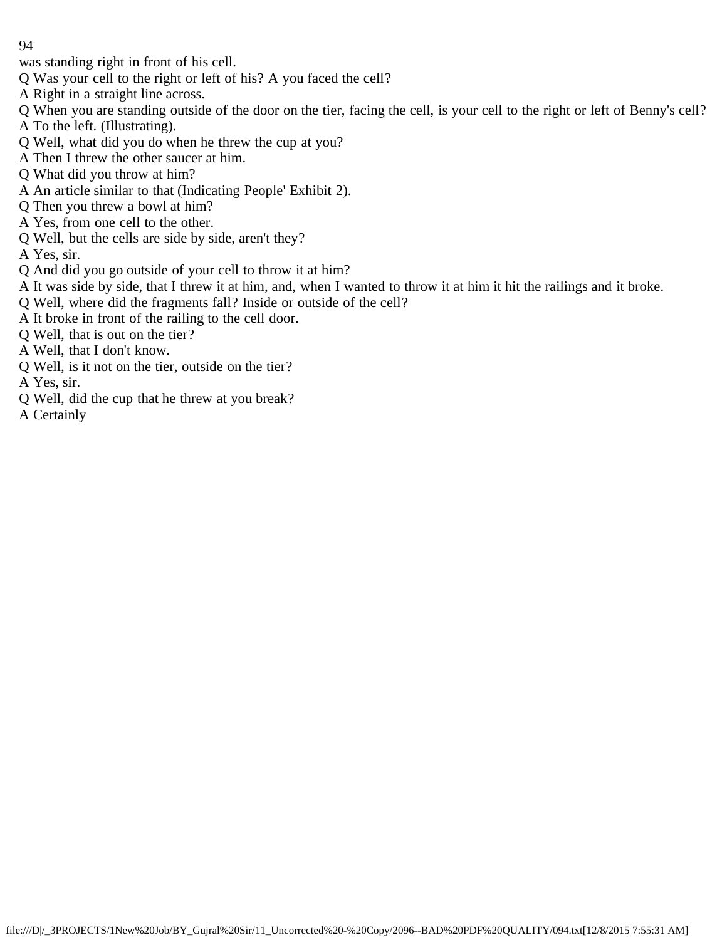was standing right in front of his cell.

- Q Was your cell to the right or left of his? A you faced the cell?
- A Right in a straight line across.
- Q When you are standing outside of the door on the tier, facing the cell, is your cell to the right or left of Benny's cell?
- A To the left. (Illustrating).
- Q Well, what did you do when he threw the cup at you?
- A Then I threw the other saucer at him.
- Q What did you throw at him?
- A An article similar to that (Indicating People' Exhibit 2).
- Q Then you threw a bowl at him?
- A Yes, from one cell to the other.
- Q Well, but the cells are side by side, aren't they?
- A Yes, sir.
- Q And did you go outside of your cell to throw it at him?
- A It was side by side, that I threw it at him, and, when I wanted to throw it at him it hit the railings and it broke.
- Q Well, where did the fragments fall? Inside or outside of the cell?
- A It broke in front of the railing to the cell door.
- Q Well, that is out on the tier?
- A Well, that I don't know.
- Q Well, is it not on the tier, outside on the tier?
- A Yes, sir.
- Q Well, did the cup that he threw at you break?
- A Certainly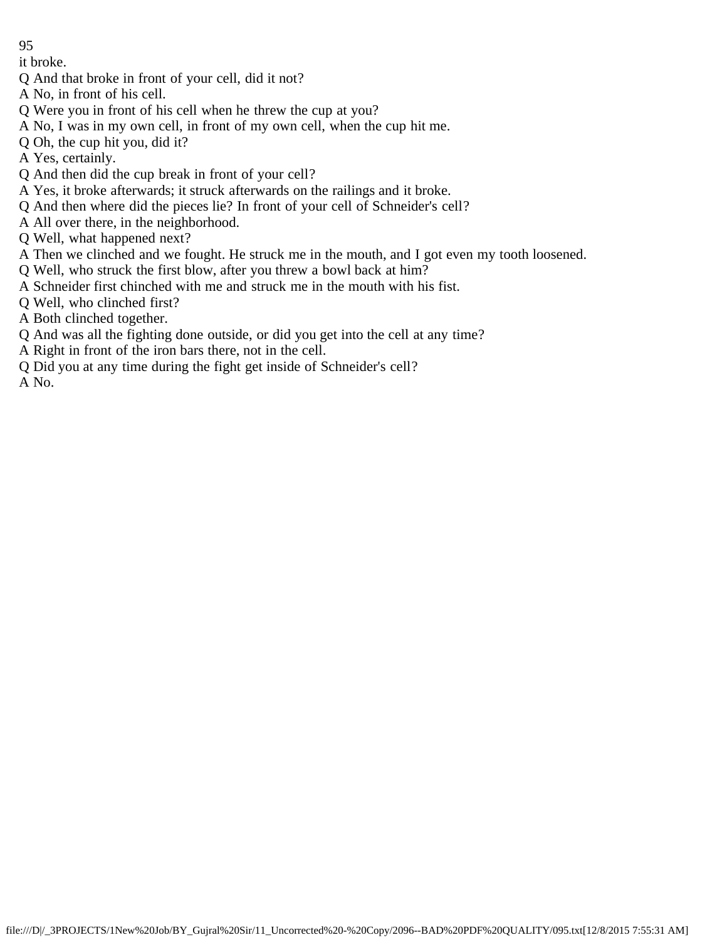it broke.

- Q And that broke in front of your cell, did it not?
- A No, in front of his cell.
- Q Were you in front of his cell when he threw the cup at you?
- A No, I was in my own cell, in front of my own cell, when the cup hit me.
- Q Oh, the cup hit you, did it?
- A Yes, certainly.
- Q And then did the cup break in front of your cell?
- A Yes, it broke afterwards; it struck afterwards on the railings and it broke.
- Q And then where did the pieces lie? In front of your cell of Schneider's cell?
- A All over there, in the neighborhood.
- Q Well, what happened next?
- A Then we clinched and we fought. He struck me in the mouth, and I got even my tooth loosened.
- Q Well, who struck the first blow, after you threw a bowl back at him?
- A Schneider first chinched with me and struck me in the mouth with his fist.
- Q Well, who clinched first?
- A Both clinched together.
- Q And was all the fighting done outside, or did you get into the cell at any time?
- A Right in front of the iron bars there, not in the cell.
- Q Did you at any time during the fight get inside of Schneider's cell?

A No.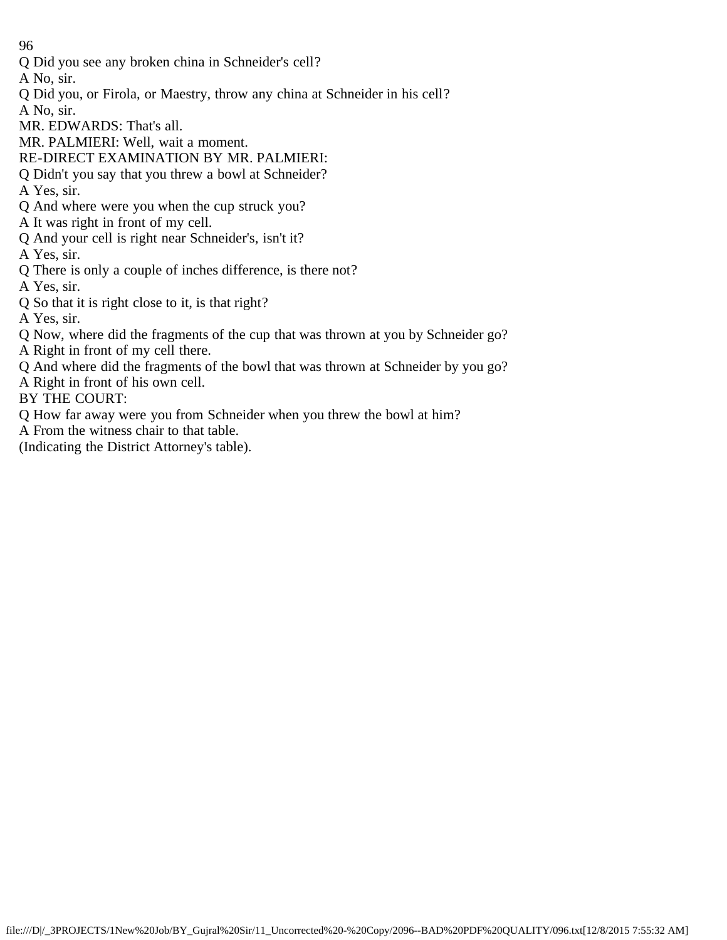Q Did you see any broken china in Schneider's cell?

A No, sir.

- Q Did you, or Firola, or Maestry, throw any china at Schneider in his cell?
- A No, sir.
- MR. EDWARDS: That's all.
- MR. PALMIERI: Well, wait a moment.
- RE-DIRECT EXAMINATION BY MR. PALMIERI:
- Q Didn't you say that you threw a bowl at Schneider?
- A Yes, sir.
- Q And where were you when the cup struck you?
- A It was right in front of my cell.
- Q And your cell is right near Schneider's, isn't it?
- A Yes, sir.
- Q There is only a couple of inches difference, is there not?
- A Yes, sir.
- Q So that it is right close to it, is that right?
- A Yes, sir.
- Q Now, where did the fragments of the cup that was thrown at you by Schneider go?
- A Right in front of my cell there.
- Q And where did the fragments of the bowl that was thrown at Schneider by you go?
- A Right in front of his own cell.
- BY THE COURT:
- Q How far away were you from Schneider when you threw the bowl at him?
- A From the witness chair to that table.
- (Indicating the District Attorney's table).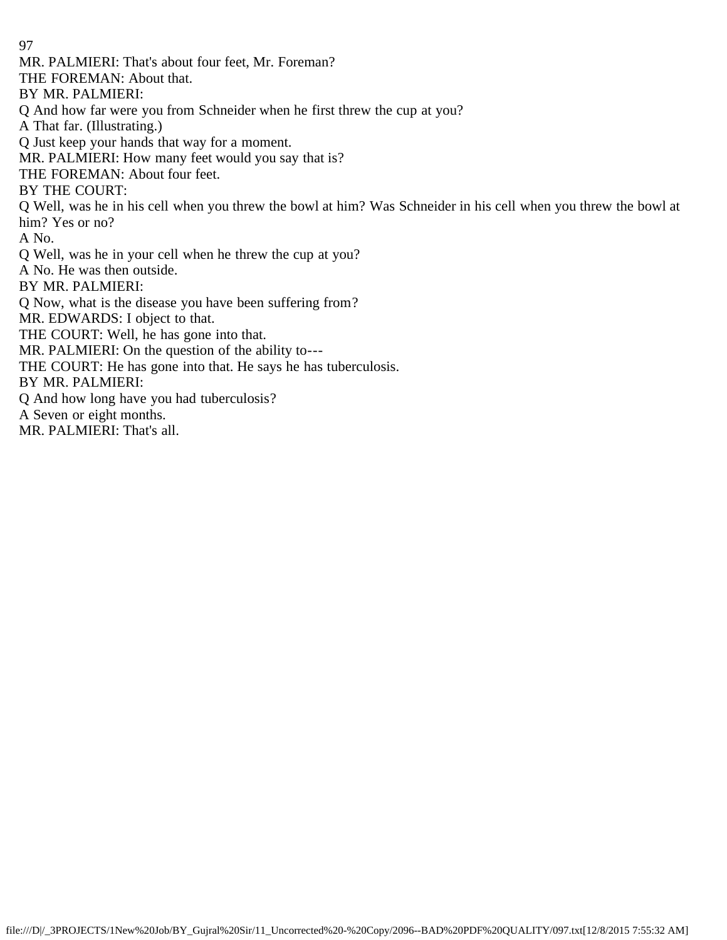MR. PALMIERI: That's about four feet, Mr. Foreman?

THE FOREMAN: About that.

BY MR. PALMIERI:

Q And how far were you from Schneider when he first threw the cup at you?

A That far. (Illustrating.)

Q Just keep your hands that way for a moment.

MR. PALMIERI: How many feet would you say that is?

THE FOREMAN: About four feet.

BY THE COURT:

Q Well, was he in his cell when you threw the bowl at him? Was Schneider in his cell when you threw the bowl at him? Yes or no?

A No.

Q Well, was he in your cell when he threw the cup at you?

A No. He was then outside.

BY MR. PALMIERI:

Q Now, what is the disease you have been suffering from?

MR. EDWARDS: I object to that.

THE COURT: Well, he has gone into that.

MR. PALMIERI: On the question of the ability to---

THE COURT: He has gone into that. He says he has tuberculosis.

BY MR. PALMIERI:

Q And how long have you had tuberculosis?

A Seven or eight months.

MR. PALMIERI: That's all.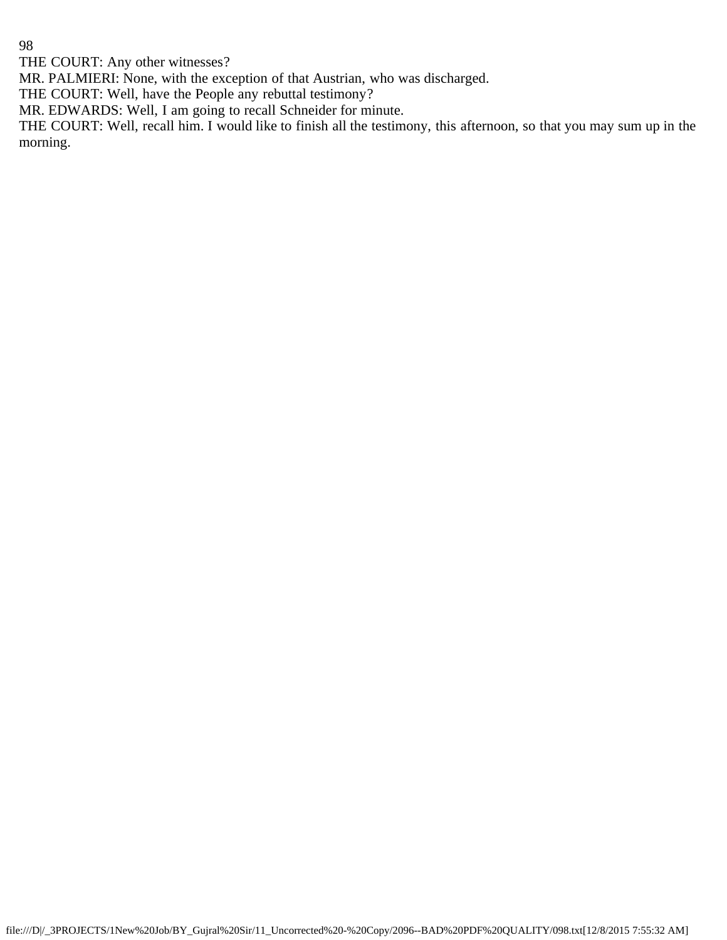THE COURT: Any other witnesses?

MR. PALMIERI: None, with the exception of that Austrian, who was discharged.

THE COURT: Well, have the People any rebuttal testimony?

MR. EDWARDS: Well, I am going to recall Schneider for minute.

THE COURT: Well, recall him. I would like to finish all the testimony, this afternoon, so that you may sum up in the morning.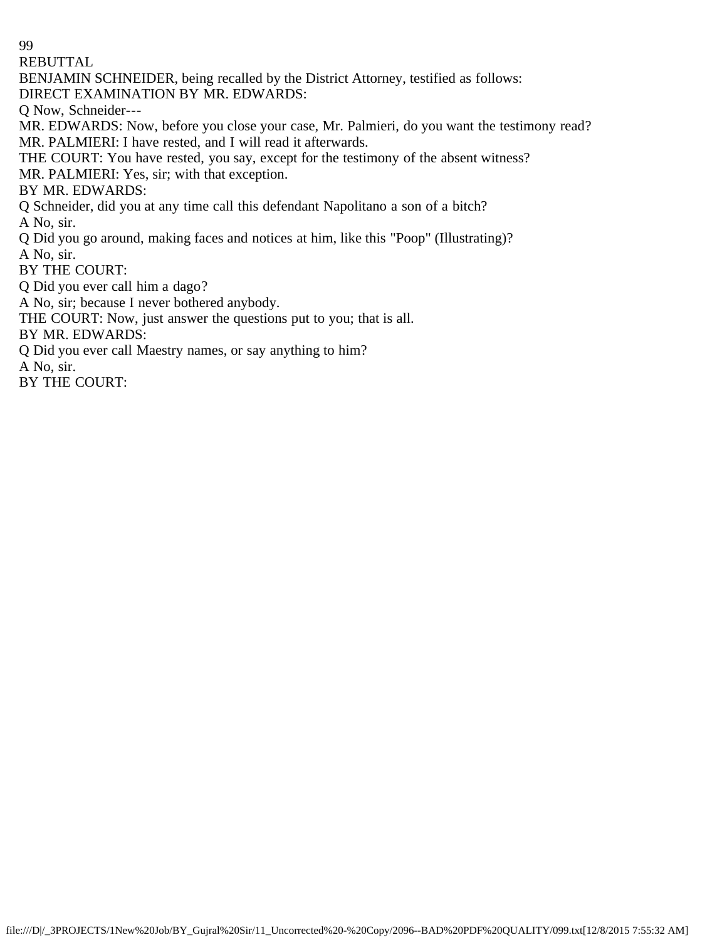REBUTTAL

BENJAMIN SCHNEIDER, being recalled by the District Attorney, testified as follows:

DIRECT EXAMINATION BY MR. EDWARDS:

Q Now, Schneider---

MR. EDWARDS: Now, before you close your case, Mr. Palmieri, do you want the testimony read? MR. PALMIERI: I have rested, and I will read it afterwards.

THE COURT: You have rested, you say, except for the testimony of the absent witness?

MR. PALMIERI: Yes, sir; with that exception.

BY MR. EDWARDS:

Q Schneider, did you at any time call this defendant Napolitano a son of a bitch?

A No, sir.

Q Did you go around, making faces and notices at him, like this "Poop" (Illustrating)?

A No, sir.

BY THE COURT:

Q Did you ever call him a dago?

A No, sir; because I never bothered anybody.

THE COURT: Now, just answer the questions put to you; that is all.

BY MR. EDWARDS:

Q Did you ever call Maestry names, or say anything to him?

A No, sir.

BY THE COURT: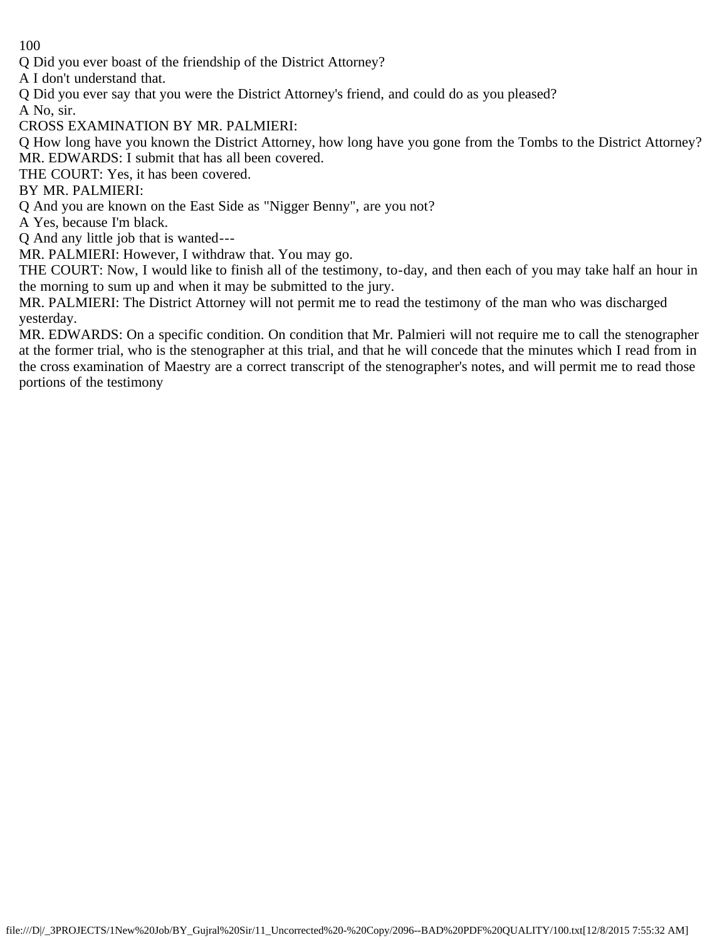Q Did you ever boast of the friendship of the District Attorney?

A I don't understand that.

Q Did you ever say that you were the District Attorney's friend, and could do as you pleased?

A No, sir.

CROSS EXAMINATION BY MR. PALMIERI:

Q How long have you known the District Attorney, how long have you gone from the Tombs to the District Attorney? MR. EDWARDS: I submit that has all been covered.

THE COURT: Yes, it has been covered.

BY MR. PALMIERI:

Q And you are known on the East Side as "Nigger Benny", are you not?

A Yes, because I'm black.

Q And any little job that is wanted---

MR. PALMIERI: However, I withdraw that. You may go.

THE COURT: Now, I would like to finish all of the testimony, to-day, and then each of you may take half an hour in the morning to sum up and when it may be submitted to the jury.

MR. PALMIERI: The District Attorney will not permit me to read the testimony of the man who was discharged yesterday.

MR. EDWARDS: On a specific condition. On condition that Mr. Palmieri will not require me to call the stenographer at the former trial, who is the stenographer at this trial, and that he will concede that the minutes which I read from in the cross examination of Maestry are a correct transcript of the stenographer's notes, and will permit me to read those portions of the testimony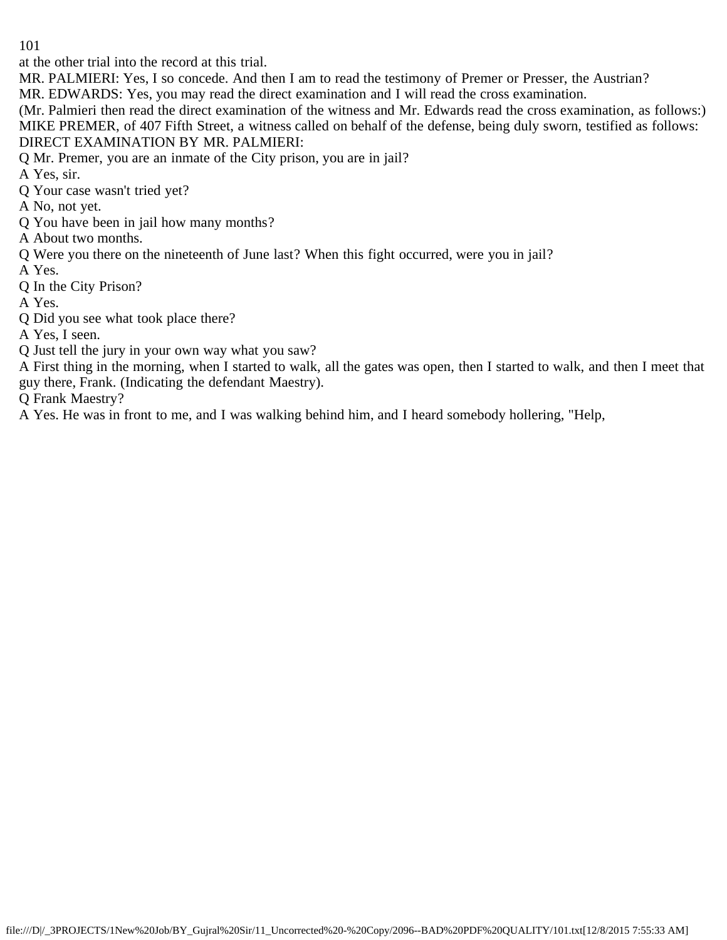at the other trial into the record at this trial.

MR. PALMIERI: Yes, I so concede. And then I am to read the testimony of Premer or Presser, the Austrian?

MR. EDWARDS: Yes, you may read the direct examination and I will read the cross examination.

(Mr. Palmieri then read the direct examination of the witness and Mr. Edwards read the cross examination, as follows:) MIKE PREMER, of 407 Fifth Street, a witness called on behalf of the defense, being duly sworn, testified as follows:

# DIRECT EXAMINATION BY MR. PALMIERI:

Q Mr. Premer, you are an inmate of the City prison, you are in jail?

A Yes, sir.

Q Your case wasn't tried yet?

A No, not yet.

Q You have been in jail how many months?

A About two months.

Q Were you there on the nineteenth of June last? When this fight occurred, were you in jail?

A Yes.

Q In the City Prison?

A Yes.

Q Did you see what took place there?

A Yes, I seen.

Q Just tell the jury in your own way what you saw?

A First thing in the morning, when I started to walk, all the gates was open, then I started to walk, and then I meet that guy there, Frank. (Indicating the defendant Maestry).

Q Frank Maestry?

A Yes. He was in front to me, and I was walking behind him, and I heard somebody hollering, "Help,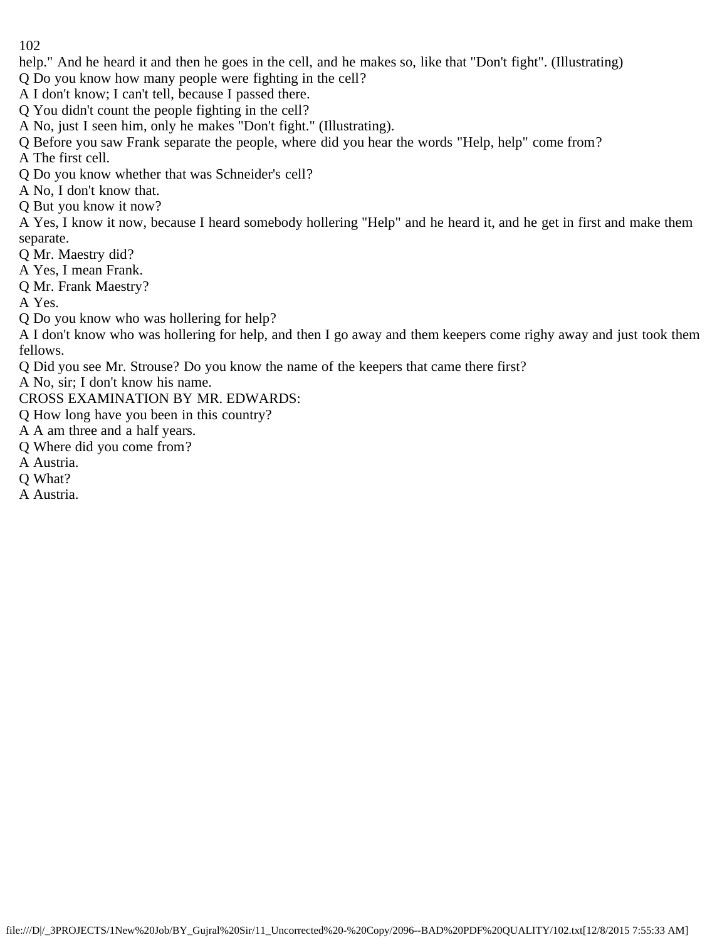help." And he heard it and then he goes in the cell, and he makes so, like that "Don't fight". (Illustrating)

Q Do you know how many people were fighting in the cell?

A I don't know; I can't tell, because I passed there.

Q You didn't count the people fighting in the cell?

A No, just I seen him, only he makes "Don't fight." (Illustrating).

Q Before you saw Frank separate the people, where did you hear the words "Help, help" come from?

A The first cell.

Q Do you know whether that was Schneider's cell?

A No, I don't know that.

Q But you know it now?

A Yes, I know it now, because I heard somebody hollering "Help" and he heard it, and he get in first and make them separate.

Q Mr. Maestry did?

A Yes, I mean Frank.

Q Mr. Frank Maestry?

A Yes.

Q Do you know who was hollering for help?

A I don't know who was hollering for help, and then I go away and them keepers come righy away and just took them fellows.

Q Did you see Mr. Strouse? Do you know the name of the keepers that came there first?

A No, sir; I don't know his name.

CROSS EXAMINATION BY MR. EDWARDS:

Q How long have you been in this country?

A A am three and a half years.

Q Where did you come from?

A Austria.

Q What?

A Austria.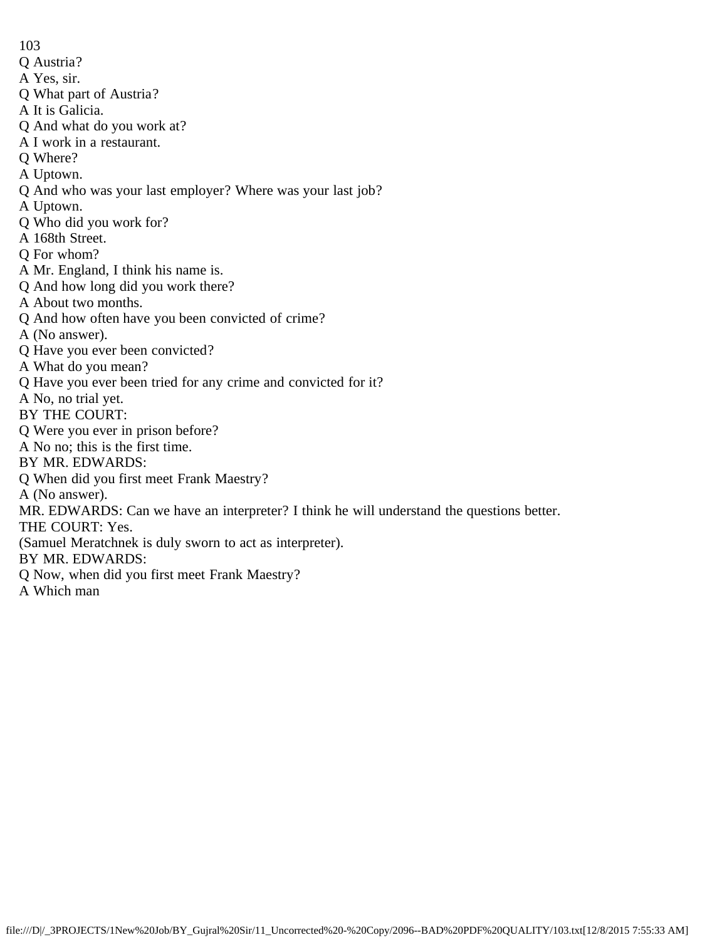- Q Austria?
- A Yes, sir.
- Q What part of Austria?
- A It is Galicia.
- Q And what do you work at?
- A I work in a restaurant.
- Q Where?
- A Uptown.
- Q And who was your last employer? Where was your last job?
- A Uptown.
- Q Who did you work for?
- A 168th Street.
- Q For whom?
- A Mr. England, I think his name is.
- Q And how long did you work there?
- A About two months.
- Q And how often have you been convicted of crime?
- A (No answer).
- Q Have you ever been convicted?
- A What do you mean?
- Q Have you ever been tried for any crime and convicted for it?
- A No, no trial yet.
- BY THE COURT:
- Q Were you ever in prison before?
- A No no; this is the first time.
- BY MR. EDWARDS:
- Q When did you first meet Frank Maestry?
- A (No answer).
- MR. EDWARDS: Can we have an interpreter? I think he will understand the questions better.
- THE COURT: Yes.
- (Samuel Meratchnek is duly sworn to act as interpreter).
- BY MR. EDWARDS:
- Q Now, when did you first meet Frank Maestry?
- A Which man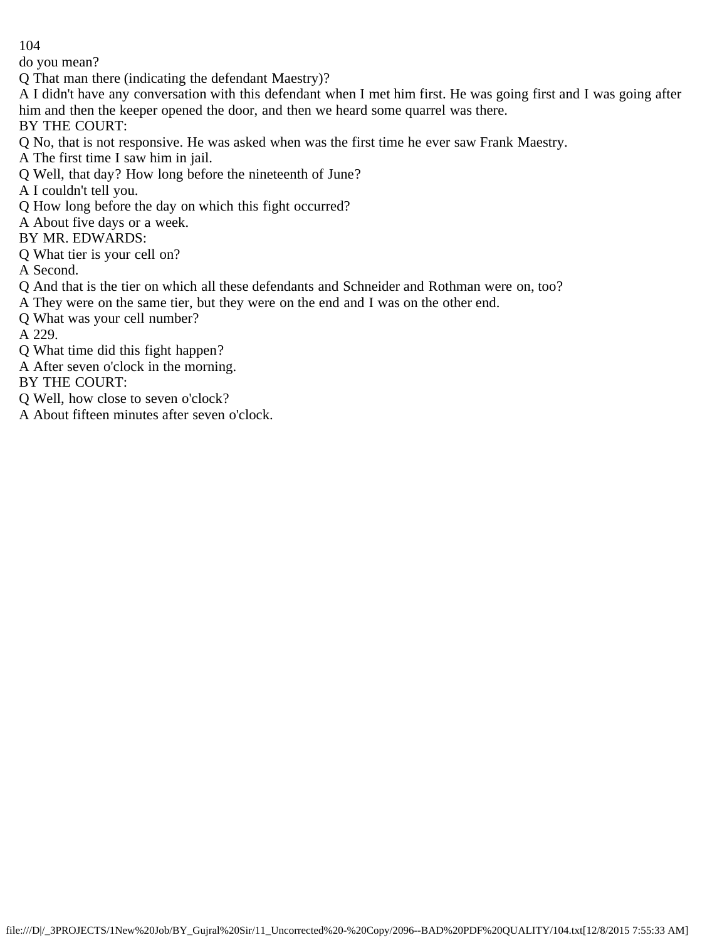do you mean?

Q That man there (indicating the defendant Maestry)?

A I didn't have any conversation with this defendant when I met him first. He was going first and I was going after him and then the keeper opened the door, and then we heard some quarrel was there.

BY THE COURT:

Q No, that is not responsive. He was asked when was the first time he ever saw Frank Maestry.

A The first time I saw him in jail.

Q Well, that day? How long before the nineteenth of June?

A I couldn't tell you.

Q How long before the day on which this fight occurred?

A About five days or a week.

BY MR. EDWARDS:

Q What tier is your cell on?

A Second.

Q And that is the tier on which all these defendants and Schneider and Rothman were on, too?

A They were on the same tier, but they were on the end and I was on the other end.

Q What was your cell number?

A 229.

Q What time did this fight happen?

A After seven o'clock in the morning.

BY THE COURT:

Q Well, how close to seven o'clock?

A About fifteen minutes after seven o'clock.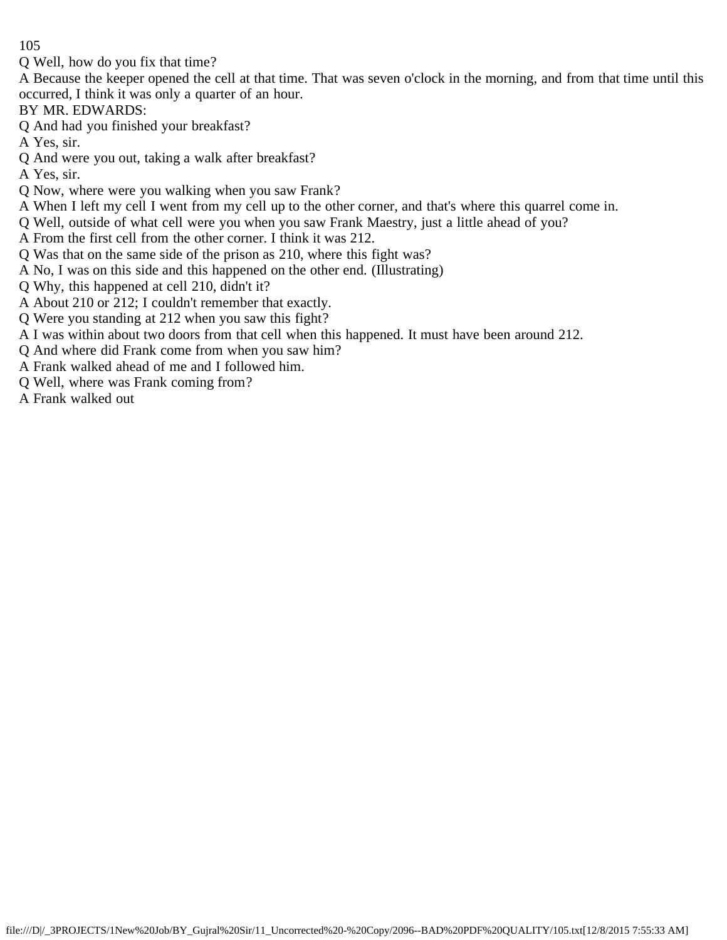Q Well, how do you fix that time?

A Because the keeper opened the cell at that time. That was seven o'clock in the morning, and from that time until this occurred, I think it was only a quarter of an hour.

BY MR. EDWARDS:

Q And had you finished your breakfast?

A Yes, sir.

Q And were you out, taking a walk after breakfast?

A Yes, sir.

- Q Now, where were you walking when you saw Frank?
- A When I left my cell I went from my cell up to the other corner, and that's where this quarrel come in.
- Q Well, outside of what cell were you when you saw Frank Maestry, just a little ahead of you?
- A From the first cell from the other corner. I think it was 212.
- Q Was that on the same side of the prison as 210, where this fight was?
- A No, I was on this side and this happened on the other end. (Illustrating)
- Q Why, this happened at cell 210, didn't it?
- A About 210 or 212; I couldn't remember that exactly.
- Q Were you standing at 212 when you saw this fight?
- A I was within about two doors from that cell when this happened. It must have been around 212.
- Q And where did Frank come from when you saw him?
- A Frank walked ahead of me and I followed him.
- Q Well, where was Frank coming from?
- A Frank walked out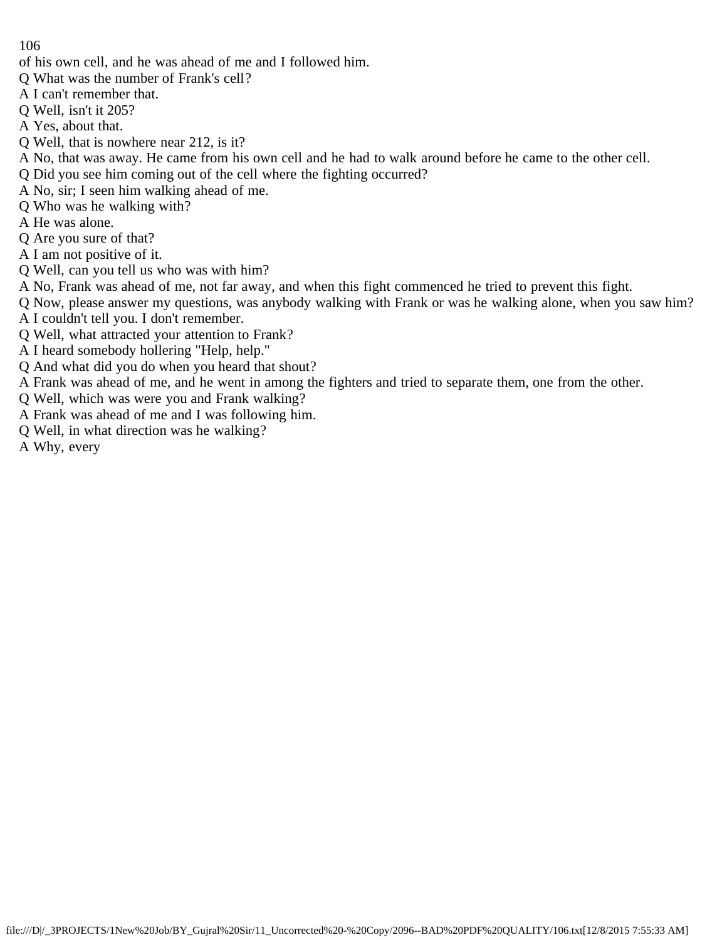- of his own cell, and he was ahead of me and I followed him.
- Q What was the number of Frank's cell?
- A I can't remember that.
- Q Well, isn't it 205?
- A Yes, about that.
- Q Well, that is nowhere near 212, is it?
- A No, that was away. He came from his own cell and he had to walk around before he came to the other cell.
- Q Did you see him coming out of the cell where the fighting occurred?
- A No, sir; I seen him walking ahead of me.
- Q Who was he walking with?
- A He was alone.
- Q Are you sure of that?
- A I am not positive of it.
- Q Well, can you tell us who was with him?
- A No, Frank was ahead of me, not far away, and when this fight commenced he tried to prevent this fight.
- Q Now, please answer my questions, was anybody walking with Frank or was he walking alone, when you saw him?
- A I couldn't tell you. I don't remember.
- Q Well, what attracted your attention to Frank?
- A I heard somebody hollering "Help, help."
- Q And what did you do when you heard that shout?
- A Frank was ahead of me, and he went in among the fighters and tried to separate them, one from the other.
- Q Well, which was were you and Frank walking?
- A Frank was ahead of me and I was following him.
- Q Well, in what direction was he walking?
- A Why, every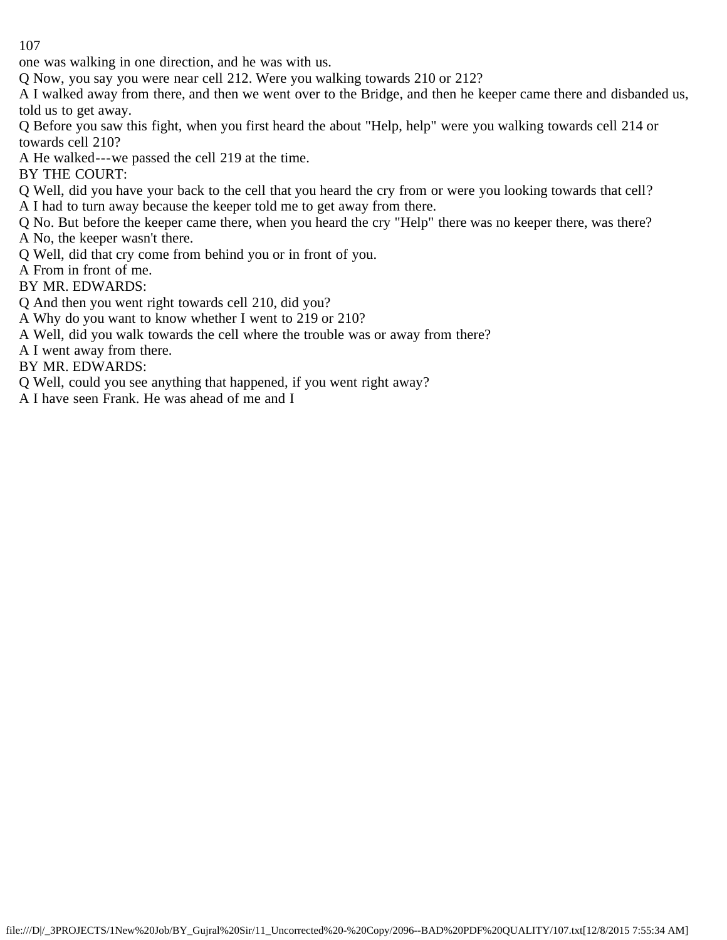one was walking in one direction, and he was with us.

Q Now, you say you were near cell 212. Were you walking towards 210 or 212?

A I walked away from there, and then we went over to the Bridge, and then he keeper came there and disbanded us, told us to get away.

Q Before you saw this fight, when you first heard the about "Help, help" were you walking towards cell 214 or towards cell 210?

A He walked---we passed the cell 219 at the time.

BY THE COURT:

Q Well, did you have your back to the cell that you heard the cry from or were you looking towards that cell? A I had to turn away because the keeper told me to get away from there.

Q No. But before the keeper came there, when you heard the cry "Help" there was no keeper there, was there?

A No, the keeper wasn't there.

Q Well, did that cry come from behind you or in front of you.

A From in front of me.

BY MR. EDWARDS:

Q And then you went right towards cell 210, did you?

A Why do you want to know whether I went to 219 or 210?

A Well, did you walk towards the cell where the trouble was or away from there?

A I went away from there.

BY MR. EDWARDS:

Q Well, could you see anything that happened, if you went right away?

A I have seen Frank. He was ahead of me and I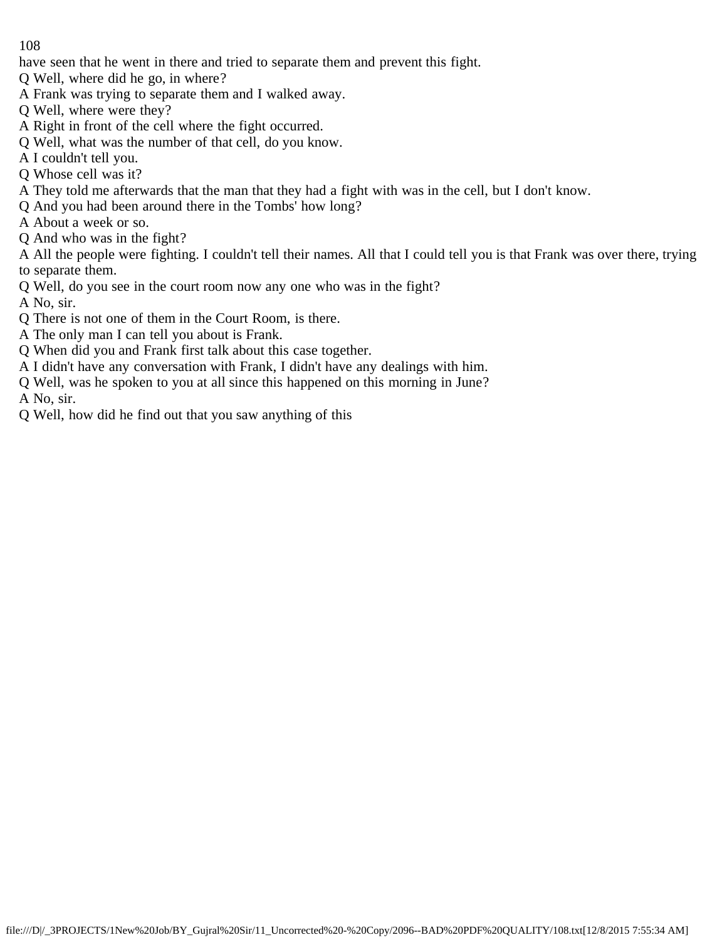have seen that he went in there and tried to separate them and prevent this fight.

- Q Well, where did he go, in where?
- A Frank was trying to separate them and I walked away.
- Q Well, where were they?
- A Right in front of the cell where the fight occurred.
- Q Well, what was the number of that cell, do you know.
- A I couldn't tell you.
- Q Whose cell was it?
- A They told me afterwards that the man that they had a fight with was in the cell, but I don't know.
- Q And you had been around there in the Tombs' how long?
- A About a week or so.
- Q And who was in the fight?

A All the people were fighting. I couldn't tell their names. All that I could tell you is that Frank was over there, trying to separate them.

- Q Well, do you see in the court room now any one who was in the fight?
- A No, sir.
- Q There is not one of them in the Court Room, is there.
- A The only man I can tell you about is Frank.
- Q When did you and Frank first talk about this case together.
- A I didn't have any conversation with Frank, I didn't have any dealings with him.
- Q Well, was he spoken to you at all since this happened on this morning in June?
- A No, sir.
- Q Well, how did he find out that you saw anything of this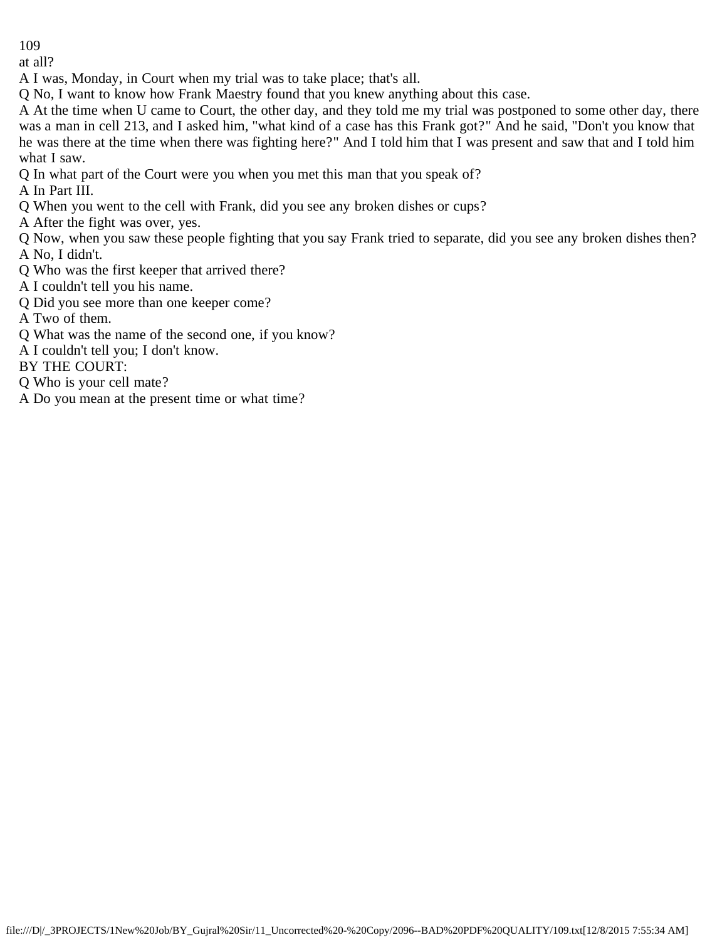at all?

A I was, Monday, in Court when my trial was to take place; that's all.

Q No, I want to know how Frank Maestry found that you knew anything about this case.

A At the time when U came to Court, the other day, and they told me my trial was postponed to some other day, there was a man in cell 213, and I asked him, "what kind of a case has this Frank got?" And he said, "Don't you know that he was there at the time when there was fighting here?" And I told him that I was present and saw that and I told him what I saw.

Q In what part of the Court were you when you met this man that you speak of?

A In Part III.

Q When you went to the cell with Frank, did you see any broken dishes or cups?

A After the fight was over, yes.

Q Now, when you saw these people fighting that you say Frank tried to separate, did you see any broken dishes then? A No, I didn't.

- Q Who was the first keeper that arrived there?
- A I couldn't tell you his name.
- Q Did you see more than one keeper come?

A Two of them.

- Q What was the name of the second one, if you know?
- A I couldn't tell you; I don't know.

BY THE COURT:

- Q Who is your cell mate?
- A Do you mean at the present time or what time?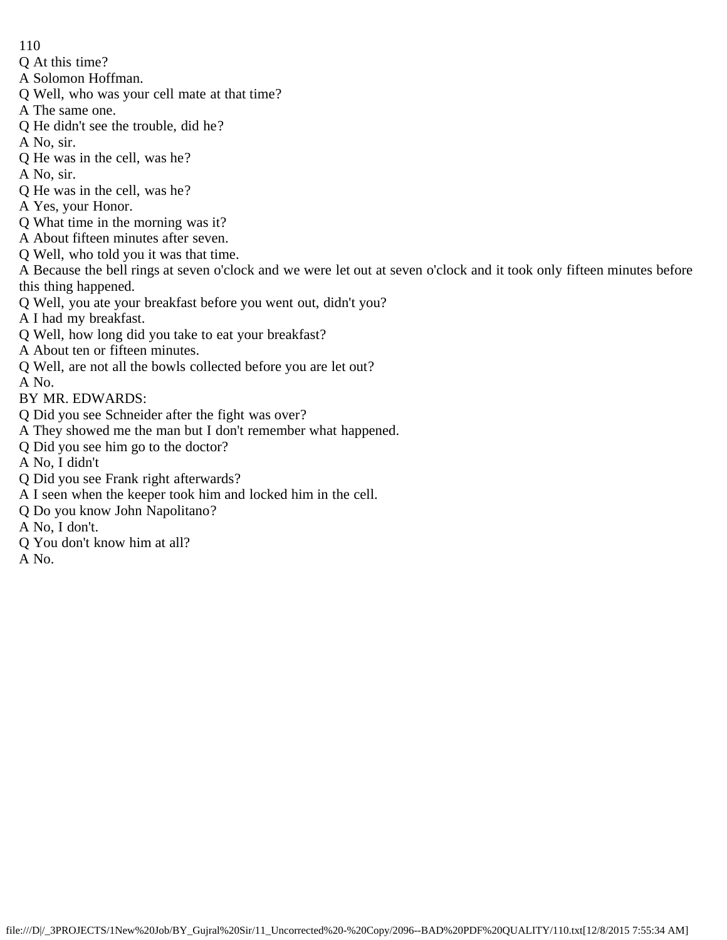- 110
- Q At this time?
- A Solomon Hoffman.
- Q Well, who was your cell mate at that time?
- A The same one.
- Q He didn't see the trouble, did he?
- A No, sir.
- Q He was in the cell, was he?
- A No, sir.
- Q He was in the cell, was he?
- A Yes, your Honor.
- Q What time in the morning was it?
- A About fifteen minutes after seven.
- Q Well, who told you it was that time.
- A Because the bell rings at seven o'clock and we were let out at seven o'clock and it took only fifteen minutes before this thing happened.
- Q Well, you ate your breakfast before you went out, didn't you?
- A I had my breakfast.
- Q Well, how long did you take to eat your breakfast?
- A About ten or fifteen minutes.
- Q Well, are not all the bowls collected before you are let out?
- A No.
- BY MR. EDWARDS:
- Q Did you see Schneider after the fight was over?
- A They showed me the man but I don't remember what happened.
- Q Did you see him go to the doctor?
- A No, I didn't
- Q Did you see Frank right afterwards?
- A I seen when the keeper took him and locked him in the cell.
- Q Do you know John Napolitano?
- A No, I don't.
- Q You don't know him at all?
- A No.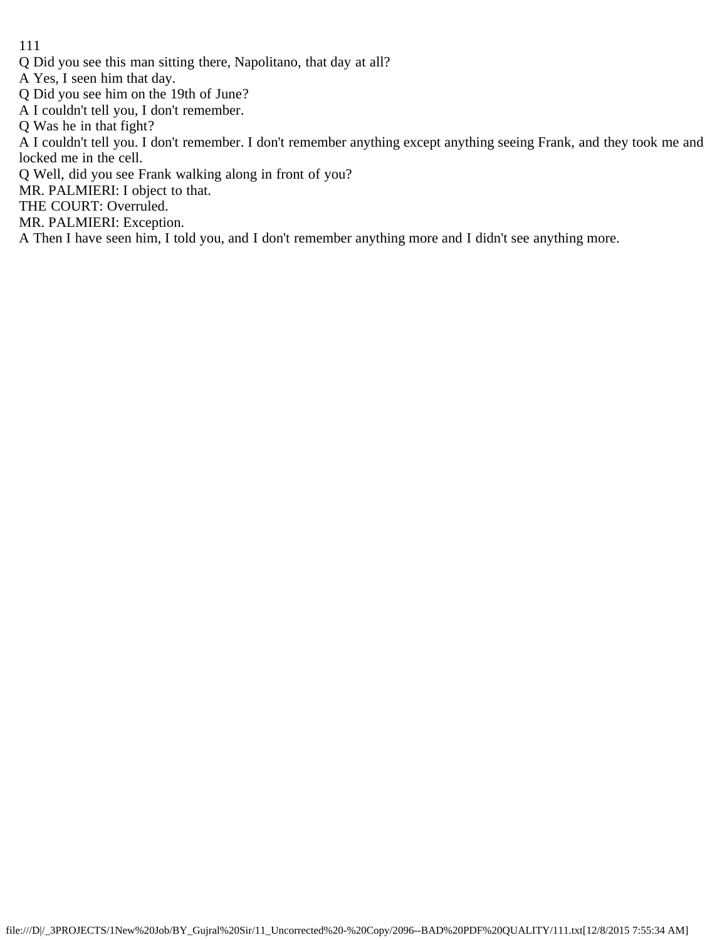- Q Did you see this man sitting there, Napolitano, that day at all?
- A Yes, I seen him that day.
- Q Did you see him on the 19th of June?
- A I couldn't tell you, I don't remember.
- Q Was he in that fight?
- A I couldn't tell you. I don't remember. I don't remember anything except anything seeing Frank, and they took me and locked me in the cell.
- Q Well, did you see Frank walking along in front of you?
- MR. PALMIERI: I object to that.
- THE COURT: Overruled.
- MR. PALMIERI: Exception.
- A Then I have seen him, I told you, and I don't remember anything more and I didn't see anything more.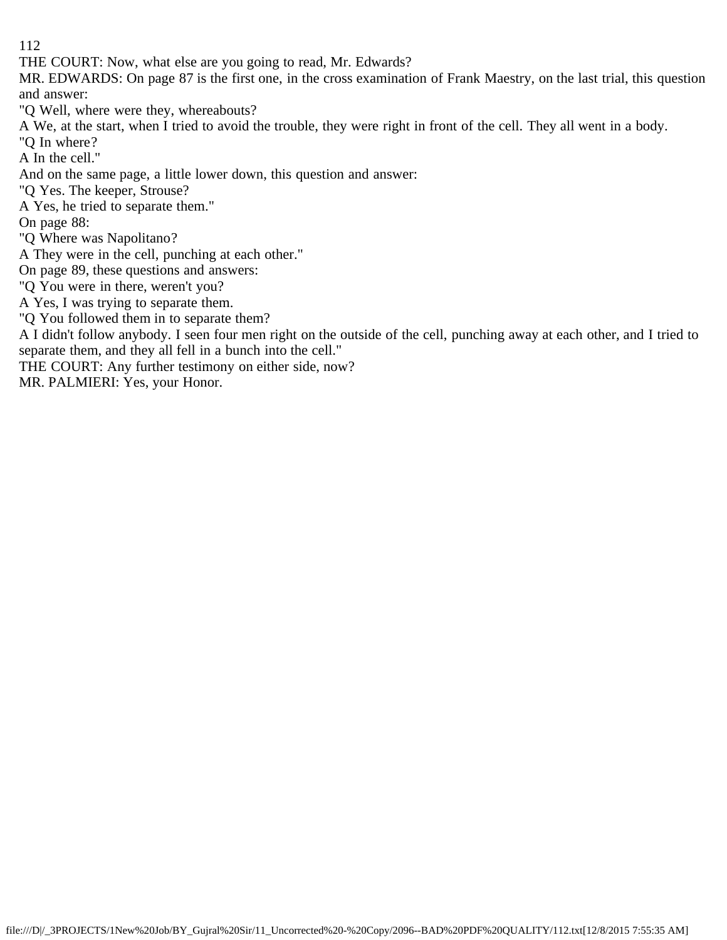THE COURT: Now, what else are you going to read, Mr. Edwards?

MR. EDWARDS: On page 87 is the first one, in the cross examination of Frank Maestry, on the last trial, this question and answer:

"Q Well, where were they, whereabouts?

A We, at the start, when I tried to avoid the trouble, they were right in front of the cell. They all went in a body.

"Q In where?

A In the cell."

And on the same page, a little lower down, this question and answer:

"Q Yes. The keeper, Strouse?

A Yes, he tried to separate them."

On page 88:

"Q Where was Napolitano?

A They were in the cell, punching at each other."

On page 89, these questions and answers:

"Q You were in there, weren't you?

A Yes, I was trying to separate them.

"Q You followed them in to separate them?

A I didn't follow anybody. I seen four men right on the outside of the cell, punching away at each other, and I tried to separate them, and they all fell in a bunch into the cell."

THE COURT: Any further testimony on either side, now?

MR. PALMIERI: Yes, your Honor.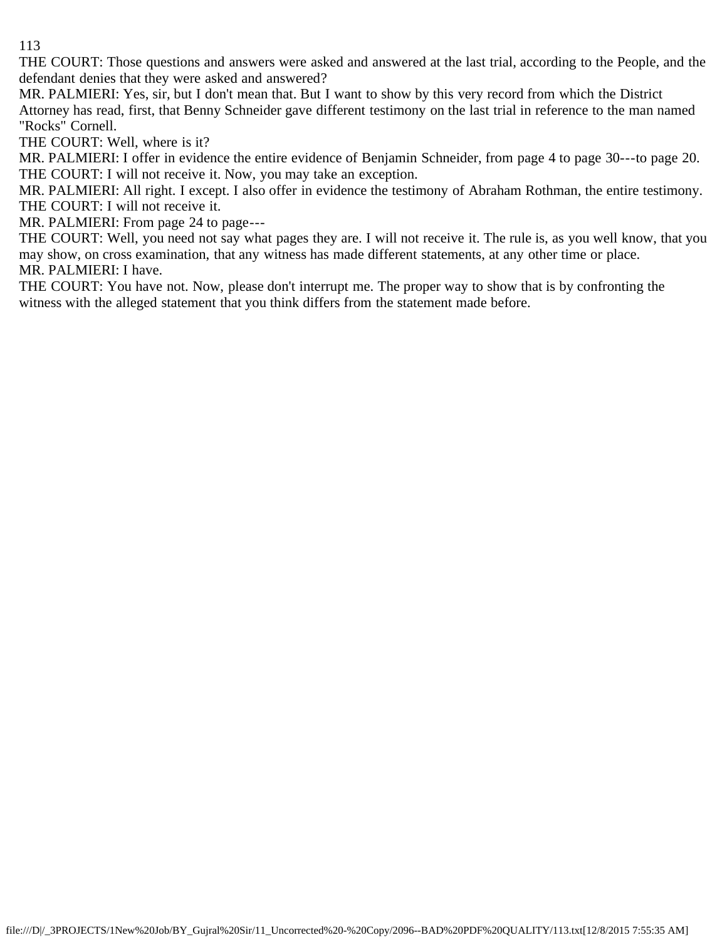THE COURT: Those questions and answers were asked and answered at the last trial, according to the People, and the defendant denies that they were asked and answered?

MR. PALMIERI: Yes, sir, but I don't mean that. But I want to show by this very record from which the District Attorney has read, first, that Benny Schneider gave different testimony on the last trial in reference to the man named "Rocks" Cornell.

THE COURT: Well, where is it?

MR. PALMIERI: I offer in evidence the entire evidence of Benjamin Schneider, from page 4 to page 30---to page 20. THE COURT: I will not receive it. Now, you may take an exception.

MR. PALMIERI: All right. I except. I also offer in evidence the testimony of Abraham Rothman, the entire testimony. THE COURT: I will not receive it.

MR. PALMIERI: From page 24 to page---

THE COURT: Well, you need not say what pages they are. I will not receive it. The rule is, as you well know, that you may show, on cross examination, that any witness has made different statements, at any other time or place. MR. PALMIERI: I have.

THE COURT: You have not. Now, please don't interrupt me. The proper way to show that is by confronting the witness with the alleged statement that you think differs from the statement made before.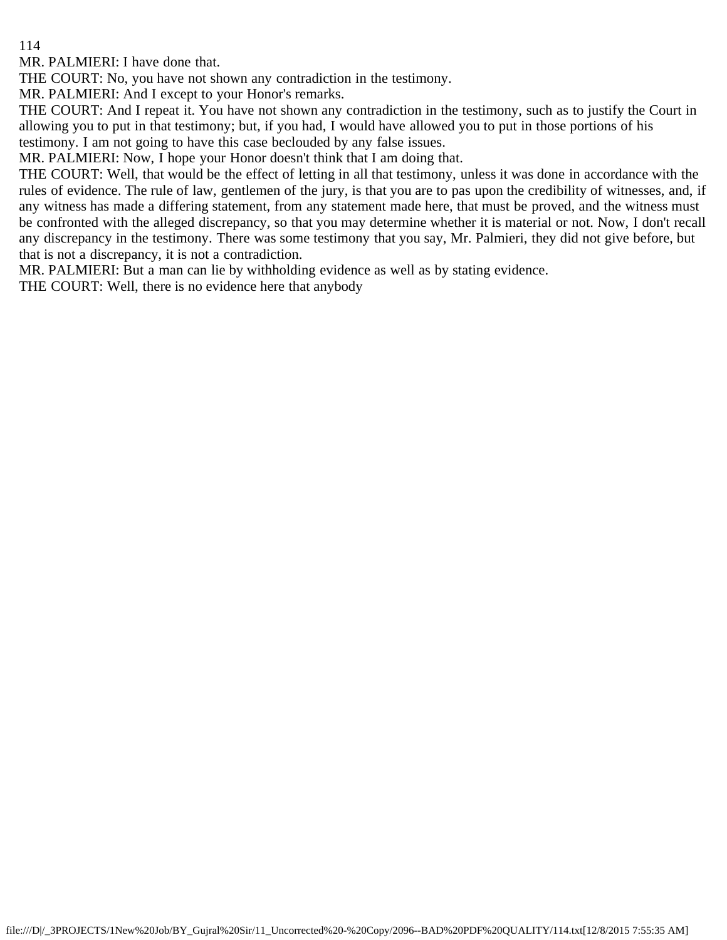MR. PALMIERI: I have done that.

THE COURT: No, you have not shown any contradiction in the testimony.

MR. PALMIERI: And I except to your Honor's remarks.

THE COURT: And I repeat it. You have not shown any contradiction in the testimony, such as to justify the Court in allowing you to put in that testimony; but, if you had, I would have allowed you to put in those portions of his testimony. I am not going to have this case beclouded by any false issues.

MR. PALMIERI: Now, I hope your Honor doesn't think that I am doing that.

THE COURT: Well, that would be the effect of letting in all that testimony, unless it was done in accordance with the rules of evidence. The rule of law, gentlemen of the jury, is that you are to pas upon the credibility of witnesses, and, if any witness has made a differing statement, from any statement made here, that must be proved, and the witness must be confronted with the alleged discrepancy, so that you may determine whether it is material or not. Now, I don't recall any discrepancy in the testimony. There was some testimony that you say, Mr. Palmieri, they did not give before, but that is not a discrepancy, it is not a contradiction.

MR. PALMIERI: But a man can lie by withholding evidence as well as by stating evidence.

THE COURT: Well, there is no evidence here that anybody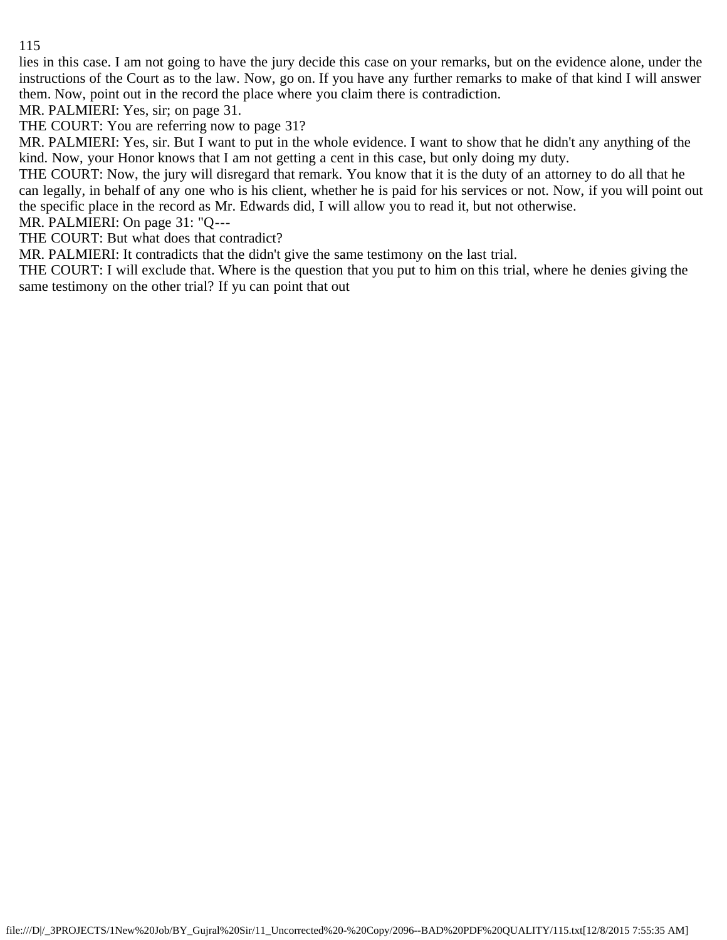lies in this case. I am not going to have the jury decide this case on your remarks, but on the evidence alone, under the instructions of the Court as to the law. Now, go on. If you have any further remarks to make of that kind I will answer them. Now, point out in the record the place where you claim there is contradiction.

MR. PALMIERI: Yes, sir; on page 31.

THE COURT: You are referring now to page 31?

MR. PALMIERI: Yes, sir. But I want to put in the whole evidence. I want to show that he didn't any anything of the kind. Now, your Honor knows that I am not getting a cent in this case, but only doing my duty.

THE COURT: Now, the jury will disregard that remark. You know that it is the duty of an attorney to do all that he can legally, in behalf of any one who is his client, whether he is paid for his services or not. Now, if you will point out the specific place in the record as Mr. Edwards did, I will allow you to read it, but not otherwise.

MR. PALMIERI: On page 31: "Q---

THE COURT: But what does that contradict?

MR. PALMIERI: It contradicts that the didn't give the same testimony on the last trial.

THE COURT: I will exclude that. Where is the question that you put to him on this trial, where he denies giving the same testimony on the other trial? If yu can point that out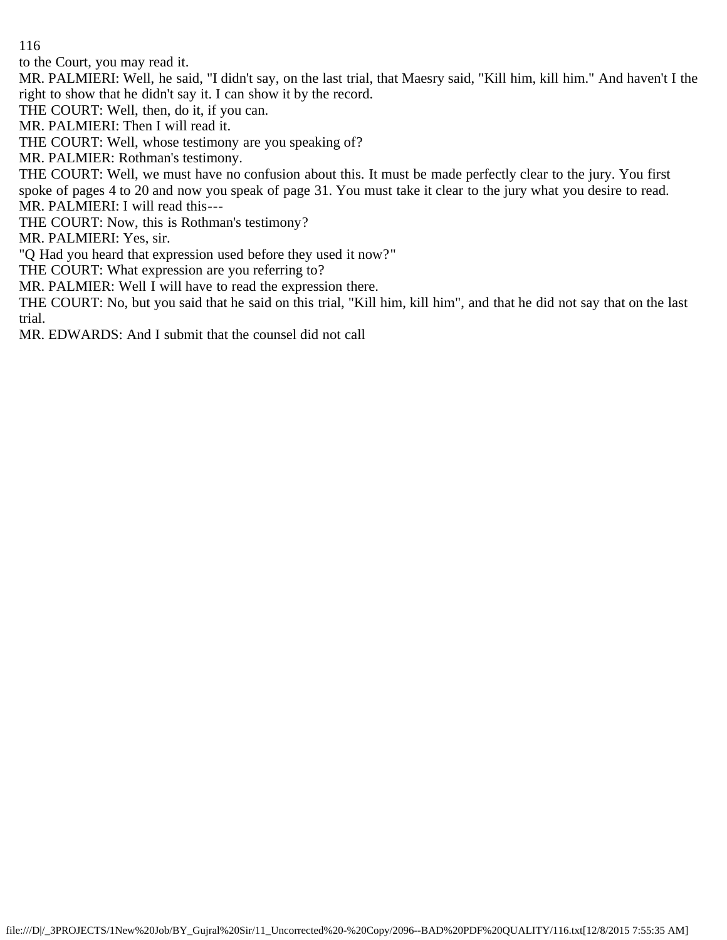to the Court, you may read it.

MR. PALMIERI: Well, he said, "I didn't say, on the last trial, that Maesry said, "Kill him, kill him." And haven't I the right to show that he didn't say it. I can show it by the record.

THE COURT: Well, then, do it, if you can.

MR. PALMIERI: Then I will read it.

THE COURT: Well, whose testimony are you speaking of?

MR. PALMIER: Rothman's testimony.

THE COURT: Well, we must have no confusion about this. It must be made perfectly clear to the jury. You first spoke of pages 4 to 20 and now you speak of page 31. You must take it clear to the jury what you desire to read.

MR. PALMIERI: I will read this--- THE COURT: Now, this is Rothman's testimony?

MR. PALMIERI: Yes, sir.

"Q Had you heard that expression used before they used it now?"

THE COURT: What expression are you referring to?

MR. PALMIER: Well I will have to read the expression there.

THE COURT: No, but you said that he said on this trial, "Kill him, kill him", and that he did not say that on the last trial.

MR. EDWARDS: And I submit that the counsel did not call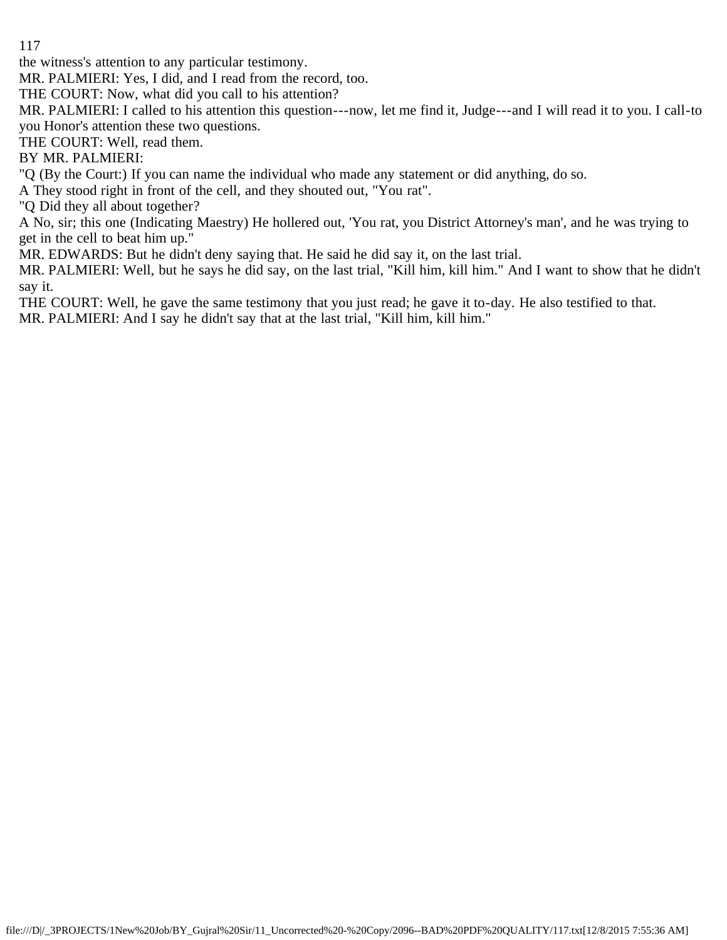the witness's attention to any particular testimony.

MR. PALMIERI: Yes, I did, and I read from the record, too.

THE COURT: Now, what did you call to his attention?

MR. PALMIERI: I called to his attention this question---now, let me find it, Judge---and I will read it to you. I call-to you Honor's attention these two questions.

THE COURT: Well, read them.

BY MR. PALMIERI:

"Q (By the Court:) If you can name the individual who made any statement or did anything, do so.

A They stood right in front of the cell, and they shouted out, "You rat".

"Q Did they all about together?

A No, sir; this one (Indicating Maestry) He hollered out, 'You rat, you District Attorney's man', and he was trying to get in the cell to beat him up."

MR. EDWARDS: But he didn't deny saying that. He said he did say it, on the last trial.

MR. PALMIERI: Well, but he says he did say, on the last trial, "Kill him, kill him." And I want to show that he didn't say it.

THE COURT: Well, he gave the same testimony that you just read; he gave it to-day. He also testified to that. MR. PALMIERI: And I say he didn't say that at the last trial, "Kill him, kill him."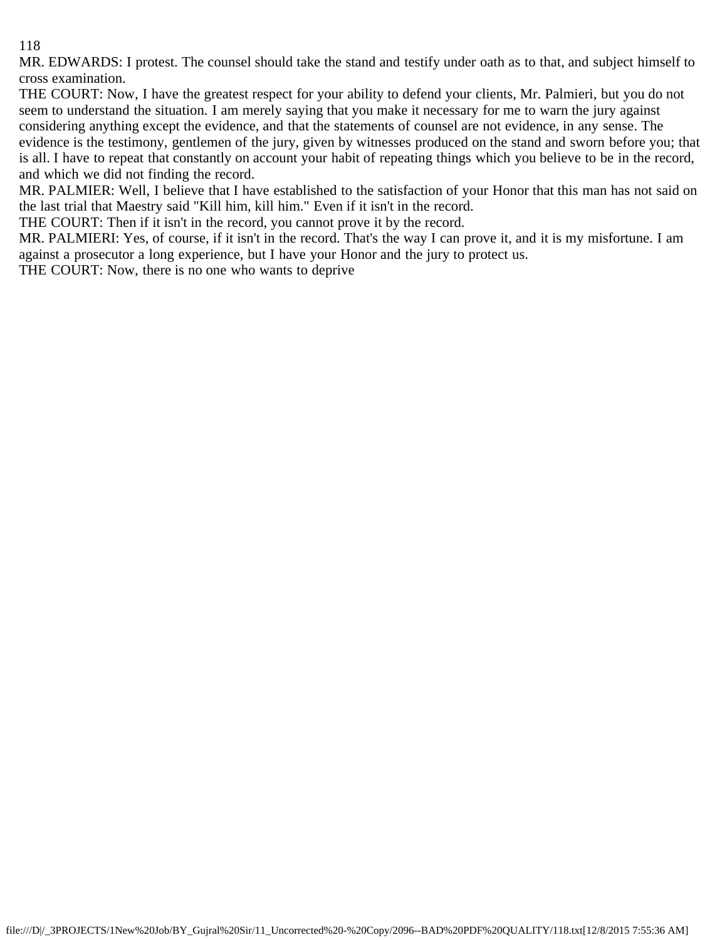MR. EDWARDS: I protest. The counsel should take the stand and testify under oath as to that, and subject himself to cross examination.

THE COURT: Now, I have the greatest respect for your ability to defend your clients, Mr. Palmieri, but you do not seem to understand the situation. I am merely saying that you make it necessary for me to warn the jury against considering anything except the evidence, and that the statements of counsel are not evidence, in any sense. The evidence is the testimony, gentlemen of the jury, given by witnesses produced on the stand and sworn before you; that is all. I have to repeat that constantly on account your habit of repeating things which you believe to be in the record, and which we did not finding the record.

MR. PALMIER: Well, I believe that I have established to the satisfaction of your Honor that this man has not said on the last trial that Maestry said "Kill him, kill him." Even if it isn't in the record.

THE COURT: Then if it isn't in the record, you cannot prove it by the record.

MR. PALMIERI: Yes, of course, if it isn't in the record. That's the way I can prove it, and it is my misfortune. I am against a prosecutor a long experience, but I have your Honor and the jury to protect us.

THE COURT: Now, there is no one who wants to deprive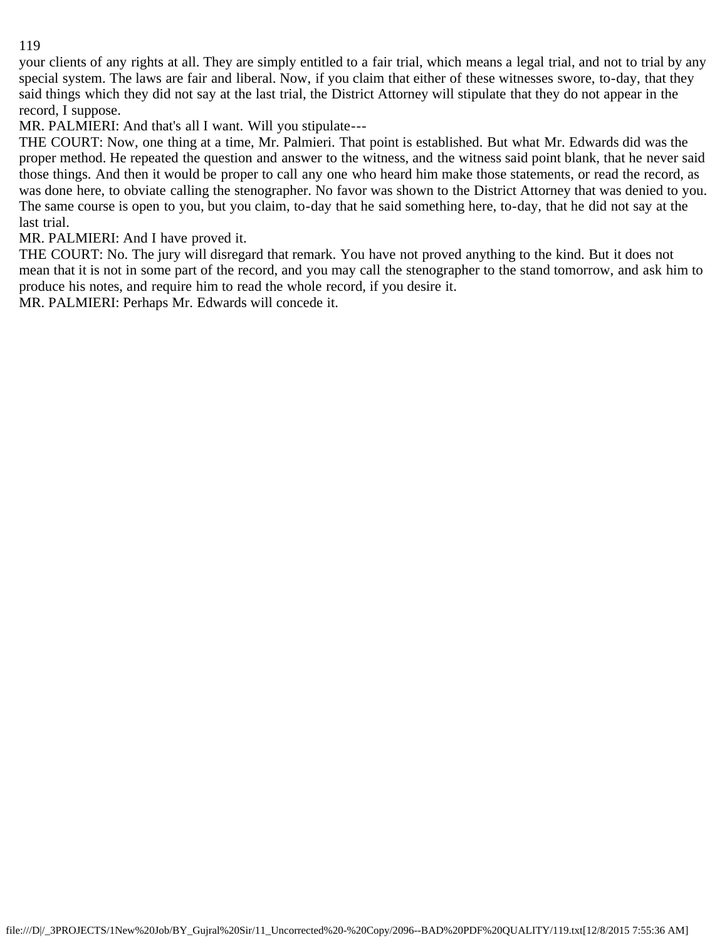your clients of any rights at all. They are simply entitled to a fair trial, which means a legal trial, and not to trial by any special system. The laws are fair and liberal. Now, if you claim that either of these witnesses swore, to-day, that they said things which they did not say at the last trial, the District Attorney will stipulate that they do not appear in the record, I suppose.

MR. PALMIERI: And that's all I want. Will you stipulate---

THE COURT: Now, one thing at a time, Mr. Palmieri. That point is established. But what Mr. Edwards did was the proper method. He repeated the question and answer to the witness, and the witness said point blank, that he never said those things. And then it would be proper to call any one who heard him make those statements, or read the record, as was done here, to obviate calling the stenographer. No favor was shown to the District Attorney that was denied to you. The same course is open to you, but you claim, to-day that he said something here, to-day, that he did not say at the last trial.

MR. PALMIERI: And I have proved it.

THE COURT: No. The jury will disregard that remark. You have not proved anything to the kind. But it does not mean that it is not in some part of the record, and you may call the stenographer to the stand tomorrow, and ask him to produce his notes, and require him to read the whole record, if you desire it.

MR. PALMIERI: Perhaps Mr. Edwards will concede it.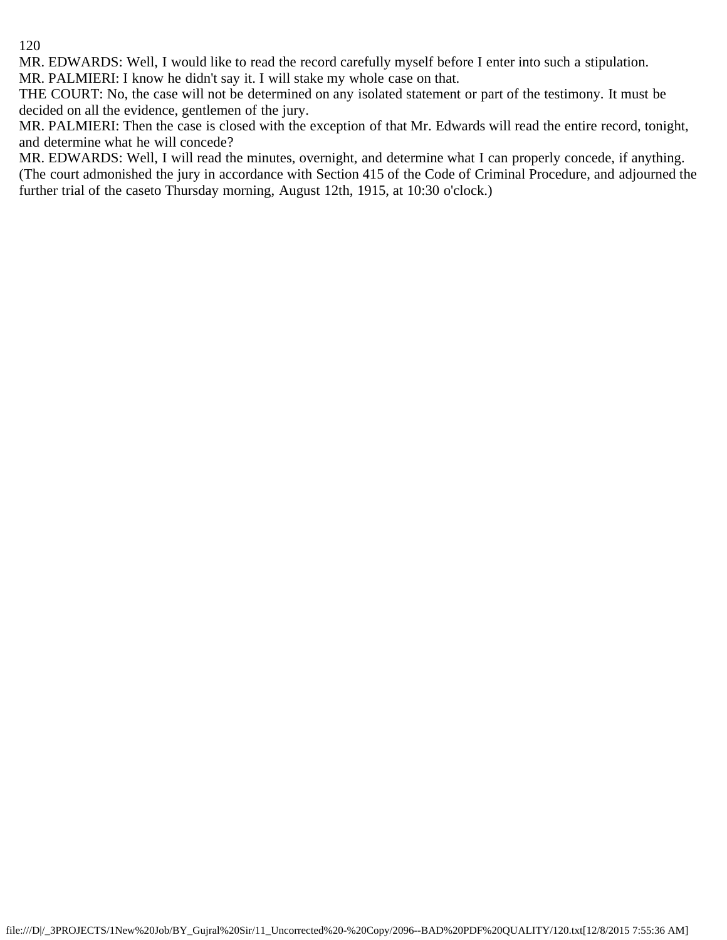MR. EDWARDS: Well, I would like to read the record carefully myself before I enter into such a stipulation.

MR. PALMIERI: I know he didn't say it. I will stake my whole case on that.

THE COURT: No, the case will not be determined on any isolated statement or part of the testimony. It must be decided on all the evidence, gentlemen of the jury.

MR. PALMIERI: Then the case is closed with the exception of that Mr. Edwards will read the entire record, tonight, and determine what he will concede?

MR. EDWARDS: Well, I will read the minutes, overnight, and determine what I can properly concede, if anything. (The court admonished the jury in accordance with Section 415 of the Code of Criminal Procedure, and adjourned the further trial of the caseto Thursday morning, August 12th, 1915, at 10:30 o'clock.)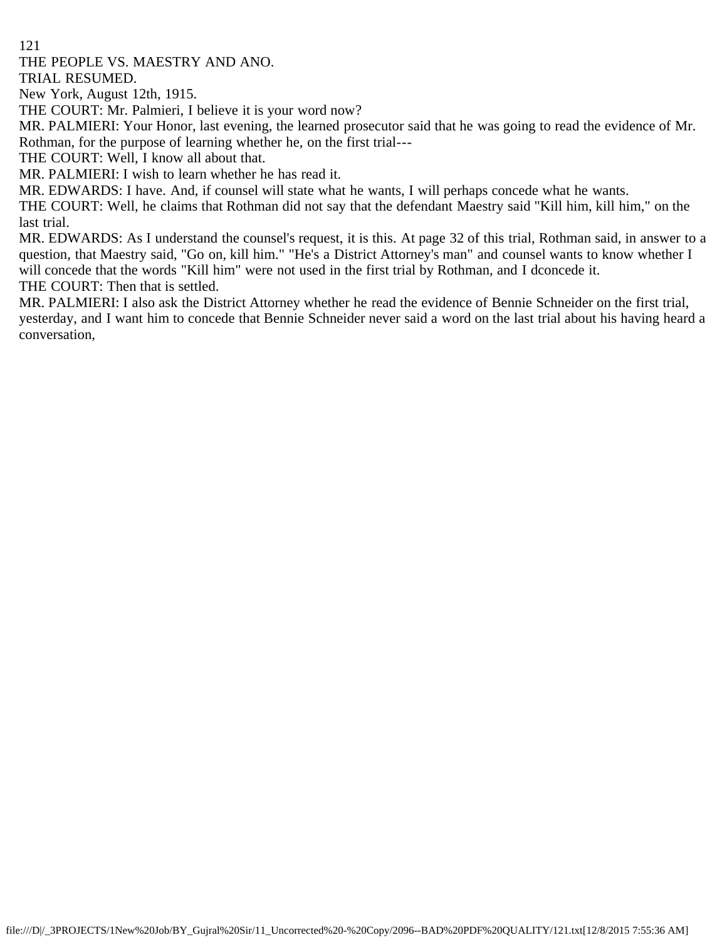THE PEOPLE VS. MAESTRY AND ANO.

TRIAL RESUMED.

New York, August 12th, 1915.

THE COURT: Mr. Palmieri, I believe it is your word now?

MR. PALMIERI: Your Honor, last evening, the learned prosecutor said that he was going to read the evidence of Mr. Rothman, for the purpose of learning whether he, on the first trial---

THE COURT: Well, I know all about that.

MR. PALMIERI: I wish to learn whether he has read it.

MR. EDWARDS: I have. And, if counsel will state what he wants, I will perhaps concede what he wants.

THE COURT: Well, he claims that Rothman did not say that the defendant Maestry said "Kill him, kill him," on the last trial.

MR. EDWARDS: As I understand the counsel's request, it is this. At page 32 of this trial, Rothman said, in answer to a question, that Maestry said, "Go on, kill him." "He's a District Attorney's man" and counsel wants to know whether I will concede that the words "Kill him" were not used in the first trial by Rothman, and I dconcede it. THE COURT: Then that is settled.

MR. PALMIERI: I also ask the District Attorney whether he read the evidence of Bennie Schneider on the first trial, yesterday, and I want him to concede that Bennie Schneider never said a word on the last trial about his having heard a conversation,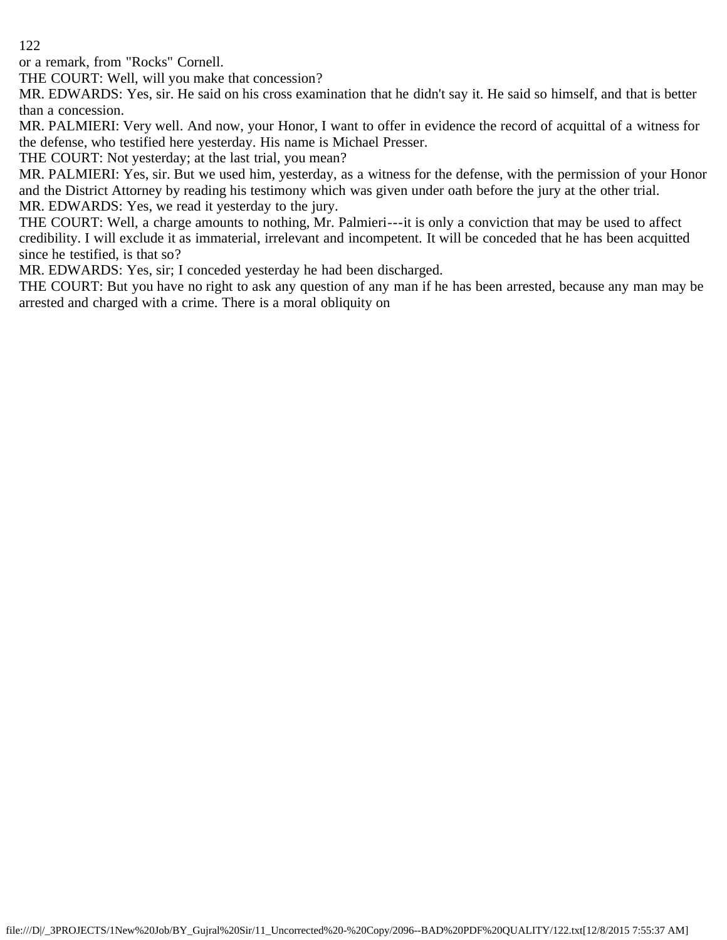or a remark, from "Rocks" Cornell.

THE COURT: Well, will you make that concession?

MR. EDWARDS: Yes, sir. He said on his cross examination that he didn't say it. He said so himself, and that is better than a concession.

MR. PALMIERI: Very well. And now, your Honor, I want to offer in evidence the record of acquittal of a witness for the defense, who testified here yesterday. His name is Michael Presser.

THE COURT: Not yesterday; at the last trial, you mean?

MR. PALMIERI: Yes, sir. But we used him, yesterday, as a witness for the defense, with the permission of your Honor and the District Attorney by reading his testimony which was given under oath before the jury at the other trial. MR. EDWARDS: Yes, we read it yesterday to the jury.

THE COURT: Well, a charge amounts to nothing, Mr. Palmieri---it is only a conviction that may be used to affect credibility. I will exclude it as immaterial, irrelevant and incompetent. It will be conceded that he has been acquitted since he testified, is that so?

MR. EDWARDS: Yes, sir; I conceded yesterday he had been discharged.

THE COURT: But you have no right to ask any question of any man if he has been arrested, because any man may be arrested and charged with a crime. There is a moral obliquity on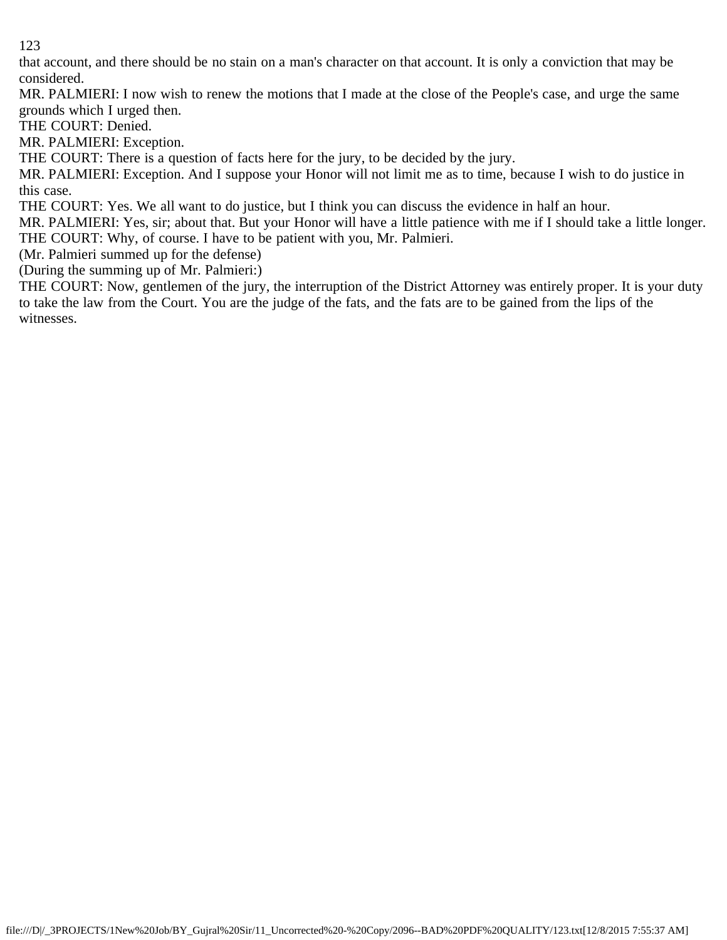that account, and there should be no stain on a man's character on that account. It is only a conviction that may be considered.

MR. PALMIERI: I now wish to renew the motions that I made at the close of the People's case, and urge the same grounds which I urged then.

THE COURT: Denied.

MR. PALMIERI: Exception.

THE COURT: There is a question of facts here for the jury, to be decided by the jury.

MR. PALMIERI: Exception. And I suppose your Honor will not limit me as to time, because I wish to do justice in this case.

THE COURT: Yes. We all want to do justice, but I think you can discuss the evidence in half an hour.

MR. PALMIERI: Yes, sir; about that. But your Honor will have a little patience with me if I should take a little longer. THE COURT: Why, of course. I have to be patient with you, Mr. Palmieri.

(Mr. Palmieri summed up for the defense)

(During the summing up of Mr. Palmieri:)

THE COURT: Now, gentlemen of the jury, the interruption of the District Attorney was entirely proper. It is your duty to take the law from the Court. You are the judge of the fats, and the fats are to be gained from the lips of the witnesses.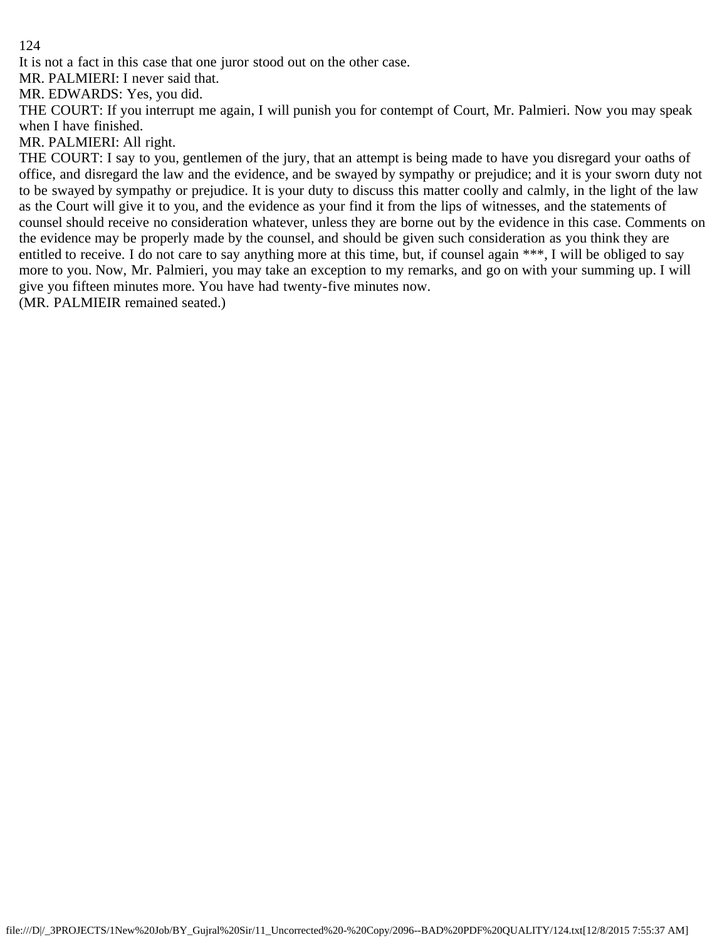It is not a fact in this case that one juror stood out on the other case.

MR. PALMIERI: I never said that.

MR. EDWARDS: Yes, you did.

THE COURT: If you interrupt me again, I will punish you for contempt of Court, Mr. Palmieri. Now you may speak when I have finished.

MR. PALMIERI: All right.

THE COURT: I say to you, gentlemen of the jury, that an attempt is being made to have you disregard your oaths of office, and disregard the law and the evidence, and be swayed by sympathy or prejudice; and it is your sworn duty not to be swayed by sympathy or prejudice. It is your duty to discuss this matter coolly and calmly, in the light of the law as the Court will give it to you, and the evidence as your find it from the lips of witnesses, and the statements of counsel should receive no consideration whatever, unless they are borne out by the evidence in this case. Comments on the evidence may be properly made by the counsel, and should be given such consideration as you think they are entitled to receive. I do not care to say anything more at this time, but, if counsel again \*\*\*, I will be obliged to say more to you. Now, Mr. Palmieri, you may take an exception to my remarks, and go on with your summing up. I will give you fifteen minutes more. You have had twenty-five minutes now.

(MR. PALMIEIR remained seated.)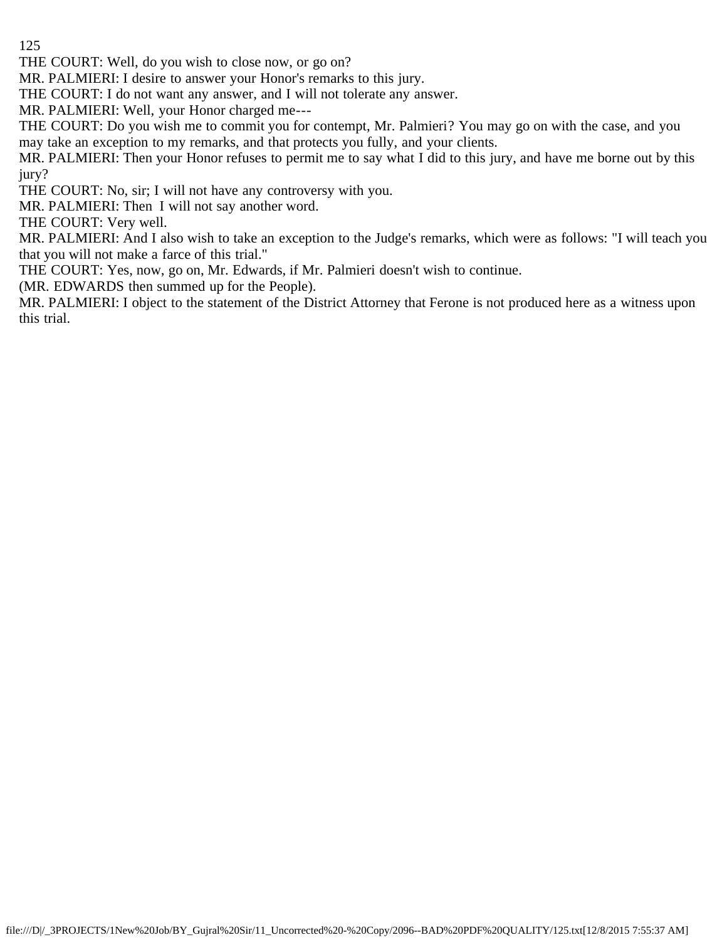THE COURT: Well, do you wish to close now, or go on?

MR. PALMIERI: I desire to answer your Honor's remarks to this jury.

THE COURT: I do not want any answer, and I will not tolerate any answer.

MR. PALMIERI: Well, your Honor charged me---

THE COURT: Do you wish me to commit you for contempt, Mr. Palmieri? You may go on with the case, and you may take an exception to my remarks, and that protects you fully, and your clients.

MR. PALMIERI: Then your Honor refuses to permit me to say what I did to this jury, and have me borne out by this jury?

THE COURT: No, sir; I will not have any controversy with you.

MR. PALMIERI: Then I will not say another word.

THE COURT: Very well.

MR. PALMIERI: And I also wish to take an exception to the Judge's remarks, which were as follows: "I will teach you that you will not make a farce of this trial."

THE COURT: Yes, now, go on, Mr. Edwards, if Mr. Palmieri doesn't wish to continue.

(MR. EDWARDS then summed up for the People).

MR. PALMIERI: I object to the statement of the District Attorney that Ferone is not produced here as a witness upon this trial.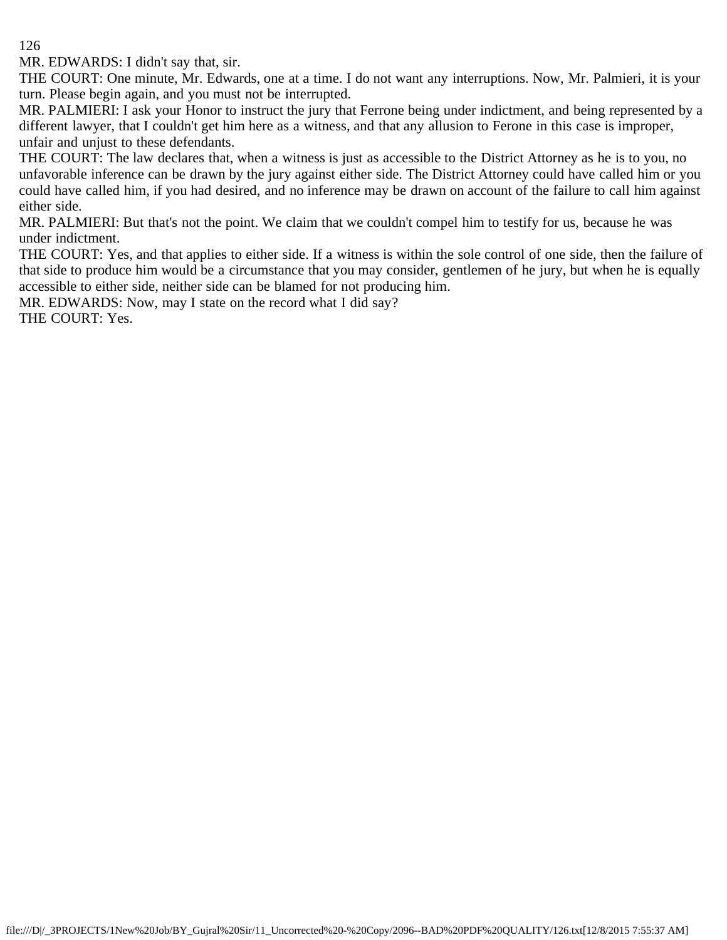MR. EDWARDS: I didn't say that, sir.

THE COURT: One minute, Mr. Edwards, one at a time. I do not want any interruptions. Now, Mr. Palmieri, it is your turn. Please begin again, and you must not be interrupted.

MR. PALMIERI: I ask your Honor to instruct the jury that Ferrone being under indictment, and being represented by a different lawyer, that I couldn't get him here as a witness, and that any allusion to Ferone in this case is improper, unfair and unjust to these defendants.

THE COURT: The law declares that, when a witness is just as accessible to the District Attorney as he is to you, no unfavorable inference can be drawn by the jury against either side. The District Attorney could have called him or you could have called him, if you had desired, and no inference may be drawn on account of the failure to call him against either side.

MR. PALMIERI: But that's not the point. We claim that we couldn't compel him to testify for us, because he was under indictment.

THE COURT: Yes, and that applies to either side. If a witness is within the sole control of one side, then the failure of that side to produce him would be a circumstance that you may consider, gentlemen of he jury, but when he is equally accessible to either side, neither side can be blamed for not producing him.

MR. EDWARDS: Now, may I state on the record what I did say?

THE COURT: Yes.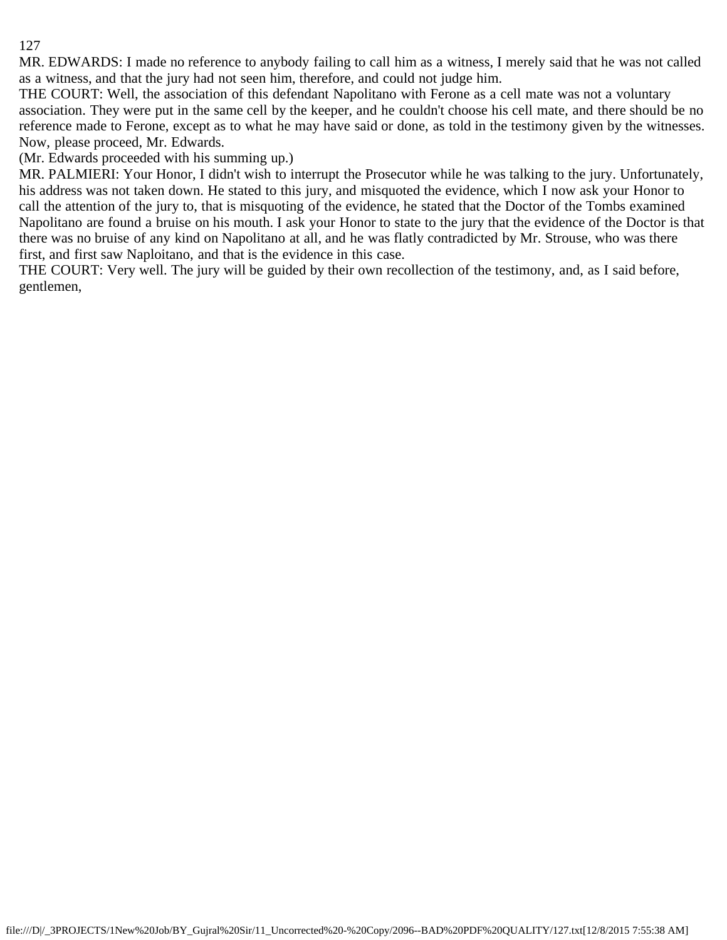MR. EDWARDS: I made no reference to anybody failing to call him as a witness, I merely said that he was not called as a witness, and that the jury had not seen him, therefore, and could not judge him.

THE COURT: Well, the association of this defendant Napolitano with Ferone as a cell mate was not a voluntary association. They were put in the same cell by the keeper, and he couldn't choose his cell mate, and there should be no reference made to Ferone, except as to what he may have said or done, as told in the testimony given by the witnesses. Now, please proceed, Mr. Edwards.

(Mr. Edwards proceeded with his summing up.)

MR. PALMIERI: Your Honor, I didn't wish to interrupt the Prosecutor while he was talking to the jury. Unfortunately, his address was not taken down. He stated to this jury, and misquoted the evidence, which I now ask your Honor to call the attention of the jury to, that is misquoting of the evidence, he stated that the Doctor of the Tombs examined Napolitano are found a bruise on his mouth. I ask your Honor to state to the jury that the evidence of the Doctor is that there was no bruise of any kind on Napolitano at all, and he was flatly contradicted by Mr. Strouse, who was there first, and first saw Naploitano, and that is the evidence in this case.

THE COURT: Very well. The jury will be guided by their own recollection of the testimony, and, as I said before, gentlemen,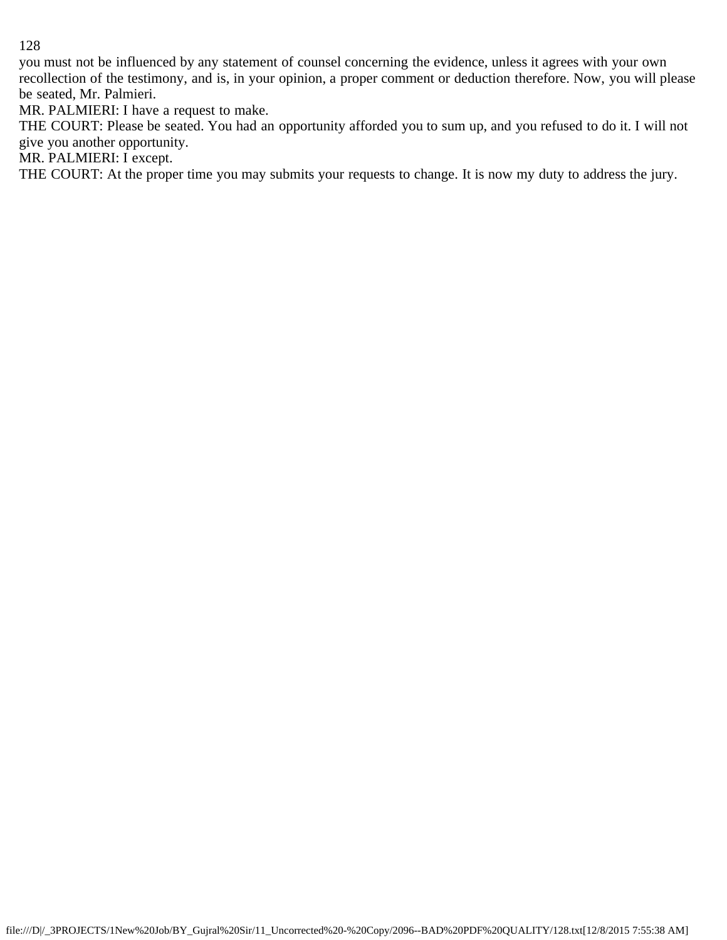you must not be influenced by any statement of counsel concerning the evidence, unless it agrees with your own recollection of the testimony, and is, in your opinion, a proper comment or deduction therefore. Now, you will please be seated, Mr. Palmieri.

MR. PALMIERI: I have a request to make.

THE COURT: Please be seated. You had an opportunity afforded you to sum up, and you refused to do it. I will not give you another opportunity.

MR. PALMIERI: I except.

THE COURT: At the proper time you may submits your requests to change. It is now my duty to address the jury.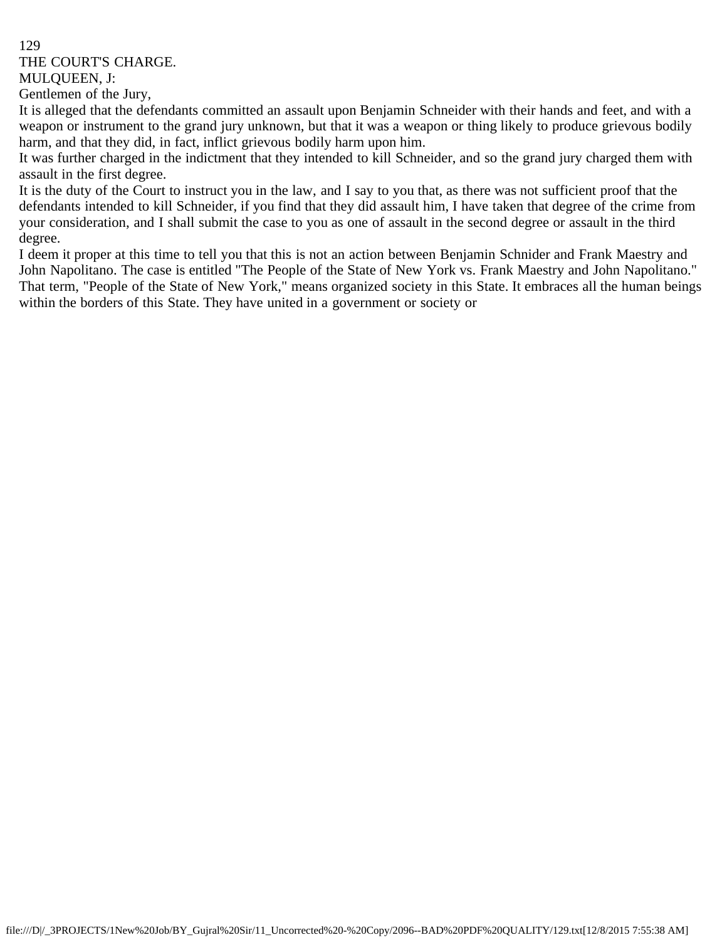THE COURT'S CHARGE.

MULQUEEN, J:

Gentlemen of the Jury,

It is alleged that the defendants committed an assault upon Benjamin Schneider with their hands and feet, and with a weapon or instrument to the grand jury unknown, but that it was a weapon or thing likely to produce grievous bodily harm, and that they did, in fact, inflict grievous bodily harm upon him.

It was further charged in the indictment that they intended to kill Schneider, and so the grand jury charged them with assault in the first degree.

It is the duty of the Court to instruct you in the law, and I say to you that, as there was not sufficient proof that the defendants intended to kill Schneider, if you find that they did assault him, I have taken that degree of the crime from your consideration, and I shall submit the case to you as one of assault in the second degree or assault in the third degree.

I deem it proper at this time to tell you that this is not an action between Benjamin Schnider and Frank Maestry and John Napolitano. The case is entitled "The People of the State of New York vs. Frank Maestry and John Napolitano." That term, "People of the State of New York," means organized society in this State. It embraces all the human beings within the borders of this State. They have united in a government or society or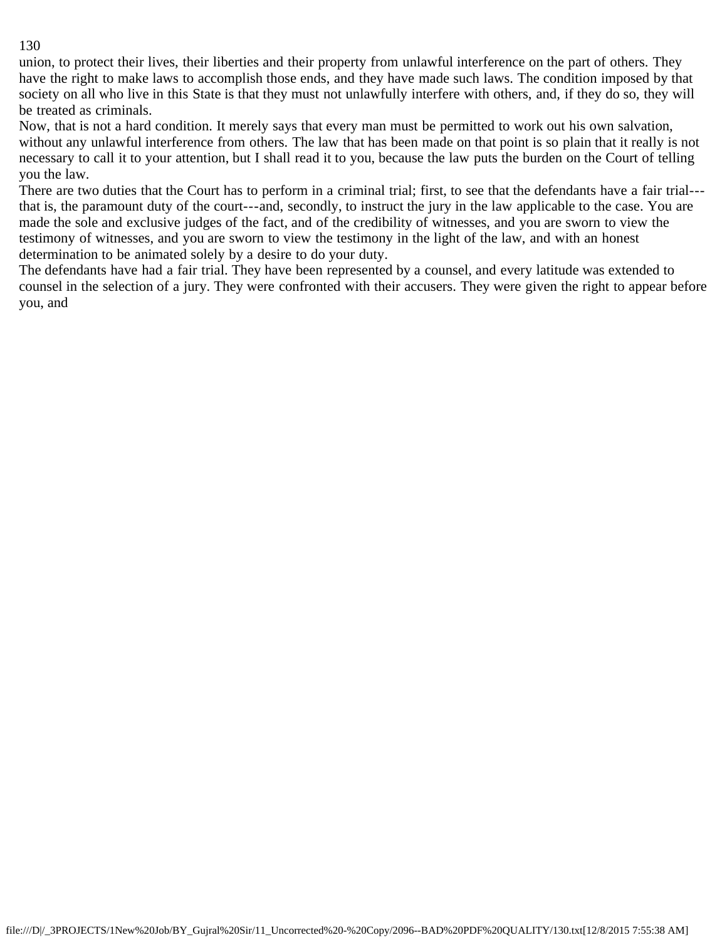union, to protect their lives, their liberties and their property from unlawful interference on the part of others. They have the right to make laws to accomplish those ends, and they have made such laws. The condition imposed by that society on all who live in this State is that they must not unlawfully interfere with others, and, if they do so, they will be treated as criminals.

Now, that is not a hard condition. It merely says that every man must be permitted to work out his own salvation, without any unlawful interference from others. The law that has been made on that point is so plain that it really is not necessary to call it to your attention, but I shall read it to you, because the law puts the burden on the Court of telling you the law.

There are two duties that the Court has to perform in a criminal trial; first, to see that the defendants have a fair trial-- that is, the paramount duty of the court---and, secondly, to instruct the jury in the law applicable to the case. You are made the sole and exclusive judges of the fact, and of the credibility of witnesses, and you are sworn to view the testimony of witnesses, and you are sworn to view the testimony in the light of the law, and with an honest determination to be animated solely by a desire to do your duty.

The defendants have had a fair trial. They have been represented by a counsel, and every latitude was extended to counsel in the selection of a jury. They were confronted with their accusers. They were given the right to appear before you, and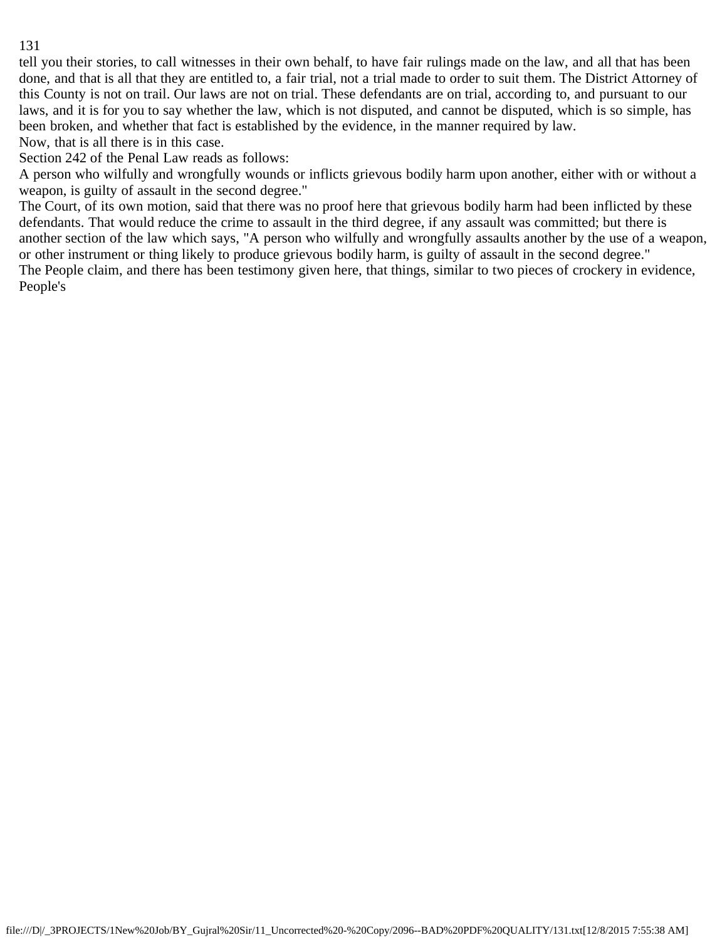tell you their stories, to call witnesses in their own behalf, to have fair rulings made on the law, and all that has been done, and that is all that they are entitled to, a fair trial, not a trial made to order to suit them. The District Attorney of this County is not on trail. Our laws are not on trial. These defendants are on trial, according to, and pursuant to our laws, and it is for you to say whether the law, which is not disputed, and cannot be disputed, which is so simple, has been broken, and whether that fact is established by the evidence, in the manner required by law.

Now, that is all there is in this case.

Section 242 of the Penal Law reads as follows:

A person who wilfully and wrongfully wounds or inflicts grievous bodily harm upon another, either with or without a weapon, is guilty of assault in the second degree."

The Court, of its own motion, said that there was no proof here that grievous bodily harm had been inflicted by these defendants. That would reduce the crime to assault in the third degree, if any assault was committed; but there is another section of the law which says, "A person who wilfully and wrongfully assaults another by the use of a weapon, or other instrument or thing likely to produce grievous bodily harm, is guilty of assault in the second degree." The People claim, and there has been testimony given here, that things, similar to two pieces of crockery in evidence, People's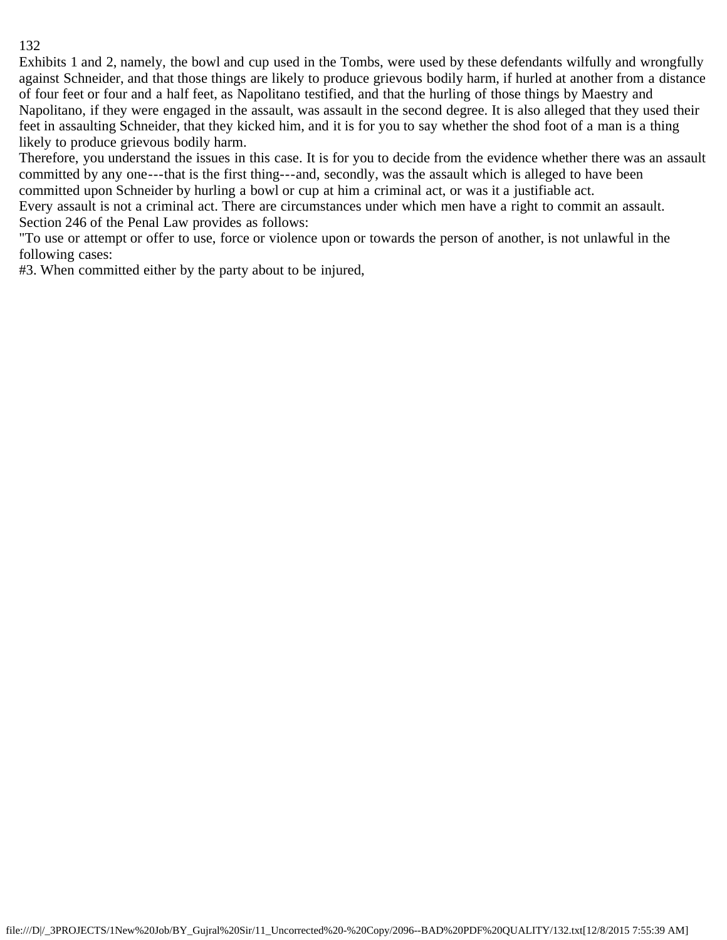Exhibits 1 and 2, namely, the bowl and cup used in the Tombs, were used by these defendants wilfully and wrongfully against Schneider, and that those things are likely to produce grievous bodily harm, if hurled at another from a distance of four feet or four and a half feet, as Napolitano testified, and that the hurling of those things by Maestry and Napolitano, if they were engaged in the assault, was assault in the second degree. It is also alleged that they used their feet in assaulting Schneider, that they kicked him, and it is for you to say whether the shod foot of a man is a thing likely to produce grievous bodily harm.

Therefore, you understand the issues in this case. It is for you to decide from the evidence whether there was an assault committed by any one---that is the first thing---and, secondly, was the assault which is alleged to have been committed upon Schneider by hurling a bowl or cup at him a criminal act, or was it a justifiable act.

Every assault is not a criminal act. There are circumstances under which men have a right to commit an assault. Section 246 of the Penal Law provides as follows:

"To use or attempt or offer to use, force or violence upon or towards the person of another, is not unlawful in the following cases:

#3. When committed either by the party about to be injured,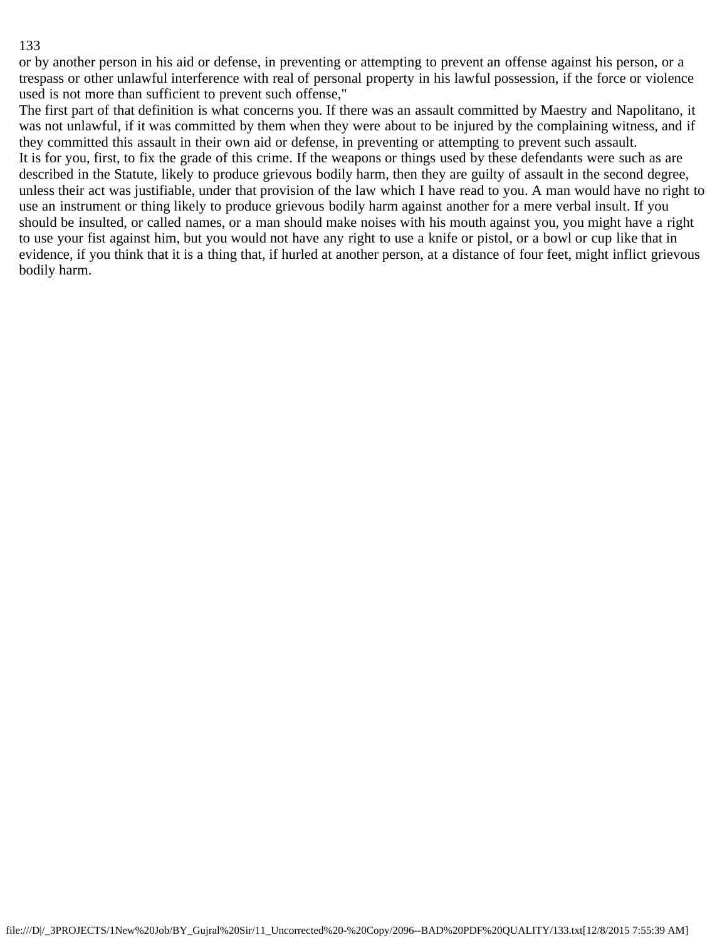or by another person in his aid or defense, in preventing or attempting to prevent an offense against his person, or a trespass or other unlawful interference with real of personal property in his lawful possession, if the force or violence used is not more than sufficient to prevent such offense,"

The first part of that definition is what concerns you. If there was an assault committed by Maestry and Napolitano, it was not unlawful, if it was committed by them when they were about to be injured by the complaining witness, and if they committed this assault in their own aid or defense, in preventing or attempting to prevent such assault. It is for you, first, to fix the grade of this crime. If the weapons or things used by these defendants were such as are described in the Statute, likely to produce grievous bodily harm, then they are guilty of assault in the second degree, unless their act was justifiable, under that provision of the law which I have read to you. A man would have no right to use an instrument or thing likely to produce grievous bodily harm against another for a mere verbal insult. If you should be insulted, or called names, or a man should make noises with his mouth against you, you might have a right to use your fist against him, but you would not have any right to use a knife or pistol, or a bowl or cup like that in evidence, if you think that it is a thing that, if hurled at another person, at a distance of four feet, might inflict grievous bodily harm.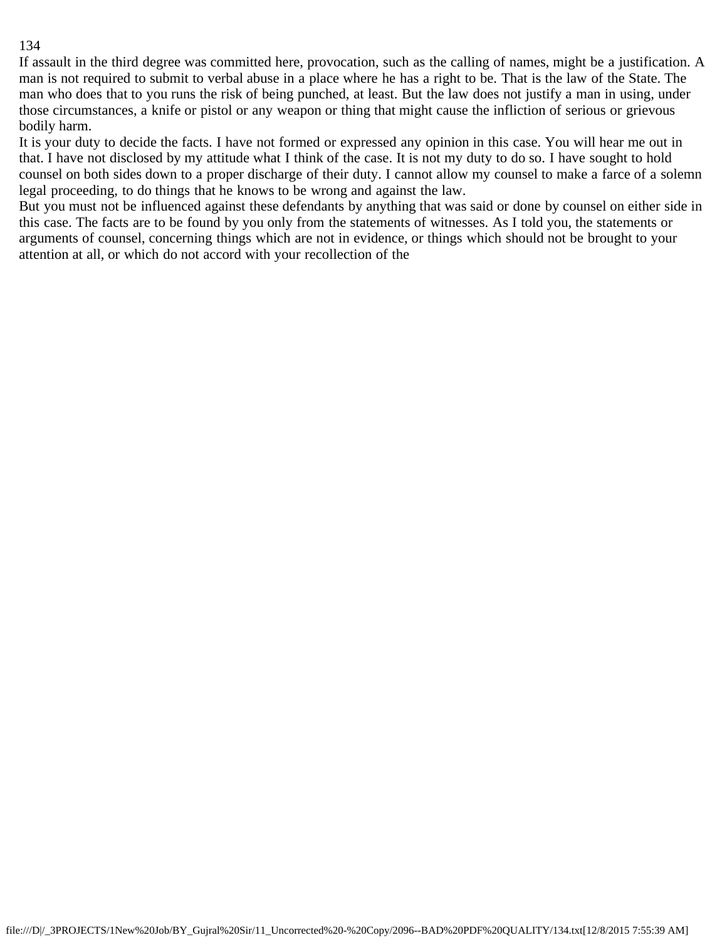If assault in the third degree was committed here, provocation, such as the calling of names, might be a justification. A man is not required to submit to verbal abuse in a place where he has a right to be. That is the law of the State. The man who does that to you runs the risk of being punched, at least. But the law does not justify a man in using, under those circumstances, a knife or pistol or any weapon or thing that might cause the infliction of serious or grievous bodily harm.

It is your duty to decide the facts. I have not formed or expressed any opinion in this case. You will hear me out in that. I have not disclosed by my attitude what I think of the case. It is not my duty to do so. I have sought to hold counsel on both sides down to a proper discharge of their duty. I cannot allow my counsel to make a farce of a solemn legal proceeding, to do things that he knows to be wrong and against the law.

But you must not be influenced against these defendants by anything that was said or done by counsel on either side in this case. The facts are to be found by you only from the statements of witnesses. As I told you, the statements or arguments of counsel, concerning things which are not in evidence, or things which should not be brought to your attention at all, or which do not accord with your recollection of the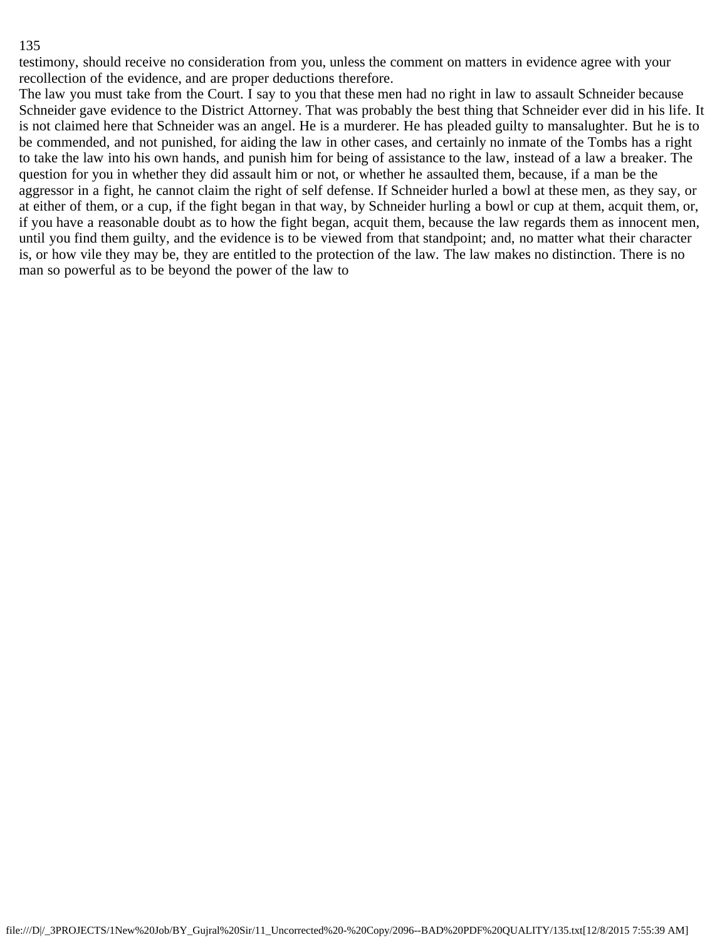testimony, should receive no consideration from you, unless the comment on matters in evidence agree with your recollection of the evidence, and are proper deductions therefore.

The law you must take from the Court. I say to you that these men had no right in law to assault Schneider because Schneider gave evidence to the District Attorney. That was probably the best thing that Schneider ever did in his life. It is not claimed here that Schneider was an angel. He is a murderer. He has pleaded guilty to mansalughter. But he is to be commended, and not punished, for aiding the law in other cases, and certainly no inmate of the Tombs has a right to take the law into his own hands, and punish him for being of assistance to the law, instead of a law a breaker. The question for you in whether they did assault him or not, or whether he assaulted them, because, if a man be the aggressor in a fight, he cannot claim the right of self defense. If Schneider hurled a bowl at these men, as they say, or at either of them, or a cup, if the fight began in that way, by Schneider hurling a bowl or cup at them, acquit them, or, if you have a reasonable doubt as to how the fight began, acquit them, because the law regards them as innocent men, until you find them guilty, and the evidence is to be viewed from that standpoint; and, no matter what their character is, or how vile they may be, they are entitled to the protection of the law. The law makes no distinction. There is no man so powerful as to be beyond the power of the law to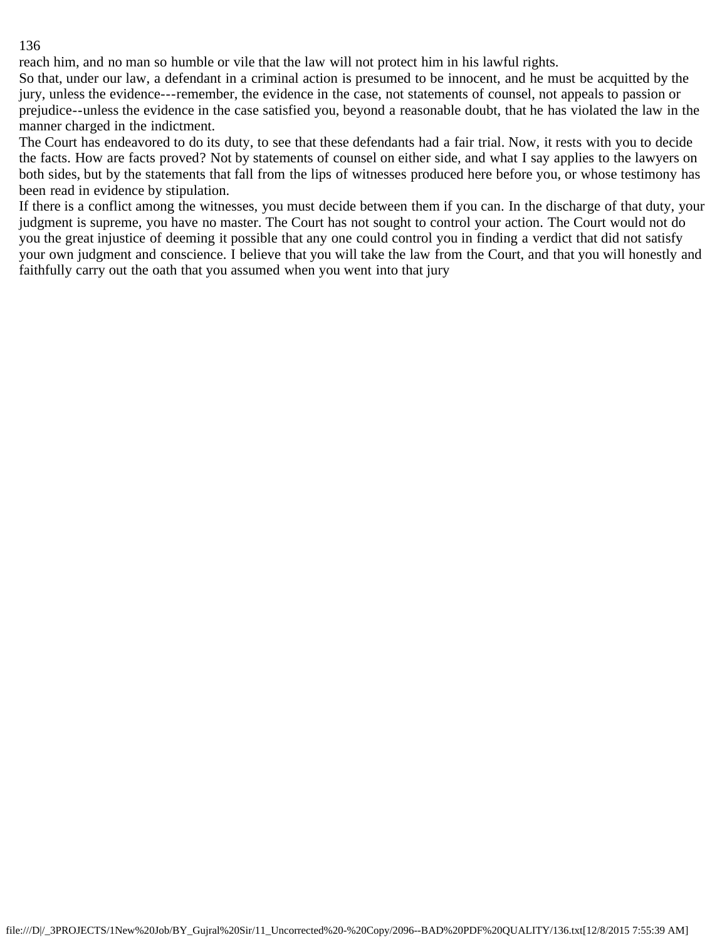reach him, and no man so humble or vile that the law will not protect him in his lawful rights.

So that, under our law, a defendant in a criminal action is presumed to be innocent, and he must be acquitted by the jury, unless the evidence---remember, the evidence in the case, not statements of counsel, not appeals to passion or prejudice--unless the evidence in the case satisfied you, beyond a reasonable doubt, that he has violated the law in the manner charged in the indictment.

The Court has endeavored to do its duty, to see that these defendants had a fair trial. Now, it rests with you to decide the facts. How are facts proved? Not by statements of counsel on either side, and what I say applies to the lawyers on both sides, but by the statements that fall from the lips of witnesses produced here before you, or whose testimony has been read in evidence by stipulation.

If there is a conflict among the witnesses, you must decide between them if you can. In the discharge of that duty, your judgment is supreme, you have no master. The Court has not sought to control your action. The Court would not do you the great injustice of deeming it possible that any one could control you in finding a verdict that did not satisfy your own judgment and conscience. I believe that you will take the law from the Court, and that you will honestly and faithfully carry out the oath that you assumed when you went into that jury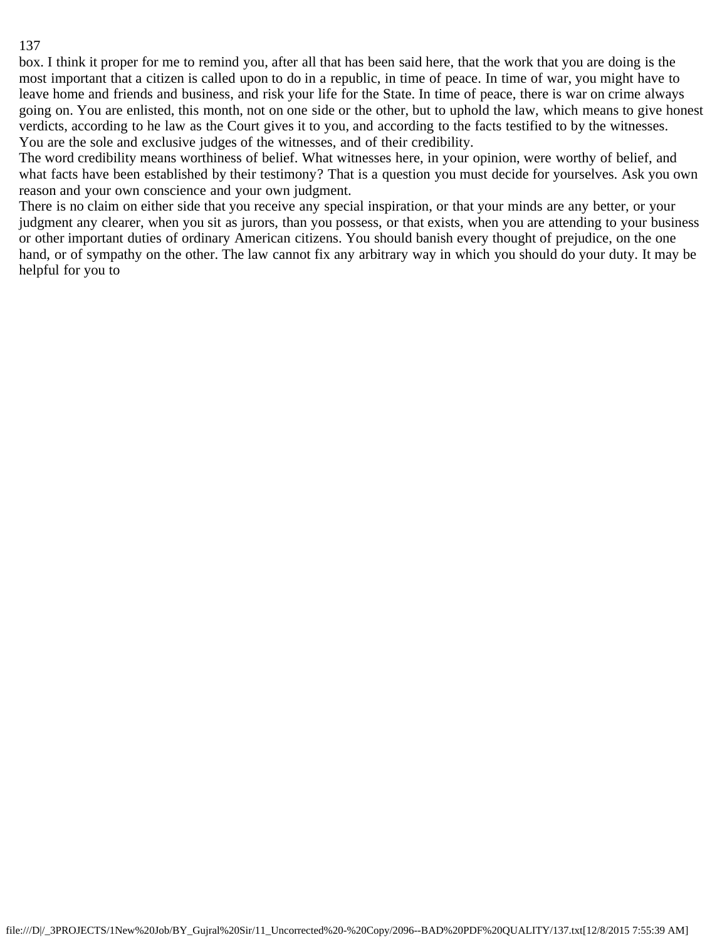box. I think it proper for me to remind you, after all that has been said here, that the work that you are doing is the most important that a citizen is called upon to do in a republic, in time of peace. In time of war, you might have to leave home and friends and business, and risk your life for the State. In time of peace, there is war on crime always going on. You are enlisted, this month, not on one side or the other, but to uphold the law, which means to give honest verdicts, according to he law as the Court gives it to you, and according to the facts testified to by the witnesses. You are the sole and exclusive judges of the witnesses, and of their credibility.

The word credibility means worthiness of belief. What witnesses here, in your opinion, were worthy of belief, and what facts have been established by their testimony? That is a question you must decide for yourselves. Ask you own reason and your own conscience and your own judgment.

There is no claim on either side that you receive any special inspiration, or that your minds are any better, or your judgment any clearer, when you sit as jurors, than you possess, or that exists, when you are attending to your business or other important duties of ordinary American citizens. You should banish every thought of prejudice, on the one hand, or of sympathy on the other. The law cannot fix any arbitrary way in which you should do your duty. It may be helpful for you to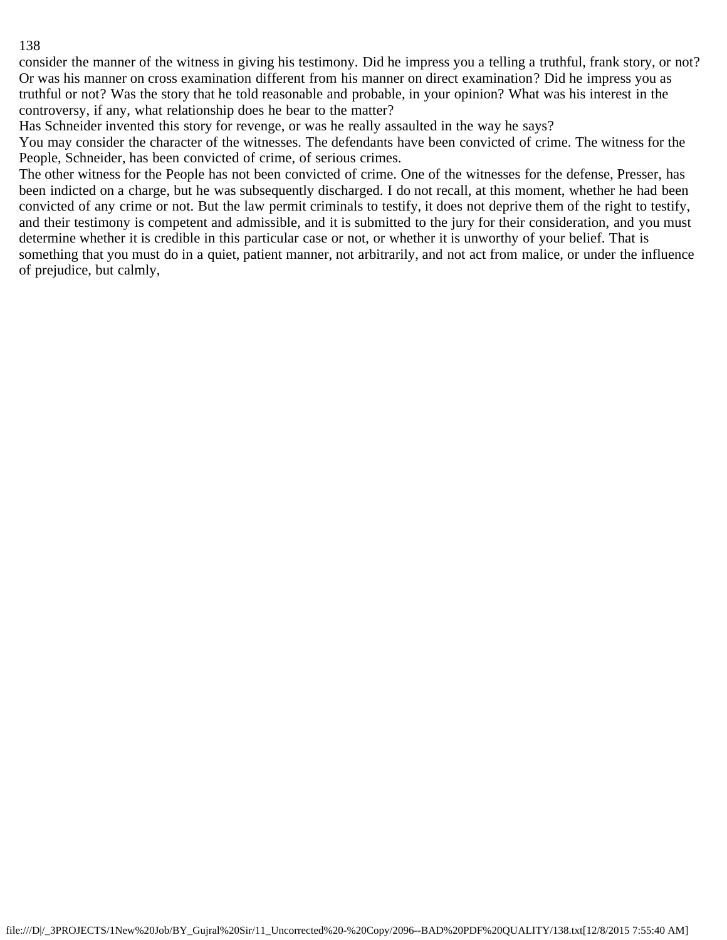consider the manner of the witness in giving his testimony. Did he impress you a telling a truthful, frank story, or not? Or was his manner on cross examination different from his manner on direct examination? Did he impress you as truthful or not? Was the story that he told reasonable and probable, in your opinion? What was his interest in the controversy, if any, what relationship does he bear to the matter?

Has Schneider invented this story for revenge, or was he really assaulted in the way he says?

You may consider the character of the witnesses. The defendants have been convicted of crime. The witness for the People, Schneider, has been convicted of crime, of serious crimes.

The other witness for the People has not been convicted of crime. One of the witnesses for the defense, Presser, has been indicted on a charge, but he was subsequently discharged. I do not recall, at this moment, whether he had been convicted of any crime or not. But the law permit criminals to testify, it does not deprive them of the right to testify, and their testimony is competent and admissible, and it is submitted to the jury for their consideration, and you must determine whether it is credible in this particular case or not, or whether it is unworthy of your belief. That is something that you must do in a quiet, patient manner, not arbitrarily, and not act from malice, or under the influence of prejudice, but calmly,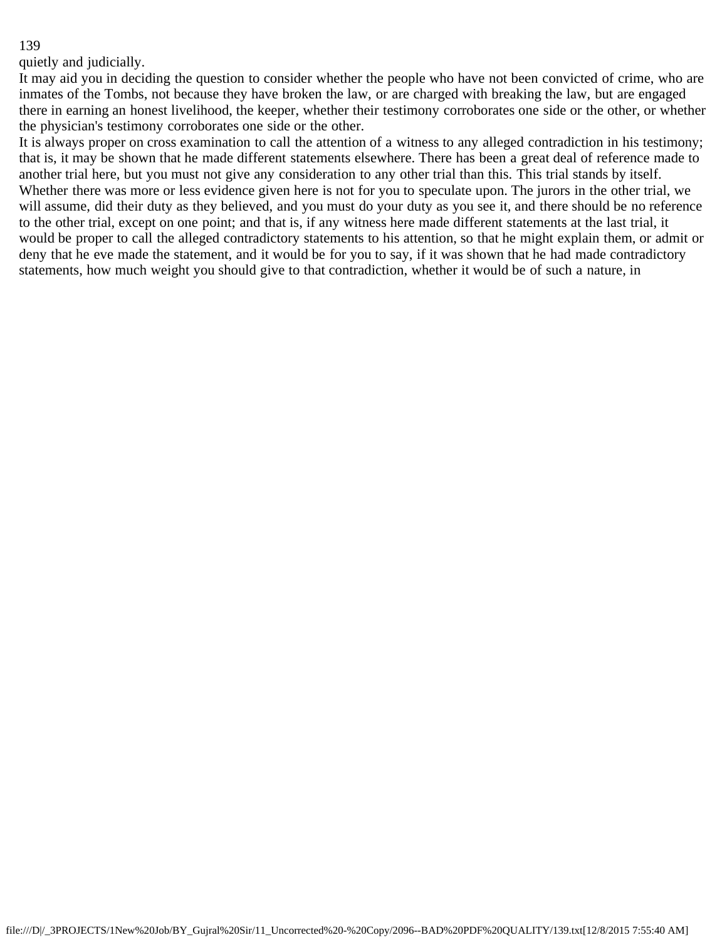quietly and judicially.

It may aid you in deciding the question to consider whether the people who have not been convicted of crime, who are inmates of the Tombs, not because they have broken the law, or are charged with breaking the law, but are engaged there in earning an honest livelihood, the keeper, whether their testimony corroborates one side or the other, or whether the physician's testimony corroborates one side or the other.

It is always proper on cross examination to call the attention of a witness to any alleged contradiction in his testimony; that is, it may be shown that he made different statements elsewhere. There has been a great deal of reference made to another trial here, but you must not give any consideration to any other trial than this. This trial stands by itself. Whether there was more or less evidence given here is not for you to speculate upon. The jurors in the other trial, we will assume, did their duty as they believed, and you must do your duty as you see it, and there should be no reference to the other trial, except on one point; and that is, if any witness here made different statements at the last trial, it would be proper to call the alleged contradictory statements to his attention, so that he might explain them, or admit or deny that he eve made the statement, and it would be for you to say, if it was shown that he had made contradictory statements, how much weight you should give to that contradiction, whether it would be of such a nature, in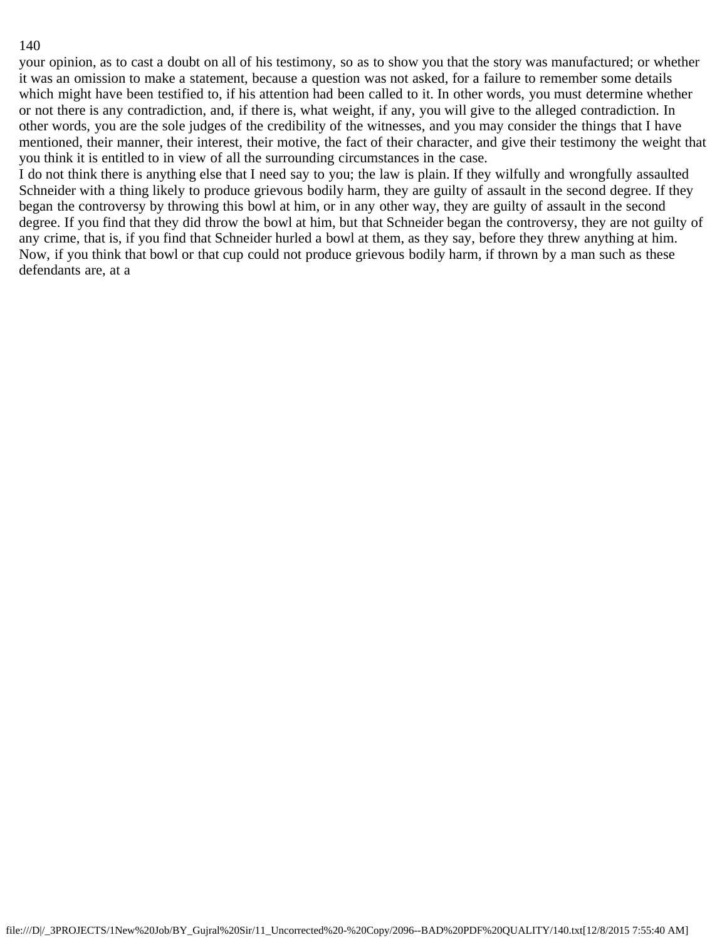your opinion, as to cast a doubt on all of his testimony, so as to show you that the story was manufactured; or whether it was an omission to make a statement, because a question was not asked, for a failure to remember some details which might have been testified to, if his attention had been called to it. In other words, you must determine whether or not there is any contradiction, and, if there is, what weight, if any, you will give to the alleged contradiction. In other words, you are the sole judges of the credibility of the witnesses, and you may consider the things that I have mentioned, their manner, their interest, their motive, the fact of their character, and give their testimony the weight that you think it is entitled to in view of all the surrounding circumstances in the case.

I do not think there is anything else that I need say to you; the law is plain. If they wilfully and wrongfully assaulted Schneider with a thing likely to produce grievous bodily harm, they are guilty of assault in the second degree. If they began the controversy by throwing this bowl at him, or in any other way, they are guilty of assault in the second degree. If you find that they did throw the bowl at him, but that Schneider began the controversy, they are not guilty of any crime, that is, if you find that Schneider hurled a bowl at them, as they say, before they threw anything at him. Now, if you think that bowl or that cup could not produce grievous bodily harm, if thrown by a man such as these defendants are, at a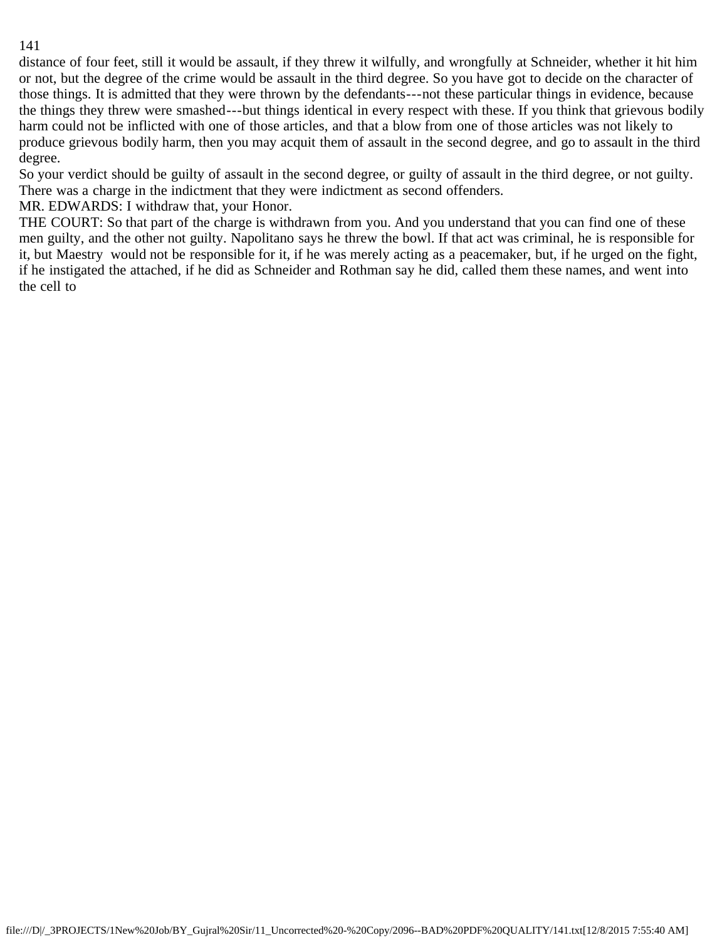distance of four feet, still it would be assault, if they threw it wilfully, and wrongfully at Schneider, whether it hit him or not, but the degree of the crime would be assault in the third degree. So you have got to decide on the character of those things. It is admitted that they were thrown by the defendants---not these particular things in evidence, because the things they threw were smashed---but things identical in every respect with these. If you think that grievous bodily harm could not be inflicted with one of those articles, and that a blow from one of those articles was not likely to produce grievous bodily harm, then you may acquit them of assault in the second degree, and go to assault in the third degree.

So your verdict should be guilty of assault in the second degree, or guilty of assault in the third degree, or not guilty. There was a charge in the indictment that they were indictment as second offenders.

MR. EDWARDS: I withdraw that, your Honor.

THE COURT: So that part of the charge is withdrawn from you. And you understand that you can find one of these men guilty, and the other not guilty. Napolitano says he threw the bowl. If that act was criminal, he is responsible for it, but Maestry would not be responsible for it, if he was merely acting as a peacemaker, but, if he urged on the fight, if he instigated the attached, if he did as Schneider and Rothman say he did, called them these names, and went into the cell to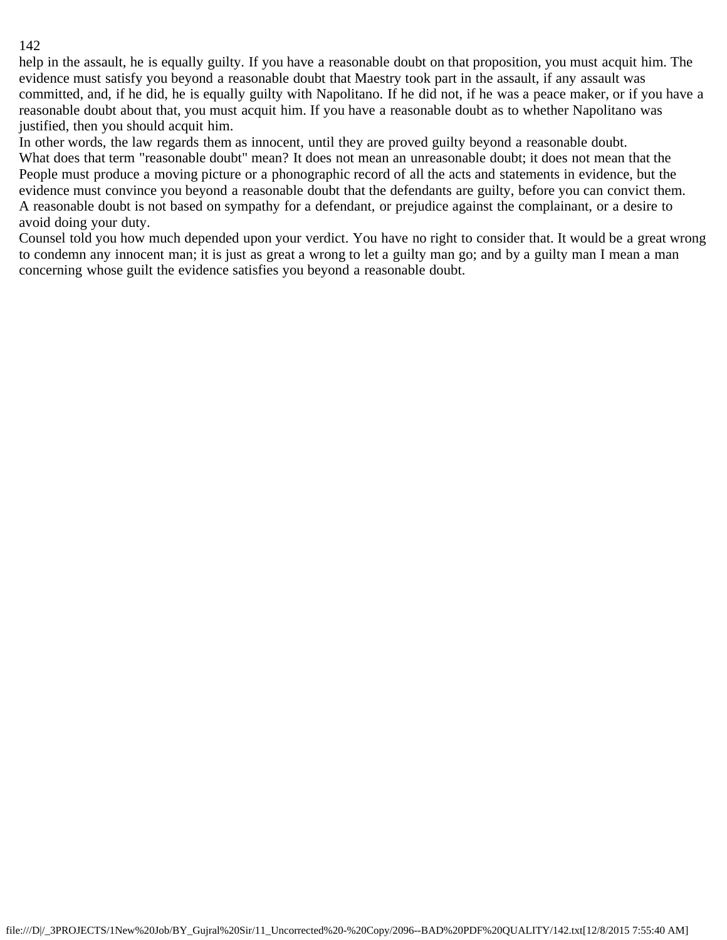help in the assault, he is equally guilty. If you have a reasonable doubt on that proposition, you must acquit him. The evidence must satisfy you beyond a reasonable doubt that Maestry took part in the assault, if any assault was committed, and, if he did, he is equally guilty with Napolitano. If he did not, if he was a peace maker, or if you have a reasonable doubt about that, you must acquit him. If you have a reasonable doubt as to whether Napolitano was justified, then you should acquit him.

In other words, the law regards them as innocent, until they are proved guilty beyond a reasonable doubt.

What does that term "reasonable doubt" mean? It does not mean an unreasonable doubt; it does not mean that the People must produce a moving picture or a phonographic record of all the acts and statements in evidence, but the evidence must convince you beyond a reasonable doubt that the defendants are guilty, before you can convict them. A reasonable doubt is not based on sympathy for a defendant, or prejudice against the complainant, or a desire to avoid doing your duty.

Counsel told you how much depended upon your verdict. You have no right to consider that. It would be a great wrong to condemn any innocent man; it is just as great a wrong to let a guilty man go; and by a guilty man I mean a man concerning whose guilt the evidence satisfies you beyond a reasonable doubt.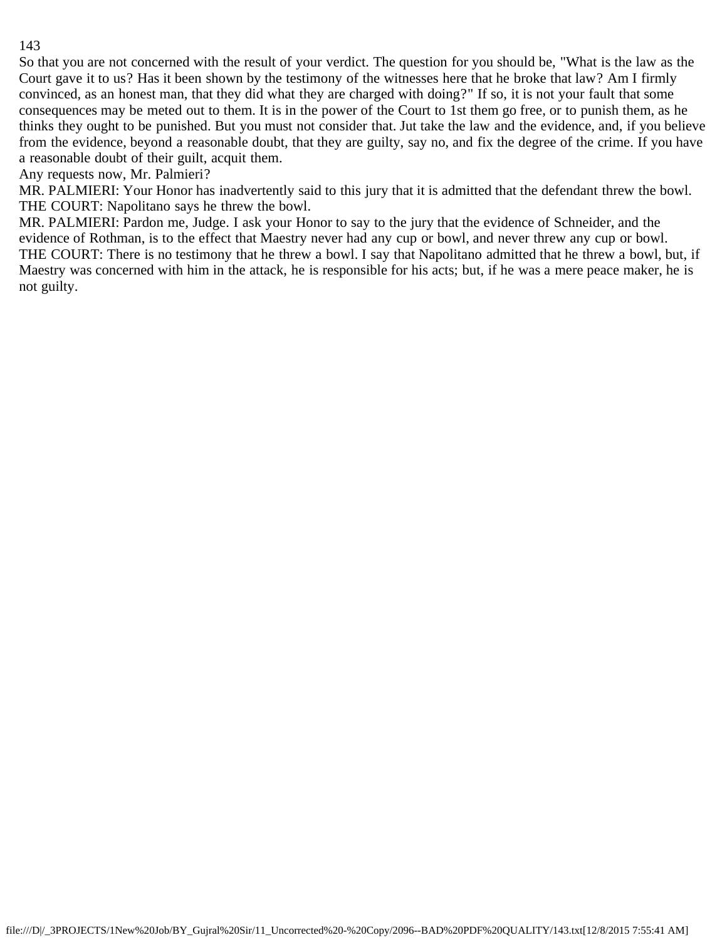So that you are not concerned with the result of your verdict. The question for you should be, "What is the law as the Court gave it to us? Has it been shown by the testimony of the witnesses here that he broke that law? Am I firmly convinced, as an honest man, that they did what they are charged with doing?" If so, it is not your fault that some consequences may be meted out to them. It is in the power of the Court to 1st them go free, or to punish them, as he thinks they ought to be punished. But you must not consider that. Jut take the law and the evidence, and, if you believe from the evidence, beyond a reasonable doubt, that they are guilty, say no, and fix the degree of the crime. If you have a reasonable doubt of their guilt, acquit them.

Any requests now, Mr. Palmieri?

MR. PALMIERI: Your Honor has inadvertently said to this jury that it is admitted that the defendant threw the bowl. THE COURT: Napolitano says he threw the bowl.

MR. PALMIERI: Pardon me, Judge. I ask your Honor to say to the jury that the evidence of Schneider, and the evidence of Rothman, is to the effect that Maestry never had any cup or bowl, and never threw any cup or bowl. THE COURT: There is no testimony that he threw a bowl. I say that Napolitano admitted that he threw a bowl, but, if Maestry was concerned with him in the attack, he is responsible for his acts; but, if he was a mere peace maker, he is not guilty.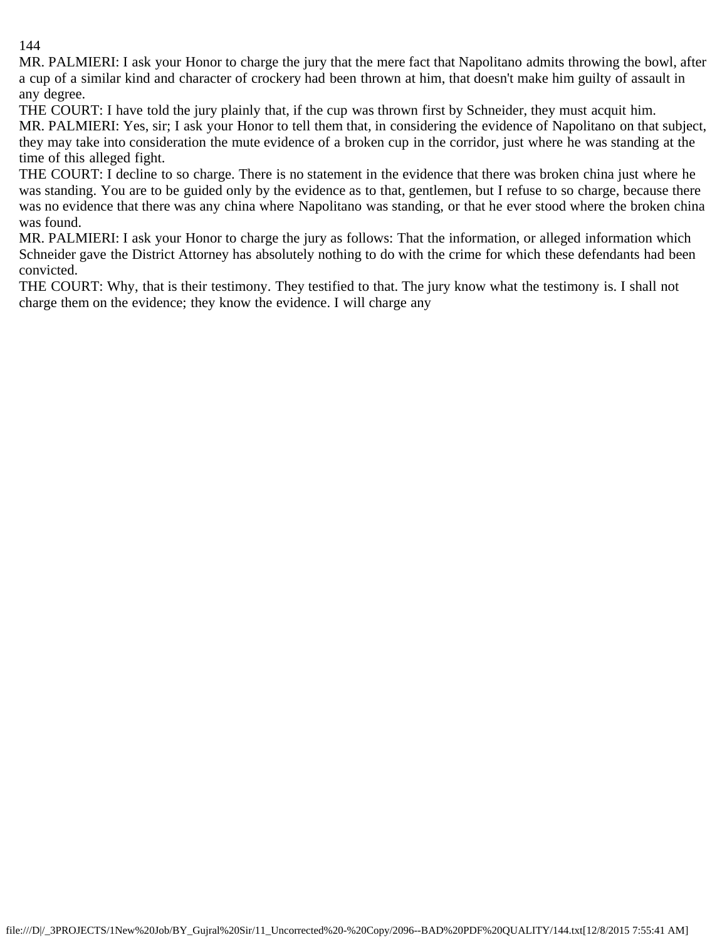MR. PALMIERI: I ask your Honor to charge the jury that the mere fact that Napolitano admits throwing the bowl, after a cup of a similar kind and character of crockery had been thrown at him, that doesn't make him guilty of assault in any degree.

THE COURT: I have told the jury plainly that, if the cup was thrown first by Schneider, they must acquit him. MR. PALMIERI: Yes, sir; I ask your Honor to tell them that, in considering the evidence of Napolitano on that subject, they may take into consideration the mute evidence of a broken cup in the corridor, just where he was standing at the time of this alleged fight.

THE COURT: I decline to so charge. There is no statement in the evidence that there was broken china just where he was standing. You are to be guided only by the evidence as to that, gentlemen, but I refuse to so charge, because there was no evidence that there was any china where Napolitano was standing, or that he ever stood where the broken china was found.

MR. PALMIERI: I ask your Honor to charge the jury as follows: That the information, or alleged information which Schneider gave the District Attorney has absolutely nothing to do with the crime for which these defendants had been convicted.

THE COURT: Why, that is their testimony. They testified to that. The jury know what the testimony is. I shall not charge them on the evidence; they know the evidence. I will charge any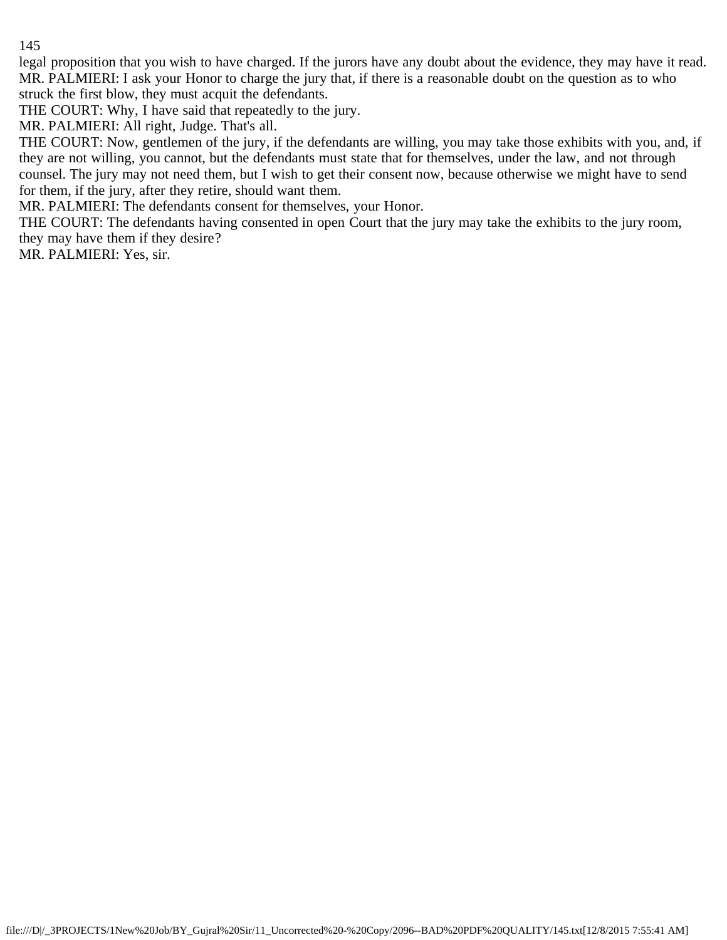legal proposition that you wish to have charged. If the jurors have any doubt about the evidence, they may have it read. MR. PALMIERI: I ask your Honor to charge the jury that, if there is a reasonable doubt on the question as to who struck the first blow, they must acquit the defendants.

THE COURT: Why, I have said that repeatedly to the jury.

MR. PALMIERI: All right, Judge. That's all.

THE COURT: Now, gentlemen of the jury, if the defendants are willing, you may take those exhibits with you, and, if they are not willing, you cannot, but the defendants must state that for themselves, under the law, and not through counsel. The jury may not need them, but I wish to get their consent now, because otherwise we might have to send for them, if the jury, after they retire, should want them.

MR. PALMIERI: The defendants consent for themselves, your Honor.

THE COURT: The defendants having consented in open Court that the jury may take the exhibits to the jury room, they may have them if they desire?

MR. PALMIERI: Yes, sir.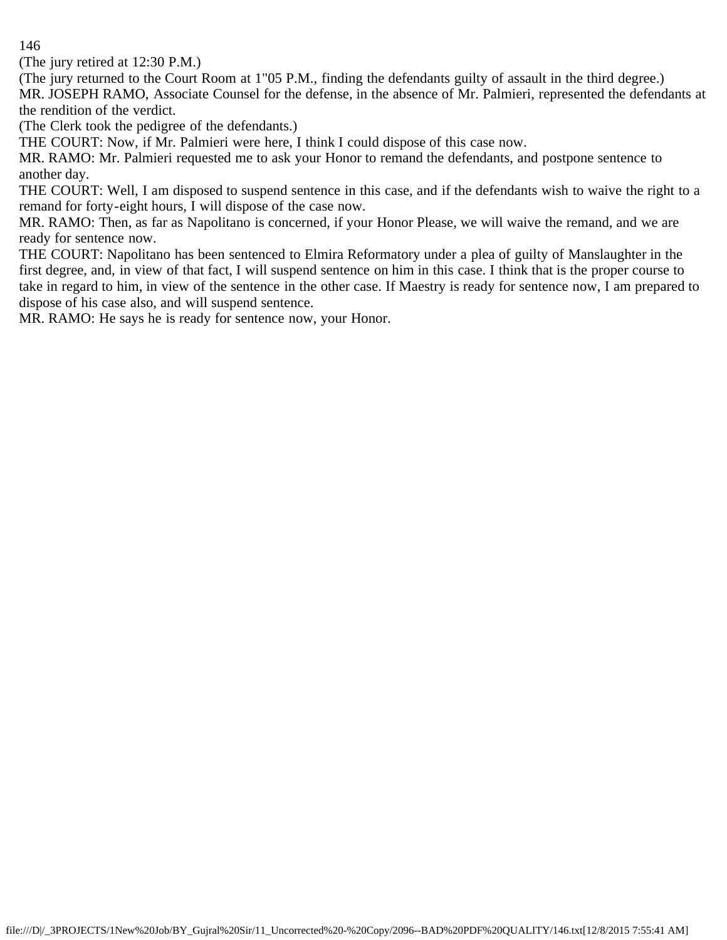(The jury retired at 12:30 P.M.)

(The jury returned to the Court Room at 1"05 P.M., finding the defendants guilty of assault in the third degree.) MR. JOSEPH RAMO, Associate Counsel for the defense, in the absence of Mr. Palmieri, represented the defendants at the rendition of the verdict.

(The Clerk took the pedigree of the defendants.)

THE COURT: Now, if Mr. Palmieri were here, I think I could dispose of this case now.

MR. RAMO: Mr. Palmieri requested me to ask your Honor to remand the defendants, and postpone sentence to another day.

THE COURT: Well, I am disposed to suspend sentence in this case, and if the defendants wish to waive the right to a remand for forty-eight hours, I will dispose of the case now.

MR. RAMO: Then, as far as Napolitano is concerned, if your Honor Please, we will waive the remand, and we are ready for sentence now.

THE COURT: Napolitano has been sentenced to Elmira Reformatory under a plea of guilty of Manslaughter in the first degree, and, in view of that fact, I will suspend sentence on him in this case. I think that is the proper course to take in regard to him, in view of the sentence in the other case. If Maestry is ready for sentence now, I am prepared to dispose of his case also, and will suspend sentence.

MR. RAMO: He says he is ready for sentence now, your Honor.